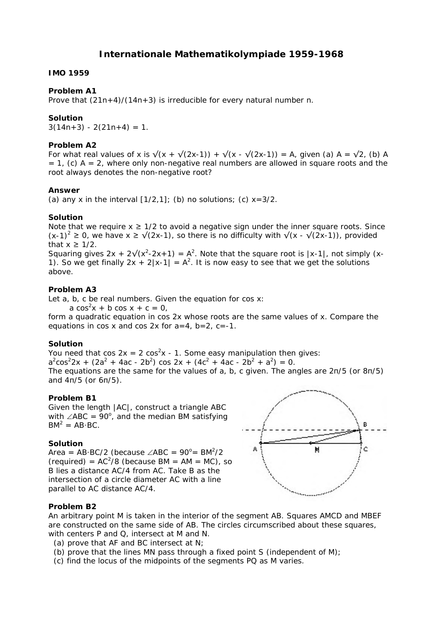# **Internationale Mathematikolympiade 1959-1968**

### **IMO 1959**

## **Problem A1**

Prove that  $(21n+4)/(14n+3)$  is irreducible for every natural number n.

## **Solution**

 $3(14n+3) - 2(21n+4) = 1$ .

### **Problem A2**

For what real values of x is  $\sqrt{(x + \sqrt{(2x-1)}) + \sqrt{(x - \sqrt{(2x-1)})}} = A$ , given (a) A =  $\sqrt{2}$ , (b) A  $= 1$ , (c) A = 2, where only non-negative real numbers are allowed in square roots and the root always denotes the non-negative root?

### **Answer**

(a) any x in the interval  $[1/2,1]$ ; (b) no solutions; (c)  $x=3/2$ .

## **Solution**

Note that we require  $x \geq 1/2$  to avoid a negative sign under the inner square roots. Since  $(x-1)^2 \ge 0$ , we have  $x \ge \sqrt{2x-1}$ , so there is no difficulty with  $\sqrt{x} - \sqrt{2x-1}$ , provided that  $x \geq 1/2$ .

Squaring gives  $2x + 2\sqrt{x^2-2x+1} = A^2$ . Note that the square root is  $|x-1|$ , not simply  $(x-1)$ 1). So we get finally  $2x + 2|x-1| = A^2$ . It is now easy to see that we get the solutions above.

# **Problem A3**

Let a, b, c be real numbers. Given the equation for cos x:

 $a \cos^2 x + b \cos x + c = 0$ ,

form a quadratic equation in cos 2x whose roots are the same values of x. Compare the equations in cos x and cos  $2x$  for  $a=4$ ,  $b=2$ ,  $c=-1$ .

# **Solution**

You need that cos  $2x = 2 \cos^2 x - 1$ . Some easy manipulation then gives:  $a^2\cos^2 2x + (2a^2 + 4ac - 2b^2) \cos 2x + (4c^2 + 4ac - 2b^2 + a^2) = 0.$ The equations are the same for the values of a, b, c given. The angles are 2π/5 (or 8π/5) and 4π/5 (or 6π/5).

# **Problem B1**

Given the length |AC|, construct a triangle ABC with  $\angle ABC = 90^\circ$ , and the median BM satisfying  $BM^2 = AB \cdot BC$ .

# **Solution**

Area = AB·BC/2 (because  $\angle$ ABC = 90°= BM<sup>2</sup>/2  $(\text{required}) = AC^2/8$  (because BM = AM = MC), so B lies a distance AC/4 from AC. Take B as the intersection of a circle diameter AC with a line parallel to AC distance AC/4.



# **Problem B2**

An arbitrary point M is taken in the interior of the segment AB. Squares AMCD and MBEF are constructed on the same side of AB. The circles circumscribed about these squares, with centers P and Q, intersect at M and N.

- (a) prove that AF and BC intersect at N;
- (b) prove that the lines MN pass through a fixed point S (independent of M);
- (c) find the locus of the midpoints of the segments PQ as M varies.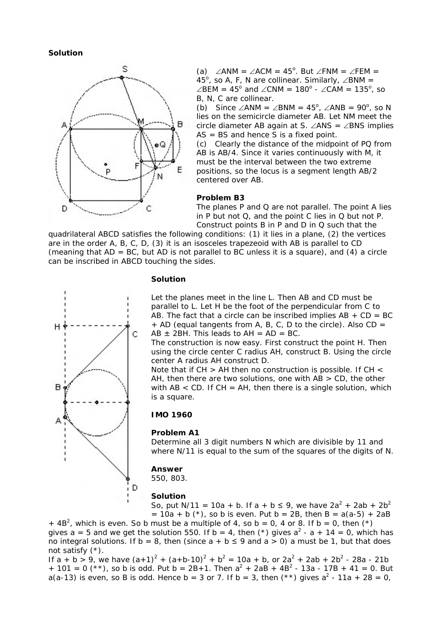**Solution**



(a) ∠ANM = ∠ACM =  $45^{\circ}$ . But ∠FNM = ∠FEM = 45°, so A, F, N are collinear. Similarly,  $\angle$ BNM =  $\angle$ BEM = 45<sup>o</sup> and  $\angle$ CNM = 180<sup>o</sup> -  $\angle$ CAM = 135<sup>o</sup>, so B, N, C are collinear.

(b) Since  $\angle$ ANM =  $\angle$ BNM = 45<sup>o</sup>,  $\angle$ ANB = 90<sup>o</sup>, so N lies on the semicircle diameter AB. Let NM meet the circle diameter AB again at S. ∠ANS = ∠BNS implies  $AS = BS$  and hence S is a fixed point.

(c) Clearly the distance of the midpoint of PQ from AB is AB/4. Since it varies continuously with M, it must be the interval between the two extreme positions, so the locus is a segment length AB/2 centered over AB.

#### **Problem B3**

The planes P and Q are not parallel. The point A lies in P but not Q, and the point C lies in Q but not P. Construct points B in P and D in Q such that the

quadrilateral ABCD satisfies the following conditions: (1) it lies in a plane, (2) the vertices are in the order A, B, C, D, (3) it is an isosceles trapezeoid with AB is parallel to CD (meaning that  $AD = BC$ , but  $AD$  is not parallel to BC unless it is a square), and (4) a circle can be inscribed in ABCD touching the sides.



### **Solution**

Let the planes meet in the line L. Then AB and CD must be parallel to L. Let H be the foot of the perpendicular from C to AB. The fact that a circle can be inscribed implies  $AB + CD = BC$  $+$  AD (equal tangents from A, B, C, D to the circle). Also CD =  $AB \pm 2BH$ . This leads to  $AH = AD = BC$ .

The construction is now easy. First construct the point H. Then using the circle center C radius AH, construct B. Using the circle center A radius AH construct D.

Note that if CH > AH then no construction is possible. If CH < AH, then there are two solutions, one with  $AB > CD$ , the other with  $AB < CD$ . If  $CH = AH$ , then there is a single solution, which is a square.

### **IMO 1960**

#### **Problem A1**

Determine all 3 digit numbers N which are divisible by 11 and where N/11 is equal to the sum of the squares of the digits of N.

### **Answer**

550, 803.

#### **Solution**

So, put N/11 = 10a + b. If a + b  $\leq$  9, we have 2a<sup>2</sup> + 2ab + 2b<sup>2</sup>  $= 10a + b$  (\*), so b is even. Put b = 2B, then B = a(a-5) + 2aB

 $+$  4B<sup>2</sup>, which is even. So b must be a multiple of 4, so b = 0, 4 or 8. If b = 0, then (\*) gives a = 5 and we get the solution 550. If b = 4, then (\*) gives  $a^2 - a + 14 = 0$ , which has no integral solutions. If  $b = 8$ , then (since  $a + b \le 9$  and  $a > 0$ ) a must be 1, but that does not satisfy (\*).

If a + b > 9, we have  $(a+1)^2 + (a+b-10)^2 + b^2 = 10a + b$ , or  $2a^2 + 2ab + 2b^2 - 28a - 21b$ + 101 = 0 (\*\*), so b is odd. Put b =  $2B+1$ . Then  $a^2 + 2aB + 4B^2 - 13a - 17B + 41 = 0$ . But a(a-13) is even, so B is odd. Hence b = 3 or 7. If b = 3, then  $(**)$  gives  $a^2$  - 11a + 28 = 0,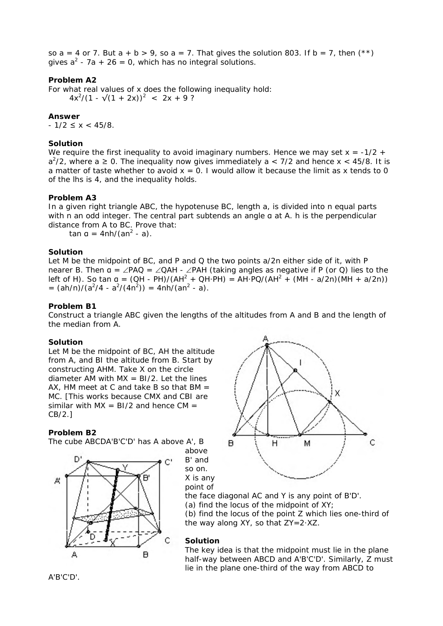so a = 4 or 7. But a + b > 9, so a = 7. That gives the solution 803. If b = 7, then  $(**)$ gives  $a^2$  - 7a + 26 = 0, which has no integral solutions.

## **Problem A2**

For what real values of x does the following inequality hold:  $4x^2/(1 - \sqrt{(1 + 2x)})^2 < 2x + 9$ ?

## **Answer**

 $-1/2 \leq x < 45/8$ .

## **Solution**

We require the first inequality to avoid imaginary numbers. Hence we may set  $x = -1/2 + 1$  $a^2/2$ , where a  $\geq$  0. The inequality now gives immediately a < 7/2 and hence x < 45/8. It is a matter of taste whether to avoid  $x = 0$ . I would allow it because the limit as x tends to 0 of the lhs is 4, and the inequality holds.

### **Problem A3**

In a given right triangle ABC, the hypotenuse BC, length a, is divided into n equal parts with n an odd integer. The central part subtends an angle g at A. h is the perpendicular distance from A to BC. Prove that:

 $\tan a = 4nh/(an^2 - a)$ .

### **Solution**

Let M be the midpoint of BC, and P and Q the two points  $a/2n$  either side of it, with P nearer B. Then  $a = \angle PAQ = \angle QAH - \angle PAH$  (taking angles as negative if P (or Q) lies to the left of H). So tan  $a = (QH - PH)/(AH^2 + QH - PH) = AH - PQ/(AH^2 + (MH - a/2n)(MH + a/2n))$  $=$   $(ah/n)/(a^2/4 - a^2/(4n^2)) = 4nh/(an^2 - a)$ .

## **Problem B1**

Construct a triangle ABC given the lengths of the altitudes from A and B and the length of the median from A.

### **Solution**

Let M be the midpoint of BC, AH the altitude from A, and BI the altitude from B. Start by constructing AHM. Take X on the circle diameter AM with  $MX = BI/2$ . Let the lines AX. HM meet at C and take B so that  $BM =$ MC. [This works because CMX and CBI are similar with  $MX = BI/2$  and hence  $CM =$ CB/2.]

### **Problem B2**

The cube ABCDA'B'C'D' has A above A', B







the face diagonal AC and Y is any point of B'D'. (a) find the locus of the midpoint of XY; (b) find the locus of the point Z which lies one-third of the way along XY, so that ZY=2·XZ.

#### **Solution**

The key idea is that the midpoint must lie in the plane half-way between ABCD and A'B'C'D'. Similarly, Z must lie in the plane one-third of the way from ABCD to

A'B'C'D'.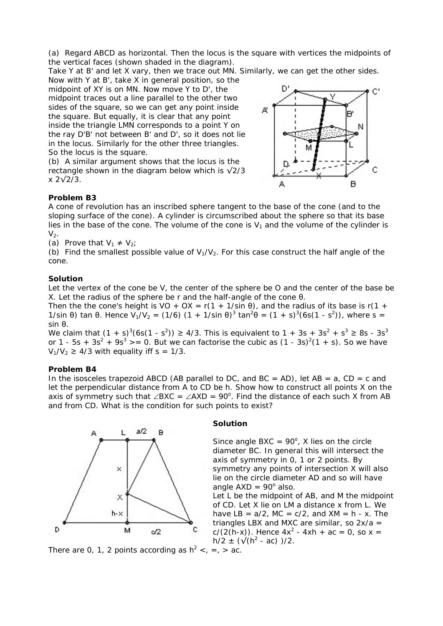(a) Regard ABCD as horizontal. Then the locus is the square with vertices the midpoints of the vertical faces (shown shaded in the diagram).

Take Y at B' and let X vary, then we trace out MN. Similarly, we can get the other sides.

Now with Y at B', take X in general position, so the midpoint of XY is on MN. Now move Y to D', the midpoint traces out a line parallel to the other two sides of the square, so we can get any point inside the square. But equally, it is clear that any point inside the triangle LMN corresponds to a point Y on the ray D'B' not between B' and D', so it does not lie in the locus. Similarly for the other three triangles. So the locus is the square.

(b) A similar argument shows that the locus is the rectangle shown in the diagram below which is  $\sqrt{2}/3$ x 2√2/3.



# **Problem B3**

A cone of revolution has an inscribed sphere tangent to the base of the cone (and to the sloping surface of the cone). A cylinder is circumscribed about the sphere so that its base lies in the base of the cone. The volume of the cone is  $V_1$  and the volume of the cylinder is  $V<sub>2</sub>$ .

(a) Prove that  $V_1 \neq V_2$ ;

(b) Find the smallest possible value of  $V_1/V_2$ . For this case construct the half angle of the cone.

## **Solution**

Let the vertex of the cone be V, the center of the sphere be O and the center of the base be X. Let the radius of the sphere be r and the half-angle of the cone θ.

Then the the cone's height is VO + OX =  $r(1 + 1/\sin \theta)$ , and the radius of its base is r(1 + 1/sin θ) tan θ. Hence V<sub>1</sub>/V<sub>2</sub> = (1/6) (1 + 1/sin θ)<sup>3</sup> tan<sup>2</sup>θ = (1 + s)<sup>3</sup>(6s(1 - s<sup>2</sup>)), where s = sin θ.

We claim that  $(1 + s)^3(6s(1 - s^2)) \ge 4/3$ . This is equivalent to  $1 + 3s + 3s^2 + s^3 \ge 8s - 3s^3$ or 1 - 5s + 3s<sup>2</sup> + 9s<sup>3</sup> > = 0. But we can factorise the cubic as  $(1 - 3s)^2(1 + s)$ . So we have  $V_1/V_2 \geq 4/3$  with equality iff s = 1/3.

# **Problem B4**

In the isosceles trapezoid ABCD (AB parallel to DC, and BC = AD), let AB =  $a$ , CD =  $c$  and let the perpendicular distance from A to CD be h. Show how to construct all points X on the axis of symmetry such that ∠BXC = ∠AXD = 90°. Find the distance of each such X from AB and from CD. What is the condition for such points to exist?



## **Solution**

Since angle BXC =  $90^\circ$ , X lies on the circle diameter BC. In general this will intersect the axis of symmetry in 0, 1 or 2 points. By symmetry any points of intersection X will also lie on the circle diameter AD and so will have angle  $AXD = 90^\circ$  also.

Let L be the midpoint of AB, and M the midpoint of CD. Let X lie on LM a distance x from L. We have  $LB = a/2$ ,  $MC = c/2$ , and  $XM = h - x$ . The triangles LBX and MXC are similar, so  $2x/a =$  $c/(2(h-x))$ . Hence  $4x^2 - 4xh + ac = 0$ , so  $x =$  $h/2 \pm (\sqrt{(h^2 - ac)})/2$ .

There are 0, 1, 2 points according as  $h^2 < h$ ,  $= h$ ,  $\ge$  ac.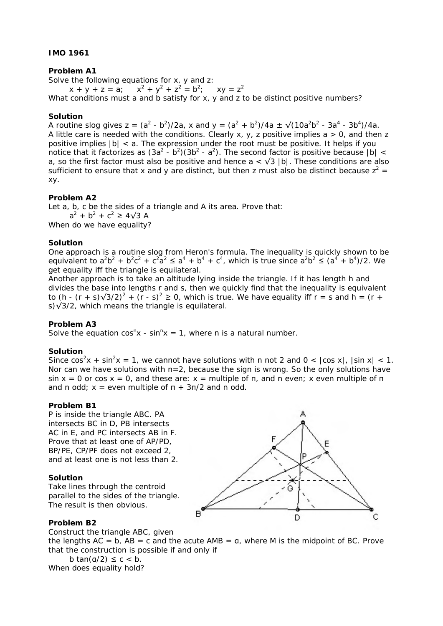# **IMO 1961**

## **Problem A1**

Solve the following equations for x, y and z:

 $x + y + z = a$ ; +  $y^2$  +  $z^2$  =  $b^2$ ;  $xy = z^2$ What conditions must a and b satisfy for x, y and z to be distinct positive numbers?

## **Solution**

A routine slog gives z =  $(a^2 - b^2)/2a$ , x and y =  $(a^2 + b^2)/4a \pm \sqrt{(10a^2b^2 - 3a^4 - 3b^4)/4a}$ . A little care is needed with the conditions. Clearly x, y, z positive implies  $a > 0$ , and then z positive implies |b| < a. The expression under the root must be positive. It helps if you notice that it factorizes as  $(3a^2 - b^2)(3b^2 - a^2)$ . The second factor is positive because  $|b| <$ a, so the first factor must also be positive and hence  $a < \sqrt{3}$  |b|. These conditions are also sufficient to ensure that x and y are distinct, but then z must also be distinct because  $z^2 =$ xy.

## **Problem A2**

Let a, b, c be the sides of a triangle and A its area. Prove that:  $a^{2} + b^{2} + c^{2} \ge 4\sqrt{3} A$ When do we have equality?

# **Solution**

One approach is a routine slog from Heron's formula. The inequality is quickly shown to be equivalent to  $a^2b^2 + b^2c^2 + c^2a^2 \le a^4 + b^4 + c^4$ , which is true since  $a^2b^2 \le (a^4 + b^4)/2$ . We get equality iff the triangle is equilateral.

Another approach is to take an altitude lying inside the triangle. If it has length h and divides the base into lengths r and s, then we quickly find that the inequality is equivalent to (h - (r + s) $\sqrt{3}/2$ )<sup>2</sup> + (r - s)<sup>2</sup> ≥ 0, which is true. We have equality iff r = s and h = (r + s)√3/2, which means the triangle is equilateral.

# **Problem A3**

Solve the equation  $cos^{n}x - sin^{n}x = 1$ , where n is a natural number.

### **Solution**

Since  $cos^2x + sin^2x = 1$ , we cannot have solutions with n not 2 and  $0 < |cos x|$ ,  $|sin x| < 1$ . Nor can we have solutions with  $n=2$ , because the sign is wrong. So the only solutions have sin  $x = 0$  or cos  $x = 0$ , and these are:  $x =$  multiple of  $\pi$ , and n even; x even multiple of  $\pi$ and n odd;  $x =$  even multiple of  $\pi + 3\pi/2$  and n odd.

## **Problem B1**

P is inside the triangle ABC. PA intersects BC in D, PB intersects AC in E, and PC intersects AB in F. Prove that at least one of AP/PD, BP/PE, CP/PF does not exceed 2, and at least one is not less than 2.

### **Solution**

Take lines through the centroid parallel to the sides of the triangle. The result is then obvious.



# **Problem B2**

Construct the triangle ABC, given

the lengths  $AC = b$ ,  $AB = c$  and the acute  $AMB = a$ , where M is the midpoint of BC. Prove that the construction is possible if and only if

b tan( $a/2$ )  $\leq c < b$ . When does equality hold?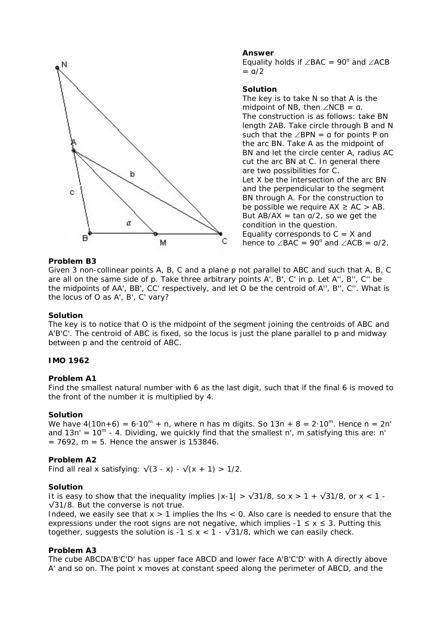

# **Answer**

Equality holds if  $\angle BAC = 90^\circ$  and  $\angle ACB$  $=$   $a/2$ 

## **Solution**

The key is to take N so that A is the midpoint of NB, then  $\angle$ NCB = a. The construction is as follows: take BN length 2AB. Take circle through B and N such that the  $∠BPN = a$  for points P on the arc BN. Take A as the midpoint of BN and let the circle center A, radius AC cut the arc BN at C. In general there are two possibilities for C. Let X be the intersection of the arc BN and the perpendicular to the segment BN through A. For the construction to be possible we require  $AX \ge AC > AB$ . But  $AB/AX = \tan \frac{a}{2}$ , so we get the condition in the question. Equality corresponds to  $C = X$  and hence to  $\angle$ BAC = 90° and  $\angle$ ACB =  $a/2$ .

## **Problem B3**

Given 3 non-collinear points A, B, C and a plane p not parallel to ABC and such that A, B, C are all on the same side of p. Take three arbitrary points A', B', C' in p. Let A'', B'', C'' be the midpoints of AA', BB', CC' respectively, and let O be the centroid of A'', B'', C''. What is the locus of O as A', B', C' vary?

### **Solution**

The key is to notice that O is the midpoint of the segment joining the centroids of ABC and A'B'C'. The centroid of ABC is fixed, so the locus is just the plane parallel to p and midway between p and the centroid of ABC.

### **IMO 1962**

## **Problem A1**

Find the smallest natural number with 6 as the last digit, such that if the final 6 is moved to the front of the number it is multiplied by 4.

#### **Solution**

We have  $4(10n+6) = 6 \cdot 10^m + n$ , where n has m digits. So  $13n + 8 = 2 \cdot 10^m$ . Hence  $n = 2n'$ and  $13n' = 10^m - 4$ . Dividing, we quickly find that the smallest n', m satisfying this are: n'  $= 7692$ , m = 5. Hence the answer is 153846.

# **Problem A2**

Find all real x satisfying:  $\sqrt{(3-x)} - \sqrt{(x + 1)} > 1/2$ .

#### **Solution**

It is easy to show that the inequality implies  $|x-1| > \sqrt{31/8}$ , so  $x > 1 + \sqrt{31/8}$ , or  $x < 1 -$ √31/8. But the converse is not true.

Indeed, we easily see that  $x > 1$  implies the lhs  $\lt 0$ . Also care is needed to ensure that the expressions under the root signs are not negative, which implies  $-1 \le x \le 3$ . Putting this together, suggests the solution is  $-1 \le x < 1 - \sqrt{31/8}$ , which we can easily check.

#### **Problem A3**

The cube ABCDA'B'C'D' has upper face ABCD and lower face A'B'C'D' with A directly above A' and so on. The point x moves at constant speed along the perimeter of ABCD, and the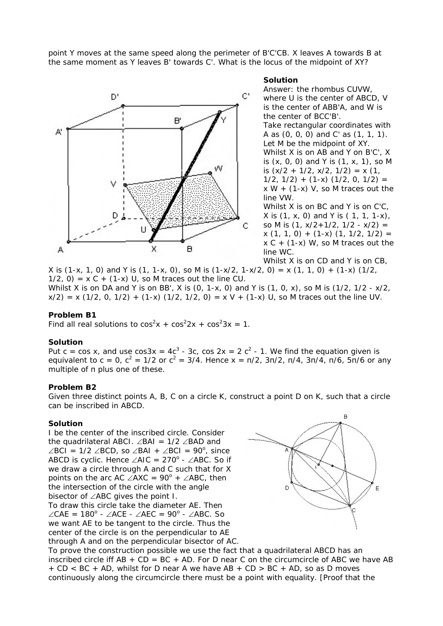point Y moves at the same speed along the perimeter of B'C'CB. X leaves A towards B at the same moment as Y leaves B' towards C'. What is the locus of the midpoint of XY?



#### **Solution**

Answer: the rhombus CUVW, where U is the center of ABCD, V is the center of ABB'A, and W is the center of BCC'B'. Take rectangular coordinates with A as (0, 0, 0) and C' as (1, 1, 1). Let M be the midpoint of XY. Whilst X is on AB and Y on B'C', X is (x, 0, 0) and Y is (1, x, 1), so M is  $(x/2 + 1/2, x/2, 1/2) = x (1,$  $1/2$ ,  $1/2$ ) +  $(1-x)$   $(1/2, 0, 1/2)$  =  $x W + (1-x) V$ , so M traces out the line VW. Whilst X is on BC and Y is on C'C, X is (1, x, 0) and Y is ( 1, 1, 1-x), so M is  $(1, x/2+1/2, 1/2 - x/2) =$ 

 $x$  (1, 1, 0) + (1-x) (1, 1/2, 1/2) =  $x C + (1-x) W$ , so M traces out the line WC.

Whilst X is on CD and Y is on CB,

X is  $(1-x, 1, 0)$  and Y is  $(1, 1-x, 0)$ , so M is  $(1-x/2, 1-x/2, 0) = x (1, 1, 0) + (1-x) (1/2, 0)$  $1/2$ , 0) = x C + (1-x) U, so M traces out the line CU.

Whilst X is on DA and Y is on BB', X is (0, 1-x, 0) and Y is (1, 0, x), so M is (1/2, 1/2 - x/2,  $x/2$ ) = x (1/2, 0, 1/2) + (1-x) (1/2, 1/2, 0) = x V + (1-x) U, so M traces out the line UV.

### **Problem B1**

Find all real solutions to  $cos^2x + cos^22x + cos^23x = 1$ .

### **Solution**

Put c = cos x, and use cos3x =  $4c^3$  - 3c, cos 2x = 2  $c^2$  - 1. We find the equation given is equivalent to c = 0,  $c^2 = 1/2$  or  $c^2 = 3/4$ . Hence x =  $\pi/2$ ,  $3\pi/2$ ,  $\pi/4$ ,  $3\pi/4$ ,  $\pi/6$ ,  $5\pi/6$  or any multiple of π plus one of these.

### **Problem B2**

Given three distinct points A, B, C on a circle K, construct a point D on K, such that a circle can be inscribed in ABCD.

### **Solution**

I be the center of the inscribed circle. Consider the quadrilateral ABCI. ∠BAI = 1/2 ∠BAD and ∠BCI = 1/2 ∠BCD, so ∠BAI + ∠BCI = 90<sup>o</sup>, since ABCD is cyclic. Hence  $\angle$ AIC = 270<sup>°</sup> -  $\angle$ ABC. So if we draw a circle through A and C such that for X points on the arc AC  $\angle$ AXC = 90<sup>°</sup> +  $\angle$ ABC, then the intersection of the circle with the angle bisector of ∠ABC gives the point I. To draw this circle take the diameter AE. Then  $\angle$ CAE = 180<sup>°</sup> - ∠ACE - ∠AEC = 90<sup>°</sup> - ∠ABC. So we want AE to be tangent to the circle. Thus the center of the circle is on the perpendicular to AE through A and on the perpendicular bisector of AC.



To prove the construction possible we use the fact that a quadrilateral ABCD has an inscribed circle iff  $AB + CD = BC + AD$ . For D near C on the circumcircle of ABC we have AB + CD < BC + AD, whilst for D near A we have AB + CD > BC + AD, so as D moves continuously along the circumcircle there must be a point with equality. [Proof that the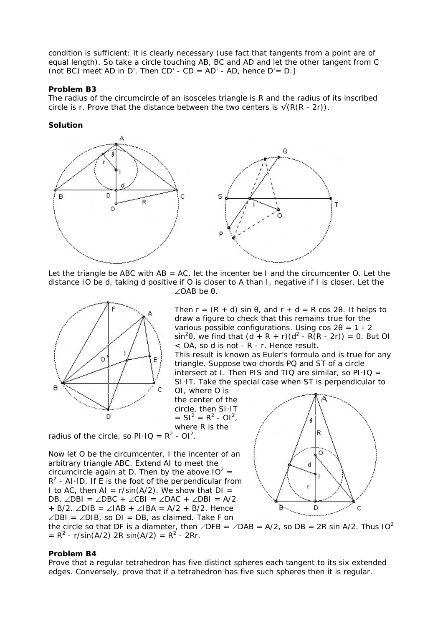condition is sufficient: it is clearly necessary (use fact that tangents from a point are of equal length). So take a circle touching AB, BC and AD and let the other tangent from C (not BC) meet AD in D'. Then  $CD'$  -  $CD = AD'$  - AD, hence  $D' = D.$ ]

## **Problem B3**

The radius of the circumcircle of an isosceles triangle is R and the radius of its inscribed circle is r. Prove that the distance between the two centers is  $\sqrt{(R(R - 2r))}$ .

## **Solution**



Let the triangle be ABC with  $AB = AC$ , let the incenter be I and the circumcenter O. Let the distance IO be d, taking d positive if O is closer to A than I, negative if I is closer. Let the ∠OAB be θ.



Then  $r = (R + d) \sin \theta$ , and  $r + d = R \cos 2\theta$ . It helps to draw a figure to check that this remains true for the various possible configurations. Using  $\cos 2\theta = 1 - 2$  $\sin^2\theta$ , we find that  $(d + R + r)(d^2 - R(R - 2r)) = 0$ . But OI < OA, so d is not - R - r. Hence result.

This result is known as Euler's formula and is true for any triangle. Suppose two chords PQ and ST of a circle intersect at I. Then PIS and TIQ are similar, so  $PI·IQ =$ SI·IT. Take the special case when ST is perpendicular to

OI, where O is the center of the circle, then SI·IT  $= SI<sup>2</sup> = R<sup>2</sup> - Ol<sup>2</sup>$ , where R is the

radius of the circle, so  $PI \cdot IQ = R^2 - OI^2$ .

Now let O be the circumcenter, I the incenter of an arbitrary triangle ABC. Extend AI to meet the circumcircle again at D. Then by the above  $10^2 =$  $R^2$  - AI·ID. If E is the foot of the perpendicular from I to AC, then  $AI = r/sin(A/2)$ . We show that  $DI =$ DB. ∠DBI = ∠DBC + ∠CBI = ∠DAC + ∠DBI = A/2 + B/2. ∠DIB = ∠IAB + ∠IBA = A/2 + B/2. Hence ∠DBI = ∠DIB, so DI = DB, as claimed. Take F on



the circle so that DF is a diameter, then ∠DFB = ∠DAB = A/2, so DB = 2R sin A/2. Thus  $10<sup>2</sup>$  $= R<sup>2</sup> - r/sin(A/2)$  2R sin(A/2)  $= R<sup>2</sup> - 2Rr$ .

## **Problem B4**

Prove that a regular tetrahedron has five distinct spheres each tangent to its six extended edges. Conversely, prove that if a tetrahedron has five such spheres then it is regular.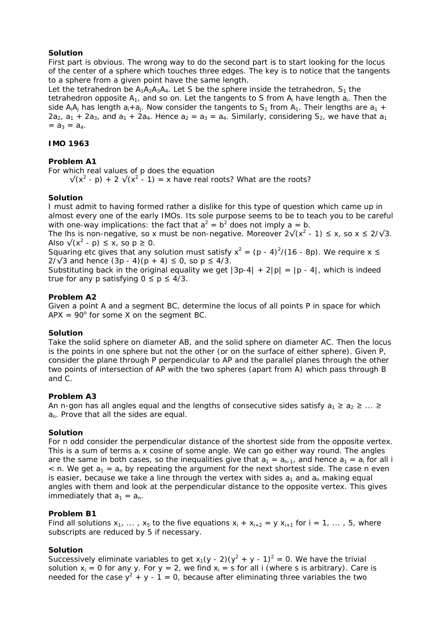# **Solution**

First part is obvious. The wrong way to do the second part is to start looking for the locus of the center of a sphere which touches three edges. The key is to notice that the tangents to a sphere from a given point have the same length.

Let the tetrahedron be  $A_1A_2A_3A_4$ . Let S be the sphere inside the tetrahedron,  $S_1$  the tetrahedron opposite  $A_1$ , and so on. Let the tangents to S from  $A_i$  have length  $a_i$ . Then the side A<sub>i</sub>A<sub>i</sub> has length  $a_i + a_j$ . Now consider the tangents to  $S_1$  from  $A_1$ . Their lengths are  $a_1 + a_2$  $2a_2$ ,  $a_1$  +  $2a_3$ , and  $a_1$  +  $2a_4$ . Hence  $a_2 = a_3 = a_4$ . Similarly, considering  $S_2$ , we have that  $a_1$  $=$   $a_3 = a_4$ .

# **IMO 1963**

# **Problem A1**

For which real values of p does the equation

 $\sqrt{(x^2 - p)} + 2\sqrt{(x^2 - 1)} = x$  have real roots? What are the roots?

## **Solution**

I must admit to having formed rather a dislike for this type of question which came up in almost every one of the early IMOs. Its sole purpose seems to be to teach you to be careful with one-way implications: the fact that  $a^2 = b^2$  does not imply  $a = b$ .

The lhs is non-negative, so x must be non-negative. Moreover  $2\sqrt{x^2 - 1} \le x$ , so  $x \le 2/\sqrt{3}$ . Also  $\sqrt{(x^2 - p)} \le x$ , so  $p \ge 0$ .

Squaring etc gives that any solution must satisfy  $x^2 = (p - 4)^2/(16 - 8p)$ . We require x  $\leq$ 2/ $\sqrt{3}$  and hence (3p - 4)(p + 4) ≤ 0, so p ≤ 4/3.

Substituting back in the original equality we get  $|3p-4| + 2|p| = |p - 4|$ , which is indeed true for any p satisfying  $0 \le p \le 4/3$ .

## **Problem A2**

Given a point A and a segment BC, determine the locus of all points P in space for which  $APX = 90^{\circ}$  for some X on the segment BC.

# **Solution**

Take the solid sphere on diameter AB, and the solid sphere on diameter AC. Then the locus is the points in one sphere but not the other (or on the surface of either sphere). Given P, consider the plane through P perpendicular to AP and the parallel planes through the other two points of intersection of AP with the two spheres (apart from A) which pass through B and C.

# **Problem A3**

An n-gon has all angles equal and the lengths of consecutive sides satisfy  $a_1 \ge a_2 \ge ... \ge a_n$ a<sub>n</sub>. Prove that all the sides are equal.

# **Solution**

For n odd consider the perpendicular distance of the shortest side from the opposite vertex. This is a sum of terms  $a_i$  x cosine of some angle. We can go either way round. The angles are the same in both cases, so the inequalities give that  $a_1 = a_{n-1}$ , and hence  $a_1 = a_i$  for all i  $\epsilon$  n. We get  $a_1 = a_n$  by repeating the argument for the next shortest side. The case n even is easier, because we take a line through the vertex with sides  $a_1$  and  $a_n$  making equal angles with them and look at the perpendicular distance to the opposite vertex. This gives immediately that  $a_1 = a_n$ .

# **Problem B1**

Find all solutions  $x_1, \ldots, x_5$  to the five equations  $x_i + x_{i+2} = y x_{i+1}$  for  $i = 1, \ldots, 5$ , where subscripts are reduced by 5 if necessary.

# **Solution**

Successively eliminate variables to get  $x_1(y - 2)(y^2 + y - 1)^2 = 0$ . We have the trivial solution  $x_i = 0$  for any y. For  $y = 2$ , we find  $x_i = s$  for all i (where s is arbitrary). Care is needed for the case  $y^2 + y - 1 = 0$ , because after eliminating three variables the two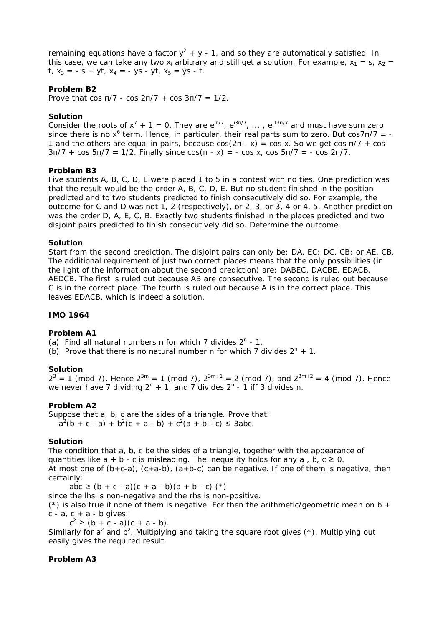remaining equations have a factor  $y^2 + y - 1$ , and so they are automatically satisfied. In this case, we can take any two x<sub>i</sub> arbitrary and still get a solution. For example,  $x_1 = s$ ,  $x_2 =$ t,  $x_3 = -s + vt$ ,  $x_4 = -vs - vt$ ,  $x_5 = vs - t$ .

# **Problem B2**

Prove that cos π/7 - cos 2π/7 + cos 3π/7 = 1/2.

# **Solution**

Consider the roots of  $x^7 + 1 = 0$ . They are  $e^{in/7}$ ,  $e^{i3n/7}$ , ...,  $e^{i13n/7}$  and must have sum zero since there is no  $x^6$  term. Hence, in particular, their real parts sum to zero. But cos7n/7 = -1 and the others are equal in pairs, because  $cos(2\pi - x) = cos x$ . So we get  $cos \pi/7 + cos$  $3\pi/7 + \cos 5\pi/7 = 1/2$ . Finally since  $\cos(\pi - x) = -\cos x$ ,  $\cos 5\pi/7 = -\cos 2\pi/7$ .

# **Problem B3**

Five students A, B, C, D, E were placed 1 to 5 in a contest with no ties. One prediction was that the result would be the order A, B, C, D, E. But no student finished in the position predicted and to two students predicted to finish consecutively did so. For example, the outcome for C and D was not 1, 2 (respectively), or 2, 3, or 3, 4 or 4, 5. Another prediction was the order D, A, E, C, B. Exactly two students finished in the places predicted and two disjoint pairs predicted to finish consecutively did so. Determine the outcome.

# **Solution**

Start from the second prediction. The disjoint pairs can only be: DA, EC; DC, CB; or AE, CB. The additional requirement of just two correct places means that the only possibilities (in the light of the information about the second prediction) are: DABEC, DACBE, EDACB, AEDCB. The first is ruled out because AB are consecutive. The second is ruled out because C is in the correct place. The fourth is ruled out because A is in the correct place. This leaves EDACB, which is indeed a solution.

# **IMO 1964**

# **Problem A1**

(a) Find all natural numbers n for which  $7$  divides  $2<sup>n</sup> - 1$ .

(b) Prove that there is no natural number n for which 7 divides  $2^n + 1$ .

# **Solution**

 $2^3 = 1$  (mod 7). Hence  $2^{3m} = 1$  (mod 7),  $2^{3m+1} = 2$  (mod 7), and  $2^{3m+2} = 4$  (mod 7). Hence we never have 7 dividing  $2^n + 1$ , and 7 divides  $2^n - 1$  iff 3 divides n.

# **Problem A2**

Suppose that a, b, c are the sides of a triangle. Prove that:  $a^{2}(b + c - a) + b^{2}(c + a - b) + c^{2}(a + b - c) \le 3abc$ .

# **Solution**

The condition that a, b, c be the sides of a triangle, together with the appearance of quantities like  $a + b - c$  is misleading. The inequality holds for any  $a, b, c \ge 0$ . At most one of  $(b+c-a)$ ,  $(c+a-b)$ ,  $(a+b-c)$  can be negative. If one of them is negative, then certainly:

 $abc \ge (b + c - a)(c + a - b)(a + b - c)$  (\*)

since the lhs is non-negative and the rhs is non-positive.

( $*$ ) is also true if none of them is negative. For then the arithmetic/geometric mean on b +  $c - a$ ,  $c + a - b$  gives:

 $c^2 \ge (b + c - a)(c + a - b).$ 

Similarly for  $a^2$  and  $b^2$ . Multiplying and taking the square root gives  $(*)$ . Multiplying out easily gives the required result.

# **Problem A3**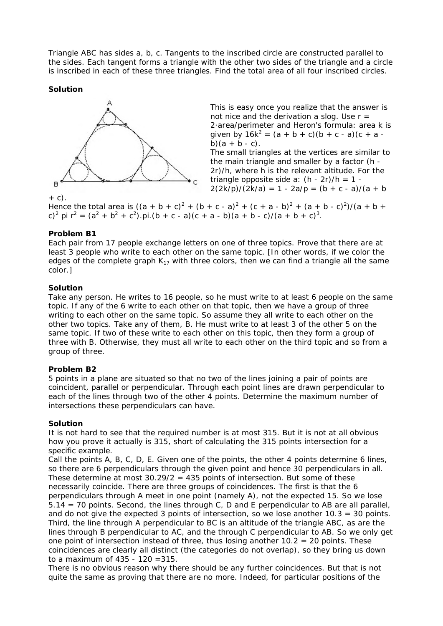Triangle ABC has sides a, b, c. Tangents to the inscribed circle are constructed parallel to the sides. Each tangent forms a triangle with the other two sides of the triangle and a circle is inscribed in each of these three triangles. Find the total area of all four inscribed circles.

# **Solution**



This is easy once you realize that the answer is not nice and the derivation a slog. Use  $r =$ 2·area/perimeter and Heron's formula: area k is given by  $16k^2 = (a + b + c)(b + c - a)(c + a - c)$ b) $(a + b - c)$ .

The small triangles at the vertices are similar to the main triangle and smaller by a factor (h - 2r)/h, where h is the relevant altitude. For the triangle opposite side a:  $(h - 2r)/h = 1$  - $2(2k/p)/(2k/a) = 1 - 2a/p = (b + c - a)/(a + b)$ 

 $+ C$ ).

Hence the total area is  $((a + b + c)^2 + (b + c - a)^2 + (c + a - b)^2 + (a + b - c)^2)/(a + b + c)$ c)<sup>2</sup> pi  $r^2 = (a^2 + b^2 + c^2)$ .pi. $(b + c - a)(c + a - b)(a + b - c)/(a + b + c)^3$ .

# **Problem B1**

Each pair from 17 people exchange letters on one of three topics. Prove that there are at least 3 people who write to each other on the same topic. [In other words, if we color the edges of the complete graph  $K_{17}$  with three colors, then we can find a triangle all the same color.]

# **Solution**

Take any person. He writes to 16 people, so he must write to at least 6 people on the same topic. If any of the 6 write to each other on that topic, then we have a group of three writing to each other on the same topic. So assume they all write to each other on the other two topics. Take any of them, B. He must write to at least 3 of the other 5 on the same topic. If two of these write to each other on this topic, then they form a group of three with B. Otherwise, they must all write to each other on the third topic and so from a group of three.

# **Problem B2**

5 points in a plane are situated so that no two of the lines joining a pair of points are coincident, parallel or perpendicular. Through each point lines are drawn perpendicular to each of the lines through two of the other 4 points. Determine the maximum number of intersections these perpendiculars can have.

# **Solution**

It is not hard to see that the required number is at most 315. But it is not at all obvious how you prove it actually is 315, short of calculating the 315 points intersection for a specific example.

Call the points A, B, C, D, E. Given one of the points, the other 4 points determine 6 lines, so there are 6 perpendiculars through the given point and hence 30 perpendiculars in all. These determine at most  $30.29/2 = 435$  points of intersection. But some of these necessarily coincide. There are three groups of coincidences. The first is that the 6 perpendiculars through A meet in one point (namely A), not the expected 15. So we lose 5.14 = 70 points. Second, the lines through C, D and E perpendicular to AB are all parallel, and do not give the expected 3 points of intersection, so we lose another 10.3 = 30 points. Third, the line through A perpendicular to BC is an altitude of the triangle ABC, as are the lines through B perpendicular to AC, and the through C perpendicular to AB. So we only get one point of intersection instead of three, thus losing another  $10.2 = 20$  points. These coincidences are clearly all distinct (the categories do not overlap), so they bring us down to a maximum of 435 - 120 =315.

There is no obvious reason why there should be any further coincidences. But that is not quite the same as proving that there are no more. Indeed, for particular positions of the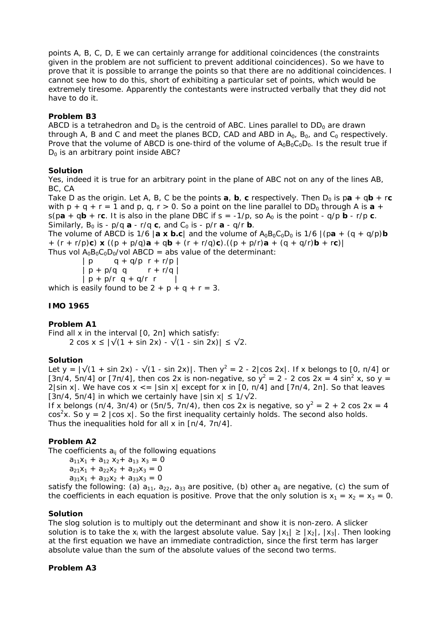points A, B, C, D, E we can certainly arrange for additional coincidences (the constraints given in the problem are not sufficient to prevent additional coincidences). So we have to prove that it is possible to arrange the points so that there are no additional coincidences. I cannot see how to do this, short of exhibiting a particular set of points, which would be extremely tiresome. Apparently the contestants were instructed verbally that they did not have to do it.

# **Problem B3**

ABCD is a tetrahedron and  $D_0$  is the centroid of ABC. Lines parallel to  $DD_0$  are drawn through A, B and C and meet the planes BCD, CAD and ABD in  $A_0$ ,  $B_0$ , and  $C_0$  respectively. Prove that the volume of ABCD is one-third of the volume of  $A_0B_0C_0D_0$ . Is the result true if  $D_0$  is an arbitrary point inside ABC?

# **Solution**

Yes, indeed it is true for an arbitrary point in the plane of ABC not on any of the lines AB, BC, CA

Take D as the origin. Let A, B, C be the points **a**, **b**, **c** respectively. Then  $D_0$  is pa + q**b** + r**c** with  $p + q + r = 1$  and  $p$ ,  $q$ ,  $r > 0$ . So a point on the line parallel to  $DD_0$  through A is  $a + q$  $s$ (pa + qb + rc. It is also in the plane DBC if s = -1/p, so A<sub>0</sub> is the point - q/p b - r/p c. Similarly,  $B_0$  is -  $p/q$  **a** -  $r/q$  **c**, and  $C_0$  is -  $p/r$  **a** -  $q/r$  **b**.

The volume of ABCD is 1/6 |**a x b.c**| and the volume of  $A_0B_0C_0D_0$  is 1/6 |(pa + (q + q/p)**b** + (r + r/p)**c**) **x** ((p + p/q)**a** + q**b** + (r + r/q)**c**).((p + p/r)**a** + (q + q/r)**b** + r**c**)| Thus vol  $A_0B_0C_0D_0$ /vol ABCD = abs value of the determinant:

 $| p q + q/p r + r/p |$  $| p + p/q q \t\t r + r/q |$  $| p + p/r q + q/r r |$ which is easily found to be  $2 + p + q + r = 3$ .

# **IMO 1965**

# **Problem A1**

Find all x in the interval [0, 2π] which satisfy: 2 cos x ≤  $|\sqrt{(1 + \sin 2x)} - \sqrt{(1 - \sin 2x)}|$  ≤  $\sqrt{2}$ .

# **Solution**

Let y =  $\sqrt{(1 + \sin 2x) - \sqrt{(1 - \sin 2x)}}$ . Then  $y^2 = 2 - 2|\cos 2x|$ . If x belongs to [0, n/4] or [3π/4, 5π/4] or [7π/4], then cos 2x is non-negative, so  $y^2 = 2 - 2 \cos 2x = 4 \sin^2 x$ , so y =  $2$ |sin x|. We have cos x  $\lt$  = |sin x| except for x in [0, π/4] and [7π/4, 2π]. So that leaves [3π/4, 5π/4] in which we certainly have |sin x| ≤ 1/√2.

If x belongs (π/4, 3π/4) or (5π/5, 7π/4), then cos 2x is negative, so  $y^2 = 2 + 2 \cos 2x = 4$  $cos<sup>2</sup>x$ . So y = 2  $|cos x|$ . So the first inequality certainly holds. The second also holds. Thus the inequalities hold for all x in [π/4, 7π/4].

# **Problem A2**

The coefficients  $a_{ii}$  of the following equations

```
a_{11}x_1 + a_{12}x_2 + a_{13}x_3 = 0a_{21}x_1 + a_{22}x_2 + a_{23}x_3 = 0a_{31}x_1 + a_{32}x_2 + a_{33}x_3 = 0
```
satisfy the following: (a)  $a_{11}$ ,  $a_{22}$ ,  $a_{33}$  are positive, (b) other  $a_{ij}$  are negative, (c) the sum of the coefficients in each equation is positive. Prove that the only solution is  $x_1 = x_2 = x_3 = 0$ .

# **Solution**

The slog solution is to multiply out the determinant and show it is non-zero. A slicker solution is to take the  $x_i$  with the largest absolute value. Say  $|x_1| \ge |x_2|$ ,  $|x_3|$ . Then looking at the first equation we have an immediate contradiction, since the first term has larger absolute value than the sum of the absolute values of the second two terms.

# **Problem A3**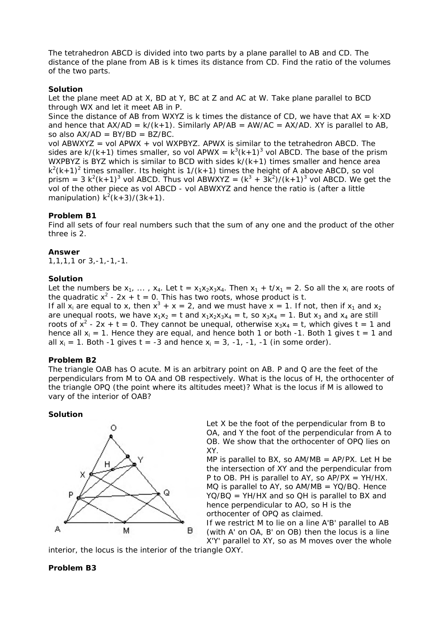The tetrahedron ABCD is divided into two parts by a plane parallel to AB and CD. The distance of the plane from AB is k times its distance from CD. Find the ratio of the volumes of the two parts.

# **Solution**

Let the plane meet AD at X, BD at Y, BC at Z and AC at W. Take plane parallel to BCD through WX and let it meet AB in P.

Since the distance of AB from WXYZ is k times the distance of CD, we have that  $AX = k \cdot XD$ and hence that  $AX/AD = k/(k+1)$ . Similarly  $AP/AB = AW/AC = AX/AD$ . XY is parallel to AB, so also  $AX/AD = BY/BD = BZ/BC$ .

vol ABWXYZ = vol APWX + vol WXPBYZ. APWX is similar to the tetrahedron ABCD. The sides are  $k/(k+1)$  times smaller, so vol APWX =  $k^3(k+1)^3$  vol ABCD. The base of the prism WXPBYZ is BYZ which is similar to BCD with sides  $k/(k+1)$  times smaller and hence area  $k^2(k+1)^2$  times smaller. Its height is  $1/(k+1)$  times the height of A above ABCD, so vol prism = 3  $k^2(k+1)^3$  vol ABCD. Thus vol ABWXYZ =  $(k^3 + 3k^2)/(k+1)^3$  vol ABCD. We get the vol of the other piece as vol ABCD - vol ABWXYZ and hence the ratio is (after a little manipulation)  $k^2(k+3)/(3k+1)$ .

## **Problem B1**

Find all sets of four real numbers such that the sum of any one and the product of the other three is 2.

### **Answer**

1,1,1,1 or 3,-1,-1,-1.

### **Solution**

Let the numbers be  $x_1$ , ...,  $x_4$ . Let  $t = x_1x_2x_3x_4$ . Then  $x_1 + t/x_1 = 2$ . So all the  $x_i$  are roots of the quadratic  $x^2 - 2x + t = 0$ . This has two roots, whose product is t. If all  $x_i$  are equal to x, then  $x^3 + x = 2$ , and we must have  $x = 1$ . If not, then if  $x_1$  and  $x_2$ are unequal roots, we have  $x_1x_2 = t$  and  $x_1x_2x_3x_4 = t$ , so  $x_3x_4 = 1$ . But  $x_3$  and  $x_4$  are still roots of  $x^2$  - 2x + t = 0. They cannot be unequal, otherwise  $x_3x_4 = t$ , which gives t = 1 and hence all  $x_i = 1$ . Hence they are equal, and hence both 1 or both -1. Both 1 gives t = 1 and all  $x_i = 1$ . Both -1 gives t = -3 and hence  $x_i = 3$ , -1, -1, -1 (in some order).

### **Problem B2**

The triangle OAB has O acute. M is an arbitrary point on AB. P and Q are the feet of the perpendiculars from M to OA and OB respectively. What is the locus of H, the orthocenter of the triangle OPQ (the point where its altitudes meet)? What is the locus if M is allowed to vary of the interior of OAB?

### **Solution**



Let X be the foot of the perpendicular from B to OA, and Y the foot of the perpendicular from A to OB. We show that the orthocenter of OPQ lies on XY.

MP is parallel to BX, so  $AM/MB = AP/PX$ . Let H be the intersection of XY and the perpendicular from P to OB. PH is parallel to AY, so  $AP/PX = YH/HX$ .  $MO$  is parallel to AY, so  $AM/MB = YQ/BO$ . Hence YQ/BQ = YH/HX and so QH is parallel to BX and hence perpendicular to AO, so H is the orthocenter of OPQ as claimed.

If we restrict M to lie on a line A'B' parallel to AB (with A' on OA, B' on OB) then the locus is a line X'Y' parallel to XY, so as M moves over the whole

interior, the locus is the interior of the triangle OXY.

# **Problem B3**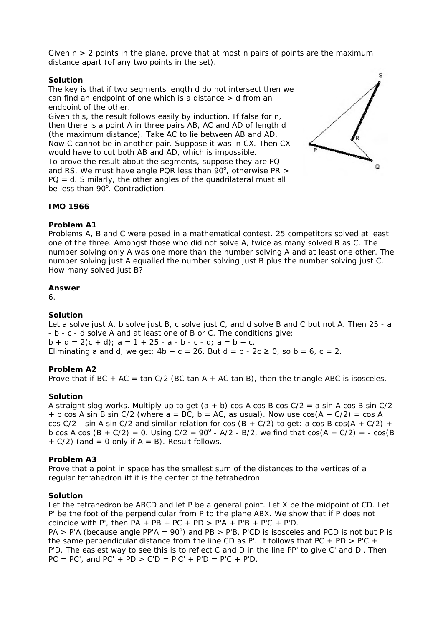Given  $n > 2$  points in the plane, prove that at most n pairs of points are the maximum distance apart (of any two points in the set).

## **Solution**

The key is that if two segments length d do not intersect then we can find an endpoint of one which is a distance > d from an endpoint of the other.

Given this, the result follows easily by induction. If false for n, then there is a point A in three pairs AB, AC and AD of length d (the maximum distance). Take AC to lie between AB and AD. Now C cannot be in another pair. Suppose it was in CX. Then CX would have to cut both AB and AD, which is impossible.

To prove the result about the segments, suppose they are PQ and RS. We must have angle PQR less than  $90^\circ$ , otherwise PR >  $PQ = d$ . Similarly, the other angles of the quadrilateral must all be less than 90°. Contradiction.



# **IMO 1966**

# **Problem A1**

Problems A, B and C were posed in a mathematical contest. 25 competitors solved at least one of the three. Amongst those who did not solve A, twice as many solved B as C. The number solving only A was one more than the number solving A and at least one other. The number solving just A equalled the number solving just B plus the number solving just C. How many solved just B?

## **Answer**

6.

# **Solution**

Let a solve just A, b solve just B, c solve just C, and d solve B and C but not A. Then 25 - a - b - c - d solve A and at least one of B or C. The conditions give:  $b + d = 2(c + d)$ ;  $a = 1 + 25 - a - b - c - d$ ;  $a = b + c$ . Eliminating a and d, we get:  $4b + c = 26$ . But  $d = b - 2c \ge 0$ , so  $b = 6$ ,  $c = 2$ .

# **Problem A2**

Prove that if BC + AC = tan C/2 (BC tan A + AC tan B), then the triangle ABC is isosceles.

# **Solution**

A straight slog works. Multiply up to get  $(a + b)$  cos A cos B cos  $C/2 = a \sin A \cos B \sin C/2$ + b cos A sin B sin C/2 (where  $a = BC$ ,  $b = AC$ , as usual). Now use  $cos(A + C/2) = cos A$ cos  $C/2$  - sin A sin C/2 and similar relation for cos  $(B + C/2)$  to get: a cos B cos $(A + C/2)$  + b cos A cos  $(B + C/2) = 0$ . Using  $C/2 = 90^{\circ}$  - A/2 - B/2, we find that  $cos(A + C/2) = -cos(B)$  $+ C/2$ ) (and = 0 only if A = B). Result follows.

# **Problem A3**

Prove that a point in space has the smallest sum of the distances to the vertices of a regular tetrahedron iff it is the center of the tetrahedron.

# **Solution**

Let the tetrahedron be ABCD and let P be a general point. Let X be the midpoint of CD. Let P' be the foot of the perpendicular from P to the plane ABX. We show that if P does not coincide with P', then  $PA + PB + PC + PD > P'A + P'B + P'C + P'D$ .

 $PA > P'A$  (because angle PP'A = 90°) and PB > P'B. P'CD is isosceles and PCD is not but P is the same perpendicular distance from the line CD as P'. It follows that PC + PD > P'C + P'D. The easiest way to see this is to reflect C and D in the line PP' to give C' and D'. Then  $PC = PC'$ , and  $PC' + PD > C'D = P'C' + P'D = P'C + P'D$ .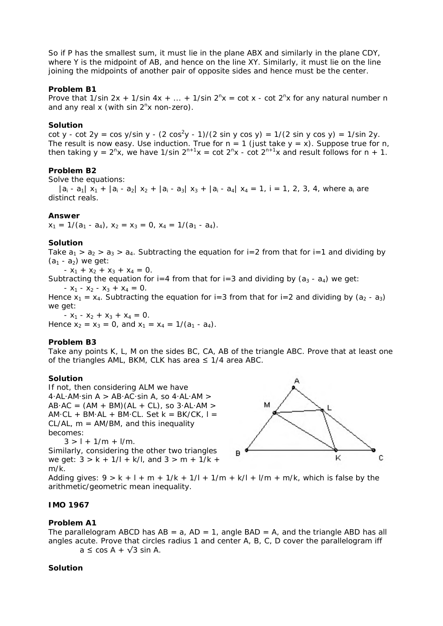So if P has the smallest sum, it must lie in the plane ABX and similarly in the plane CDY, where Y is the midpoint of AB, and hence on the line XY. Similarly, it must lie on the line joining the midpoints of another pair of opposite sides and hence must be the center.

# **Problem B1**

Prove that  $1/\sin 2x + 1/\sin 4x + ... + 1/\sin 2^{n}x = \cot x - \cot 2^{n}x$  for any natural number n and any real x (with sin  $2<sup>n</sup>x$  non-zero).

# **Solution**

cot y - cot 2y = cos y/sin y - (2 cos<sup>2</sup>y - 1)/(2 sin y cos y) = 1/(2 sin y cos y) = 1/sin 2y. The result is now easy. Use induction. True for  $n = 1$  (just take  $y = x$ ). Suppose true for n, then taking  $y = 2^{n}x$ , we have 1/sin  $2^{n+1}x = \cot 2^{n}x - \cot 2^{n+1}x$  and result follows for n + 1.

# **Problem B2**

Solve the equations:

 $|a_i - a_1| x_1 + |a_i - a_2| x_2 + |a_i - a_3| x_3 + |a_i - a_4| x_4 = 1$ , i = 1, 2, 3, 4, where  $a_i$  are distinct reals.

# **Answer**

 $x_1 = 1/(a_1 - a_4)$ ,  $x_2 = x_3 = 0$ ,  $x_4 = 1/(a_1 - a_4)$ .

# **Solution**

Take  $a_1 > a_2 > a_3 > a_4$ . Subtracting the equation for i=2 from that for i=1 and dividing by  $(a_1 - a_2)$  we get:

-  $x_1$  +  $x_2$  +  $x_3$  +  $x_4$  = 0.

Subtracting the equation for i=4 from that for i=3 and dividing by  $(a_3 - a_4)$  we get:

-  $x_1$  -  $x_2$  -  $x_3$  +  $x_4$  = 0.

Hence  $x_1 = x_4$ . Subtracting the equation for i=3 from that for i=2 and dividing by  $(a_2 - a_3)$ we get:

-  $x_1$  -  $x_2$  +  $x_3$  +  $x_4$  = 0. Hence  $x_2 = x_3 = 0$ , and  $x_1 = x_4 = 1/(a_1 - a_4)$ .

# **Problem B3**

Take any points K, L, M on the sides BC, CA, AB of the triangle ABC. Prove that at least one of the triangles AML, BKM, CLK has area  $\leq$  1/4 area ABC.

# **Solution**

If not, then considering ALM we have  $4·AL·AM·sin A > AB·AC·sin A$ , so  $4·AL·AM >$  $AB \cdot AC = (AM + BM)(AL + CL)$ , so  $3 \cdot AL \cdot AM$  $AM·CL + BM·AL + BM·CL$ . Set  $k = BK/CK$ ,  $l =$ CL/AL,  $m = AM/BM$ , and this inequality becomes:

 $3 > l + 1/m + l/m$ . Similarly, considering the other two triangles we get:  $3 > k + 1/l + k/l$ , and  $3 > m + 1/k + 1/2$ *m*/*k*.



Adding gives:  $9 > k + l + m + 1/k + 1/l + 1/m + k/l + l/m + m/k$ , which is false by the arithmetic/geometric mean inequality.

# **IMO 1967**

# **Problem A1**

The parallelogram ABCD has  $AB = a$ ,  $AD = 1$ , angle  $BAD = A$ , and the triangle ABD has all angles acute. Prove that circles radius 1 and center A, B, C, D cover the parallelogram iff  $a \leq \cos A + \sqrt{3} \sin A$ .

### **Solution**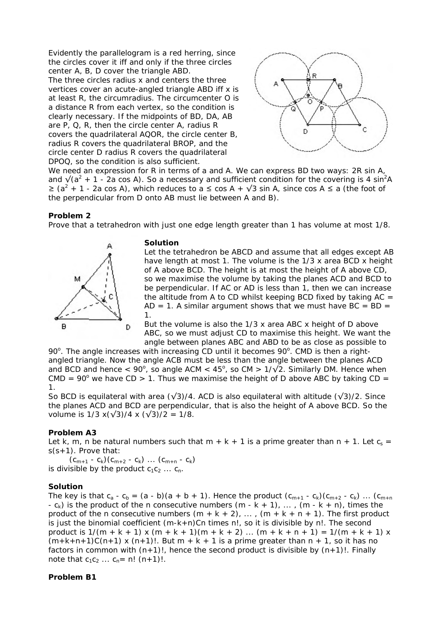Evidently the parallelogram is a red herring, since the circles cover it iff and only if the three circles center A, B, D cover the triangle ABD.

The three circles radius x and centers the three vertices cover an acute-angled triangle ABD iff x is at least R, the circumradius. The circumcenter O is a distance R from each vertex, so the condition is clearly necessary. If the midpoints of BD, DA, AB are P, Q, R, then the circle center A, radius R covers the quadrilateral AQOR, the circle center B, radius R covers the quadrilateral BROP, and the circle center D radius R covers the quadrilateral DPOQ, so the condition is also sufficient.



We need an expression for R in terms of a and A. We can express BD two ways: 2R sin A, and  $\sqrt{(a^2 + 1 - 2a \cos A)}$ . So a necessary and sufficient condition for the covering is 4 sin<sup>2</sup>A  $\ge$  (a<sup>2</sup> + 1 - 2a cos A), which reduces to a ≤ cos A +  $\sqrt{3}$  sin A, since cos A ≤ a (the foot of the perpendicular from D onto AB must lie between A and B).

## **Problem 2**

Prove that a tetrahedron with just one edge length greater than 1 has volume at most 1/8.



### **Solution**

Let the tetrahedron be ABCD and assume that all edges except AB have length at most 1. The volume is the 1/3 x area BCD x height of A above BCD. The height is at most the height of A above CD, so we maximise the volume by taking the planes ACD and BCD to be perpendicular. If AC or AD is less than 1, then we can increase the altitude from A to CD whilst keeping BCD fixed by taking  $AC =$ AD = 1. A similar argument shows that we must have  $BC = BD =$ 1.

But the volume is also the 1/3 x area ABC x height of D above ABC, so we must adjust CD to maximise this height. We want the angle between planes ABC and ABD to be as close as possible to

90°. The angle increases with increasing CD until it becomes 90°. CMD is then a rightangled triangle. Now the angle ACB must be less than the angle between the planes ACD and BCD and hence <  $90^{\circ}$ , so angle ACM <  $45^{\circ}$ , so CM >  $1/\sqrt{2}$ . Similarly DM. Hence when CMD = 90 $^{\circ}$  we have CD > 1. Thus we maximise the height of D above ABC by taking CD = 1.

So BCD is equilateral with area ( $\sqrt{3}$ )/4. ACD is also equilateral with altitude ( $\sqrt{3}$ )/2. Since the planes ACD and BCD are perpendicular, that is also the height of A above BCD. So the volume is  $1/3 x(\sqrt{3})/4 x (\sqrt{3})/2 = 1/8$ .

### **Problem A3**

Let k, m, n be natural numbers such that m + k + 1 is a prime greater than n + 1. Let  $c_s =$ s(s+1). Prove that:

 $(c_{m+1} - c_k)(c_{m+2} - c_k) \dots (c_{m+n} - c_k)$ is divisible by the product  $c_1c_2 \ldots c_n$ .

### **Solution**

The key is that  $c_a - c_b = (a - b)(a + b + 1)$ . Hence the product  $(c_{m+1} - c_k)(c_{m+2} - c_k)$  ...  $(c_{m+n})$ -  $c_k$ ) is the product of the n consecutive numbers (m - k + 1), ..., (m - k + n), times the product of the n consecutive numbers  $(m + k + 2)$ , ...,  $(m + k + n + 1)$ . The first product is just the binomial coefficient  $(m-k+n)$ Cn times n!, so it is divisible by n!. The second product is  $1/(m + k + 1)$  x  $(m + k + 1)(m + k + 2)$  ...  $(m + k + n + 1) = 1/(m + k + 1)$  x  $(m+k+n+1)C(n+1)$  x  $(n+1)!$ . But  $m+k+1$  is a prime greater than  $n+1$ , so it has no factors in common with  $(n+1)!$ , hence the second product is divisible by  $(n+1)!$ . Finally note that  $c_1c_2 ... c_n = n! (n+1)!$ .

### **Problem B1**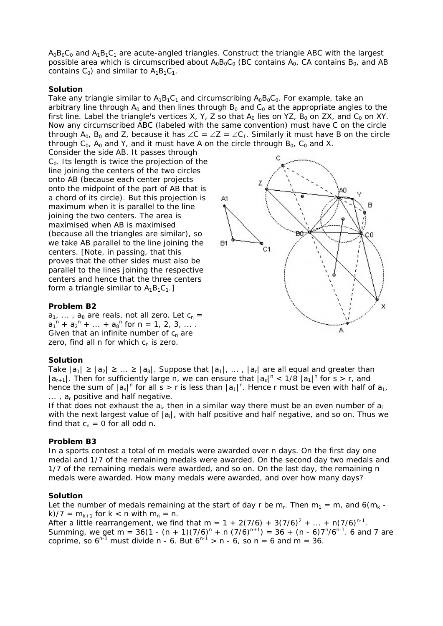$A_0B_0C_0$  and  $A_1B_1C_1$  are acute-angled triangles. Construct the triangle ABC with the largest possible area which is circumscribed about  $A_0B_0C_0$  (BC contains  $A_0$ , CA contains  $B_0$ , and AB contains  $C_0$ ) and similar to  $A_1B_1C_1$ .

# **Solution**

Take any triangle similar to  $A_1B_1C_1$  and circumscribing  $A_0B_0C_0$ . For example, take an arbitrary line through  $A_0$  and then lines through  $B_0$  and  $C_0$  at the appropriate angles to the first line. Label the triangle's vertices X, Y, Z so that  $A_0$  lies on YZ, B<sub>0</sub> on ZX, and C<sub>0</sub> on XY. Now any circumscribed ABC (labeled with the same convention) must have C on the circle through A<sub>0</sub>, B<sub>0</sub> and Z, because it has ∠C = ∠Z = ∠C<sub>1</sub>. Similarly it must have B on the circle through  $C_0$ ,  $A_0$  and Y, and it must have A on the circle through  $B_0$ ,  $C_0$  and X.

Consider the side AB. It passes through  $C_0$ . Its length is twice the projection of the line joining the centers of the two circles onto AB (because each center projects onto the midpoint of the part of AB that is a chord of its circle). But this projection is maximum when it is parallel to the line joining the two centers. The area is maximised when AB is maximised (because all the triangles are similar), so we take AB parallel to the line joining the centers. [Note, in passing, that this proves that the other sides must also be parallel to the lines joining the respective centers and hence that the three centers form a triangle similar to  $A_1B_1C_1$ .]

# **Problem B2**

 $a_1, \ldots, a_8$  are reals, not all zero. Let  $c_n =$  $a_1^{n} + a_2^{n} + ... + a_8^{n}$  for  $n = 1, 2, 3, ...$ Given that an infinite number of  $c_n$  are zero, find all n for which  $c_n$  is zero.

# **Solution**

Take  $|a_1| \ge |a_2| \ge ... \ge |a_8|$ . Suppose that  $|a_1|$ , ...,  $|a_r|$  are all equal and greater than  $|a_{r+1}|$ . Then for sufficiently large n, we can ensure that  $|a_s|^n < 1/8$   $|a_1|^n$  for s > r, and hence the sum of  $|a_s|^n$  for all s > r is less than  $|a_1|^n$ . Hence r must be even with half of  $a_1$ ,  $\ldots$ ,  $a_r$  positive and half negative.

If that does not exhaust the  $a_{i}$ , then in a similar way there must be an even number of  $a_i$ with the next largest value of  $|a_i|$ , with half positive and half negative, and so on. Thus we find that  $c_n = 0$  for all odd n.

# **Problem B3**

In a sports contest a total of m medals were awarded over n days. On the first day one medal and 1/7 of the remaining medals were awarded. On the second day two medals and 1/7 of the remaining medals were awarded, and so on. On the last day, the remaining n medals were awarded. How many medals were awarded, and over how many days?

# **Solution**

Let the number of medals remaining at the start of day r be  $m_r$ . Then  $m_1 = m$ , and 6( $m_k$  k)/7 =  $m_{k+1}$  for  $k < n$  with  $m_n = n$ .

After a little rearrangement, we find that m =  $1 + 2(7/6) + 3(7/6)^2 + ... + n(7/6)^{n-1}$ . Summing, we get m = 36(1 - (n + 1)(7/6)<sup>n</sup> + n (7/6)<sup>n+1</sup>) = 36 + (n - 6)7<sup>n</sup>/6<sup>n-1</sup>. 6 and 7 are coprime, so  $6^{n-1}$  must divide n - 6. But  $6^{n-1} > n - 6$ , so n = 6 and m = 36.

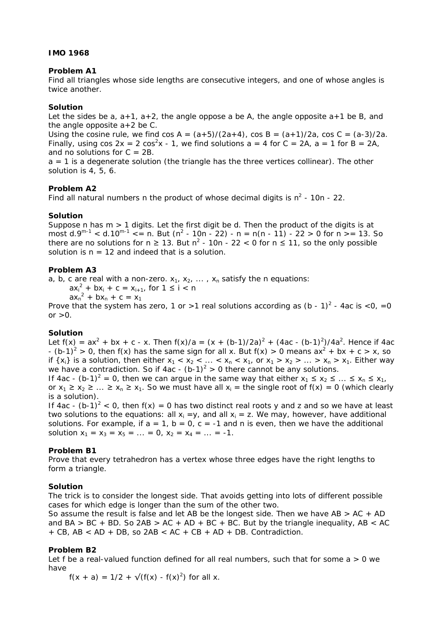# **IMO 1968**

## **Problem A1**

Find all triangles whose side lengths are consecutive integers, and one of whose angles is twice another.

## **Solution**

Let the sides be a,  $a+1$ ,  $a+2$ , the angle oppose a be A, the angle opposite  $a+1$  be B, and the angle opposite  $a+2$  be C.

Using the cosine rule, we find  $\cos A = (a+5)/(2a+4)$ ,  $\cos B = (a+1)/2a$ ,  $\cos C = (a-3)/2a$ . Finally, using cos  $2x = 2 \cos^2 x - 1$ , we find solutions a = 4 for C = 2A, a = 1 for B = 2A, and no solutions for  $C = 2B$ .

a = 1 is a degenerate solution (the triangle has the three vertices collinear). The other solution is 4, 5, 6.

## **Problem A2**

Find all natural numbers n the product of whose decimal digits is  $n^2$  - 10n - 22.

## **Solution**

Suppose n has  $m > 1$  digits. Let the first digit be d. Then the product of the digits is at most d.9<sup>m-1</sup> < d.10<sup>m-1</sup> <= n. But (n<sup>2</sup> - 10n - 22) - n = n(n - 11) - 22 > 0 for n >= 13. So there are no solutions for  $n \geq 13$ . But  $n^2$  - 10n - 22 < 0 for  $n \leq 11$ , so the only possible solution is  $n = 12$  and indeed that is a solution.

## **Problem A3**

a, b, c are real with a non-zero.  $x_1, x_2, \ldots, x_n$  satisfy the n equations:

 $ax_i^2 + bx_i + c = x_{i+1}$ , for  $1 \le i < n$ 

 $ax_n^2 + bx_n + c = x_1$ 

Prove that the system has zero, 1 or >1 real solutions according as  $(b - 1)^2$  - 4ac is <0, =0 or  $>0$ .

# **Solution**

Let  $f(x) = ax^2 + bx + c - x$ . Then  $f(x)/a = (x + (b-1)/2a)^2 + (4ac - (b-1)^2)/4a^2$ . Hence if 4ac -  $(b-1)^2 > 0$ , then f(x) has the same sign for all x. But f(x) > 0 means  $ax^2 + bx + c > x$ , so if  $\{x_i\}$  is a solution, then either  $x_1 < x_2 < ... < x_n < x_1$ , or  $x_1 > x_2 > ... > x_n > x_1$ . Either way we have a contradiction. So if 4ac - (b-1)<sup>2</sup> > 0 there cannot be any solutions.

If 4ac - (b-1)<sup>2</sup> = 0, then we can argue in the same way that either  $x_1 \le x_2 \le ... \le x_n \le x_1$ , or  $x_1 \ge x_2 \ge ... \ge x_n \ge x_1$ . So we must have all  $x_i$  = the single root of  $f(x) = 0$  (which clearly is a solution).

If 4ac -  $(b-1)^2$  < 0, then  $f(x) = 0$  has two distinct real roots y and z and so we have at least two solutions to the equations: all  $x_i = y$ , and all  $x_i = z$ . We may, however, have additional solutions. For example, if  $a = 1$ ,  $b = 0$ ,  $c = -1$  and n is even, then we have the additional solution  $x_1 = x_3 = x_5 = ... = 0$ ,  $x_2 = x_4 = ... = -1$ .

# **Problem B1**

Prove that every tetrahedron has a vertex whose three edges have the right lengths to form a triangle.

### **Solution**

The trick is to consider the longest side. That avoids getting into lots of different possible cases for which edge is longer than the sum of the other two.

So assume the result is false and let AB be the longest side. Then we have  $AB > AC + AD$ and BA > BC + BD. So 2AB > AC + AD + BC + BC. But by the triangle inequality, AB < AC + CB, AB < AD + DB, so 2AB < AC + CB + AD + DB. Contradiction.

# **Problem B2**

Let f be a real-valued function defined for all real numbers, such that for some  $a > 0$  we have

 $f(x + a) = 1/2 + \sqrt{(f(x) - f(x)^2)}$  for all x.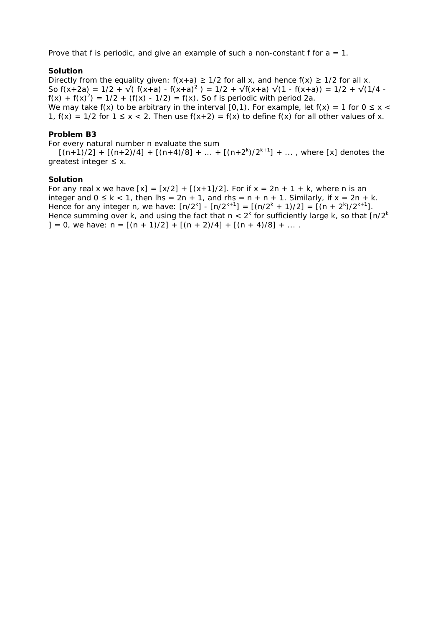Prove that f is periodic, and give an example of such a non-constant f for  $a = 1$ .

## **Solution**

Directly from the equality given:  $f(x+a) \ge 1/2$  for all x, and hence  $f(x) \ge 1/2$  for all x. So  $f(x+2a) = 1/2 + \sqrt{(f(x+a) - f(x+a)^2)} = 1/2 + \sqrt{f(x+a)} \sqrt{(1 - f(x+a))} = 1/2 + \sqrt{(1/4 - f(x+a))}$  $f(x) + f(x)^2 = 1/2 + (f(x) - 1/2) = f(x)$ . So f is periodic with period 2a. We may take f(x) to be arbitrary in the interval [0,1). For example, let f(x) = 1 for  $0 \le x <$ 1,  $f(x) = 1/2$  for  $1 \le x < 2$ . Then use  $f(x+2) = f(x)$  to define  $f(x)$  for all other values of x.

## **Problem B3**

For every natural number n evaluate the sum

 $[(n+1)/2] + [(n+2)/4] + [(n+4)/8] + ... + [(n+2<sup>k</sup>)/2<sup>k+1</sup>] + ...$ , where [x] denotes the qreatest integer  $\leq$  x.

### **Solution**

For any real x we have  $[x] = [x/2] + [(x+1)/2]$ . For if  $x = 2n + 1 + k$ , where n is an integer and  $0 \le k < 1$ , then  $\text{Ins} = 2n + 1$ , and  $\text{rhs} = n + n + 1$ . Similarly, if  $x = 2n + k$ . Hence for any integer n, we have:  $[n/2^{k}] - [n/2^{k+1}] = [(n/2^{k} + 1)/2] = [(n + 2^{k})/2^{k+1}].$ Hence summing over k, and using the fact that  $n < 2<sup>k</sup>$  for sufficiently large k, so that [n/2<sup>k</sup>  $]= 0$ , we have:  $n = [(n + 1)/2] + [(n + 2)/4] + [(n + 4)/8] + ...$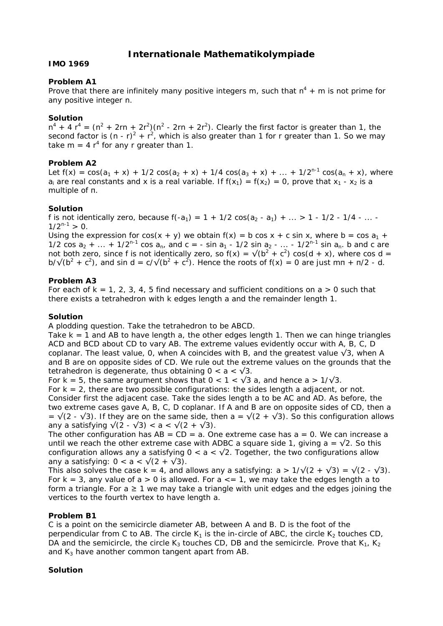# **Internationale Mathematikolympiade**

## **IMO 1969**

## **Problem A1**

Prove that there are infinitely many positive integers m, such that  $n^4 + m$  is not prime for any positive integer n.

## **Solution**

 $n^4 + 4 r^4 = (n^2 + 2rn + 2r^2)(n^2 - 2rn + 2r^2)$ . Clearly the first factor is greater than 1, the second factor is  $(n - r)^2 + r^2$ , which is also greater than 1 for r greater than 1. So we may take m = 4  $r^4$  for any r greater than 1.

# **Problem A2**

Let  $f(x) = cos(a_1 + x) + 1/2 cos(a_2 + x) + 1/4 cos(a_3 + x) + ... + 1/2^{n-1} cos(a_n + x)$ , where  $a_i$  are real constants and x is a real variable. If  $f(x_1) = f(x_2) = 0$ , prove that  $x_1 - x_2$  is a multiple of π.

## **Solution**

f is not identically zero, because  $f(-a_1) = 1 + 1/2 \cos(a_2 - a_1) + ... > 1 - 1/2 - 1/4 - ...$  $1/2^{n-1} > 0$ .

Using the expression for  $cos(x + y)$  we obtain  $f(x) = b cos x + c sin x$ , where  $b = cos a<sub>1</sub> + b$ 1/2 cos  $a_2 + ... + 1/2^{n-1}$  cos  $a_n$ , and  $c = - \sin a_1 - 1/2 \sin a_2 - ... - 1/2^{n-1} \sin a_n$ . b and c are not both zero, since f is not identically zero, so  $f(x) = \sqrt{(b^2 + c^2)} \cos(d + x)$ , where cos d = b/ $\sqrt{(b^2 + c^2)}$ , and sin d = c/ $\sqrt{(b^2 + c^2)}$ . Hence the roots of f(x) = 0 are just mn + n/2 - d.

# **Problem A3**

For each of  $k = 1, 2, 3, 4, 5$  find necessary and sufficient conditions on  $a > 0$  such that there exists a tetrahedron with k edges length a and the remainder length 1.

### **Solution**

A plodding question. Take the tetrahedron to be ABCD.

Take  $k = 1$  and AB to have length a, the other edges length 1. Then we can hinge triangles ACD and BCD about CD to vary AB. The extreme values evidently occur with A, B, C, D coplanar. The least value, 0, when A coincides with B, and the greatest value  $\sqrt{3}$ , when A and B are on opposite sides of CD. We rule out the extreme values on the grounds that the tetrahedron is degenerate, thus obtaining  $0 < a < \sqrt{3}$ .

For k = 5, the same argument shows that  $0 < 1 < \sqrt{3}$  a, and hence a >  $1/\sqrt{3}$ .

For  $k = 2$ , there are two possible configurations: the sides length a adjacent, or not. Consider first the adjacent case. Take the sides length a to be AC and AD. As before, the two extreme cases gave A, B, C, D coplanar. If A and B are on opposite sides of CD, then a  $= \sqrt{(2 - \sqrt{3})}$ . If they are on the same side, then a =  $\sqrt{(2 + \sqrt{3})}$ . So this configuration allows any a satisfying  $\sqrt{(2 - \sqrt{3})} < a < \sqrt{(2 + \sqrt{3})}$ .

The other configuration has  $AB = CD = a$ . One extreme case has  $a = 0$ . We can increase a until we reach the other extreme case with ADBC a square side 1, giving  $a = \sqrt{2}$ . So this configuration allows any a satisfying  $0 < a < \sqrt{2}$ . Together, the two configurations allow any a satisfying:  $0 < a < \sqrt{(2 + \sqrt{3})}$ .

This also solves the case k = 4, and allows any a satisfying:  $a > 1/\sqrt{(2 + \sqrt{3})} = \sqrt{(2 - \sqrt{3})}$ . For  $k = 3$ , any value of  $a > 0$  is allowed. For  $a \le -1$ , we may take the edges length a to form a triangle. For  $a \ge 1$  we may take a triangle with unit edges and the edges joining the vertices to the fourth vertex to have length a.

# **Problem B1**

C is a point on the semicircle diameter AB, between A and B. D is the foot of the perpendicular from C to AB. The circle  $K_1$  is the in-circle of ABC, the circle  $K_2$  touches CD, DA and the semicircle, the circle K<sub>3</sub> touches CD, DB and the semicircle. Prove that K<sub>1</sub>, K<sub>2</sub> and  $K_3$  have another common tangent apart from AB.

# **Solution**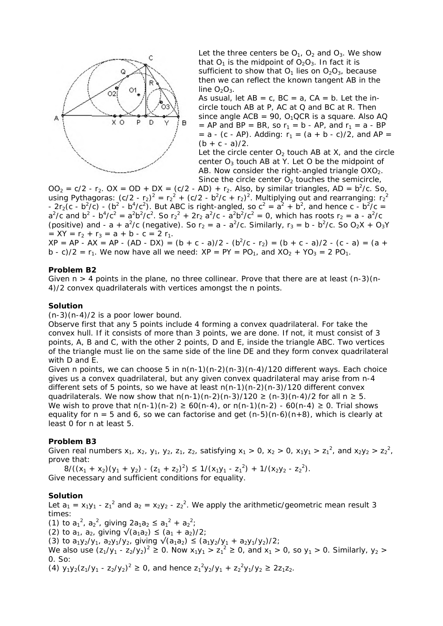

Let the three centers be  $O_1$ ,  $O_2$  and  $O_3$ . We show that  $O_1$  is the midpoint of  $O_2O_3$ . In fact it is sufficient to show that  $O_1$  lies on  $O_2O_3$ , because then we can reflect the known tangent AB in the line  $O_2O_3$ .

As usual, let  $AB = c$ ,  $BC = a$ ,  $CA = b$ . Let the incircle touch AB at P, AC at Q and BC at R. Then since angle  $ACB = 90$ ,  $O<sub>1</sub>QCR$  is a square. Also AQ = AP and BP = BR, so  $r_1$  = b - AP, and  $r_1$  = a - BP  $= a - (c - AP)$ . Adding:  $r_1 = (a + b - c)/2$ , and AP =  $(b + c - a)/2$ .

Let the circle center  $O<sub>2</sub>$  touch AB at X, and the circle center  $O_3$  touch AB at Y. Let O be the midpoint of AB. Now consider the right-angled triangle  $OXO<sub>2</sub>$ . Since the circle center  $O<sub>2</sub>$  touches the semicircle,

 $OO<sub>2</sub> = c/2 - r<sub>2</sub>$ .  $OX = OD + DX = (c/2 - AD) + r<sub>2</sub>$ . Also, by similar triangles,  $AD = b<sup>2</sup>/c$ . So, using Pythagoras:  $(c/2 - r_2)^2 = r_2^2 + (c/2 - b^2/c + r_2)^2$ . Multiplying out and rearranging:  $r_2^2$ -  $2r_2(c - b^2/c)$  -  $(b^2 - b^4/c^2)$ . But ABC is right-angled, so  $c^2 = a^2 + b^2$ , and hence c -  $b^2/c =$  $a^2/c$  and  $b^2 - b^4/c^2 = a^2b^2/c^2$ . So  $r_2^2 + 2r_2 a^2/c - a^2b^2/c^2 = 0$ , which has roots  $r_2 = a - a^2/c$ (positive) and - a +  $a^2/c$  (negative). So  $r_2 = a - a^2/c$ . Similarly,  $r_3 = b - b^2/c$ . So  $O_2X + O_3Y$  $= XY = r<sub>2</sub> + r<sub>3</sub> = a + b - c = 2 r<sub>1</sub>.$ 

 $XP = AP - AX = AP - (AD - DX) = (b + c - a)/2 - (b<sup>2</sup>/c - r<sub>2</sub>) = (b + c - a)/2 - (c - a) = (a + b)$ b - c)/2 =  $r_1$ . We now have all we need:  $XP = PY = PO_1$ , and  $XO_2 + YO_3 = 2 PO_1$ .

#### **Problem B2**

Given  $n > 4$  points in the plane, no three collinear. Prove that there are at least  $(n-3)(n-1)$ 4)/2 convex quadrilaterals with vertices amongst the n points.

#### **Solution**

 $(n-3)(n-4)/2$  is a poor lower bound.

Observe first that any 5 points include 4 forming a convex quadrilateral. For take the convex hull. If it consists of more than 3 points, we are done. If not, it must consist of 3 points, A, B and C, with the other 2 points, D and E, inside the triangle ABC. Two vertices of the triangle must lie on the same side of the line DE and they form convex quadrilateral with D and E.

Given n points, we can choose 5 in  $n(n-1)(n-2)(n-3)(n-4)/120$  different ways. Each choice gives us a convex quadrilateral, but any given convex quadrilateral may arise from n-4 different sets of 5 points, so we have at least  $n(n-1)(n-2)(n-3)/120$  different convex quadrilaterals. We now show that  $n(n-1)(n-2)(n-3)/120 \ge (n-3)(n-4)/2$  for all  $n \ge 5$ . We wish to prove that  $n(n-1)(n-2) ≥ 60(n-4)$ , or  $n(n-1)(n-2) - 60(n-4) ≥ 0$ . Trial shows equality for  $n = 5$  and 6, so we can factorise and get  $(n-5)(n-6)(n+8)$ , which is clearly at least 0 for n at least 5.

#### **Problem B3**

Given real numbers  $x_1$ ,  $x_2$ ,  $y_1$ ,  $y_2$ ,  $z_1$ ,  $z_2$ , satisfying  $x_1 > 0$ ,  $x_2 > 0$ ,  $x_1y_1 > z_1^2$ , and  $x_2y_2 > z_2^2$ , prove that:

 $8/((x_1 + x_2)(y_1 + y_2) - (z_1 + z_2)^2) \le 1/(x_1y_1 - z_1^2) + 1/(x_2y_2 - z_2^2).$ Give necessary and sufficient conditions for equality.

#### **Solution**

Let  $a_1 = x_1y_1 - z_1^2$  and  $a_2 = x_2y_2 - z_2^2$ . We apply the arithmetic/geometric mean result 3 times: (1) to  $a_1^2$ ,  $a_2^2$ , giving  $2a_1a_2 \le a_1^2 + a_2^2$ ; (2) to  $a_1$ ,  $a_2$ , giving  $\sqrt{(a_1a_2)} \leq (a_1 + a_2)/2$ ; (3) to  $a_1y_2/y_1$ ,  $a_2y_1/y_2$ , giving  $\sqrt{(a_1a_2)} \le (a_1y_2/y_1 + a_2y_1/y_2)/2$ ; We also use  $(z_1/y_1 - z_2/y_2)^2 \ge 0$ . Now  $x_1y_1 > z_1^2 \ge 0$ , and  $x_1 > 0$ , so  $y_1 > 0$ . Similarly,  $y_2 > 0$ 0. So: (4)  $y_1y_2(z_1/y_1 - z_2/y_2)^2 \ge 0$ , and hence  $z_1^2y_2/y_1 + z_2^2y_1/y_2 \ge 2z_1z_2$ .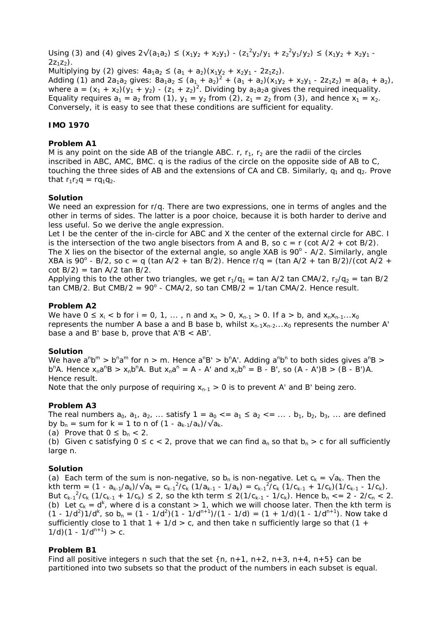Using (3) and (4) gives  $2\sqrt{(a_1a_2)} \le (x_1y_2 + x_2y_1) - (z_1^2y_2/y_1 + z_2^2y_1/y_2) \le (x_1y_2 + x_2y_1 - x_2y_1y_2)$  $27.7<sub>2</sub>$ ).

Multiplying by (2) gives:  $4a_1a_2 \leq (a_1 + a_2)(x_1y_2 + x_2y_1 - 2z_1z_2)$ . Adding (1) and  $2a_1a_2$  gives:  $8a_1a_2 \le (a_1 + a_2)^2 + (a_1 + a_2)(x_1y_2 + x_2y_1 - 2z_1z_2) = a(a_1 + a_2)$ , where  $a = (x_1 + x_2)(y_1 + y_2) - (z_1 + z_2)^2$ . Dividing by  $a_1a_2a$  gives the required inequality. Equality requires  $a_1 = a_2$  from (1),  $y_1 = y_2$  from (2),  $z_1 = z_2$  from (3), and hence  $x_1 = x_2$ . Conversely, it is easy to see that these conditions are sufficient for equality.

# **IMO 1970**

### **Problem A1**

M is any point on the side AB of the triangle ABC.  $r, r_1, r_2$  are the radii of the circles inscribed in ABC, AMC, BMC. q is the radius of the circle on the opposite side of AB to C, touching the three sides of AB and the extensions of CA and CB. Similarly,  $q_1$  and  $q_2$ . Prove that  $r_1r_2q = rq_1q_2$ .

#### **Solution**

We need an expression for r/q. There are two expressions, one in terms of angles and the other in terms of sides. The latter is a poor choice, because it is both harder to derive and less useful. So we derive the angle expression.

Let I be the center of the in-circle for ABC and X the center of the external circle for ABC. I is the intersection of the two angle bisectors from A and B, so  $c = r$  (cot A/2 + cot B/2). The X lies on the bisector of the external angle, so angle XAB is  $90^\circ$  - A/2. Similarly, angle XBA is 90<sup>o</sup> - B/2, so c = q (tan A/2 + tan B/2). Hence r/q = (tan A/2 + tan B/2)/(cot A/2 +  $cot B/2$  = tan A/2 tan B/2.

Applying this to the other two triangles, we get  $r_1/q_1 = \tan A/2$  tan CMA/2,  $r_2/q_2 = \tan B/2$  $tan \text{ CMB}/2$ . But  $CMB/2 = 90^\circ$  -  $CMA/2$ , so  $tan \text{ CMB}/2 = 1/tan \text{ CMA}/2$ . Hence result.

### **Problem A2**

We have  $0 \le x_i < b$  for  $i = 0, 1, ...$ , n and  $x_n > 0$ ,  $x_{n-1} > 0$ . If  $a > b$ , and  $x_n x_{n-1} ... x_0$ represents the number A base a and B base b, whilst  $x_{n-1}x_{n-2}...x_0$  represents the number A' base a and B' base b, prove that  $A'B < AB'$ .

### **Solution**

We have  $a^n b^m > b^n a^m$  for  $n > m$ . Hence  $a^n B' > b^n A'$ . Adding  $a^n b^n$  to both sides gives  $a^n B > b^n A'$  $b^{n}A$ . Hence  $x_{n}a^{n}B > x_{n}b^{n}A$ . But  $x_{n}a^{n} = A - A'$  and  $x_{n}b^{n} = B - B'$ , so  $(A - A')B > (B - B')A$ . Hence result.

Note that the only purpose of requiring  $x_{n-1} > 0$  is to prevent A' and B' being zero.

### **Problem A3**

The real numbers  $a_0$ ,  $a_1$ ,  $a_2$ , ... satisfy  $1 = a_0 < a_1 \le a_2 < a_2 \le \ldots$  b<sub>1</sub>, b<sub>2</sub>, b<sub>3</sub>, ... are defined by  $b_n =$  sum for k = 1 to n of  $(1 - a_{k-1}/a_k)/\sqrt{a_k}$ .

(a) Prove that  $0 \leq b_n < 2$ .

(b) Given c satisfying  $0 \le c < 2$ , prove that we can find  $a_n$  so that  $b_n > c$  for all sufficiently large n.

### **Solution**

(a) Each term of the sum is non-negative, so b<sub>n</sub> is non-negative. Let  $c_k = \sqrt{a_k}$ . Then the kth term =  $(1 - a_{k-1}/a_k)/\sqrt{a_k} = c_{k-1}^2/c_k (1/a_{k-1} - 1/a_k) = c_{k-1}^2/c_k (1/c_{k-1} + 1/c_k)(1/c_{k-1} - 1/c_k)$ . But  $c_{k-1}^2/c_k$  (1/ $c_{k-1}$  + 1/ $c_k$ )  $\leq$  2, so the kth term  $\leq$  2(1/ $c_{k-1}$  - 1/ $c_k$ ). Hence  $b_n$  < = 2 - 2/ $c_n$  < 2. (b) Let  $c_k = d^k$ , where d is a constant > 1, which we will choose later. Then the kth term is  $(1 - 1/d^2)1/d^k$ , so b<sub>n</sub> =  $(1 - 1/d^2)(1 - 1/d^{n+1})/(1 - 1/d)$  =  $(1 + 1/d)(1 - 1/d^{n+1})$ . Now take d sufficiently close to 1 that  $1 + 1/d > c$ , and then take n sufficiently large so that  $(1 +$  $1/d$  $(1 - 1/d^{n+1}) > c$ .

### **Problem B1**

Find all positive integers n such that the set  $\{n, n+1, n+2, n+3, n+4, n+5\}$  can be partitioned into two subsets so that the product of the numbers in each subset is equal.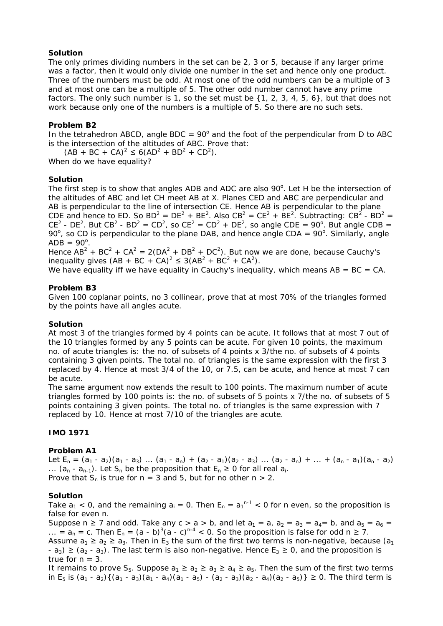# **Solution**

The only primes dividing numbers in the set can be 2, 3 or 5, because if any larger prime was a factor, then it would only divide one number in the set and hence only one product. Three of the numbers must be odd. At most one of the odd numbers can be a multiple of 3 and at most one can be a multiple of 5. The other odd number cannot have any prime factors. The only such number is 1, so the set must be  $\{1, 2, 3, 4, 5, 6\}$ , but that does not work because only one of the numbers is a multiple of 5. So there are no such sets.

# **Problem B2**

In the tetrahedron ABCD, angle BDC =  $90^\circ$  and the foot of the perpendicular from D to ABC is the intersection of the altitudes of ABC. Prove that:

 $(AB + BC + CA)^2 \le 6(AD^2 + BD^2 + CD^2)$ .

When do we have equality?

# **Solution**

The first step is to show that angles ADB and ADC are also  $90^\circ$ . Let H be the intersection of the altitudes of ABC and let CH meet AB at X. Planes CED and ABC are perpendicular and AB is perpendicular to the line of intersection CE. Hence AB is perpendicular to the plane CDE and hence to ED. So  $BD^2 = DE^2 + BE^2$ . Also  $CB^2 = CE^2 + BE^2$ . Subtracting:  $CB^2 - BD^2 =$ CE<sup>2</sup> - DE<sup>2</sup>. But CB<sup>2</sup> - BD<sup>2</sup> = CD<sup>2</sup>, so CE<sup>2</sup> = CD<sup>2</sup> + DE<sup>2</sup>, so angle CDE = 90<sup>o</sup>. But angle CDB = 90 $^{\circ}$ , so CD is perpendicular to the plane DAB, and hence angle CDA = 90 $^{\circ}$ . Similarly, angle  $ADB = 90^\circ$ .

Hence  $AB^2 + BC^2 + CA^2 = 2(DA^2 + DB^2 + DC^2)$ . But now we are done, because Cauchy's inequality gives  $(AB + BC + CA)^2 \leq 3(AB^2 + BC^2 + CA^2)$ .

We have equality iff we have equality in Cauchy's inequality, which means  $AB = BC = CA$ .

# **Problem B3**

Given 100 coplanar points, no 3 collinear, prove that at most 70% of the triangles formed by the points have all angles acute.

# **Solution**

At most 3 of the triangles formed by 4 points can be acute. It follows that at most 7 out of the 10 triangles formed by any 5 points can be acute. For given 10 points, the maximum no. of acute triangles is: the no. of subsets of 4 points x 3/the no. of subsets of 4 points containing 3 given points. The total no. of triangles is the same expression with the first 3 replaced by 4. Hence at most 3/4 of the 10, or 7.5, can be acute, and hence at most 7 can be acute.

The same argument now extends the result to 100 points. The maximum number of acute triangles formed by 100 points is: the no. of subsets of 5 points x 7/the no. of subsets of 5 points containing 3 given points. The total no. of triangles is the same expression with 7 replaced by 10. Hence at most 7/10 of the triangles are acute.

# **IMO 1971**

# **Problem A1**

Let  $E_n = (a_1 - a_2)(a_1 - a_3) ... (a_1 - a_n) + (a_2 - a_1)(a_2 - a_3) ... (a_2 - a_n) + ... + (a_n - a_1)(a_n - a_2)$ ...  $(a_n - a_{n-1})$ . Let  $S_n$  be the proposition that  $E_n \ge 0$  for all real  $a_i$ . Prove that  $S_n$  is true for  $n = 3$  and 5, but for no other  $n > 2$ .

# **Solution**

Take  $a_1 < 0$ , and the remaining  $a_i = 0$ . Then  $E_n = a_1^{n-1} < 0$  for n even, so the proposition is false for even n.

Suppose  $n \ge 7$  and odd. Take any  $c > a > b$ , and let  $a_1 = a$ ,  $a_2 = a_3 = a_4 = b$ , and  $a_5 = a_6 = a_7$ ... =  $a_n$  = c. Then  $E_n = (a - b)^3 (a - c)^{n-4} < 0$ . So the proposition is false for odd  $n \ge 7$ . Assume  $a_1 \ge a_2 \ge a_3$ . Then in E<sub>3</sub> the sum of the first two terms is non-negative, because ( $a_1$ ) -  $a_3$ )  $\ge$  ( $a_2$  -  $a_3$ ). The last term is also non-negative. Hence  $E_3 \ge 0$ , and the proposition is true for  $n = 3$ .

It remains to prove S<sub>5</sub>. Suppose  $a_1 \ge a_2 \ge a_3 \ge a_4 \ge a_5$ . Then the sum of the first two terms in E<sub>5</sub> is  $(a_1 - a_2){(a_1 - a_3)(a_1 - a_4)(a_1 - a_5)} - (a_2 - a_3)(a_2 - a_4)(a_2 - a_5)} \ge 0$ . The third term is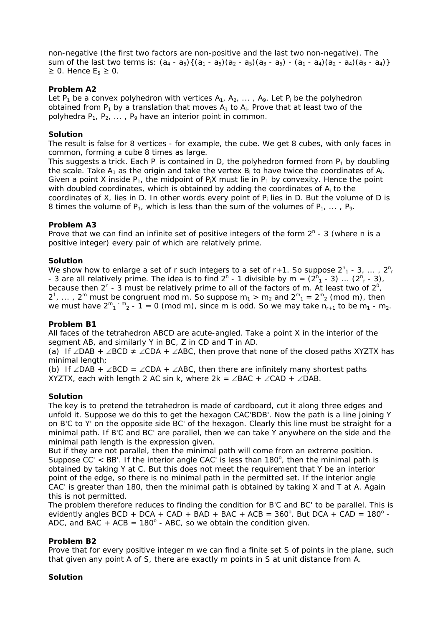non-negative (the first two factors are non-positive and the last two non-negative). The sum of the last two terms is:  $(a_4 - a_5)$   $\{(a_1 - a_5)(a_2 - a_5)(a_3 - a_5) - (a_1 - a_4)(a_2 - a_4)(a_3 - a_4)\}$  $≥$  0. Hence  $E_5 ≥ 0$ .

# **Problem A2**

Let  $P_1$  be a convex polyhedron with vertices  $A_1$ ,  $A_2$ , ...,  $A_9$ . Let  $P_i$  be the polyhedron obtained from  $P_1$  by a translation that moves  $A_1$  to  $A_i$ . Prove that at least two of the polyhedra  $P_1$ ,  $P_2$ , ...,  $P_9$  have an interior point in common.

# **Solution**

The result is false for 8 vertices - for example, the cube. We get 8 cubes, with only faces in common, forming a cube 8 times as large.

This suggests a trick. Each  $P_i$  is contained in D, the polyhedron formed from  $P_1$  by doubling the scale. Take  $A_1$  as the origin and take the vertex  $B_i$  to have twice the coordinates of  $A_i$ . Given a point X inside  $P_1$ , the midpoint of  $P_1X$  must lie in  $P_1$  by convexity. Hence the point with doubled coordinates, which is obtained by adding the coordinates of  $A_i$  to the coordinates of X, lies in D. In other words every point of  $P_i$  lies in D. But the volume of D is 8 times the volume of  $P_1$ , which is less than the sum of the volumes of  $P_1$ , ...,  $P_9$ .

## **Problem A3**

Prove that we can find an infinite set of positive integers of the form  $2<sup>n</sup>$  - 3 (where n is a positive integer) every pair of which are relatively prime.

## **Solution**

We show how to enlarge a set of r such integers to a set of r+1. So suppose  $2^n$ <sub>1</sub> - 3, ...,  $2^n$ <sub>r</sub> - 3 are all relatively prime. The idea is to find  $2^n$  - 1 divisible by m =  $(2^n_1 - 3)$  ...  $(2^n_1 - 3)$ , because then  $2^n$  - 3 must be relatively prime to all of the factors of m. At least two of  $2^0$ ,  $2^1$ , ...,  $2^m$  must be congruent mod m. So suppose  $m_1 > m_2$  and  $2^m{}_{1} = 2^m{}_{2}$  (mod m), then we must have  $2^{m}$ <sup>- m</sup><sub>2</sub> - 1 = 0 (mod m), since m is odd. So we may take  $n_{r+1}$  to be m<sub>1</sub> - m<sub>2</sub>.

# **Problem B1**

All faces of the tetrahedron ABCD are acute-angled. Take a point X in the interior of the segment AB, and similarly Y in BC, Z in CD and T in AD.

(a) If ∠DAB + ∠BCD  $\neq$  ∠CDA + ∠ABC, then prove that none of the closed paths XYZTX has minimal length;

(b) If ∠DAB + ∠BCD = ∠CDA + ∠ABC, then there are infinitely many shortest paths XYZTX, each with length 2 AC sin k, where  $2k = \angle BAC + \angle CAD + \angle DAB$ .

### **Solution**

The key is to pretend the tetrahedron is made of cardboard, cut it along three edges and unfold it. Suppose we do this to get the hexagon CAC'BDB'. Now the path is a line joining Y on B'C to Y' on the opposite side BC' of the hexagon. Clearly this line must be straight for a minimal path. If B'C and BC' are parallel, then we can take Y anywhere on the side and the minimal path length is the expression given.

But if they are not parallel, then the minimal path will come from an extreme position. Suppose  $CC' < BB'$ . If the interior angle CAC' is less than 180 $^{\circ}$ , then the minimal path is obtained by taking Y at C. But this does not meet the requirement that Y be an interior point of the edge, so there is no minimal path in the permitted set. If the interior angle CAC' is greater than 180, then the minimal path is obtained by taking X and T at A. Again this is not permitted.

The problem therefore reduces to finding the condition for B'C and BC' to be parallel. This is evidently angles BCD + DCA + CAD + BAD + BAC + ACB =  $360^{\circ}$ . But DCA + CAD =  $180^{\circ}$  -ADC, and BAC + ACB =  $180^\circ$  - ABC, so we obtain the condition given.

# **Problem B2**

Prove that for every positive integer m we can find a finite set S of points in the plane, such that given any point A of S, there are exactly m points in S at unit distance from A.

# **Solution**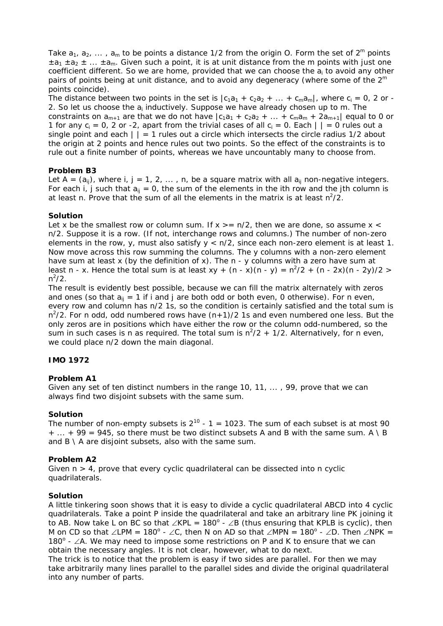Take  $a_1, a_2, ..., a_m$  to be points a distance 1/2 from the origin O. Form the set of  $2^m$  points  $\pm a_1 \pm a_2 \pm ... \pm a_m$ . Given such a point, it is at unit distance from the m points with just one coefficient different. So we are home, provided that we can choose the  $a_i$  to avoid any other pairs of points being at unit distance, and to avoid any degeneracy (where some of the  $2<sup>m</sup>$ points coincide).

The distance between two points in the set is  $|c_1a_1 + c_2a_2 + ... + c_ma_m|$ , where  $c_i = 0$ , 2 or -2. So let us choose the  $a_i$  inductively. Suppose we have already chosen up to m. The constraints on  $a_{m+1}$  are that we do not have  $|c_1a_1 + c_2a_2 + ... + c_ma_m + 2a_{m+1}|$  equal to 0 or 1 for any  $c_i = 0$ , 2 or -2, apart from the trivial cases of all  $c_i = 0$ . Each  $| \ | = 0$  rules out a single point and each  $| \cdot | = 1$  rules out a circle which intersects the circle radius 1/2 about the origin at 2 points and hence rules out two points. So the effect of the constraints is to rule out a finite number of points, whereas we have uncountably many to choose from.

# **Problem B3**

Let A =  $(a_{ij})$ , where i, j = 1, 2, ..., n, be a square matrix with all  $a_{ij}$  non-negative integers. For each i, j such that  $a_{ij} = 0$ , the sum of the elements in the ith row and the jth column is at least n. Prove that the sum of all the elements in the matrix is at least  $n^2/2$ .

# **Solution**

Let x be the smallest row or column sum. If  $x \ge n/2$ , then we are done, so assume  $x <$ n/2. Suppose it is a row. (If not, interchange rows and columns.) The number of non-zero elements in the row, y, must also satisfy  $y < n/2$ , since each non-zero element is at least 1. Now move across this row summing the columns. The y columns with a non-zero element have sum at least x (by the definition of x). The  $n - y$  columns with a zero have sum at least n - x. Hence the total sum is at least  $xy + (n - x)(n - y) = n^2/2 + (n - 2x)(n - 2y)/2$  $n^2/2$ .

The result is evidently best possible, because we can fill the matrix alternately with zeros and ones (so that  $a_{ii} = 1$  if i and j are both odd or both even, 0 otherwise). For n even, every row and column has n/2 1s, so the condition is certainly satisfied and the total sum is  $n^2/2$ . For n odd, odd numbered rows have  $(n+1)/2$  1s and even numbered one less. But the only zeros are in positions which have either the row or the column odd-numbered, so the sum in such cases is n as required. The total sum is  $n^2/2 + 1/2$ . Alternatively, for n even, we could place n/2 down the main diagonal.

# **IMO 1972**

# **Problem A1**

Given any set of ten distinct numbers in the range 10, 11, ... , 99, prove that we can always find two disjoint subsets with the same sum.

### **Solution**

The number of non-empty subsets is  $2^{10}$  - 1 = 1023. The sum of each subset is at most 90  $+ ... + 99 = 945$ , so there must be two distinct subsets A and B with the same sum. A \ B and  $B \setminus A$  are disjoint subsets, also with the same sum.

# **Problem A2**

Given  $n > 4$ , prove that every cyclic quadrilateral can be dissected into n cyclic quadrilaterals.

### **Solution**

A little tinkering soon shows that it is easy to divide a cyclic quadrilateral ABCD into 4 cyclic quadrilaterals. Take a point P inside the quadrilateral and take an arbitrary line PK joining it to AB. Now take L on BC so that ∠KPL = 180 $^{\circ}$  - ∠B (thus ensuring that KPLB is cyclic), then M on CD so that ∠LPM = 180<sup>o</sup> - ∠C, then N on AD so that ∠MPN = 180<sup>o</sup> - ∠D. Then ∠NPK = 180<sup>°</sup> - ∠A. We may need to impose some restrictions on P and K to ensure that we can obtain the necessary angles. It is not clear, however, what to do next.

The trick is to notice that the problem is easy if two sides are parallel. For then we may take arbitrarily many lines parallel to the parallel sides and divide the original quadrilateral into any number of parts.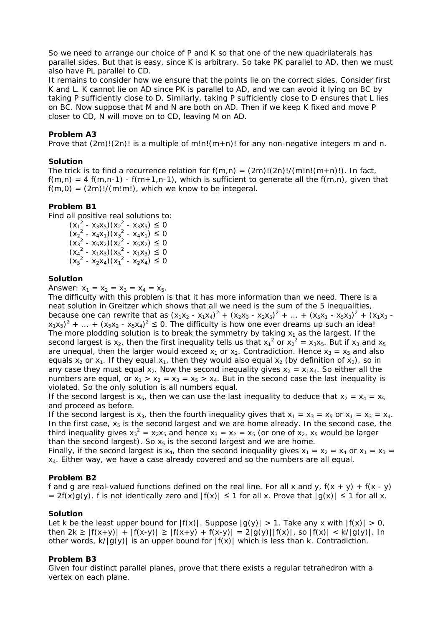So we need to arrange our choice of P and K so that one of the new quadrilaterals has parallel sides. But that is easy, since K is arbitrary. So take PK parallel to AD, then we must also have PL parallel to CD.

It remains to consider how we ensure that the points lie on the correct sides. Consider first K and L. K cannot lie on AD since PK is parallel to AD, and we can avoid it lying on BC by taking P sufficiently close to D. Similarly, taking P sufficiently close to D ensures that L lies on BC. Now suppose that M and N are both on AD. Then if we keep K fixed and move P closer to CD, N will move on to CD, leaving M on AD.

# **Problem A3**

Prove that  $(2m)!(2n)!$  is a multiple of m!n! $(m+n)!$  for any non-negative integers m and n.

## **Solution**

The trick is to find a recurrence relation for  $f(m,n) = (2m)!/(m!n!(m+n)!)$ . In fact,  $f(m,n) = 4 f(m,n-1) - f(m+1,n-1)$ , which is sufficient to generate all the  $f(m,n)$ , given that  $f(m,0) = (2m)!/(m!m!)$ , which we know to be integeral.

## **Problem B1**

Find all positive real solutions to:

 $(x_1^2 - x_3x_5)(x_2^2 - x_3x_5) \le 0$  $(x_2^2 - x_4x_1)(x_3^2 - x_4x_1) \leq 0$  $(x_3^2 - x_5x_2)(x_4^2 - x_5x_2) \le 0$  $(x_4^2 - x_1x_3)(x_5^2 - x_1x_3) \leq 0$  $(x_5^2 - x_2x_4)(x_1^2 - x_2x_4) \leq 0$ 

### **Solution**

Answer:  $x_1 = x_2 = x_3 = x_4 = x_5$ .

The difficulty with this problem is that it has more information than we need. There is a neat solution in Greitzer which shows that all we need is the sum of the 5 inequalities, because one can rewrite that as  $(x_1x_2 - x_1x_4)^2 + (x_2x_3 - x_2x_5)^2 + ... + (x_5x_1 - x_5x_3)^2 + (x_1x_3 - x_2x_5)^2$  $(x_1x_5)^2 + ... + (x_5x_2 - x_5x_4)^2 \le 0$ . The difficulty is how one ever dreams up such an idea! The more plodding solution is to break the symmetry by taking  $x_1$  as the largest. If the second largest is  $x_2$ , then the first inequality tells us that  $x_1^2$  or  $x_2^2 = x_3x_5$ . But if  $x_3$  and  $x_5$ are unequal, then the larger would exceed  $x_1$  or  $x_2$ . Contradiction. Hence  $x_3 = x_5$  and also equals  $x_2$  or  $x_1$ . If they equal  $x_1$ , then they would also equal  $x_2$  (by definition of  $x_2$ ), so in any case they must equal  $x_2$ . Now the second inequality gives  $x_2 = x_1x_4$ . So either all the numbers are equal, or  $x_1 > x_2 = x_3 = x_5 > x_4$ . But in the second case the last inequality is violated. So the only solution is all numbers equal.

If the second largest is  $x_5$ , then we can use the last inequality to deduce that  $x_2 = x_4 = x_5$ and proceed as before.

If the second largest is  $x_3$ , then the fourth inequality gives that  $x_1 = x_3 = x_5$  or  $x_1 = x_3 = x_4$ . In the first case,  $x<sub>5</sub>$  is the second largest and we are home already. In the second case, the third inequality gives  $x_3^2 = x_2x_5$  and hence  $x_3 = x_2 = x_5$  (or one of  $x_2$ ,  $x_5$  would be larger than the second largest). So  $x_5$  is the second largest and we are home.

Finally, if the second largest is  $x_4$ , then the second inequality gives  $x_1 = x_2 = x_4$  or  $x_1 = x_3 = x_4$  $x<sub>4</sub>$ . Either way, we have a case already covered and so the numbers are all equal.

### **Problem B2**

f and g are real-valued functions defined on the real line. For all x and y,  $f(x + y) + f(x - y)$ =  $2f(x)g(y)$ . f is not identically zero and  $|f(x)| \le 1$  for all x. Prove that  $|g(x)| \le 1$  for all x.

### **Solution**

Let k be the least upper bound for  $|f(x)|$ . Suppose  $|g(y)| > 1$ . Take any x with  $|f(x)| > 0$ , then  $2k \ge |f(x+y)| + |f(x-y)| \ge |f(x+y) + f(x-y)| = 2|g(y)||f(x)|$ , so  $|f(x)| < k/|g(y)|$ . In other words,  $k/|g(y)|$  is an upper bound for  $|f(x)|$  which is less than k. Contradiction.

### **Problem B3**

Given four distinct parallel planes, prove that there exists a regular tetrahedron with a vertex on each plane.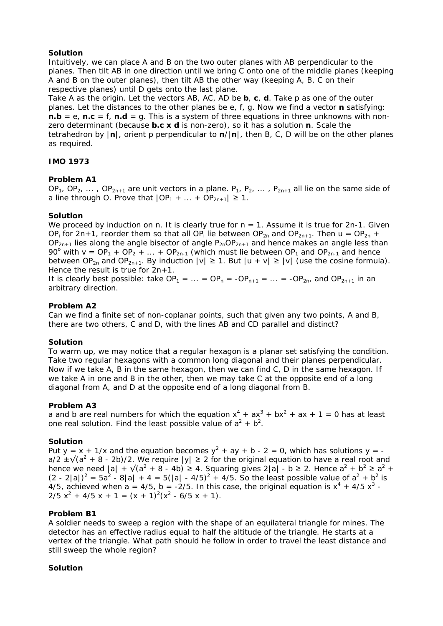# **Solution**

Intuitively, we can place A and B on the two outer planes with AB perpendicular to the planes. Then tilt AB in one direction until we bring C onto one of the middle planes (keeping A and B on the outer planes), then tilt AB the other way (keeping A, B, C on their respective planes) until D gets onto the last plane.

Take A as the origin. Let the vectors AB, AC, AD be **b**, **c**, **d**. Take p as one of the outer planes. Let the distances to the other planes be e, f, g. Now we find a vector **n** satisfying: **n.b** = e, **n.c** = f, **n.d** = g. This is a system of three equations in three unknowns with nonzero determinant (because **b.c x d** is non-zero), so it has a solution **n**. Scale the tetrahedron by |**n**|, orient p perpendicular to **n**/|**n**|, then B, C, D will be on the other planes as required.

# **IMO 1973**

# **Problem A1**

OP<sub>1</sub>, OP<sub>2</sub>, ..., OP<sub>2n+1</sub> are unit vectors in a plane. P<sub>1</sub>, P<sub>2</sub>, ..., P<sub>2n+1</sub> all lie on the same side of a line through O. Prove that  $|OP_1 + ... + OP_{2n+1}| \ge 1$ .

# **Solution**

We proceed by induction on n. It is clearly true for  $n = 1$ . Assume it is true for 2n-1. Given OP<sub>i</sub> for 2n+1, reorder them so that all OP<sub>i</sub> lie between OP<sub>2n</sub> and OP<sub>2n+1</sub>. Then u = OP<sub>2n</sub> +  $OP_{2n+1}$  lies along the angle bisector of angle  $P_{2n}OP_{2n+1}$  and hence makes an angle less than 90<sup>o</sup> with  $v = OP_1 + OP_2 + ... + OP_{2n-1}$  (which must lie between  $OP_1$  and  $OP_{2n-1}$  and hence between OP<sub>2n</sub> and OP<sub>2n+1</sub>. By induction  $|v| \ge 1$ . But  $|u + v| \ge |v|$  (use the cosine formula). Hence the result is true for  $2n+1$ .

It is clearly best possible: take  $OP_1 = ... = OP_n = -OP_{n+1} = ... = -OP_{2n}$  and  $OP_{2n+1}$  in an arbitrary direction.

# **Problem A2**

Can we find a finite set of non-coplanar points, such that given any two points, A and B, there are two others, C and D, with the lines AB and CD parallel and distinct?

# **Solution**

To warm up, we may notice that a regular hexagon is a planar set satisfying the condition. Take two regular hexagons with a common long diagonal and their planes perpendicular. Now if we take A, B in the same hexagon, then we can find C, D in the same hexagon. If we take A in one and B in the other, then we may take C at the opposite end of a long diagonal from A, and D at the opposite end of a long diagonal from B.

# **Problem A3**

a and b are real numbers for which the equation  $x^4 + ax^3 + bx^2 + ax + 1 = 0$  has at least one real solution. Find the least possible value of  $a^2 + b^2$ .

# **Solution**

Put y = x + 1/x and the equation becomes  $y^2 + ay + b - 2 = 0$ , which has solutions y =  $a/2 \pm \sqrt{(a^2 + 8 - 2b)/2}$ . We require  $|y| \ge 2$  for the original equation to have a real root and hence we need  $|a| + \sqrt{a^2 + 8 - 4b} \ge 4$ . Squaring gives  $2|a| - b \ge 2$ . Hence  $a^2 + b^2 \ge a^2 + b^2$  $(2 - 2|a|)^2 = 5a^2 - 8|a| + 4 = 5(|a| - 4/5)^2 + 4/5$ . So the least possible value of  $a^2 + b^2$  is 4/5, achieved when  $a = 4/5$ ,  $b = -2/5$ . In this case, the original equation is  $x^4 + 4/5 x^3 2/5 x<sup>2</sup> + 4/5 x + 1 = (x + 1)<sup>2</sup>(x<sup>2</sup> - 6/5 x + 1).$ 

# **Problem B1**

A soldier needs to sweep a region with the shape of an equilateral triangle for mines. The detector has an effective radius equal to half the altitude of the triangle. He starts at a vertex of the triangle. What path should he follow in order to travel the least distance and still sweep the whole region?

# **Solution**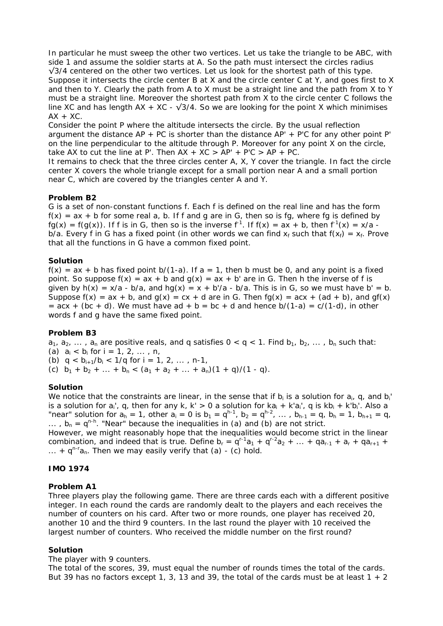In particular he must sweep the other two vertices. Let us take the triangle to be ABC, with side 1 and assume the soldier starts at A. So the path must intersect the circles radius  $\sqrt{3}/4$  centered on the other two vertices. Let us look for the shortest path of this type. Suppose it intersects the circle center B at X and the circle center C at Y, and goes first to X and then to Y. Clearly the path from A to X must be a straight line and the path from X to Y must be a straight line. Moreover the shortest path from X to the circle center C follows the line XC and has length  $AX + XC - \sqrt{3}/4$ . So we are looking for the point X which minimises  $AX + XC$ .

Consider the point P where the altitude intersects the circle. By the usual reflection argument the distance AP + PC is shorter than the distance  $AP' + P'C$  for any other point P' on the line perpendicular to the altitude through P. Moreover for any point X on the circle, take AX to cut the line at P'. Then  $AX + XC > AP' + PC \ge AP + PC$ .

It remains to check that the three circles center A, X, Y cover the triangle. In fact the circle center X covers the whole triangle except for a small portion near A and a small portion near C, which are covered by the triangles center A and Y.

## **Problem B2**

G is a set of non-constant functions f. Each f is defined on the real line and has the form  $f(x) = ax + b$  for some real a, b. If f and g are in G, then so is fg, where fg is defined by  $f(g(x)) = f(g(x))$ . If f is in G, then so is the inverse  $f^{-1}$ . If  $f(x) = ax + b$ , then  $f^{-1}(x) = x/a$ . b/a. Every f in G has a fixed point (in other words we can find  $x_f$  such that  $f(x_f) = x_f$ . Prove that all the functions in G have a common fixed point.

## **Solution**

 $f(x) = ax + b$  has fixed point b/(1-a). If  $a = 1$ , then b must be 0, and any point is a fixed point. So suppose  $f(x) = ax + b$  and  $g(x) = ax + b'$  are in G. Then h the inverse of f is given by  $h(x) = x/a - b/a$ , and  $hg(x) = x + b/a - b/a$ . This is in G, so we must have b' = b. Suppose  $f(x) = ax + b$ , and  $g(x) = cx + d$  are in G. Then  $f(g(x)) = acx + (ad + b)$ , and  $gf(x)$  $=$  acx + (bc + d). We must have ad + b = bc + d and hence b/(1-a) = c/(1-d), in other words f and g have the same fixed point.

# **Problem B3**

 $a_1, a_2, \ldots, a_n$  are positive reals, and q satisfies  $0 < q < 1$ . Find  $b_1, b_2, \ldots, b_n$  such that: (a)  $a_i < b_i$  for  $i = 1, 2, ..., n$ , (b)  $q < b_{i+1}/b_i < 1/q$  for  $i = 1, 2, \ldots, n-1$ , (c)  $b_1 + b_2 + ... + b_n < (a_1 + a_2 + ... + a_n)(1 + q)/(1 - q)$ .

# **Solution**

We notice that the constraints are linear, in the sense that if  $b_i$  is a solution for  $a_i$ , q, and  $b_i$ is a solution for  $a_i'$ , q, then for any k, k' > 0 a solution for  $ka_i + k'a_i'$ , q is  $kb_i + k'b_i'$ . Also a "near" solution for  $a_h = 1$ , other  $a_i = 0$  is  $b_1 = q^{h-1}$ ,  $b_2 = q^{h-2}$ , ...,  $b_{h-1} = q$ ,  $b_h = 1$ ,  $b_{h+1} = q$ , ...,  $b_n = q^{n-h}$ . "Near" because the inequalities in (a) and (b) are not strict.

However, we might reasonably hope that the inequalities would become strict in the linear combination, and indeed that is true. Define  $b_r = q^{r-1}a_1 + q^{r-2}a_2 + \ldots + qa_{r-1} + a_r + qa_{r+1}$  + ... +  $q^{n-r}a_n$ . Then we may easily verify that (a) - (c) hold.

# **IMO 1974**

### **Problem A1**

Three players play the following game. There are three cards each with a different positive integer. In each round the cards are randomly dealt to the players and each receives the number of counters on his card. After two or more rounds, one player has received 20, another 10 and the third 9 counters. In the last round the player with 10 received the largest number of counters. Who received the middle number on the first round?

### **Solution**

### The player with 9 counters.

The total of the scores, 39, must equal the number of rounds times the total of the cards. But 39 has no factors except 1, 3, 13 and 39, the total of the cards must be at least  $1 + 2$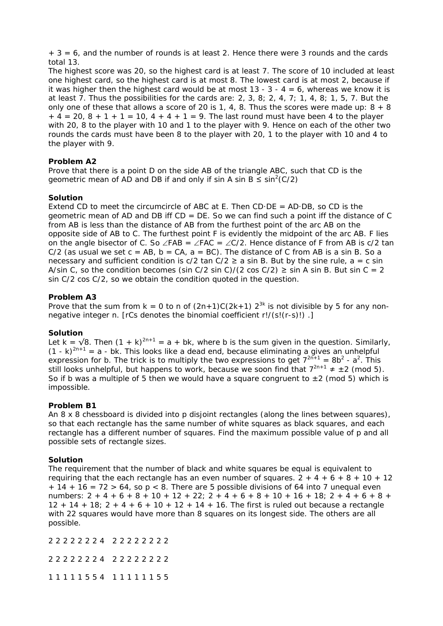$+ 3 = 6$ , and the number of rounds is at least 2. Hence there were 3 rounds and the cards total 13.

The highest score was 20, so the highest card is at least 7. The score of 10 included at least one highest card, so the highest card is at most 8. The lowest card is at most 2, because if it was higher then the highest card would be at most  $13 - 3 - 4 = 6$ , whereas we know it is at least 7. Thus the possibilities for the cards are: 2, 3, 8; 2, 4, 7; 1, 4, 8; 1, 5, 7. But the only one of these that allows a score of 20 is 1, 4, 8. Thus the scores were made up:  $8 + 8$  $+ 4 = 20, 8 + 1 + 1 = 10, 4 + 4 + 1 = 9$ . The last round must have been 4 to the player with 20, 8 to the player with 10 and 1 to the player with 9. Hence on each of the other two rounds the cards must have been 8 to the player with 20, 1 to the player with 10 and 4 to the player with 9.

# **Problem A2**

Prove that there is a point D on the side AB of the triangle ABC, such that CD is the geometric mean of AD and DB if and only if sin A sin B  $\leq$  sin<sup>2</sup>(C/2)

# **Solution**

Extend CD to meet the circumcircle of ABC at E. Then CD $\cdot$ DE = AD $\cdot$ DB, so CD is the geometric mean of AD and DB iff CD = DE. So we can find such a point iff the distance of C from AB is less than the distance of AB from the furthest point of the arc AB on the opposite side of AB to C. The furthest point F is evidently the midpoint of the arc AB. F lies on the angle bisector of C. So ∠FAB = ∠FAC = ∠C/2. Hence distance of F from AB is c/2 tan  $C/2$  (as usual we set  $c = AB$ ,  $b = CA$ ,  $a = BC$ ). The distance of C from AB is a sin B. So a necessary and sufficient condition is  $c/2$  tan  $C/2 \ge a$  sin B. But by the sine rule,  $a = c \sin$ A/sin C, so the condition becomes (sin C/2 sin C)/(2 cos C/2)  $\ge$  sin A sin B. But sin C = 2 sin C/2 cos C/2, so we obtain the condition quoted in the question.

# **Problem A3**

Prove that the sum from  $k = 0$  to n of  $(2n+1)C(2k+1) 2^{3k}$  is not divisible by 5 for any nonnegative integer n. [rCs denotes the binomial coefficient r!/(s!(r-s)!) .]

# **Solution**

Let k =  $\sqrt{8}$ . Then  $(1 + k)^{2n+1} = a + bk$ , where b is the sum given in the question. Similarly,  $(1 - k)^{2n+1} = a - bk$ . This looks like a dead end, because eliminating a gives an unhelpful expression for b. The trick is to multiply the two expressions to get  $7^{2n+1} = 8b^2 - a^2$ . This still looks unhelpful, but happens to work, because we soon find that  $7^{2n+1} \neq \pm 2$  (mod 5). So if b was a multiple of 5 then we would have a square congruent to  $\pm 2$  (mod 5) which is impossible.

# **Problem B1**

An 8 x 8 chessboard is divided into p disjoint rectangles (along the lines between squares), so that each rectangle has the same number of white squares as black squares, and each rectangle has a different number of squares. Find the maximum possible value of p and all possible sets of rectangle sizes.

# **Solution**

The requirement that the number of black and white squares be equal is equivalent to requiring that the each rectangle has an even number of squares.  $2 + 4 + 6 + 8 + 10 + 12$  $+ 14 + 16 = 72 > 64$ , so p < 8. There are 5 possible divisions of 64 into 7 unequal even numbers:  $2 + 4 + 6 + 8 + 10 + 12 + 22$ ;  $2 + 4 + 6 + 8 + 10 + 16 + 18$ ;  $2 + 4 + 6 + 8 +$  $12 + 14 + 18$ ;  $2 + 4 + 6 + 10 + 12 + 14 + 16$ . The first is ruled out because a rectangle with 22 squares would have more than 8 squares on its longest side. The others are all possible.

2 2 2 2 2 2 2 4 2 2 2 2 2 2 2 2

2 2 2 2 2 2 2 4 2 2 2 2 2 2 2 2

1 1 1 1 1 5 5 4 1 1 1 1 1 1 5 5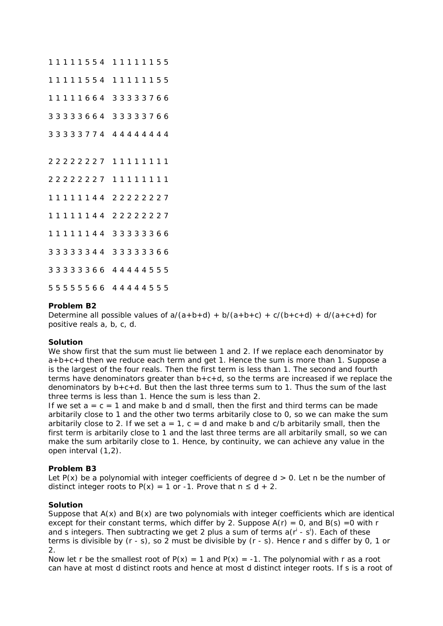### **Problem B2**

Determine all possible values of  $a/(a+b+d) + b/(a+b+c) + c/(b+c+d) + d/(a+c+d)$  for positive reals a, b, c, d.

### **Solution**

We show first that the sum must lie between 1 and 2. If we replace each denominator by  $a+b+c+d$  then we reduce each term and get 1. Hence the sum is more than 1. Suppose a is the largest of the four reals. Then the first term is less than 1. The second and fourth terms have denominators greater than  $b+c+d$ , so the terms are increased if we replace the denominators by b+c+d. But then the last three terms sum to 1. Thus the sum of the last three terms is less than 1. Hence the sum is less than 2.

If we set  $a = c = 1$  and make b and d small, then the first and third terms can be made arbitarily close to 1 and the other two terms arbitarily close to 0, so we can make the sum arbitarily close to 2. If we set  $a = 1$ ,  $c = d$  and make b and c/b arbitarily small, then the first term is arbitarily close to 1 and the last three terms are all arbitarily small, so we can make the sum arbitarily close to 1. Hence, by continuity, we can achieve any value in the open interval (1,2).

# **Problem B3**

Let  $P(x)$  be a polynomial with integer coefficients of degree  $d > 0$ . Let n be the number of distinct integer roots to  $P(x) = 1$  or -1. Prove that  $n \le d + 2$ .

### **Solution**

Suppose that  $A(x)$  and  $B(x)$  are two polynomials with integer coefficients which are identical except for their constant terms, which differ by 2. Suppose  $A(r) = 0$ , and  $B(s) = 0$  with r and s integers. Then subtracting we get 2 plus a sum of terms  $a(r<sup>i</sup> - s<sup>i</sup>)$ . Each of these terms is divisible by (r - s), so 2 must be divisible by (r - s). Hence r and s differ by 0, 1 or 2.

Now let r be the smallest root of  $P(x) = 1$  and  $P(x) = -1$ . The polynomial with r as a root can have at most d distinct roots and hence at most d distinct integer roots. If s is a root of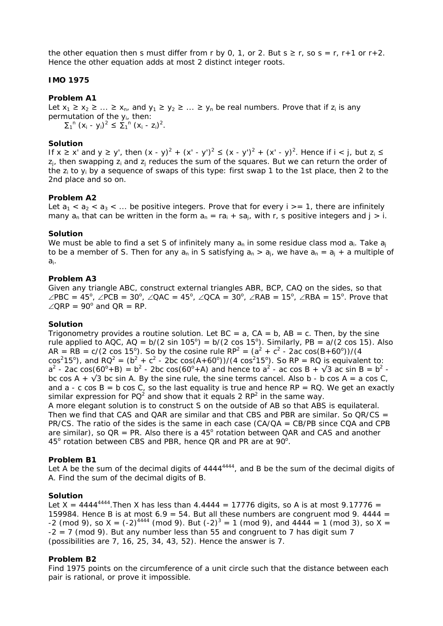the other equation then s must differ from r by 0, 1, or 2. But  $s \ge r$ , so  $s = r$ , r+1 or r+2. Hence the other equation adds at most 2 distinct integer roots.

# **IMO 1975**

# **Problem A1**

Let  $x_1 \ge x_2 \ge ... \ge x_n$ , and  $y_1 \ge y_2 \ge ... \ge y_n$  be real numbers. Prove that if  $z_i$  is any permutation of the yi, then:  $\sum_{1}^{n} (x_i - y_i)^2 \leq \sum_{1}^{n} (x_i - z_i)^2$ .

**Solution**

If  $x \ge x'$  and  $y \ge y'$ , then  $(x - y)^2 + (x' - y')^2 \le (x - y')^2 + (x' - y)^2$ . Hence if  $i < j$ , but  $z_i \le$  $z_i$ , then swapping  $z_i$  and  $z_i$  reduces the sum of the squares. But we can return the order of the  $z_i$  to  $y_i$  by a sequence of swaps of this type: first swap 1 to the 1st place, then 2 to the 2nd place and so on.

## **Problem A2**

Let  $a_1 < a_2 < a_3 < \dots$  be positive integers. Prove that for every  $i > = 1$ , there are infinitely many  $a_n$  that can be written in the form  $a_n = ra_i + sa_i$ , with r, s positive integers and  $i > i$ .

## **Solution**

We must be able to find a set S of infinitely many  $a_n$  in some residue class mod  $a_i$ . Take  $a_i$ to be a member of S. Then for any  $a_n$  in S satisfying  $a_n > a_j$ , we have  $a_n = a_j + a$  multiple of ai.

## **Problem A3**

Given any triangle ABC, construct external triangles ABR, BCP, CAQ on the sides, so that ∠PBC = 45<sup>o</sup>, ∠PCB = 30<sup>o</sup>, ∠QAC = 45<sup>o</sup>, ∠QCA = 30<sup>o</sup>, ∠RAB = 15<sup>o</sup>, ∠RBA = 15<sup>o</sup>. Prove that  $\angle$ QRP = 90<sup>o</sup> and QR = RP.

# **Solution**

Trigonometry provides a routine solution. Let  $BC = a$ ,  $CA = b$ ,  $AB = c$ . Then, by the sine rule applied to AQC, AQ = b/(2 sin 105°) = b/(2 cos 15°). Similarly, PB = a/(2 cos 15). Also AR = RB =  $c/(2 \cos 15^{\circ})$ . So by the cosine rule RP<sup>2</sup> =  $(a^2 + c^2 - 2ac \cos(B + 60^{\circ}))/(4$  $cos^2 15^{\circ}$ ), and RQ<sup>2</sup> = (b<sup>2</sup> + c<sup>2</sup> - 2bc cos(A+60<sup>o</sup>))/(4 cos<sup>2</sup>15<sup>o</sup>). So RP = RQ is equivalent to:  $a^2$  - 2ac cos(60<sup>o</sup>+B) =  $b^2$  - 2bc cos(60<sup>o</sup>+A) and hence to  $a^2$  - ac cos B +  $\sqrt{3}$  ac sin B =  $b^2$  bc cos A +  $\sqrt{3}$  bc sin A. By the sine rule, the sine terms cancel. Also b - b cos A = a cos C, and a - c cos  $B = b \cos C$ , so the last equality is true and hence RP = RQ. We get an exactly similar expression for PQ<sup>2</sup> and show that it equals 2 RP<sup>2</sup> in the same way.

A more elegant solution is to construct S on the outside of AB so that ABS is equilateral. Then we find that CAS and QAR are similar and that CBS and PBR are similar. So  $QR/CS =$ PR/CS. The ratio of the sides is the same in each case  $(CA/QA = CB/PB$  since  $CQA$  and  $CPB$ are similar), so  $QR = PR$ . Also there is a 45 $^{\circ}$  rotation between QAR and CAS and another 45° rotation between CBS and PBR, hence QR and PR are at 90°.

# **Problem B1**

Let A be the sum of the decimal digits of 4444<sup>4444</sup>, and B be the sum of the decimal digits of A. Find the sum of the decimal digits of B.

### **Solution**

Let X = 4444<sup>4444</sup>. Then X has less than 4.4444 = 17776 digits, so A is at most 9.17776 = 159984. Hence B is at most 6.9 = 54. But all these numbers are congruent mod 9. 4444 = -2 (mod 9), so X =  $(-2)^{4444}$  (mod 9). But  $(-2)^3 = 1$  (mod 9), and  $4444 = 1$  (mod 3), so X =  $-2 = 7$  (mod 9). But any number less than 55 and congruent to 7 has digit sum 7 (possibilities are 7, 16, 25, 34, 43, 52). Hence the answer is 7.

# **Problem B2**

Find 1975 points on the circumference of a unit circle such that the distance between each pair is rational, or prove it impossible.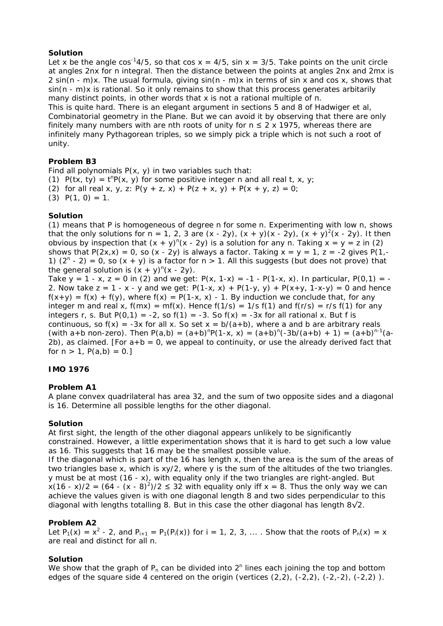# **Solution**

Let x be the angle cos<sup>-1</sup>4/5, so that cos  $x = 4/5$ , sin  $x = 3/5$ . Take points on the unit circle at angles 2nx for n integral. Then the distance between the points at angles 2nx and 2mx is 2 sin(n - m)x. The usual formula, giving sin(n - m)x in terms of sin x and cos x, shows that sin(n - m)x is rational. So it only remains to show that this process generates arbitarily many distinct points, in other words that x is not a rational multiple of π.

This is quite hard. There is an elegant argument in sections 5 and 8 of Hadwiger et al, Combinatorial geometry in the Plane. But we can avoid it by observing that there are only finitely many numbers with are nth roots of unity for  $n \leq 2 \times 1975$ , whereas there are infinitely many Pythagorean triples, so we simply pick a triple which is not such a root of unity.

# **Problem B3**

Find all polynomials  $P(x, y)$  in two variables such that: (1)  $P(tx, ty) = t^{n}P(x, y)$  for some positive integer n and all real t, x, y; (2) for all real x, y, z:  $P(y + z, x) + P(z + x, y) + P(x + y, z) = 0$ ;  $(3)$  P $(1, 0) = 1$ .

# **Solution**

(1) means that P is homogeneous of degree n for some n. Experimenting with low n, shows that the only solutions for  $n = 1, 2, 3$  are  $(x - 2y)$ ,  $(x + y)(x - 2y)$ ,  $(x + y)^2(x - 2y)$ . It then obvious by inspection that  $(x + y)^n(x - 2y)$  is a solution for any n. Taking  $x = y = z$  in (2) shows that  $P(2x,x) = 0$ , so  $(x - 2y)$  is always a factor. Taking  $x = y = 1$ ,  $z = -2$  gives  $P(1, -2y)$ 1)  $(2^{n} - 2) = 0$ , so  $(x + y)$  is a factor for  $n > 1$ . All this suggests (but does not prove) that the general solution is  $(x + y)^n(x - 2y)$ .

Take y = 1 - x, z = 0 in (2) and we get:  $P(x, 1-x) = -1 - P(1-x, x)$ . In particular,  $P(0, 1) = -1$ 2. Now take  $z = 1 - x - y$  and we get:  $P(1-x, x) + P(1-y, y) + P(x+y, 1-x-y) = 0$  and hence  $f(x+y) = f(x) + f(y)$ , where  $f(x) = P(1-x, x) - 1$ . By induction we conclude that, for any integer m and real x,  $f(mx) = mf(x)$ . Hence  $f(1/s) = 1/s f(1)$  and  $f(r/s) = r/s f(1)$  for any integers r, s. But P(0,1) = -2, so f(1) = -3. So f(x) = -3x for all rational x. But f is continuous, so  $f(x) = -3x$  for all x. So set  $x = b/(a+b)$ , where a and b are arbitrary reals (with a+b non-zero). Then  $P(a,b) = (a+b)^{n}P(1-x, x) = (a+b)^{n}(-3b/(a+b) + 1) = (a+b)^{n-1}(a+b)$ 2b), as claimed. [For  $a + b = 0$ , we appeal to continuity, or use the already derived fact that for  $n > 1$ ,  $P(a,b) = 0$ .]

# **IMO 1976**

# **Problem A1**

A plane convex quadrilateral has area 32, and the sum of two opposite sides and a diagonal is 16. Determine all possible lengths for the other diagonal.

# **Solution**

At first sight, the length of the other diagonal appears unlikely to be significantly constrained. However, a little experimentation shows that it is hard to get such a low value as 16. This suggests that 16 may be the smallest possible value.

If the diagonal which is part of the 16 has length x, then the area is the sum of the areas of two triangles base x, which is xy/2, where y is the sum of the altitudes of the two triangles. y must be at most (16 - x), with equality only if the two triangles are right-angled. But  $x(16 - x)/2 = (64 - (x - 8)^2)/2 \le 32$  with equality only iff  $x = 8$ . Thus the only way we can achieve the values given is with one diagonal length 8 and two sides perpendicular to this diagonal with lengths totalling 8. But in this case the other diagonal has length  $8\sqrt{2}$ .

# **Problem A2**

Let  $P_1(x) = x^2 - 2$ , and  $P_{i+1} = P_1(P_i(x))$  for  $i = 1, 2, 3, ...$  Show that the roots of  $P_n(x) = x$ are real and distinct for all n.

# **Solution**

We show that the graph of  $P_n$  can be divided into  $2^n$  lines each joining the top and bottom edges of the square side 4 centered on the origin (vertices  $(2,2)$ ,  $(-2,2)$ ,  $(-2,-2)$ ,  $(-2,2)$ ).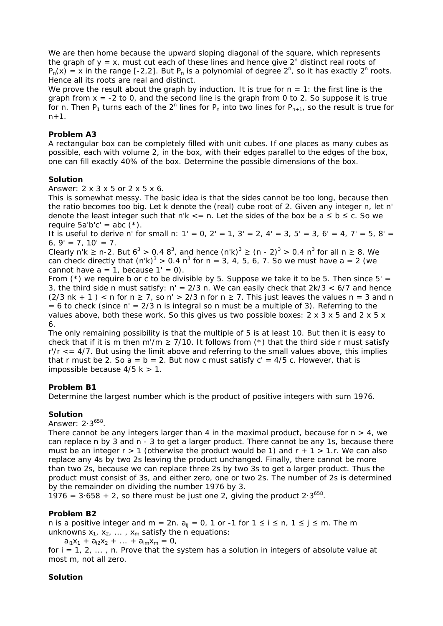We are then home because the upward sloping diagonal of the square, which represents the graph of  $y = x$ , must cut each of these lines and hence give  $2^n$  distinct real roots of  $P_n(x) = x$  in the range [-2,2]. But  $P_n$  is a polynomial of degree  $2^n$ , so it has exactly  $2^n$  roots. Hence all its roots are real and distinct.

We prove the result about the graph by induction. It is true for  $n = 1$ : the first line is the graph from  $x = -2$  to 0, and the second line is the graph from 0 to 2. So suppose it is true for n. Then  $P_1$  turns each of the  $2^n$  lines for  $P_n$  into two lines for  $P_{n+1}$ , so the result is true for  $n+1$ .

# **Problem A3**

A rectangular box can be completely filled with unit cubes. If one places as many cubes as possible, each with volume 2, in the box, with their edges parallel to the edges of the box, one can fill exactly 40% of the box. Determine the possible dimensions of the box.

## **Solution**

Answer: 2 x 3 x 5 or 2 x 5 x 6.

This is somewhat messy. The basic idea is that the sides cannot be too long, because then the ratio becomes too big. Let k denote the (real) cube root of 2. Given any integer n, let n' denote the least integer such that n'k  $\lt$  = n. Let the sides of the box be a  $\leq$  b  $\leq$  c. So we require  $5a'b'c' = abc (*)$ .

It is useful to derive n' for small n:  $1' = 0$ ,  $2' = 1$ ,  $3' = 2$ ,  $4' = 3$ ,  $5' = 3$ ,  $6' = 4$ ,  $7' = 5$ ,  $8' =$ 6,  $9' = 7$ ,  $10' = 7$ .

Clearly n'k ≥ n-2. But  $6^3 > 0.48^3$ , and hence  $(n'k)^3 \ge (n - 2)^3 > 0.4 n^3$  for all n ≥ 8. We can check directly that  $(n'k)^3 > 0.4 n^3$  for n = 3, 4, 5, 6, 7. So we must have a = 2 (we cannot have  $a = 1$ , because  $1' = 0$ ).

From  $(*)$  we require b or c to be divisible by 5. Suppose we take it to be 5. Then since 5' = 3, the third side n must satisfy:  $n' = 2/3$  n. We can easily check that  $2k/3 < 6/7$  and hence  $(2/3 \nk + 1)$  < n for  $n \ge 7$ , so  $n' > 2/3$  n for  $n \ge 7$ . This just leaves the values  $n = 3$  and n  $= 6$  to check (since  $n' = 2/3$  n is integral so n must be a multiple of 3). Referring to the values above, both these work. So this gives us two possible boxes:  $2 \times 3 \times 5$  and  $2 \times 5 \times$ 6.

The only remaining possibility is that the multiple of 5 is at least 10. But then it is easy to check that if it is m then m'/m  $\geq$  7/10. It follows from (\*) that the third side r must satisfy  $r/r \leq 4/7$ . But using the limit above and referring to the small values above, this implies that r must be 2. So  $a = b = 2$ . But now c must satisfy  $c' = 4/5$  c. However, that is impossible because  $4/5$  k  $> 1$ .

# **Problem B1**

Determine the largest number which is the product of positive integers with sum 1976.

# **Solution**

Answer: 2.3<sup>658</sup>.

There cannot be any integers larger than 4 in the maximal product, because for  $n > 4$ , we can replace n by 3 and n - 3 to get a larger product. There cannot be any 1s, because there must be an integer  $r > 1$  (otherwise the product would be 1) and  $r + 1 > 1$ .r. We can also replace any 4s by two 2s leaving the product unchanged. Finally, there cannot be more than two 2s, because we can replace three 2s by two 3s to get a larger product. Thus the product must consist of 3s, and either zero, one or two 2s. The number of 2s is determined by the remainder on dividing the number 1976 by 3.

1976 =  $3.658 + 2$ , so there must be just one 2, giving the product  $2.3^{658}$ .

# **Problem B2**

n is a positive integer and m = 2n.  $a_{ij}$  = 0, 1 or -1 for 1 ≤ i ≤ n, 1 ≤ j ≤ m. The m unknowns  $x_1, x_2, \ldots, x_m$  satisfy the n equations:

 $a_{i1}x_1 + a_{i2}x_2 + \ldots + a_{im}x_m = 0$ ,

for  $i = 1, 2, \ldots$ , n. Prove that the system has a solution in integers of absolute value at most m, not all zero.

# **Solution**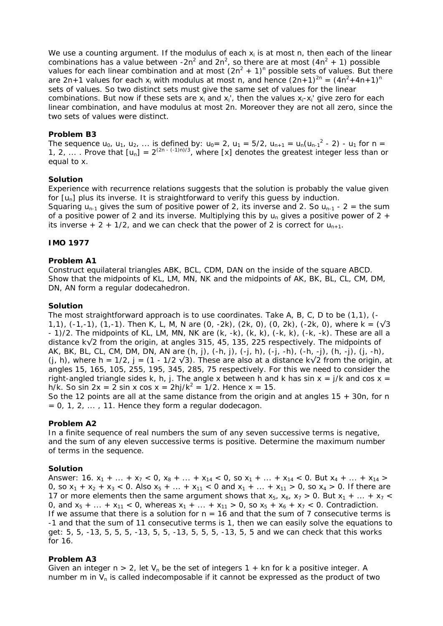We use a counting argument. If the modulus of each  $x_i$  is at most n, then each of the linear combinations has a value between -2n<sup>2</sup> and 2n<sup>2</sup>, so there are at most  $(4n^2 + 1)$  possible values for each linear combination and at most  $(2n^2 + 1)^n$  possible sets of values. But there are 2n+1 values for each  $x_i$  with modulus at most n, and hence  $(2n+1)^{2n} = (4n^2+4n+1)^n$ sets of values. So two distinct sets must give the same set of values for the linear combinations. But now if these sets are  $x_i$  and  $x_i'$ , then the values  $x_i - x_i'$  give zero for each linear combination, and have modulus at most 2n. Moreover they are not all zero, since the two sets of values were distinct.

# **Problem B3**

The sequence  $u_0$ ,  $u_1$ ,  $u_2$ , ... is defined by:  $u_0 = 2$ ,  $u_1 = 5/2$ ,  $u_{n+1} = u_n(u_{n-1}^2 - 2)$  -  $u_1$  for  $n = 1$ 1, 2, ... . Prove that  $[u_n] = 2^{(2n - (-1)n)/3}$ , where [x] denotes the greatest integer less than or equal to x.

# **Solution**

Experience with recurrence relations suggests that the solution is probably the value given for  $[u_n]$  plus its inverse. It is straightforward to verify this guess by induction.

Squaring  $u_{n-1}$  gives the sum of positive power of 2, its inverse and 2. So  $u_{n-1}$  - 2 = the sum of a positive power of 2 and its inverse. Multiplying this by  $u_n$  gives a positive power of 2 + its inverse  $+ 2 + 1/2$ , and we can check that the power of 2 is correct for  $u_{n+1}$ .

# **IMO 1977**

# **Problem A1**

Construct equilateral triangles ABK, BCL, CDM, DAN on the inside of the square ABCD. Show that the midpoints of KL, LM, MN, NK and the midpoints of AK, BK, BL, CL, CM, DM, DN, AN form a regular dodecahedron.

# **Solution**

The most straightforward approach is to use coordinates. Take A, B, C, D to be (1,1), (- 1,1),  $(-1,-1)$ ,  $(1,-1)$ . Then K, L, M, N are  $(0, -2k)$ ,  $(2k, 0)$ ,  $(0, 2k)$ ,  $(-2k, 0)$ , where  $k = (\sqrt{3})$ - 1)/2. The midpoints of KL, LM, MN, NK are (k, -k), (k, k), (-k, k), (-k, -k). These are all a distance k√2 from the origin, at angles 315, 45, 135, 225 respectively. The midpoints of AK, BK, BL, CL, CM, DM, DN, AN are (h, j), (-h, j), (-j, h), (-j, -h), (-h, -j), (h, -j), (j, -h), (j, h), where h = 1/2, j = (1 - 1/2  $\sqrt{3}$ ). These are also at a distance k $\sqrt{2}$  from the origin, at angles 15, 165, 105, 255, 195, 345, 285, 75 respectively. For this we need to consider the right-angled triangle sides k, h, j. The angle x between h and k has sin  $x = j/k$  and cos  $x =$ h/k. So sin  $2x = 2 \sin x \cos x = 2hj/k^2 = 1/2$ . Hence  $x = 15$ .

So the 12 points are all at the same distance from the origin and at angles  $15 + 30n$ , for n  $= 0, 1, 2, \ldots$ , 11. Hence they form a regular dodecagon.

# **Problem A2**

In a finite sequence of real numbers the sum of any seven successive terms is negative, and the sum of any eleven successive terms is positive. Determine the maximum number of terms in the sequence.

# **Solution**

Answer: 16.  $x_1 + ... + x_7 < 0$ ,  $x_8 + ... + x_{14} < 0$ , so  $x_1 + ... + x_{14} < 0$ . But  $x_4 + ... + x_{14} >$ 0, so  $x_1 + x_2 + x_3 < 0$ . Also  $x_5 + ... + x_{11} < 0$  and  $x_1 + ... + x_{11} > 0$ , so  $x_4 > 0$ . If there are 17 or more elements then the same argument shows that  $x_5$ ,  $x_6$ ,  $x_7$  > 0. But  $x_1$  + ... +  $x_7$  < 0, and  $x_5 + ... + x_{11} < 0$ , whereas  $x_1 + ... + x_{11} > 0$ , so  $x_5 + x_6 + x_7 < 0$ . Contradiction. If we assume that there is a solution for  $n = 16$  and that the sum of 7 consecutive terms is -1 and that the sum of 11 consecutive terms is 1, then we can easily solve the equations to get: 5, 5, -13, 5, 5, 5, -13, 5, 5, -13, 5, 5, 5, -13, 5, 5 and we can check that this works for 16.

# **Problem A3**

Given an integer  $n > 2$ , let  $V_n$  be the set of integers 1 + kn for k a positive integer. A number m in  $V_n$  is called indecomposable if it cannot be expressed as the product of two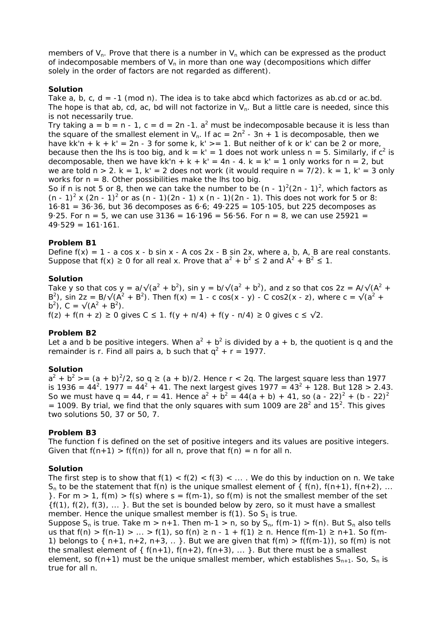members of  $V_n$ . Prove that there is a number in  $V_n$  which can be expressed as the product of indecomposable members of  $V_n$  in more than one way (decompositions which differ solely in the order of factors are not regarded as different).

### **Solution**

Take  $a, b, c, d = -1$  (mod n). The idea is to take abcd which factorizes as ab.cd or ac.bd. The hope is that ab, cd, ac, bd will not factorize in  $V_n$ . But a little care is needed, since this is not necessarily true.

Try taking  $a = b = n - 1$ ,  $c = d = 2n - 1$ .  $a<sup>2</sup>$  must be indecomposable because it is less than the square of the smallest element in  $V_n$ . If ac =  $2n^2 - 3n + 1$  is decomposable, then we have kk'n + k + k' = 2n - 3 for some k, k' > = 1. But neither of k or k' can be 2 or more, because then the lhs is too big, and  $k = k' = 1$  does not work unless  $n = 5$ . Similarly, if  $c^2$  is decomposable, then we have  $kk'n + k + k' = 4n - 4$ .  $k = k' = 1$  only works for  $n = 2$ , but we are told  $n > 2$ .  $k = 1$ ,  $k' = 2$  does not work (it would require  $n = 7/2$ ).  $k = 1$ ,  $k' = 3$  only works for  $n = 8$ . Other possibilities make the lhs too big.

So if n is not 5 or 8, then we can take the number to be  $(n - 1)^2(2n - 1)^2$ , which factors as  $(n - 1)^2$  x  $(2n - 1)^2$  or as  $(n - 1)(2n - 1)$  x  $(n - 1)(2n - 1)$ . This does not work for 5 or 8: 16·81 = 36·36, but 36 decomposes as 6·6; 49·225 = 105·105, but 225 decomposes as 9.25. For  $n = 5$ , we can use  $3136 = 16.196 = 56.56$ . For  $n = 8$ , we can use 25921 =  $49.529 = 161.161$ .

# **Problem B1**

Define  $f(x) = 1 - a \cos x - b \sin x - A \cos 2x - B \sin 2x$ , where a, b, A, B are real constants. Suppose that  $f(x) \ge 0$  for all real x. Prove that  $a^2 + b^2 \le 2$  and  $A^2 + B^2 \le 1$ .

### **Solution**

Take y so that cos y = a/ $\sqrt{(a^2 + b^2)}$ , sin y = b/ $\sqrt{(a^2 + b^2)}$ , and z so that cos 2z = A/ $\sqrt{(A^2 + b^2)}$ B<sup>2</sup>), sin 2z = B/ $\sqrt{(A^2 + B^2)}$ . Then f(x) = 1 - c cos(x - y) - C cos2(x - z), where c =  $\sqrt{(a^2 + B^2)}$  $b^2$ ), C =  $\sqrt{(A^2 + B^2)}$ .  $f(z) + f(n + z) \ge 0$  gives  $C \le 1$ .  $f(y + \pi/4) + f(y - \pi/4) \ge 0$  gives  $c \le \sqrt{2}$ .

### **Problem B2**

Let a and b be positive integers. When  $a^2 + b^2$  is divided by a + b, the quotient is q and the remainder is r. Find all pairs a, b such that  $q^2 + r = 1977$ .

### **Solution**

 $a^2 + b^2$  > =  $(a + b)^2/2$ , so q  $\ge$   $(a + b)/2$ . Hence r < 2q. The largest square less than 1977 is 1936 = 44<sup>2</sup>. 1977 = 44<sup>2</sup> + 41. The next largest gives 1977 = 43<sup>2</sup> + 128. But 128 > 2.43. So we must have q = 44, r = 41. Hence  $a^2 + b^2 = 44(a + b) + 41$ , so  $(a - 22)^2 + (b - 22)^2$  $=$  1009. By trial, we find that the only squares with sum 1009 are 28<sup>2</sup> and 15<sup>2</sup>. This gives two solutions 50, 37 or 50, 7.

### **Problem B3**

The function f is defined on the set of positive integers and its values are positive integers. Given that  $f(n+1) > f(f(n))$  for all n, prove that  $f(n) = n$  for all n.

### **Solution**

The first step is to show that  $f(1) < f(2) < f(3) < ...$ . We do this by induction on n. We take  $S_n$  to be the statement that f(n) is the unique smallest element of { f(n), f(n+1), f(n+2), ... }. For  $m > 1$ ,  $f(m) > f(s)$  where  $s = f(m-1)$ , so  $f(m)$  is not the smallest member of the set  $\{f(1), f(2), f(3), \ldots\}$ . But the set is bounded below by zero, so it must have a smallest member. Hence the unique smallest member is  $f(1)$ . So  $S<sub>1</sub>$  is true.

Suppose S<sub>n</sub> is true. Take m > n+1. Then m-1 > n, so by S<sub>n</sub>, f(m-1) > f(n). But S<sub>n</sub> also tells us that  $f(n) > f(n-1) > ... > f(1)$ , so  $f(n) ≥ n - 1 + f(1) ≥ n$ . Hence  $f(m-1) ≥ n+1$ . So  $f(m-1)$ 1) belongs to  $\{n+1, n+2, n+3, \ldots\}$ . But we are given that  $f(m) > f(f(m-1))$ , so  $f(m)$  is not the smallest element of  $\{f(n+1), f(n+2), f(n+3), \ldots\}$ . But there must be a smallest element, so f(n+1) must be the unique smallest member, which establishes  $S_{n+1}$ . So,  $S_n$  is true for all n.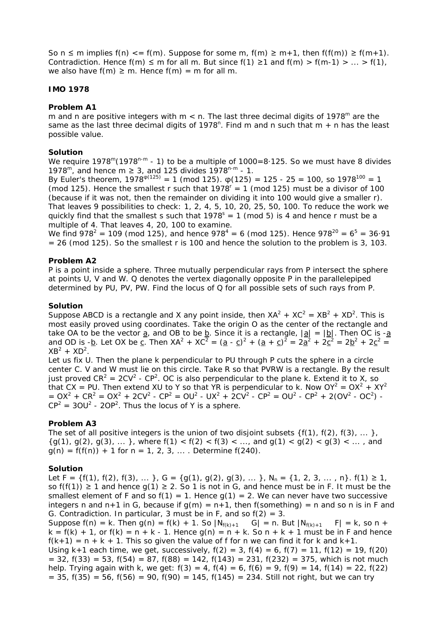So  $n \le m$  implies  $f(n) \le f(m)$ . Suppose for some m,  $f(m) \ge m+1$ , then  $f(f(m)) \ge f(m+1)$ . Contradiction. Hence  $f(m) \le m$  for all m. But since  $f(1) \ge 1$  and  $f(m) > f(m-1) > ... > f(1)$ . we also have  $f(m) \ge m$ . Hence  $f(m) = m$  for all m.

## **IMO 1978**

## **Problem A1**

m and n are positive integers with  $m < n$ . The last three decimal digits of 1978<sup>m</sup> are the same as the last three decimal digits of 1978<sup>n</sup>. Find m and n such that m  $+$  n has the least possible value.

### **Solution**

We require  $1978^{\text{m}}(1978^{\text{n-m}} - 1)$  to be a multiple of  $1000=8.125$ . So we must have 8 divides 1978<sup>m</sup>, and hence m  $\geq$  3, and 125 divides 1978<sup>n-m</sup> - 1.

By Euler's theorem,  $1978^{\varphi(125)} = 1 \pmod{125}$ .  $\varphi(125) = 125 - 25 = 100$ , so  $1978^{100} = 1$ (mod 125). Hence the smallest r such that  $1978^r = 1$  (mod 125) must be a divisor of 100 (because if it was not, then the remainder on dividing it into 100 would give a smaller r). That leaves 9 possibilities to check: 1, 2, 4, 5, 10, 20, 25, 50, 100. To reduce the work we quickly find that the smallest s such that  $1978<sup>s</sup> = 1$  (mod 5) is 4 and hence r must be a multiple of 4. That leaves 4, 20, 100 to examine.

We find 978<sup>2</sup> = 109 (mod 125), and hence 978<sup>4</sup> = 6 (mod 125). Hence 978<sup>20</sup> = 6<sup>5</sup> = 36·91  $= 26$  (mod 125). So the smallest r is 100 and hence the solution to the problem is 3, 103.

### **Problem A2**

P is a point inside a sphere. Three mutually perpendicular rays from P intersect the sphere at points U, V and W. Q denotes the vertex diagonally opposite P in the parallelepiped determined by PU, PV, PW. Find the locus of  $Q$  for all possible sets of such rays from P.

### **Solution**

Suppose ABCD is a rectangle and X any point inside, then  $XA^2 + XC^2 = XB^2 + XD^2$ . This is most easily proved using coordinates. Take the origin O as the center of the rectangle and take OA to be the vector  $\underline{a}$ , and OB to be  $\underline{b}$ . Since it is a rectangle,  $|\underline{a}| = |\underline{b}|$ . Then OC is - $\underline{a}$ and OD is -b. Let OX be c. Then  $XA^2 + XC^2 = (a - c)^2 + (a + c)^2 = 2a^2 + 2c^2 = 2b^2 + 2c^2 =$  $XB^2 + XB^2$ .

Let us fix U. Then the plane k perpendicular to PU through P cuts the sphere in a circle center C. V and W must lie on this circle. Take R so that PVRW is a rectangle. By the result just proved  $CR^2 = 2CV^2 - CP^2$ . OC is also perpendicular to the plane k. Extend it to X, so that CX = PU. Then extend XU to Y so that YR is perpendicular to k. Now  $OY^2 = OX^2 + XY^2$  $= OX^2 + CR^2 = OX^2 + 2CV^2 - CP^2 = OU^2 - UX^2 + 2CV^2 - CP^2 = OU^2 - CP^2 + 2(OV^2 - OC^2) CP^2 = 30U^2 - 2OP^2$ . Thus the locus of Y is a sphere.

### **Problem A3**

The set of all positive integers is the union of two disjoint subsets  $\{f(1), f(2), f(3), \ldots\}$ ,  ${g(1), g(2), g(3), \ldots}$ , where  $f(1) < f(2) < f(3) < \ldots$ , and  $g(1) < g(2) < g(3) < \ldots$ , and  $q(n) = f(f(n)) + 1$  for  $n = 1, 2, 3, ...$  Determine  $f(240)$ .

### **Solution**

Let  $F = \{f(1), f(2), f(3), \ldots\}$ ,  $G = \{g(1), g(2), g(3), \ldots\}$ ,  $N_n = \{1, 2, 3, \ldots, n\}$ .  $f(1) \ge 1$ , so f(f(1))  $\geq$  1 and hence g(1)  $\geq$  2. So 1 is not in G, and hence must be in F. It must be the smallest element of F and so  $f(1) = 1$ . Hence  $g(1) = 2$ . We can never have two successive integers n and n+1 in G, because if  $g(m) = n+1$ , then f(something) = n and so n is in F and G. Contradiction. In particular, 3 must be in F, and so  $f(2) = 3$ . Suppose  $f(n) = k$ . Then  $g(n) = f(k) + 1$ . So  $|N_{f(k)+1} G| = n$ . But  $|N_{f(k)+1} G| = k$ , so n +  $k = f(k) + 1$ , or  $f(k) = n + k - 1$ . Hence  $g(n) = n + k$ . So  $n + k + 1$  must be in F and hence  $f(k+1) = n + k + 1$ . This so given the value of f for n we can find it for k and  $k+1$ .

Using k+1 each time, we get, successively,  $f(2) = 3$ ,  $f(4) = 6$ ,  $f(7) = 11$ ,  $f(12) = 19$ ,  $f(20)$  $= 32$ ,  $f(33) = 53$ ,  $f(54) = 87$ ,  $f(88) = 142$ ,  $f(143) = 231$ ,  $f(232) = 375$ , which is not much help. Trying again with k, we get:  $f(3) = 4$ ,  $f(4) = 6$ ,  $f(6) = 9$ ,  $f(9) = 14$ ,  $f(14) = 22$ ,  $f(22)$  $= 35$ ,  $f(35) = 56$ ,  $f(56) = 90$ ,  $f(90) = 145$ ,  $f(145) = 234$ . Still not right, but we can try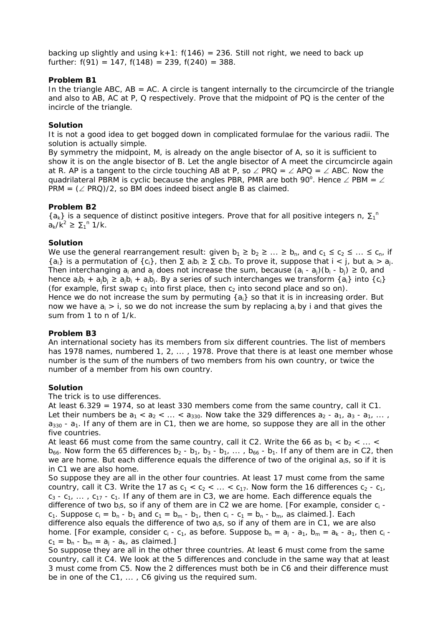backing up slightly and using  $k+1$ :  $f(146) = 236$ . Still not right, we need to back up further:  $f(91) = 147$ ,  $f(148) = 239$ ,  $f(240) = 388$ .

# **Problem B1**

In the triangle ABC,  $AB = AC$ . A circle is tangent internally to the circumcircle of the triangle and also to AB, AC at P, Q respectively. Prove that the midpoint of PQ is the center of the incircle of the triangle.

# **Solution**

It is not a good idea to get bogged down in complicated formulae for the various radii. The solution is actually simple.

By symmetry the midpoint, M, is already on the angle bisector of A, so it is sufficient to show it is on the angle bisector of B. Let the angle bisector of A meet the circumcircle again at R. AP is a tangent to the circle touching AB at P, so  $\angle$  PRQ =  $\angle$  APQ =  $\angle$  ABC. Now the quadrilateral PBRM is cyclic because the angles PBR, PMR are both 90°. Hence  $\angle$  PBM =  $\angle$ PRM =  $(\angle$  PRQ)/2, so BM does indeed bisect angle B as claimed.

# **Problem B2**

 ${a_k}$  is a sequence of distinct positive integers. Prove that for all positive integers n,  $\Sigma_1$ <sup>n</sup>  $a_k/k^2 \geq \sum_1^n 1/k$ .

# **Solution**

We use the general rearrangement result: given  $b_1 \ge b_2 \ge ... \ge b_n$ , and  $c_1 \le c_2 \le ... \le c_n$ , if  ${a_i}$  is a permutation of  ${c_i}$ , then  $\Sigma a_i b_i \ge \Sigma c_i b_i$ . To prove it, suppose that  $i < j$ , but  $a_i > a_j$ . Then interchanging  $a_i$  and  $a_j$  does not increase the sum, because  $(a_i - a_j)(b_i - b_i) \ge 0$ , and hence  $a_1b_1 + a_1b_1 \ge a_1b_1 + a_1b_1$ . By a series of such interchanges we transform  $\{a_i\}$  into  $\{c_i\}$ (for example, first swap  $c_1$  into first place, then  $c_2$  into second place and so on). Hence we do not increase the sum by permuting  $\{a_i\}$  so that it is in increasing order. But now we have  $a_i > i$ , so we do not increase the sum by replacing  $a_i$  by i and that gives the sum from 1 to n of 1/k.

# **Problem B3**

An international society has its members from six different countries. The list of members has 1978 names, numbered 1, 2, ..., 1978. Prove that there is at least one member whose number is the sum of the numbers of two members from his own country, or twice the number of a member from his own country.

# **Solution**

The trick is to use differences.

At least 6.329 = 1974, so at least 330 members come from the same country, call it C1. Let their numbers be  $a_1 < a_2 < \ldots < a_{330}$ . Now take the 329 differences  $a_2 - a_1, a_3 - a_1, \ldots$  $a_{330}$  -  $a_1$ . If any of them are in C1, then we are home, so suppose they are all in the other five countries.

At least 66 must come from the same country, call it C2. Write the 66 as  $b_1 < b_2 < ... <$  $b_{66}$ . Now form the 65 differences  $b_2 - b_1$ ,  $b_3 - b_1$ , ...,  $b_{66} - b_1$ . If any of them are in C2, then we are home. But each difference equals the difference of two of the original a<sub>i</sub>s, so if it is in C1 we are also home.

So suppose they are all in the other four countries. At least 17 must come from the same country, call it C3. Write the 17 as  $c_1 < c_2 < ... < c_{17}$ . Now form the 16 differences  $c_2 - c_1$ ,  $c_3 - c_1$ , ...,  $c_{17} - c_1$ . If any of them are in C3, we are home. Each difference equals the difference of two  $b_i s_i$ , so if any of them are in C2 we are home. [For example, consider  $c_i$   $c_1$ . Suppose  $c_i = b_n - b_1$  and  $c_1 = b_m - b_1$ , then  $c_i - c_1 = b_n - b_m$ , as claimed.]. Each difference also equals the difference of two  $a_i s_i$ , so if any of them are in C1, we are also home. [For example, consider  $c_i$  -  $c_1$ , as before. Suppose  $b_n = a_i - a_1$ ,  $b_m = a_k - a_1$ , then  $c_i$   $c_1 = b_n - b_m = a_i - a_k$ , as claimed.]

So suppose they are all in the other three countries. At least 6 must come from the same country, call it C4. We look at the 5 differences and conclude in the same way that at least 3 must come from C5. Now the 2 differences must both be in C6 and their difference must be in one of the C1, ... , C6 giving us the required sum.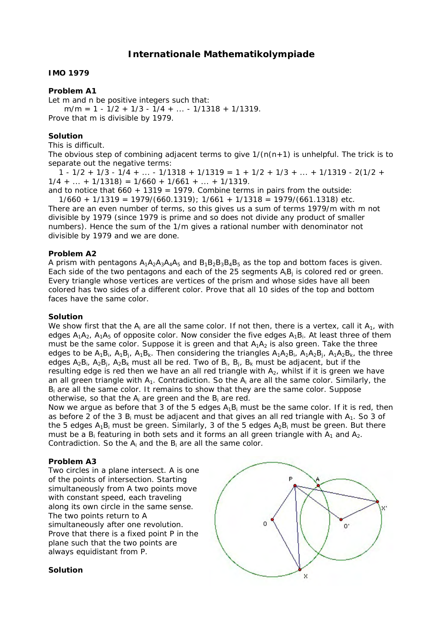# **Internationale Mathematikolympiade**

## **IMO 1979**

## **Problem A1**

Let m and n be positive integers such that:  $m/m = 1 - 1/2 + 1/3 - 1/4 + ... - 1/1318 + 1/1319$ . Prove that m is divisible by 1979.

## **Solution**

This is difficult.

The obvious step of combining adjacent terms to give  $1/(n(n+1))$  is unhelpful. The trick is to separate out the negative terms:

 $1 - 1/2 + 1/3 - 1/4 + \ldots - 1/1318 + 1/1319 = 1 + 1/2 + 1/3 + \ldots + 1/1319 - 2(1/2 +$  $1/4 + ... + 1/1318 = 1/660 + 1/661 + ... + 1/1319$ .

and to notice that  $660 + 1319 = 1979$ . Combine terms in pairs from the outside:

 $1/660 + 1/1319 = 1979/(660.1319)$ ;  $1/661 + 1/1318 = 1979/(661.1318)$  etc. There are an even number of terms, so this gives us a sum of terms 1979/m with m not divisible by 1979 (since 1979 is prime and so does not divide any product of smaller numbers). Hence the sum of the 1/m gives a rational number with denominator not divisible by 1979 and we are done.

## **Problem A2**

A prism with pentagons  $A_1A_2A_3A_4A_5$  and  $B_1B_2B_3B_4B_5$  as the top and bottom faces is given. Each side of the two pentagons and each of the 25 segments  $A_iB_i$  is colored red or green. Every triangle whose vertices are vertices of the prism and whose sides have all been colored has two sides of a different color. Prove that all 10 sides of the top and bottom faces have the same color.

#### **Solution**

We show first that the  $A_i$  are all the same color. If not then, there is a vertex, call it  $A_1$ , with edges  $A_1A_2$ ,  $A_1A_5$  of opposite color. Now consider the five edges  $A_1B_i$ . At least three of them must be the same color. Suppose it is green and that  $A_1A_2$  is also green. Take the three edges to be  $A_1B_i$ ,  $A_1B_i$ ,  $A_1B_k$ . Then considering the triangles  $A_1A_2B_i$ ,  $A_1A_2B_i$ ,  $A_1A_2B_k$ , the three edges  $A_2B_i$ ,  $A_2B_i$ ,  $A_2B_k$  must all be red. Two of  $B_i$ ,  $B_i$ ,  $B_k$  must be adjacent, but if the resulting edge is red then we have an all red triangle with  $A_2$ , whilst if it is green we have an all green triangle with  $A_1$ . Contradiction. So the  $A_i$  are all the same color. Similarly, the  $B_i$  are all the same color. It remains to show that they are the same color. Suppose otherwise, so that the Ai are green and the Bi are red.

Now we argue as before that 3 of the 5 edges  $A_1B_i$  must be the same color. If it is red, then as before 2 of the 3  $B_i$  must be adjacent and that gives an all red triangle with  $A_1$ . So 3 of the 5 edges  $A_1B_i$  must be green. Similarly, 3 of the 5 edges  $A_2B_i$  must be green. But there must be a  $B_i$  featuring in both sets and it forms an all green triangle with  $A_1$  and  $A_2$ . Contradiction. So the  $A_i$  and the  $B_i$  are all the same color.

#### **Problem A3**

Two circles in a plane intersect. A is one of the points of intersection. Starting simultaneously from A two points move with constant speed, each traveling along its own circle in the same sense. The two points return to A simultaneously after one revolution. Prove that there is a fixed point P in the plane such that the two points are always equidistant from P.



#### **Solution**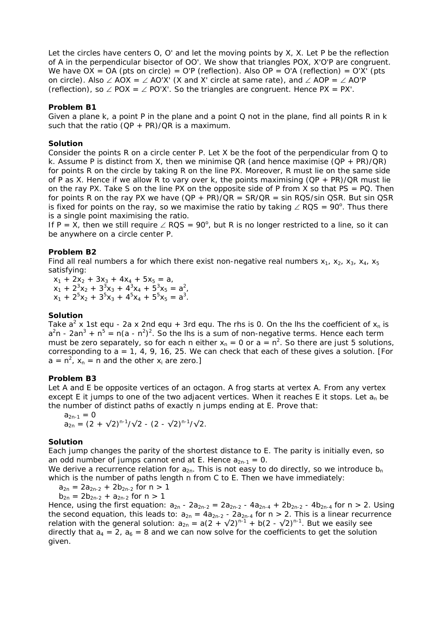Let the circles have centers O, O' and let the moving points by X, X. Let P be the reflection of A in the perpendicular bisector of OO'. We show that triangles POX, X'O'P are congruent. We have  $OX = OA$  (pts on circle) = O'P (reflection). Also  $OP = O'A$  (reflection) = O'X' (pts on circle). Also ∠ AOX = ∠ AO'X' (X and X' circle at same rate), and ∠ AOP = ∠ AO'P (reflection), so  $\angle$  POX =  $\angle$  PO'X'. So the triangles are congruent. Hence PX = PX'.

## **Problem B1**

Given a plane k, a point P in the plane and a point Q not in the plane, find all points R in  $k$ such that the ratio  $(QP + PR)/QR$  is a maximum.

#### **Solution**

Consider the points R on a circle center P. Let X be the foot of the perpendicular from  $Q$  to k. Assume P is distinct from X, then we minimise QR (and hence maximise  $(QP + PR)/QR$ ) for points R on the circle by taking R on the line PX. Moreover, R must lie on the same side of P as X. Hence if we allow R to vary over k, the points maximising  $(QP + PR)/QR$  must lie on the ray PX. Take S on the line PX on the opposite side of P from X so that PS = PQ. Then for points R on the ray PX we have  $(QP + PR)/QR = SR/QR = \sin ROS/\sin OSR$ . But sin QSR is fixed for points on the ray, so we maximise the ratio by taking  $∠$  RQS = 90 $^{\circ}$ . Thus there is a single point maximising the ratio.

If P = X, then we still require  $\angle$  RQS = 90°, but R is no longer restricted to a line, so it can be anywhere on a circle center P.

## **Problem B2**

Find all real numbers a for which there exist non-negative real numbers  $x_1$ ,  $x_2$ ,  $x_3$ ,  $x_4$ ,  $x_5$ satisfying:

 $x_1 + 2x_2 + 3x_3 + 4x_4 + 5x_5 = a$ ,  $x_1 + 2^3x_2 + 3^3x_3 + 4^3x_4 + 5^3x_5 = a^2$ ,  $x_1 + 2^5x_2 + 3^5x_3 + 4^5x_4 + 5^5x_5 = a^3$ .

### **Solution**

Take  $a^2$  x 1st equ - 2a x 2nd equ + 3rd equ. The rhs is 0. On the lhs the coefficient of  $x_n$  is  $a^2n - 2an^3 + n^5 = n(a - n^2)^2$ . So the lhs is a sum of non-negative terms. Hence each term must be zero separately, so for each n either  $x_n = 0$  or  $a = n^2$ . So there are just 5 solutions, corresponding to  $a = 1, 4, 9, 16, 25$ . We can check that each of these gives a solution. [For  $a = n^2$ ,  $x_n = n$  and the other  $x_i$  are zero.]

### **Problem B3**

Let A and E be opposite vertices of an octagon. A frog starts at vertex A. From any vertex except E it jumps to one of the two adjacent vertices. When it reaches E it stops. Let  $a_n$  be the number of distinct paths of exactly n jumps ending at E. Prove that:

$$
a_{2n-1} = 0
$$
  
\n
$$
a_{2n} = (2 + \sqrt{2})^{n-1}/\sqrt{2} - (2 - \sqrt{2})^{n-1}/\sqrt{2}.
$$

### **Solution**

Each jump changes the parity of the shortest distance to E. The parity is initially even, so an odd number of jumps cannot end at E. Hence  $a_{2n-1} = 0$ .

We derive a recurrence relation for  $a_{2n}$ . This is not easy to do directly, so we introduce  $b_n$ which is the number of paths length n from C to E. Then we have immediately:

 $a_{2n} = 2a_{2n-2} + 2b_{2n-2}$  for  $n > 1$ 

 $b_{2n} = 2b_{2n-2} + a_{2n-2}$  for  $n > 1$ 

Hence, using the first equation:  $a_{2n} - 2a_{2n-2} = 2a_{2n-2} - 4a_{2n-4} + 2b_{2n-2} - 4b_{2n-4}$  for  $n > 2$ . Using the second equation, this leads to:  $a_{2n} = 4a_{2n-2} - 2a_{2n-4}$  for  $n > 2$ . This is a linear recurrence relation with the general solution:  $a_{2n} = a(2 + \sqrt{2})^{n-1} + b(2 - \sqrt{2})^{n-1}$ . But we easily see directly that  $a_4 = 2$ ,  $a_6 = 8$  and we can now solve for the coefficients to get the solution given.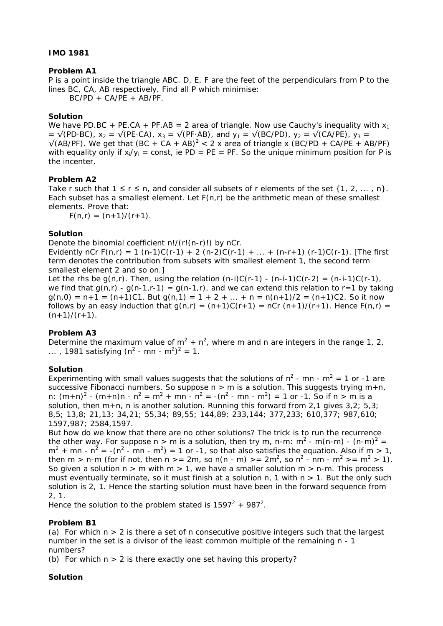# **IMO 1981**

# **Problem A1**

P is a point inside the triangle ABC. D, E, F are the feet of the perpendiculars from P to the lines BC, CA, AB respectively. Find all P which minimise:

 $BC/PD + CA/PE + AB/PF$ .

# **Solution**

We have PD.BC + PE.CA + PF.AB = 2 area of triangle. Now use Cauchy's inequality with  $x_1$ =  $\sqrt{(PD\cdot BC)}$ ,  $x_2 = \sqrt{(PE\cdot CA)}$ ,  $x_3 = \sqrt{(PF\cdot AB)}$ , and  $y_1 = \sqrt{(BC/PD)}$ ,  $y_2 = \sqrt{(CA/PE)}$ ,  $y_3 =$  $\sqrt{(AB/PF)}$ . We get that  $(BC + CA + AB)^2 < 2$  x area of triangle x  $(BC/PD + CA/PE + AB/PF)$ with equality only if  $x_i/y_i = \text{const.}$  ie PD = PE = PF. So the unique minimum position for P is the incenter.

# **Problem A2**

Take r such that  $1 \le r \le n$ , and consider all subsets of r elements of the set  $\{1, 2, ..., n\}$ . Each subset has a smallest element. Let  $F(n,r)$  be the arithmetic mean of these smallest elements. Prove that:

 $F(n,r) = (n+1)/(r+1)$ .

# **Solution**

Denote the binomial coefficient n!/(r!(n-r)!) by nCr.

Evidently nCr  $F(n,r) = 1$  (n-1)C(r-1) + 2 (n-2)C(r-1) + ... + (n-r+1) (r-1)C(r-1). [The first term denotes the contribution from subsets with smallest element 1, the second term smallest element 2 and so on.]

Let the rhs be  $q(n,r)$ . Then, using the relation  $(n-i)C(r-1)$  -  $(n-i-1)C(r-2) = (n-i-1)C(r-1)$ , we find that  $g(n,r)$  -  $g(n-1,r-1) = g(n-1,r)$ , and we can extend this relation to r=1 by taking  $g(n,0) = n+1 = (n+1)C1$ . But  $g(n,1) = 1 + 2 + ... + n = n(n+1)/2 = (n+1)C2$ . So it now follows by an easy induction that  $g(n,r) = (n+1)C(r+1) = nCr (n+1)/(r+1)$ . Hence  $F(n,r) =$  $(n+1)/(r+1)$ .

# **Problem A3**

Determine the maximum value of  $m^2 + n^2$ , where m and n are integers in the range 1, 2, ..., 1981 satisfying  $(n^2 - mn - m^2)^2 = 1$ .

# **Solution**

Experimenting with small values suggests that the solutions of  $n^2$  - mn -  $m^2 = 1$  or -1 are successive Fibonacci numbers. So suppose  $n > m$  is a solution. This suggests trying  $m+n$ , n:  $(m+n)^2$  -  $(m+n)n - n^2 = m^2 + mn - n^2 = -(n^2 - mn - m^2) = 1$  or -1. So if n > m is a solution, then  $m+n$ , n is another solution. Running this forward from 2,1 gives 3,2; 5,3; 8,5; 13,8; 21,13; 34,21; 55,34; 89,55; 144,89; 233,144; 377,233; 610,377; 987,610; 1597,987; 2584,1597.

But how do we know that there are no other solutions? The trick is to run the recurrence the other way. For suppose n > m is a solution, then try m, n-m: m<sup>2</sup> - m(n-m) - (n-m)<sup>2</sup> =  $m^2$  + mn -  $n^2$  = -(n<sup>2</sup> - mn - m<sup>2</sup>) = 1 or -1, so that also satisfies the equation. Also if m > 1, then m > n-m (for if not, then n > = 2m, so n(n - m) > = 2m<sup>2</sup>, so n<sup>2</sup> - nm - m<sup>2</sup> > = m<sup>2</sup> > 1). So given a solution  $n > m$  with  $m > 1$ , we have a smaller solution  $m > n-m$ . This process must eventually terminate, so it must finish at a solution n, 1 with  $n > 1$ . But the only such solution is 2, 1. Hence the starting solution must have been in the forward sequence from 2, 1.

Hence the solution to the problem stated is  $1597^2 + 987^2$ .

# **Problem B1**

(a) For which  $n > 2$  is there a set of n consecutive positive integers such that the largest number in the set is a divisor of the least common multiple of the remaining n - 1 numbers?

(b) For which  $n > 2$  is there exactly one set having this property?

# **Solution**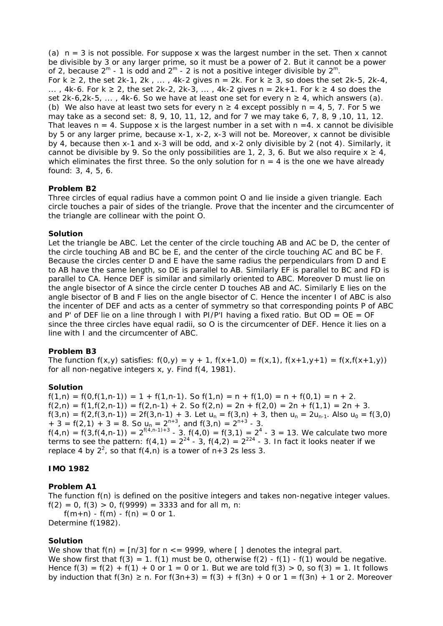(a)  $n = 3$  is not possible. For suppose x was the largest number in the set. Then x cannot be divisible by 3 or any larger prime, so it must be a power of 2. But it cannot be a power of 2, because  $2^m$  - 1 is odd and  $2^m$  - 2 is not a positive integer divisible by  $2^m$ . For  $k \ge 2$ , the set 2k-1, 2k, ..., 4k-2 gives  $n = 2k$ . For  $k \ge 3$ , so does the set 2k-5, 2k-4, ..., 4k-6. For k ≥ 2, the set 2k-2, 2k-3, ..., 4k-2 gives  $n = 2k+1$ . For k ≥ 4 so does the set 2k-6,2k-5, ..., 4k-6. So we have at least one set for every  $n \geq 4$ , which answers (a). (b) We also have at least two sets for every  $n \ge 4$  except possibly  $n = 4$ , 5, 7. For 5 we may take as a second set: 8, 9, 10, 11, 12, and for 7 we may take 6, 7, 8, 9 ,10, 11, 12. That leaves  $n = 4$ . Suppose x is the largest number in a set with  $n = 4$ . x cannot be divisible by 5 or any larger prime, because x-1, x-2, x-3 will not be. Moreover, x cannot be divisible by 4, because then x-1 and x-3 will be odd, and x-2 only divisible by 2 (not 4). Similarly, it cannot be divisible by 9. So the only possibilities are 1, 2, 3, 6. But we also require  $x \ge 4$ , which eliminates the first three. So the only solution for  $n = 4$  is the one we have already found: 3, 4, 5, 6.

# **Problem B2**

Three circles of equal radius have a common point O and lie inside a given triangle. Each circle touches a pair of sides of the triangle. Prove that the incenter and the circumcenter of the triangle are collinear with the point O.

## **Solution**

Let the triangle be ABC. Let the center of the circle touching AB and AC be D, the center of the circle touching AB and BC be E, and the center of the circle touching AC and BC be F. Because the circles center D and E have the same radius the perpendiculars from D and E to AB have the same length, so DE is parallel to AB. Similarly EF is parallel to BC and FD is parallel to CA. Hence DEF is similar and similarly oriented to ABC. Moreover D must lie on the angle bisector of A since the circle center D touches AB and AC. Similarly E lies on the angle bisector of B and F lies on the angle bisector of C. Hence the incenter I of ABC is also the incenter of DEF and acts as a center of symmetry so that corresponding points P of ABC and P' of DEF lie on a line through I with PI/P'I having a fixed ratio. But  $OD = OE = OF$ since the three circles have equal radii, so O is the circumcenter of DEF. Hence it lies on a line with I and the circumcenter of ABC.

#### **Problem B3**

The function  $f(x,y)$  satisfies:  $f(0,y) = y + 1$ ,  $f(x+1,0) = f(x,1)$ ,  $f(x+1,y+1) = f(x,f(x+1,y))$ for all non-negative integers x, y. Find f(4, 1981).

#### **Solution**

 $f(1,n) = f(0,f(1,n-1)) = 1 + f(1,n-1)$ . So  $f(1,n) = n + f(1,0) = n + f(0,1) = n + 2$ .  $f(2,n) = f(1,f(2,n-1)) = f(2,n-1) + 2.$  So  $f(2,n) = 2n + f(2,0) = 2n + f(1,1) = 2n + 3.$  $f(3,n) = f(2,f(3,n-1)) = 2f(3,n-1) + 3$ . Let  $u_n = f(3,n) + 3$ , then  $u_n = 2u_{n-1}$ . Also  $u_0 = f(3,0)$ + 3 = f(2,1) + 3 = 8. So  $u_n = 2^{n+3}$ , and f(3,n) =  $2^{n+3}$  - 3.  $f(4,n) = f(3,f(4,n-1)) = 2^{f(4,n-1)+3} - 3. f(4,0) = f(3,1) = 2<sup>4</sup> - 3 = 13.$  We calculate two more terms to see the pattern:  $f(4,1) = 2^{24} - 3$ ,  $f(4,2) = 2^{224} - 3$ . In fact it looks neater if we replace 4 by  $2^2$ , so that  $f(4,n)$  is a tower of  $n+3$  2s less 3.

# **IMO 1982**

#### **Problem A1**

The function f(n) is defined on the positive integers and takes non-negative integer values.  $f(2) = 0$ ,  $f(3) > 0$ ,  $f(9999) = 3333$  and for all m, n:  $f(m+n) - f(m) - f(n) = 0$  or 1. Determine f(1982).

#### **Solution**

We show that  $f(n) = \lfloor n/3 \rfloor$  for  $n \leq 9999$ , where  $\lfloor \rfloor$  denotes the integral part. We show first that  $f(3) = 1$ .  $f(1)$  must be 0, otherwise  $f(2)$  -  $f(1)$  -  $f(1)$  would be negative. Hence  $f(3) = f(2) + f(1) + 0$  or  $1 = 0$  or 1. But we are told  $f(3) > 0$ , so  $f(3) = 1$ . It follows by induction that  $f(3n) \ge n$ . For  $f(3n+3) = f(3) + f(3n) + 0$  or  $1 = f(3n) + 1$  or 2. Moreover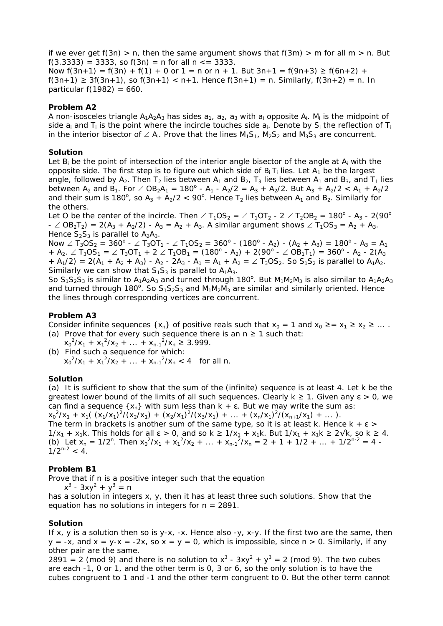if we ever get  $f(3n) > n$ , then the same argument shows that  $f(3m) > m$  for all  $m > n$ . But f(3.3333) = 3333, so  $f(3n) = n$  for all  $n \le 3333$ . Now  $f(3n+1) = f(3n) + f(1) + 0$  or  $1 = n$  or  $n + 1$ . But  $3n+1 = f(9n+3) \ge f(6n+2) +$  $f(3n+1)$  ≥ 3 $f(3n+1)$ , so  $f(3n+1)$  < n+1. Hence  $f(3n+1)$  = n. Similarly,  $f(3n+2)$  = n. In particular  $f(1982) = 660$ .

## **Problem A2**

A non-isosceles triangle  $A_1A_2A_3$  has sides  $a_1$ ,  $a_2$ ,  $a_3$  with  $a_i$  opposite  $A_i$ . M<sub>i</sub> is the midpoint of side  $a_i$  and  $T_i$  is the point where the incircle touches side  $a_i$ . Denote by  $S_i$  the reflection of  $T_i$ in the interior bisector of ∠  $A_i$ . Prove that the lines  $M_1S_1$ ,  $M_2S_2$  and  $M_3S_3$  are concurrent.

### **Solution**

Let  $B_i$  be the point of intersection of the interior angle bisector of the angle at  $A_i$  with the opposite side. The first step is to figure out which side of  $B_i$  T<sub>i</sub> lies. Let  $A_1$  be the largest angle, followed by  $A_2$ . Then  $T_2$  lies between  $A_1$  and  $B_2$ ,  $T_3$  lies between  $A_1$  and  $B_3$ , and  $T_1$  lies between A<sub>2</sub> and B<sub>1</sub>. For  $\angle$  OB<sub>2</sub>A<sub>1</sub> = 180<sup>o</sup> - A<sub>1</sub> - A<sub>2</sub>/2 = A<sub>3</sub> + A<sub>2</sub>/2. But A<sub>3</sub> + A<sub>2</sub>/2 < A<sub>1</sub> + A<sub>2</sub>/2 and their sum is 180<sup>°</sup>, so  $A_3 + A_2/2 < 90$ <sup>°</sup>. Hence T<sub>2</sub> lies between  $A_1$  and B<sub>2</sub>. Similarly for the others.

Let O be the center of the incircle. Then  $\angle T_1OS_2 = \angle T_1OT_2$  -  $2 \angle T_2OB_2 = 180^\circ$  - A<sub>3</sub> - 2(90 $^\circ$  $-$  ∠ OB<sub>2</sub>T<sub>2</sub>) = 2(A<sub>3</sub> + A<sub>2</sub>/2) - A<sub>3</sub> = A<sub>2</sub> + A<sub>3</sub>. A similar argument shows ∠ T<sub>1</sub>OS<sub>3</sub> = A<sub>2</sub> + A<sub>3</sub>. Hence  $S_2S_3$  is parallel to  $A_2A_3$ .

Now  $\angle$  T<sub>3</sub>OS<sub>2</sub> = 360<sup>o</sup> -  $\angle$  T<sub>3</sub>OT<sub>1</sub> -  $\angle$  T<sub>1</sub>OS<sub>2</sub> = 360<sup>o</sup> - (180<sup>o</sup> - A<sub>2</sub>) - (A<sub>2</sub> + A<sub>3</sub>) = 180<sup>o</sup> - A<sub>3</sub> = A<sub>1</sub> + A<sub>2</sub>.  $\angle$  T<sub>3</sub>OS<sub>1</sub> =  $\angle$  T<sub>3</sub>OT<sub>1</sub> + 2  $\angle$  T<sub>1</sub>OB<sub>1</sub> = (180<sup>o</sup> - A<sub>2</sub>) + 2(90<sup>o</sup> -  $\angle$  OB<sub>1</sub>T<sub>1</sub>) = 360<sup>o</sup> - A<sub>2</sub> - 2(A<sub>3</sub> + A<sub>1</sub>/2) = 2(A<sub>1</sub> + A<sub>2</sub> + A<sub>3</sub>) - A<sub>2</sub> - 2A<sub>3</sub> - A<sub>1</sub> = A<sub>1</sub> + A<sub>2</sub> =  $\angle$  T<sub>3</sub>OS<sub>2</sub>. So S<sub>1</sub>S<sub>2</sub> is parallel to A<sub>1</sub>A<sub>2</sub>. Similarly we can show that  $S_1S_3$  is parallel to  $A_1A_3$ .

So  $S_1S_2S_3$  is similar to  $A_1A_2A_3$  and turned through 180<sup>o</sup>. But  $M_1M_2M_3$  is also similar to  $A_1A_2A_3$ and turned through 180<sup>°</sup>. So  $S_1S_2S_3$  and  $M_1M_2M_3$  are similar and similarly oriented. Hence the lines through corresponding vertices are concurrent.

### **Problem A3**

Consider infinite sequences { $x_n$ } of positive reals such that  $x_0 = 1$  and  $x_0 \ge x_1 \ge x_2 \ge ...$ (a) Prove that for every such sequence there is an  $n \geq 1$  such that:

 $x_0^2/x_1 + x_1^2/x_2 + ... + x_{n-1}^2/x_n \ge 3.999$ . (b) Find such a sequence for which:  $x_0^2/x_1 + x_1^2/x_2 + ... + x_{n-1}^2/x_n < 4$  for all n.

#### **Solution**

(a) It is sufficient to show that the sum of the (infinite) sequence is at least 4. Let k be the greatest lower bound of the limits of all such sequences. Clearly  $k \ge 1$ . Given any  $\epsilon > 0$ , we can find a sequence  $\{x_n\}$  with sum less than  $k + \varepsilon$ . But we may write the sum as:  $x_0^2/x_1 + x_1((x_1/x_1)^2/(x_2/x_1) + (x_2/x_1)^2/(x_3/x_1) + ... + (x_n/x_1)^2/(x_{n+1}/x_1) + ...).$ 

The term in brackets is another sum of the same type, so it is at least k. Hence  $k + \varepsilon$  >  $1/x_1 + x_1k$ . This holds for all  $\varepsilon > 0$ , and so  $k \ge 1/x_1 + x_1k$ . But  $1/x_1 + x_1k \ge 2\sqrt{k}$ , so  $k \ge 4$ . (b) Let  $x_n = 1/2^n$ . Then  $x_0^2/x_1 + x_1^2/x_2 + ... + x_{n-1}^2/x_n = 2 + 1 + 1/2 + ... + 1/2^{n-2} = 4 1/2^{n-2} < 4$ .

# **Problem B1**

Prove that if n is a positive integer such that the equation

 $x^3 - 3xy^2 + y^3 = n$ 

has a solution in integers x, y, then it has at least three such solutions. Show that the equation has no solutions in integers for  $n = 2891$ .

#### **Solution**

If x, y is a solution then so is y-x, -x. Hence also -y, x-y. If the first two are the same, then  $y = -x$ , and  $x = y-x = -2x$ , so  $x = y = 0$ , which is impossible, since  $n > 0$ . Similarly, if any other pair are the same.

2891 = 2 (mod 9) and there is no solution to  $x^3 - 3xy^2 + y^3 = 2$  (mod 9). The two cubes are each -1, 0 or 1, and the other term is 0, 3 or 6, so the only solution is to have the cubes congruent to 1 and -1 and the other term congruent to 0. But the other term cannot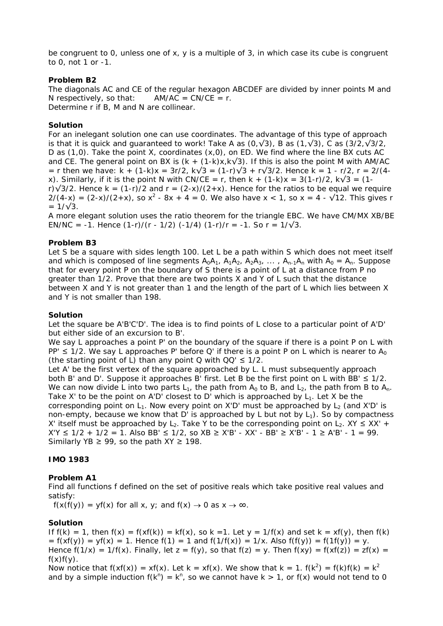be congruent to 0, unless one of x, y is a multiple of 3, in which case its cube is congruent to 0, not 1 or -1.

# **Problem B2**

The diagonals AC and CE of the regular hexagon ABCDEF are divided by inner points M and N respectively, so that:  $AM/AC = CN/CE = r$ . Determine r if B, M and N are collinear.

# **Solution**

For an inelegant solution one can use coordinates. The advantage of this type of approach is that it is quick and quaranteed to work! Take A as  $(0, \sqrt{3})$ , B as  $(1, \sqrt{3})$ , C as  $(3/2, \sqrt{3}/2)$ , D as (1,0). Take the point X, coordinates (x,0), on ED. We find where the line BX cuts AC and CE. The general point on BX is  $(k + (1-k)x, k\sqrt{3})$ . If this is also the point M with AM/AC = r then we have: k + (1-k)x = 3r/2, k $\sqrt{3}$  = (1-r) $\sqrt{3}$  + r $\sqrt{3}/2$ . Hence k = 1 - r/2, r = 2/(4x). Similarly, if it is the point N with CN/CE = r, then  $k + (1-k)x = 3(1-r)/2$ ,  $k\sqrt{3} = (1-k)x$ r) $\sqrt{3}/2$ . Hence k = (1-r)/2 and r = (2-x)/(2+x). Hence for the ratios to be equal we require  $2/(4-x) = (2-x)/(2+x)$ , so  $x^2 - 8x + 4 = 0$ . We also have  $x < 1$ , so  $x = 4 - \sqrt{12}$ . This gives r  $= 1/\sqrt{3}$ .

A more elegant solution uses the ratio theorem for the triangle EBC. We have CM/MX XB/BE EN/NC = -1. Hence  $(1-r)/(r - 1/2)$  (-1/4)  $(1-r)/r = -1$ . So  $r = 1/\sqrt{3}$ .

# **Problem B3**

Let S be a square with sides length 100. Let L be a path within S which does not meet itself and which is composed of line segments  $A_0A_1$ ,  $A_1A_2$ ,  $A_2A_3$ , ...,  $A_{n-1}A_n$  with  $A_0 = A_n$ . Suppose that for every point P on the boundary of S there is a point of L at a distance from P no greater than 1/2. Prove that there are two points X and Y of L such that the distance between X and Y is not greater than 1 and the length of the part of L which lies between X and Y is not smaller than 198.

# **Solution**

Let the square be A'B'C'D'. The idea is to find points of L close to a particular point of A'D' but either side of an excursion to B'.

We say L approaches a point P' on the boundary of the square if there is a point P on L with PP'  $\leq$  1/2. We say L approaches P' before Q' if there is a point P on L which is nearer to A<sub>0</sub> (the starting point of L) than any point  $Q$  with  $QQ' \leq 1/2$ .

Let A' be the first vertex of the square approached by L. L must subsequently approach both B' and D'. Suppose it approaches B' first. Let B be the first point on L with BB'  $\leq 1/2$ . We can now divide L into two parts  $L_1$ , the path from  $A_0$  to B, and  $L_2$ , the path from B to  $A_n$ . Take X' to be the point on A'D' closest to D' which is approached by  $L_1$ . Let X be the corresponding point on  $L_1$ . Now every point on X'D' must be approached by  $L_2$  (and X'D' is non-empty, because we know that D' is approached by L but not by  $L_1$ ). So by compactness X' itself must be approached by L<sub>2</sub>. Take Y to be the corresponding point on L<sub>2</sub>. XY  $\leq$  XX' + X'Y  $\leq$  1/2 + 1/2 = 1. Also BB'  $\leq$  1/2, so XB  $\geq$  X'B' - XX' - BB'  $\geq$  X'B' - 1  $\geq$  A'B' - 1 = 99. Similarly YB  $\geq$  99, so the path XY  $\geq$  198.

# **IMO 1983**

# **Problem A1**

Find all functions f defined on the set of positive reals which take positive real values and satisfy:

 $f(x(f(y)) = yf(x)$  for all x, y; and  $f(x) \rightarrow 0$  as  $x \rightarrow \infty$ .

# **Solution**

If  $f(k) = 1$ , then  $f(x) = f(xf(k)) = kf(x)$ , so k = 1. Let  $y = 1/f(x)$  and set  $k = xf(y)$ , then  $f(k)$  $= f(xf(y)) = yf(x) = 1$ . Hence  $f(1) = 1$  and  $f(1/f(x)) = 1/x$ . Also  $f(f(y)) = f(1f(y)) = y$ . Hence  $f(1/x) = 1/f(x)$ . Finally, let  $z = f(y)$ , so that  $f(z) = y$ . Then  $f(xy) = f(xf(z)) = zf(x) =$  $f(x)f(y)$ .

Now notice that  $f(xf(x)) = xf(x)$ . Let  $k = xf(x)$ . We show that  $k = 1$ .  $f(k^2) = f(k)f(k) = k^2$ and by a simple induction  $f(k^n) = k^n$ , so we cannot have  $k > 1$ , or  $f(x)$  would not tend to 0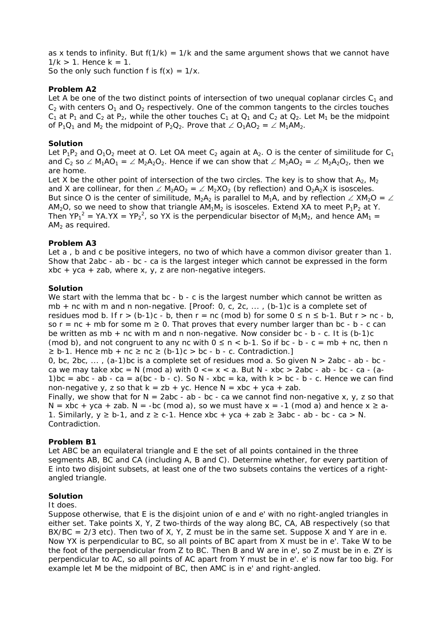as x tends to infinity. But  $f(1/k) = 1/k$  and the same argument shows that we cannot have  $1/k > 1$ . Hence  $k = 1$ .

So the only such function f is  $f(x) = 1/x$ .

# **Problem A2**

Let A be one of the two distinct points of intersection of two unequal coplanar circles  $C_1$  and  $C_2$  with centers  $O_1$  and  $O_2$  respectively. One of the common tangents to the circles touches  $C_1$  at P<sub>1</sub> and  $C_2$  at P<sub>2</sub>, while the other touches  $C_1$  at  $Q_1$  and  $C_2$  at  $Q_2$ . Let M<sub>1</sub> be the midpoint of P<sub>1</sub>Q<sub>1</sub> and M<sub>2</sub> the midpoint of P<sub>2</sub>Q<sub>2</sub>. Prove that ∠ O<sub>1</sub>AO<sub>2</sub> = ∠ M<sub>1</sub>AM<sub>2</sub>.

# **Solution**

Let  $P_1P_2$  and  $O_1O_2$  meet at O. Let OA meet  $C_2$  again at A<sub>2</sub>. O is the center of similitude for  $C_1$ and C<sub>2</sub> so ∠ M<sub>1</sub>AO<sub>1</sub> = ∠ M<sub>2</sub>A<sub>2</sub>O<sub>2</sub>. Hence if we can show that ∠ M<sub>2</sub>AO<sub>2</sub> = ∠ M<sub>2</sub>A<sub>2</sub>O<sub>2</sub>, then we are home.

Let X be the other point of intersection of the two circles. The key is to show that  $A_2$ ,  $M_2$ and X are collinear, for then  $\angle$  M<sub>2</sub>AO<sub>2</sub> =  $\angle$  M<sub>2</sub>XO<sub>2</sub> (by reflection) and O<sub>2</sub>A<sub>2</sub>X is isosceles. But since O is the center of similitude, M<sub>2</sub>A<sub>2</sub> is parallel to M<sub>1</sub>A, and by reflection ∠ XM<sub>2</sub>O = ∠ AM<sub>2</sub>O, so we need to show that triangle  $AM_1M_2$  is isosceles. Extend XA to meet P<sub>1</sub>P<sub>2</sub> at Y. Then YP<sub>1</sub><sup>2</sup> = YA.YX = YP<sub>2</sub><sup>2</sup>, so YX is the perpendicular bisector of M<sub>1</sub>M<sub>2</sub>, and hence AM<sub>1</sub> =  $AM<sub>2</sub>$  as required.

# **Problem A3**

Let a, b and c be positive integers, no two of which have a common divisor greater than 1. Show that 2abc - ab - bc - ca is the largest integer which cannot be expressed in the form xbc + yca + zab, where x, y, z are non-negative integers.

## **Solution**

We start with the lemma that  $bc - b - c$  is the largest number which cannot be written as mb + nc with m and n non-negative. [Proof: 0, c, 2c, ... , (b-1)c is a complete set of residues mod b. If  $r > (b-1)c - b$ , then  $r = nc \pmod{b}$  for some  $0 \le n \le b-1$ . But  $r > nc - b$ , so  $r = nc + mb$  for some  $m \ge 0$ . That proves that every number larger than bc - b - c can be written as mb  $+$  nc with m and n non-negative. Now consider bc - b - c. It is (b-1)c (mod b), and not congruent to any nc with  $0 \le n < b-1$ . So if bc - b - c = mb + nc, then n  $\ge$  b-1. Hence mb + nc  $\ge$  nc  $\ge$  (b-1)c  $>$  bc - b - c. Contradiction.] 0, bc, 2bc,  $\dots$ , (a-1)bc is a complete set of residues mod a. So given  $N > 2$ abc - ab - bc ca we may take xbc = N (mod a) with  $0 \le x \le a$ . But N - xbc > 2abc - ab - bc - ca - (a-1)bc = abc - ab - ca = a(bc - b - c). So N - xbc = ka, with  $k > bc - b$  - c. Hence we can find non-negative y, z so that  $k = zb + yc$ . Hence  $N = xbc + yca + zab$ . Finally, we show that for  $N = 2abc - ab - bc - ca$  we cannot find non-negative x, y, z so that  $N = xbc + yca + zab$ .  $N = -bc \pmod{a}$ , so we must have  $x = -1 \pmod{a}$  and hence  $x \ge a$ -1. Similarly,  $y \ge b-1$ , and  $z \ge c-1$ . Hence  $xbc + yca + zab \ge 3abc - ab - bc - ca > N$ . Contradiction.

# **Problem B1**

Let ABC be an equilateral triangle and E the set of all points contained in the three segments AB, BC and CA (including A, B and C). Determine whether, for every partition of E into two disjoint subsets, at least one of the two subsets contains the vertices of a rightangled triangle.

#### **Solution**

#### It does.

Suppose otherwise, that E is the disjoint union of e and e' with no right-angled triangles in either set. Take points X, Y, Z two-thirds of the way along BC, CA, AB respectively (so that  $BX/BC = 2/3$  etc). Then two of X, Y, Z must be in the same set. Suppose X and Y are in e. Now YX is perpendicular to BC, so all points of BC apart from X must be in e'. Take W to be the foot of the perpendicular from Z to BC. Then B and W are in e', so Z must be in e. ZY is perpendicular to AC, so all points of AC apart from Y must be in e'. e' is now far too big. For example let M be the midpoint of BC, then AMC is in e' and right-angled.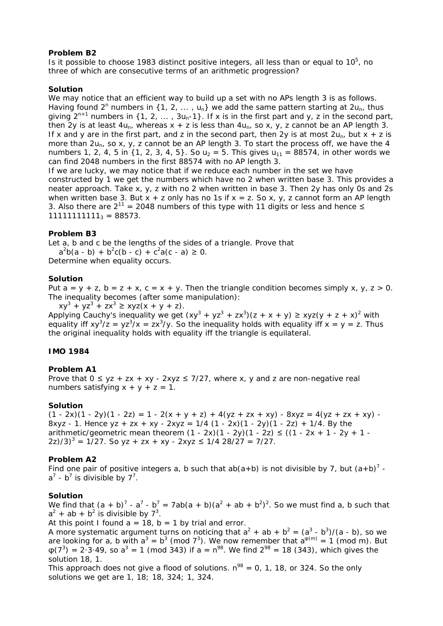### **Problem B2**

Is it possible to choose 1983 distinct positive integers, all less than or equal to  $10<sup>5</sup>$ , no three of which are consecutive terms of an arithmetic progression?

## **Solution**

We may notice that an efficient way to build up a set with no APs length 3 is as follows. Having found 2<sup>n</sup> numbers in {1, 2, ..., u<sub>n</sub>} we add the same pattern starting at 2u<sub>n</sub>, thus giving  $2^{n+1}$  numbers in {1, 2, ...,  $3u_n-1$ }. If x is in the first part and y, z in the second part, then 2y is at least  $4u_n$ , whereas  $x + z$  is less than  $4u_n$ , so x, y, z cannot be an AP length 3. If x and y are in the first part, and z in the second part, then 2y is at most  $2u_{n}$ , but x + z is more than  $2u_n$ , so x, y, z cannot be an AP length 3. To start the process off, we have the 4 numbers 1, 2, 4, 5 in {1, 2, 3, 4, 5}. So  $u_2 = 5$ . This gives  $u_{11} = 88574$ , in other words we can find 2048 numbers in the first 88574 with no AP length 3.

If we are lucky, we may notice that if we reduce each number in the set we have constructed by 1 we get the numbers which have no 2 when written base 3. This provides a neater approach. Take x, y, z with no 2 when written in base 3. Then 2y has only 0s and 2s when written base 3. But  $x + z$  only has no 1s if  $x = z$ . So  $x, y, z$  cannot form an AP length 3. Also there are  $2^{11}$  = 2048 numbers of this type with 11 digits or less and hence  $\leq$  $1111111111_3 = 88573$ .

## **Problem B3**

Let a, b and c be the lengths of the sides of a triangle. Prove that

 $a^2b(a - b) + b^2c(b - c) + c^2a(c - a) \ge 0.$ Determine when equality occurs.

## **Solution**

Put  $a = y + z$ ,  $b = z + x$ ,  $c = x + y$ . Then the triangle condition becomes simply x, y,  $z > 0$ . The inequality becomes (after some manipulation):

 $xy^{3} + yz^{3} + zx^{3} \geq xyz(x + y + z)$ . Applying Cauchy's inequality we get  $(xy^3 + yz^3 + zx^3)(z + x + y) \geq xyz(y + z + x)^2$  with equality iff  $xy^3/z = yz^3/x = zx^3/y$ . So the inequality holds with equality iff  $x = y = z$ . Thus the original inequality holds with equality iff the triangle is equilateral.

#### **IMO 1984**

#### **Problem A1**

Prove that  $0 \le yz + zx + xy - 2xyz \le 7/27$ , where x, y and z are non-negative real numbers satisfying  $x + y + z = 1$ .

#### **Solution**

 $(1 - 2x)(1 - 2y)(1 - 2z) = 1 - 2(x + y + z) + 4(yz + zx + xy) - 8xyz = 4(yz + zx + xy) -$ 8xyz - 1. Hence yz + zx + xy - 2xyz =  $1/4$  (1 - 2x)(1 - 2y)(1 - 2z) + 1/4. By the arithmetic/geometric mean theorem  $(1 - 2x)(1 - 2y)(1 - 2z) \le ((1 - 2x + 1 - 2y + 1 2z/3$ <sup>3</sup> = 1/27. So yz + zx + xy - 2xyz  $\leq$  1/4 28/27 = 7/27.

# **Problem A2**

Find one pair of positive integers a, b such that ab(a+b) is not divisible by 7, but  $(a+b)^7$   $a^7$  - b<sup>7</sup> is divisible by 7<sup>7</sup>.

#### **Solution**

We find that  $(a + b)^7 - a^7 - b^7 = 7ab(a + b)(a^2 + ab + b^2)^2$ . So we must find a, b such that  $a^2$  + ab + b<sup>2</sup> is divisible by  $7^3$ .

At this point I found  $a = 18$ ,  $b = 1$  by trial and error.

A more systematic argument turns on noticing that  $a^2 + ab + b^2 = (a^3 - b^3)/(a - b)$ , so we are looking for a, b with  $a^3 = b^3$  (mod 7<sup>3</sup>). We now remember that  $a^{\varphi(m)} = 1$  (mod m). But  $\varphi(7^3) = 2 \cdot 3 \cdot 49$ , so  $a^3 = 1$  (mod 343) if  $a = n^{98}$ . We find  $2^{98} = 18$  (343), which gives the solution 18, 1.

This approach does not give a flood of solutions.  $n^{98} = 0$ , 1, 18, or 324. So the only solutions we get are 1, 18; 18, 324; 1, 324.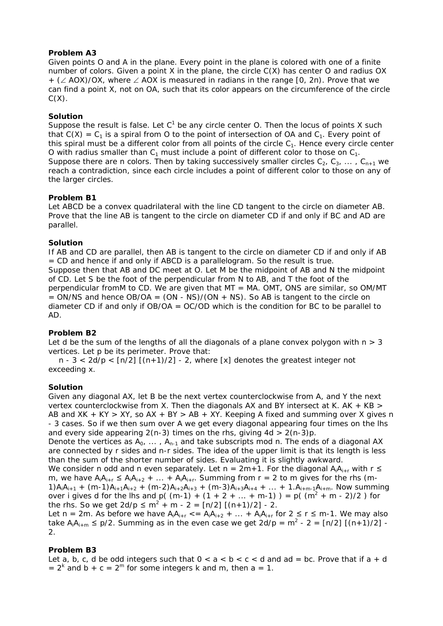# **Problem A3**

Given points O and A in the plane. Every point in the plane is colored with one of a finite number of colors. Given a point X in the plane, the circle C(X) has center O and radius OX + (∠ AOX)/OX, where ∠ AOX is measured in radians in the range [0, 2π). Prove that we can find a point X, not on OA, such that its color appears on the circumference of the circle  $C(X)$ .

# **Solution**

Suppose the result is false. Let  $C^1$  be any circle center O. Then the locus of points X such that  $C(X) = C_1$  is a spiral from O to the point of intersection of OA and  $C_1$ . Every point of this spiral must be a different color from all points of the circle  $C_1$ . Hence every circle center O with radius smaller than  $C_1$  must include a point of different color to those on  $C_1$ . Suppose there are n colors. Then by taking successively smaller circles  $C_2, C_3, \ldots, C_{n+1}$  we reach a contradiction, since each circle includes a point of different color to those on any of the larger circles.

# **Problem B1**

Let ABCD be a convex quadrilateral with the line CD tangent to the circle on diameter AB. Prove that the line AB is tangent to the circle on diameter CD if and only if BC and AD are parallel.

# **Solution**

If AB and CD are parallel, then AB is tangent to the circle on diameter CD if and only if AB = CD and hence if and only if ABCD is a parallelogram. So the result is true. Suppose then that AB and DC meet at O. Let M be the midpoint of AB and N the midpoint of CD. Let S be the foot of the perpendicular from N to AB, and T the foot of the perpendicular fromM to CD. We are given that  $MT = MA$ . OMT, ONS are similar, so OM/MT  $=$  ON/NS and hence OB/OA  $=$  (ON - NS)/(ON + NS). So AB is tangent to the circle on diameter CD if and only if  $OB/OA = OC/OD$  which is the condition for BC to be parallel to AD.

# **Problem B2**

Let d be the sum of the lengths of all the diagonals of a plane convex polygon with  $n > 3$ vertices. Let p be its perimeter. Prove that:

n -  $3 < 2d/p < \lceil n/2 \rceil (n+1)/2 \rceil$  - 2, where  $\lceil x \rceil$  denotes the greatest integer not exceeding x.

# **Solution**

Given any diagonal AX, let B be the next vertex counterclockwise from A, and Y the next vertex counterclockwise from X. Then the diagonals AX and BY intersect at K. AK  $+$  KB  $>$ AB and  $XK + KY > XY$ , so  $AX + BY > AB + XY$ . Keeping A fixed and summing over X gives n - 3 cases. So if we then sum over A we get every diagonal appearing four times on the lhs and every side appearing  $2(n-3)$  times on the rhs, giving  $4d > 2(n-3)p$ .

Denote the vertices as  $A_0$ , ...,  $A_{n-1}$  and take subscripts mod n. The ends of a diagonal AX are connected by r sides and n-r sides. The idea of the upper limit is that its length is less than the sum of the shorter number of sides. Evaluating it is slightly awkward.

We consider n odd and n even separately. Let n =  $2m+1$ . For the diagonal  $A_iA_{i+r}$  with r  $\leq$ m, we have  $A_iA_{i+r} \leq A_iA_{i+2} + ... + A_iA_{i+r}$ . Summing from  $r = 2$  to m gives for the rhs (m-1)A<sub>i</sub>A<sub>i+1</sub> + (m-1)A<sub>i+1</sub>A<sub>i+2</sub> + (m-2)A<sub>i+2</sub>A<sub>i+3</sub> + (m-3)A<sub>i+3</sub>A<sub>i+4</sub> + ... + 1.A<sub>i+m-1</sub>A<sub>i+m</sub>. Now summing over i gives d for the lhs and p( (m-1) + (1 + 2 + ... + m-1) ) = p( (m<sup>2</sup> + m - 2)/2) for the rhs. So we get  $2d/p \le m^2 + m - 2 = [n/2] [(n+1)/2] - 2$ .

Let n = 2m. As before we have  $A_iA_{i+r}$  < =  $A_iA_{i+2}$  + ... +  $A_iA_{i+r}$  for 2  $\leq$  r  $\leq$  m-1. We may also take A<sub>i</sub>A<sub>i+m</sub>  $\leq$  p/2. Summing as in the even case we get 2d/p = m<sup>2</sup> - 2 = [n/2] [(n+1)/2] -2.

# **Problem B3**

Let a, b, c, d be odd integers such that  $0 < a < b < c < d$  and ad = bc. Prove that if  $a + d$  $= 2<sup>k</sup>$  and b + c = 2<sup>m</sup> for some integers k and m, then a = 1.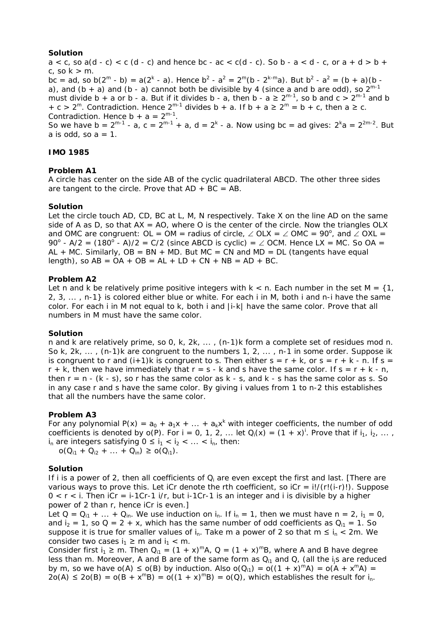## **Solution**

 $a < c$ , so  $a(d - c) < c$  (d - c) and hence bc -  $ac < c(d - c)$ . So b -  $a < d$  - c, or  $a + d > b + c$ c, so  $k > m$ . bc = ad, so b(2<sup>m</sup> - b) = a(2<sup>k</sup> - a). Hence b<sup>2</sup> - a<sup>2</sup> = 2<sup>m</sup>(b - 2<sup>k-m</sup>a). But b<sup>2</sup> - a<sup>2</sup> = (b + a)(b a), and  $(b + a)$  and  $(b - a)$  cannot both be divisible by 4 (since a and b are odd), so  $2^{m-1}$ must divide b + a or b - a. But if it divides b - a, then b - a  $\geq 2^{m-1}$ , so b and c  $> 2^{m-1}$  and b + c > 2<sup>m</sup>. Contradiction. Hence 2<sup>m-1</sup> divides b + a. If b + a  $\geq 2^m$  = b + c, then a  $\geq$  c. Contradiction. Hence  $b + a = 2^{m-1}$ . So we have  $b = 2^{m-1} - a$ ,  $c = 2^{m-1} + a$ ,  $d = 2^k - a$ . Now using  $bc = ad$  gives:  $2^k a = 2^{2m-2}$ . But

a is odd, so  $a = 1$ .

# **IMO 1985**

# **Problem A1**

A circle has center on the side AB of the cyclic quadrilateral ABCD. The other three sides are tangent to the circle. Prove that  $AD + BC = AB$ .

## **Solution**

Let the circle touch AD, CD, BC at L, M, N respectively. Take X on the line AD on the same side of A as D, so that  $AX = AO$ , where O is the center of the circle. Now the triangles OLX and OMC are congruent: OL = OM = radius of circle,  $\angle$  OLX =  $\angle$  OMC = 90°, and  $\angle$  OXL = 90<sup>o</sup> - A/2 =  $(180^\circ - A)/2 = C/2$  (since ABCD is cyclic) =  $\angle$  OCM. Hence LX = MC. So OA =  $AL + MC$ . Similarly,  $OB = BN + MD$ . But  $MC = CN$  and  $MD = DL$  (tangents have equal length), so  $AB = OA + OB = AL + LD + CN + NB = AD + BC$ .

## **Problem A2**

Let n and k be relatively prime positive integers with  $k < n$ . Each number in the set  $M = \{1,$ 2, 3, ... , n-1} is colored either blue or white. For each i in M, both i and n-i have the same color. For each i in M not equal to k, both i and  $|i-k|$  have the same color. Prove that all numbers in M must have the same color.

#### **Solution**

n and k are relatively prime, so 0, k, 2k, ... , (n-1)k form a complete set of residues mod n. So k,  $2k$ , ...,  $(n-1)k$  are congruent to the numbers 1,  $2$ , ..., n-1 in some order. Suppose ik is congruent to r and  $(i+1)k$  is congruent to s. Then either  $s = r + k$ , or  $s = r + k - n$ . If  $s =$  $r + k$ , then we have immediately that  $r = s - k$  and s have the same color. If  $s = r + k - n$ , then  $r = n - (k - s)$ , so r has the same color as  $k - s$ , and  $k - s$  has the same color as s. So in any case r and s have the same color. By giving i values from 1 to n-2 this establishes that all the numbers have the same color.

# **Problem A3**

For any polynomial  $P(x) = a_0 + a_1x + ... + a_kx^k$  with integer coefficients, the number of odd coefficients is denoted by  $o(P)$ . For i = 0, 1, 2, ... let  $Q_i(x) = (1 + x)^i$ . Prove that if  $i_1, i_2, ...,$  $i_n$  are integers satisfying  $0 \le i_1 < i_2 < \ldots < i_n$ , then:

 $o(Q_{i1} + Q_{i2} + ... + Q_{in}) \geq o(Q_{i1}).$ 

#### **Solution**

If i is a power of 2, then all coefficients of  $Q_i$  are even except the first and last. [There are various ways to prove this. Let iCr denote the rth coefficient, so  $iCr = i!/(r!(i-r)!)$ . Suppose  $0 < r < i$ . Then iCr = i-1Cr-1 i/r, but i-1Cr-1 is an integer and i is divisible by a higher power of 2 than r, hence iCr is even.]

Let  $Q = Q_{i1} + ... + Q_{in}$ . We use induction on  $i_n$ . If  $i_n = 1$ , then we must have  $n = 2$ ,  $i_1 = 0$ , and  $i_2 = 1$ , so Q = 2 + x, which has the same number of odd coefficients as  $Q_{i1} = 1$ . So suppose it is true for smaller values of i<sub>n</sub>. Take m a power of 2 so that m  $\leq i_n < 2m$ . We consider two cases  $i_1 \ge m$  and  $i_1 < m$ .

Consider first  $i_1 \ge m$ . Then  $Q_{i1} = (1 + x)^m A$ ,  $Q = (1 + x)^m B$ , where A and B have degree less than m. Moreover, A and B are of the same form as  $Q_{i1}$  and Q, (all the is are reduced by m, so we have  $o(A) \le o(B)$  by induction. Also  $o(Q_{i1}) = o((1 + x)^{m}A) = o(A + x^{m}A) =$  $2o(A) \leq 2o(B) = o(B + x^mB) = o((1 + x)^mB) = o(Q)$ , which establishes the result for i<sub>n</sub>.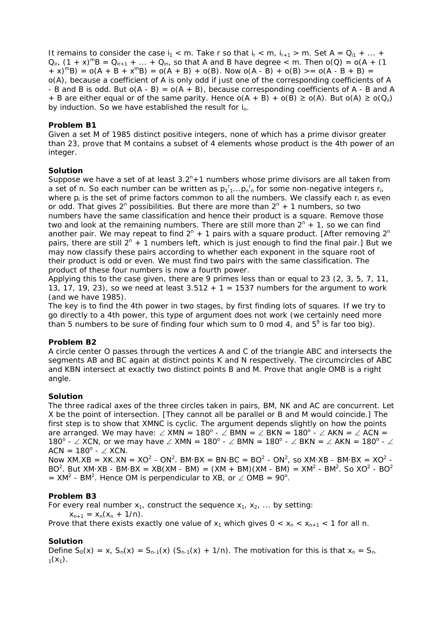It remains to consider the case  $i_1 < m$ . Take r so that  $i_r < m$ ,  $i_{r+1} > m$ . Set A =  $Q_{i_1} + ... +$  $Q_{ir}$ ,  $(1 + x)^{m}B = Q_{ir+1} + ... + Q_{in}$  so that A and B have degree  $\lt m$ . Then  $o(Q) = o(A + (1$  $+ x$ )<sup>m</sup>B) = o(A + B + x<sup>m</sup>B) = o(A + B) + o(B). Now o(A - B) + o(B) >= o(A - B + B) = o(A), because a coefficient of A is only odd if just one of the corresponding coefficients of A - B and B is odd. But  $o(A - B) = o(A + B)$ , because corresponding coefficients of A - B and A + B are either equal or of the same parity. Hence  $o(A + B) + o(B) \ge o(A)$ . But  $o(A) \ge o(Q_{ii})$ by induction. So we have established the result for  $i_n$ .

# **Problem B1**

Given a set M of 1985 distinct positive integers, none of which has a prime divisor greater than 23, prove that M contains a subset of 4 elements whose product is the 4th power of an integer.

# **Solution**

Suppose we have a set of at least  $3.2<sup>n</sup> + 1$  numbers whose prime divisors are all taken from a set of n. So each number can be written as  $p_1^r$ <sub>1</sub>... $p_n^r$  for some non-negative integers  $r_i$ , where  $p_i$  is the set of prime factors common to all the numbers. We classify each  $r_i$  as even or odd. That gives  $2^n$  possibilities. But there are more than  $2^n + 1$  numbers, so two numbers have the same classification and hence their product is a square. Remove those two and look at the remaining numbers. There are still more than  $2^n + 1$ , so we can find another pair. We may repeat to find  $2^{n}$  + 1 pairs with a square product. [After removing  $2^{n}$ pairs, there are still  $2^n + 1$  numbers left, which is just enough to find the final pair.] But we may now classify these pairs according to whether each exponent in the square root of their product is odd or even. We must find two pairs with the same classification. The product of these four numbers is now a fourth power.

Applying this to the case given, there are 9 primes less than or equal to 23 (2, 3, 5, 7, 11, 13, 17, 19, 23), so we need at least  $3.512 + 1 = 1537$  numbers for the argument to work (and we have 1985).

The key is to find the 4th power in two stages, by first finding lots of squares. If we try to go directly to a 4th power, this type of argument does not work (we certainly need more than 5 numbers to be sure of finding four which sum to 0 mod 4, and  $5^{\circ}$  is far too big).

# **Problem B2**

A circle center O passes through the vertices A and C of the triangle ABC and intersects the segments AB and BC again at distinct points K and N respectively. The circumcircles of ABC and KBN intersect at exactly two distinct points B and M. Prove that angle OMB is a right angle.

# **Solution**

The three radical axes of the three circles taken in pairs, BM, NK and AC are concurrent. Let X be the point of intersection. [They cannot all be parallel or B and M would coincide.] The first step is to show that XMNC is cyclic. The argument depends slightly on how the points are arranged. We may have:  $\angle$  XMN = 180<sup>o</sup> -  $\angle$  BMN =  $\angle$  BKN = 180<sup>o</sup> -  $\angle$  AKN =  $\angle$  ACN = 180<sup>o</sup> - ∠ XCN, or we may have ∠ XMN = 180<sup>o</sup> - ∠ BMN = 180<sup>o</sup> - ∠ BKN = ∠ AKN = 180<sup>o</sup> - ∠  $ACN = 180^{\circ} - \angle XCN$ .

Now XM.XB = XK.XN =  $XO^2$  -  $ON^2$ . BM·BX = BN·BC =  $BO^2$  -  $ON^2$ , so XM·XB - BM·BX =  $XO^2$  -BO<sup>2</sup>. But XM·XB - BM·BX = XB(XM - BM) = (XM + BM)(XM - BM) = XM<sup>2</sup> - BM<sup>2</sup>. So XO<sup>2</sup> - BO<sup>2</sup>  $=$  XM<sup>2</sup> - BM<sup>2</sup>. Hence OM is perpendicular to XB, or  $\angle$  OMB = 90<sup>o</sup>.

# **Problem B3**

For every real number  $x_1$ , construct the sequence  $x_1$ ,  $x_2$ , ... by setting:  $x_{n+1} = x_n(x_n + 1/n)$ . Prove that there exists exactly one value of  $x_1$  which gives  $0 < x_0 < x_{n+1} < 1$  for all n.

# **Solution**

Define  $S_0(x) = x$ ,  $S_n(x) = S_{n-1}(x) (S_{n-1}(x) + 1/n)$ . The motivation for this is that  $x_n = S_{n-1}(x)$  $1(X_1)$ .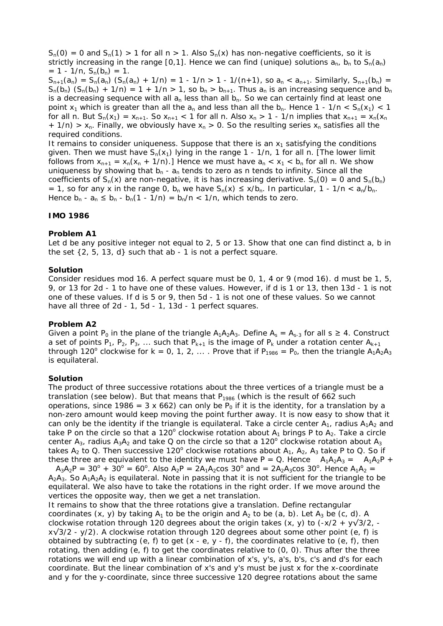$S_n(0) = 0$  and  $S_n(1) > 1$  for all  $n > 1$ . Also  $S_n(x)$  has non-negative coefficients, so it is strictly increasing in the range [0,1]. Hence we can find (unique) solutions  $a_n$ ,  $b_n$  to  $S_n(a_n)$  $= 1 - 1/n$ ,  $S_n(b_n) = 1$ .

 $S_{n+1}(a_n) = S_n(a_n) (S_n(a_n) + 1/n) = 1 - 1/n > 1 - 1/(n+1)$ , so  $a_n < a_{n+1}$ . Similarly,  $S_{n+1}(b_n) =$  $S_n(b_n)$   $(S_n(b_n) + 1/n) = 1 + 1/n > 1$ , so  $b_n > b_{n+1}$ . Thus  $a_n$  is an increasing sequence and  $b_n$ is a decreasing sequence with all  $a_n$  less than all  $b_n$ . So we can certainly find at least one point  $x_1$  which is greater than all the  $a_n$  and less than all the  $b_n$ . Hence 1 - 1/n <  $S_n(x_1)$  < 1 for all n. But  $S_n(x_1) = x_{n+1}$ . So  $x_{n+1}$  < 1 for all n. Also  $x_n > 1$  - 1/n implies that  $x_{n+1} = x_n(x_n)$ +  $1/n$ ) > x<sub>n</sub>. Finally, we obviously have x<sub>n</sub> > 0. So the resulting series x<sub>n</sub> satisfies all the required conditions.

It remains to consider uniqueness. Suppose that there is an  $x<sub>1</sub>$  satisfying the conditions given. Then we must have  $S_n(x_1)$  lying in the range 1 - 1/n, 1 for all n. [The lower limit follows from  $x_{n+1} = x_n(x_n + 1/n)$ .] Hence we must have  $a_n < x_1 < b_n$  for all n. We show uniqueness by showing that  $b_n - a_n$  tends to zero as n tends to infinity. Since all the coefficients of  $S_n(x)$  are non-negative, it is has increasing derivative.  $S_n(0) = 0$  and  $S_n(b_n)$ = 1, so for any x in the range 0, b<sub>n</sub> we have  $S_n(x) \le x/b_n$ . In particular, 1 - 1/n < a<sub>n</sub>/b<sub>n</sub>. Hence  $b_n - a_n \leq b_n - b_n(1 - 1/n) = b_n/n < 1/n$ , which tends to zero.

# **IMO 1986**

#### **Problem A1**

Let d be any positive integer not equal to 2, 5 or 13. Show that one can find distinct a, b in the set  $\{2, 5, 13, d\}$  such that ab - 1 is not a perfect square.

#### **Solution**

Consider residues mod 16. A perfect square must be 0, 1, 4 or 9 (mod 16). d must be 1, 5, 9, or 13 for 2d - 1 to have one of these values. However, if d is 1 or 13, then 13d - 1 is not one of these values. If d is 5 or 9, then 5d - 1 is not one of these values. So we cannot have all three of 2d - 1, 5d - 1, 13d - 1 perfect squares.

#### **Problem A2**

Given a point P<sub>0</sub> in the plane of the triangle  $A_1A_2A_3$ . Define  $A_s = A_{s-3}$  for all  $s \ge 4$ . Construct a set of points P<sub>1</sub>, P<sub>2</sub>, P<sub>3</sub>, ... such that P<sub>k+1</sub> is the image of P<sub>k</sub> under a rotation center A<sub>k+1</sub> through 120<sup>°</sup> clockwise for  $k = 0, 1, 2, ...$  Prove that if  $P_{1986} = P_0$ , then the triangle  $A_1A_2A_3$ is equilateral.

#### **Solution**

The product of three successive rotations about the three vertices of a triangle must be a translation (see below). But that means that  $P_{1986}$  (which is the result of 662 such operations, since 1986 = 3 x 662) can only be  $P_0$  if it is the identity, for a translation by a non-zero amount would keep moving the point further away. It is now easy to show that it can only be the identity if the triangle is equilateral. Take a circle center  $A_1$ , radius  $A_1A_2$  and take P on the circle so that a 120 $^{\circ}$  clockwise rotation about  $A_1$  brings P to  $A_2$ . Take a circle center A<sub>3</sub>, radius A<sub>3</sub>A<sub>2</sub> and take Q on the circle so that a 120<sup>°</sup> clockwise rotation about A<sub>3</sub> takes  $A_2$  to Q. Then successive 120° clockwise rotations about  $A_1$ ,  $A_2$ ,  $A_3$  take P to Q. So if these three are equivalent to the identity we must have P = Q. Hence  $A_1A_2A_3 = A_1A_2P +$ 

 $A_3A_2P = 30^{\circ} + 30^{\circ} = 60^{\circ}$ . Also  $A_2P = 2A_1A_2\cos 30^{\circ}$  and  $= 2A_2A_3\cos 30^{\circ}$ . Hence  $A_1A_2 =$  $A_2A_3$ . So  $A_1A_2A_2$  is equilateral. Note in passing that it is not sufficient for the triangle to be equilateral. We also have to take the rotations in the right order. If we move around the vertices the opposite way, then we get a net translation.

It remains to show that the three rotations give a translation. Define rectangular coordinates  $(x, y)$  by taking  $A_1$  to be the origin and  $A_2$  to be  $(a, b)$ . Let  $A_3$  be  $(c, d)$ . A clockwise rotation through 120 degrees about the origin takes  $(x, y)$  to  $(-x/2 + y\sqrt{3}/2)$ ,  $x\sqrt{3}/2$  - y/2). A clockwise rotation through 120 degrees about some other point (e, f) is obtained by subtracting (e, f) to get  $(x - e, y - f)$ , the coordinates relative to  $(e, f)$ , then rotating, then adding  $(e, f)$  to get the coordinates relative to  $(0, 0)$ . Thus after the three rotations we will end up with a linear combination of x's, y's, a's, b's, c's and d's for each coordinate. But the linear combination of x's and y's must be just x for the x-coordinate and y for the y-coordinate, since three successive 120 degree rotations about the same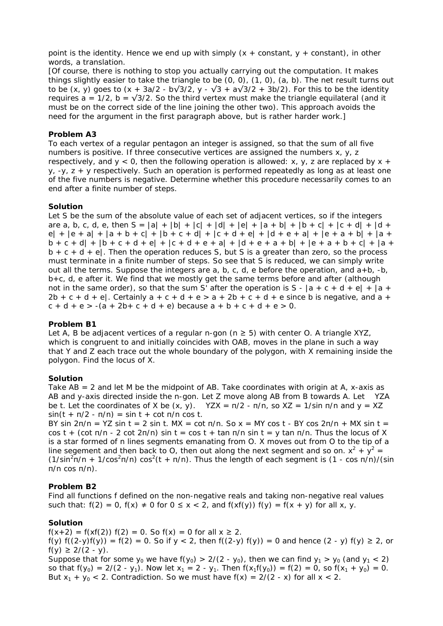point is the identity. Hence we end up with simply  $(x + constant, y + constant)$ , in other words, a translation.

[Of course, there is nothing to stop you actually carrying out the computation. It makes things slightly easier to take the triangle to be (0, 0), (1, 0), (a, b). The net result turns out to be (x, y) goes to  $(x + 3a/2 - b\sqrt{3}/2, y - \sqrt{3} + a\sqrt{3}/2 + 3b/2)$ . For this to be the identity requires a = 1/2, b =  $\sqrt{3}/2$ . So the third vertex must make the triangle equilateral (and it must be on the correct side of the line joining the other two). This approach avoids the need for the argument in the first paragraph above, but is rather harder work.]

#### **Problem A3**

To each vertex of a regular pentagon an integer is assigned, so that the sum of all five numbers is positive. If three consecutive vertices are assigned the numbers x, y, z respectively, and  $y < 0$ , then the following operation is allowed: x, y, z are replaced by x +  $y$ ,  $-y$ ,  $z + y$  respectively. Such an operation is performed repeatedly as long as at least one of the five numbers is negative. Determine whether this procedure necessarily comes to an end after a finite number of steps.

#### **Solution**

Let S be the sum of the absolute value of each set of adjacent vertices, so if the integers are a, b, c, d, e, then  $S = |a| + |b| + |c| + |d| + |e| + |a + b| + |b + c| + |c + d| + |d + c|$  $e$ | +  $|e + a|$  +  $|a + b + c|$  +  $|b + c + d|$  +  $|c + d + e|$  +  $|d + e + a|$  +  $|e + a + b|$  +  $|a + b|$  $b + c + d$  +  $|b + c + d + e|$  +  $|c + d + e + a|$  +  $|d + e + a + b|$  +  $|e + a + b + c|$  +  $|a + b|$  $b + c + d + e$ . Then the operation reduces S, but S is a greater than zero, so the process must terminate in a finite number of steps. So see that S is reduced, we can simply write out all the terms. Suppose the integers are  $a, b, c, d$ , e before the operation, and  $a + b$ ,  $-b$ , b+c, d, e after it. We find that we mostly get the same terms before and after (although not in the same order), so that the sum S' after the operation is S -  $|a + c + d + e| + |a +$  $2b + c + d + e$ . Certainly  $a + c + d + e > a + 2b + c + d + e$  since b is negative, and  $a +$  $c + d + e > -(a + 2b + c + d + e)$  because  $a + b + c + d + e > 0$ .

#### **Problem B1**

Let A, B be adjacent vertices of a regular n-gon ( $n \geq 5$ ) with center O. A triangle XYZ, which is congruent to and initially coincides with OAB, moves in the plane in such a way that Y and Z each trace out the whole boundary of the polygon, with X remaining inside the polygon. Find the locus of X.

#### **Solution**

Take AB = 2 and let M be the midpoint of AB. Take coordinates with origin at A, x-axis as AB and y-axis directed inside the n-gon. Let Z move along AB from B towards A. Let YZA be t. Let the coordinates of X be  $(x, y)$ . YZX =  $\pi/2$  -  $\pi/n$ , so XZ = 1/sin  $\pi/n$  and  $y = XZ$  $sin(t + \pi/2 - \pi/n) = sin t + cot \pi/n cos t$ .

BY sin  $2\pi/n = YZ \sin t = 2 \sin t$ . MX = cot  $\pi/n$ . So x = MY cos t - BY cos  $2\pi/n + MX \sin t =$ cos t + (cot  $\pi/n$  - 2 cot  $2\pi/n$ ) sin t = cos t + tan  $\pi/n$  sin t = y tan  $\pi/n$ . Thus the locus of X is a star formed of n lines segments emanating from O. X moves out from O to the tip of a line segement and then back to O, then out along the next segment and so on.  $x^2 + y^2 =$  $(1/\sin^2\pi/n + 1/\cos^2\pi/n) \cos^2(t + \pi/n)$ . Thus the length of each segment is  $(1 - \cos \pi/n)/(\sin \pi)$ π/n cos π/n).

# **Problem B2**

Find all functions f defined on the non-negative reals and taking non-negative real values such that:  $f(2) = 0$ ,  $f(x) \ne 0$  for  $0 \le x < 2$ , and  $f(xf(y)) f(y) = f(x + y)$  for all x, y.

# **Solution**

 $f(x+2) = f(xf(2)) f(2) = 0$ . So  $f(x) = 0$  for all  $x \ge 2$ . f(y)  $f((2-y)f(y)) = f(2) = 0$ . So if  $y < 2$ , then  $f((2-y) f(y)) = 0$  and hence  $(2 - y) f(y) \ge 2$ , or f(y)  $\geq$  2/(2 - y). Suppose that for some  $y_0$  we have  $f(y_0) > 2/(2 - y_0)$ , then we can find  $y_1 > y_0$  (and  $y_1 < 2$ ) so that  $f(y_0) = 2/(2 - y_1)$ . Now let  $x_1 = 2 - y_1$ . Then  $f(x_1f(y_0)) = f(2) = 0$ , so  $f(x_1 + y_0) = 0$ .

But  $x_1 + y_0 < 2$ . Contradiction. So we must have  $f(x) = 2/(2 - x)$  for all  $x < 2$ .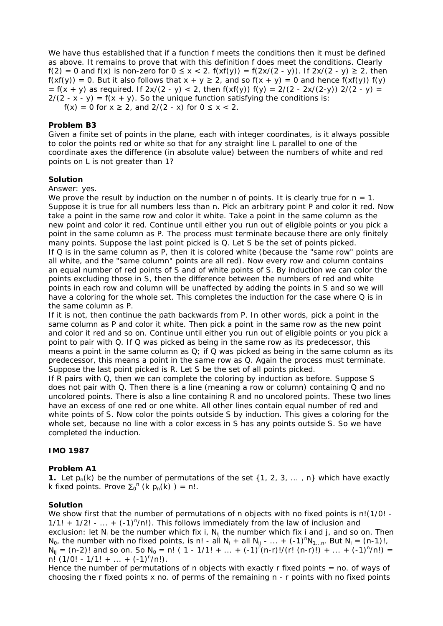We have thus established that if a function f meets the conditions then it must be defined as above. It remains to prove that with this definition f does meet the conditions. Clearly f(2) = 0 and f(x) is non-zero for 0 ≤ x < 2. f(xf(y)) = f(2x/(2 - y)). If 2x/(2 - y) ≥ 2, then  $f(xf(y)) = 0$ . But it also follows that  $x + y \ge 2$ , and so  $f(x + y) = 0$  and hence  $f(xf(y)) f(y)$  $= f(x + y)$  as required. If  $2x/(2 - y) < 2$ , then  $f(xf(y)) f(y) = 2/(2 - 2x/(2-y))$  2/(2 - y) =  $2/(2 - x - y) = f(x + y)$ . So the unique function satisfying the conditions is:  $f(x) = 0$  for  $x \ge 2$ , and  $2/(2 - x)$  for  $0 \le x < 2$ .

## **Problem B3**

Given a finite set of points in the plane, each with integer coordinates, is it always possible to color the points red or white so that for any straight line L parallel to one of the coordinate axes the difference (in absolute value) between the numbers of white and red points on L is not greater than 1?

## **Solution**

#### Answer: yes.

We prove the result by induction on the number n of points. It is clearly true for  $n = 1$ . Suppose it is true for all numbers less than n. Pick an arbitrary point P and color it red. Now take a point in the same row and color it white. Take a point in the same column as the new point and color it red. Continue until either you run out of eligible points or you pick a point in the same column as P. The process must terminate because there are only finitely many points. Suppose the last point picked is Q. Let S be the set of points picked. If Q is in the same column as P, then it is colored white (because the "same row" points are all white, and the "same column" points are all red). Now every row and column contains an equal number of red points of S and of white points of S. By induction we can color the points excluding those in S, then the difference between the numbers of red and white points in each row and column will be unaffected by adding the points in S and so we will have a coloring for the whole set. This completes the induction for the case where  $Q$  is in the same column as P.

If it is not, then continue the path backwards from P. In other words, pick a point in the same column as P and color it white. Then pick a point in the same row as the new point and color it red and so on. Continue until either you run out of eligible points or you pick a point to pair with Q. If Q was picked as being in the same row as its predecessor, this means a point in the same column as  $Q_i$  if Q was picked as being in the same column as its predecessor, this means a point in the same row as Q. Again the process must terminate. Suppose the last point picked is R. Let S be the set of all points picked.

If R pairs with Q, then we can complete the coloring by induction as before. Suppose S does not pair with Q. Then there is a line (meaning a row or column) containing Q and no uncolored points. There is also a line containing R and no uncolored points. These two lines have an excess of one red or one white. All other lines contain equal number of red and white points of S. Now color the points outside S by induction. This gives a coloring for the whole set, because no line with a color excess in S has any points outside S. So we have completed the induction.

# **IMO 1987**

# **Problem A1**

**1.** Let  $p_n(k)$  be the number of permutations of the set  $\{1, 2, 3, \ldots, n\}$  which have exactly k fixed points. Prove  $\Sigma_0^{n}$  (k  $p_n(k)$ ) = n!.

### **Solution**

We show first that the number of permutations of n objects with no fixed points is n!(1/0! - $1/1! + 1/2! - ... + (-1)^n/n!$ ). This follows immediately from the law of inclusion and exclusion: let  $N_i$  be the number which fix i,  $N_{ii}$  the number which fix i and j, and so on. Then N<sub>0</sub>, the number with no fixed points, is n! - all N<sub>i</sub> + all N<sub>ij</sub> - ... + (-1)<sup>n</sup>N<sub>1...n</sub>. But N<sub>i</sub> = (n-1)!,  $N_{ij} = (n-2)!$  and so on. So  $N_0 = n!$  ( 1 - 1/1! + ... + (-1)<sup>r</sup>(n-r)!/(r! (n-r)!) + ... + (-1)<sup>n</sup>/n!) =  $n!$  (1/0! - 1/1! + ... + (-1)<sup>n</sup>/n!).

Hence the number of permutations of n objects with exactly  $r$  fixed points  $=$  no. of ways of choosing the r fixed points x no. of perms of the remaining n - r points with no fixed points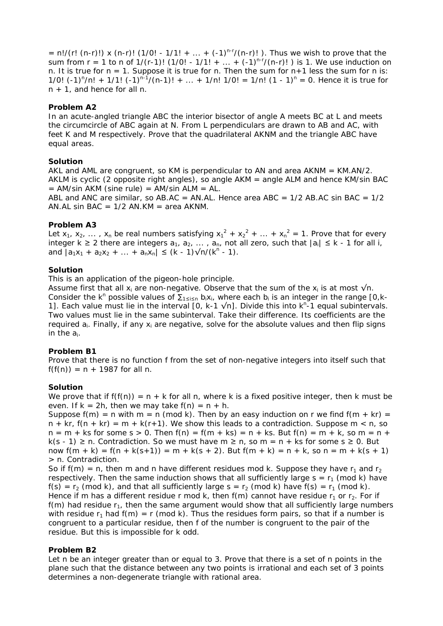$= n!/(r! (n-r)!) x (n-r)! (1/0! - 1/1! + ... + (-1)^{n-r}/(n-r)!)$ . Thus we wish to prove that the sum from  $r = 1$  to n of  $1/(r-1)!$  (1/0! -  $1/1! + ... + (-1)^{n-r}/(n-r)!$ ) is 1. We use induction on n. It is true for  $n = 1$ . Suppose it is true for n. Then the sum for  $n+1$  less the sum for n is: 1/0!  $(-1)^n/n! + 1/1!$   $(-1)^{n-1}/(n-1)! + ... + 1/n!$  1/0! = 1/n!  $(1 - 1)^n = 0$ . Hence it is true for n + 1, and hence for all n.

## **Problem A2**

In an acute-angled triangle ABC the interior bisector of angle A meets BC at L and meets the circumcircle of ABC again at N. From L perpendiculars are drawn to AB and AC, with feet K and M respectively. Prove that the quadrilateral AKNM and the triangle ABC have equal areas.

## **Solution**

AKL and AML are congruent, so KM is perpendicular to AN and area  $AKNM = KM.AN/2$ . AKLM is cyclic (2 opposite right angles), so angle AKM = angle ALM and hence KM/sin BAC  $=$  AM/sin AKM (sine rule)  $=$  AM/sin ALM  $=$  AL.

ABL and ANC are similar, so AB.AC = AN.AL. Hence area ABC =  $1/2$  AB.AC sin BAC =  $1/2$ AN.AL sin BAC =  $1/2$  AN.KM = area AKNM.

# **Problem A3**

Let  $x_1$ ,  $x_2$ , ...,  $x_n$  be real numbers satisfying  $x_1^2 + x_2^2 + ... + x_n^2 = 1$ . Prove that for every integer k ≥ 2 there are integers  $a_1, a_2, \ldots, a_n$ , not all zero, such that  $|a_i| \leq k - 1$  for all i, and  $|a_1x_1 + a_2x_2 + ... + a_nx_n| \leq (k - 1)\sqrt{n/(k^n - 1)}$ .

#### **Solution**

This is an application of the pigeon-hole principle.

Assume first that all  $x_i$  are non-negative. Observe that the sum of the  $x_i$  is at most  $\sqrt{n}$ . Consider the k<sup>n</sup> possible values of  $\Sigma_{1\leq i\leq n}$  b<sub>i</sub>x<sub>i</sub>, where each b<sub>i</sub> is an integer in the range [0,k-1]. Each value must lie in the interval [0, k-1  $\sqrt{n}$ ]. Divide this into k<sup>n-</sup>1 equal subintervals. Two values must lie in the same subinterval. Take their difference. Its coefficients are the required  $a_i$ . Finally, if any  $x_i$  are negative, solve for the absolute values and then flip signs in the  $a_i$ .

# **Problem B1**

Prove that there is no function f from the set of non-negative integers into itself such that  $f(f(n)) = n + 1987$  for all n.

#### **Solution**

We prove that if  $f(f(n)) = n + k$  for all n, where k is a fixed positive integer, then k must be even. If  $k = 2h$ , then we may take  $f(n) = n + h$ .

Suppose  $f(m) = n$  with  $m = n$  (mod k). Then by an easy induction on r we find  $f(m + kr) =$  $n + kr$ ,  $f(n + kr) = m + k(r+1)$ . We show this leads to a contradiction. Suppose  $m < n$ , so  $n = m + ks$  for some s > 0. Then  $f(n) = f(m + ks) = n + ks$ . But  $f(n) = m + k$ , so  $m = n +$ k(s - 1) ≥ n. Contradiction. So we must have m ≥ n, so m = n + ks for some s ≥ 0. But now  $f(m + k) = f(n + k(s+1)) = m + k(s + 2)$ . But  $f(m + k) = n + k$ , so  $n = m + k(s + 1)$ > n. Contradiction.

So if  $f(m) = n$ , then m and n have different residues mod k. Suppose they have  $r_1$  and  $r_2$ respectively. Then the same induction shows that all sufficiently large  $s = r_1$  (mod k) have  $f(s) = r_2 \pmod{k}$ , and that all sufficiently large  $s = r_2 \pmod{k}$  have  $f(s) = r_1 \pmod{k}$ . Hence if m has a different residue r mod k, then  $f(m)$  cannot have residue  $r_1$  or  $r_2$ . For if  $f(m)$  had residue  $r_1$ , then the same argument would show that all sufficiently large numbers with residue  $r_1$  had  $f(m) = r \pmod{k}$ . Thus the residues form pairs, so that if a number is congruent to a particular residue, then f of the number is congruent to the pair of the residue. But this is impossible for k odd.

#### **Problem B2**

Let n be an integer greater than or equal to 3. Prove that there is a set of n points in the plane such that the distance between any two points is irrational and each set of 3 points determines a non-degenerate triangle with rational area.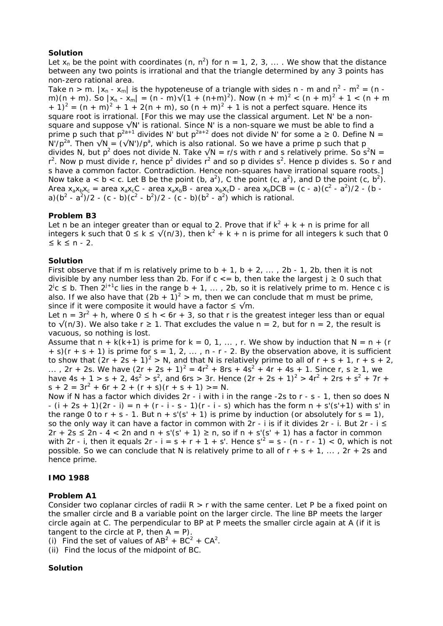# **Solution**

Let  $x_n$  be the point with coordinates (n, n<sup>2</sup>) for n = 1, 2, 3, ... . We show that the distance between any two points is irrational and that the triangle determined by any 3 points has non-zero rational area.

Take n > m.  $|x_n - x_m|$  is the hypoteneuse of a triangle with sides n - m and n<sup>2</sup> - m<sup>2</sup> = (n m)(n + m). So  $|x_n - x_m| = (n - m)\sqrt{(1 + (n + m)^2)}$ . Now  $(n + m)^2 < (n + m)^2 + 1 < (n + m)$ + 1)<sup>2</sup> =  $(n + m)^2 + 1 + 2(n + m)$ , so  $(n + m)^2 + 1$  is not a perfect square. Hence its square root is irrational. [For this we may use the classical argument. Let N' be a nonsquare and suppose √N' is rational. Since N' is a non-square we must be able to find a prime p such that  $p^{2a+1}$  divides N' but  $p^{2a+2}$  does not divide N' for some a  $\geq 0$ . Define N = N'/p<sup>2a</sup>. Then  $\sqrt{N} = (\sqrt{N})/p^a$ , which is also rational. So we have a prime p such that p divides N, but p<sup>2</sup> does not divide N. Take  $\sqrt{N} = r/s$  with r and s relatively prime. So s<sup>2</sup>N = r<sup>2</sup>. Now p must divide r, hence p<sup>2</sup> divides r<sup>2</sup> and so p divides s<sup>2</sup>. Hence p divides s. So r and s have a common factor. Contradiction. Hence non-squares have irrational square roots.] Now take  $a < b < c$ . Let B be the point (b,  $a^2$ ), C the point (c,  $a^2$ ), and D the point (c,  $b^2$ ). Area  $x_a x_b x_c =$  area  $x_a x_c C$  - area  $x_a x_b B$  - area  $x_b x_c D$  - area  $x_b DCB = (c - a)(c^2 - a^2)/2$  - (b a)( $b^2 - a^2$ )/2 - (c - b)( $c^2 - b^2$ )/2 - (c - b)( $b^2 - a^2$ ) which is rational.

# **Problem B3**

Let n be an integer greater than or equal to 2. Prove that if  $k^2 + k + n$  is prime for all integers k such that  $0 \le k \le \sqrt{(n/3)}$ , then  $k^2 + k + n$  is prime for all integers k such that 0 ≤ k ≤ n - 2.

# **Solution**

First observe that if m is relatively prime to  $b + 1$ ,  $b + 2$ , ..., 2b - 1, 2b, then it is not divisible by any number less than 2b. For if  $c \le b$ , then take the largest  $j \ge 0$  such that  $2^{j}$ c  $\leq$  b. Then  $2^{j+1}$ c lies in the range b + 1, ..., 2b, so it is relatively prime to m. Hence c is also. If we also have that  $(2b + 1)^2 > m$ , then we can conclude that m must be prime, since if it were composite it would have a factor  $\leq \sqrt{m}$ .

Let  $n = 3r^2 + h$ , where  $0 \leq h < 6r + 3$ , so that r is the greatest integer less than or equal to  $\sqrt{(n/3)}$ . We also take r  $\geq 1$ . That excludes the value n = 2, but for n = 2, the result is vacuous, so nothing is lost.

Assume that  $n + k(k+1)$  is prime for  $k = 0, 1, \ldots, r$ . We show by induction that  $N = n + (r + 1)$  $+$  s)(r + s + 1) is prime for s = 1, 2, ..., n - r - 2. By the observation above, it is sufficient to show that  $(2r + 2s + 1)^2 > N$ , and that N is relatively prime to all of  $r + s + 1$ ,  $r + s + 2$ , ..., 2r + 2s. We have  $(2r + 2s + 1)^2 = 4r^2 + 8rs + 4s^2 + 4r + 4s + 1$ . Since r, s  $\geq 1$ , we have 4s + 1 > s + 2, 4s<sup>2</sup> > s<sup>2</sup>, and 6rs > 3r. Hence  $(2r + 2s + 1)^2$  >  $4r^2 + 2rs + s^2 + 7r +$  $s + 2 = 3r^2 + 6r + 2 + (r + s)(r + s + 1) > = N$ .

Now if N has a factor which divides 2r - i with i in the range -2s to r - s - 1, then so does N  $- (i + 2s + 1)(2r - i) = n + (r - i - s - 1)(r - i - s)$  which has the form  $n + s'(s' + 1)$  with s' in the range 0 to  $r + s - 1$ . But  $n + s'(s' + 1)$  is prime by induction (or absolutely for  $s = 1$ ), so the only way it can have a factor in common with  $2r - i$  is if it divides  $2r - i$ . But  $2r - i \leq$  $2r + 2s \le 2n - 4 < 2n$  and  $n + s'(s' + 1) \ge n$ , so if  $n + s'(s' + 1)$  has a factor in common with 2r - i, then it equals 2r - i = s + r + 1 + s'. Hence  $s^2 = s$  - (n - r - 1) < 0, which is not possible. So we can conclude that N is relatively prime to all of  $r + s + 1$ , ...,  $2r + 2s$  and hence prime.

# **IMO 1988**

# **Problem A1**

Consider two coplanar circles of radii  $R > r$  with the same center. Let P be a fixed point on the smaller circle and B a variable point on the larger circle. The line BP meets the larger circle again at C. The perpendicular to BP at P meets the smaller circle again at A (if it is tangent to the circle at P, then  $A = P$ ).

(i) Find the set of values of  $AB^2 + BC^2 + CA^2$ .

(ii) Find the locus of the midpoint of BC.

# **Solution**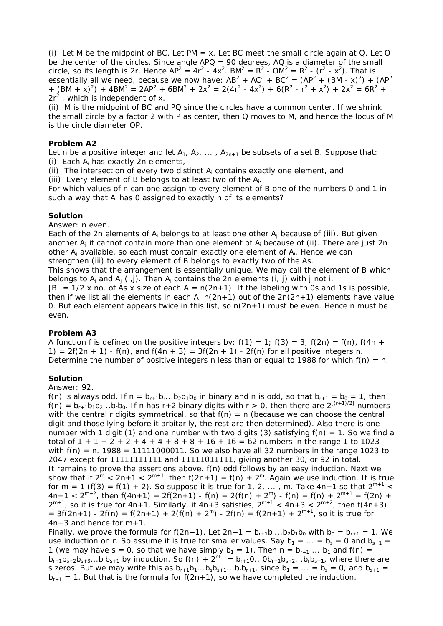(i) Let M be the midpoint of BC. Let PM = x. Let BC meet the small circle again at Q. Let O be the center of the circles. Since angle  $APQ = 90$  degrees. AQ is a diameter of the small circle, so its length is 2r. Hence  $AP^2 = 4r^2 - 4x^2$ . BM<sup>2</sup> =  $R^2 - OM^2 = R^2 - (r^2 - x^2)$ . That is essentially all we need, because we now have:  $AB^2 + AC^2 + BC^2 = (AP^2 + (BM - x)^2) + (AP^2 + P^2)$ +  $(BM + x)^2$  +  $4BM^2 = 2AP^2 + 6BM^2 + 2x^2 = 2(4r^2 - 4x^2) + 6(R^2 - r^2 + x^2) + 2x^2 = 6R^2 +$  $2r^2$ , which is independent of x.

(ii) M is the midpoint of BC and PQ since the circles have a common center. If we shrink the small circle by a factor 2 with P as center, then Q moves to M, and hence the locus of M is the circle diameter OP.

## **Problem A2**

Let n be a positive integer and let  $A_1$ ,  $A_2$ , ...,  $A_{2n+1}$  be subsets of a set B. Suppose that: (i) Each  $A_i$  has exactly 2n elements,

(ii) The intersection of every two distinct  $A_i$  contains exactly one element, and

(iii) Every element of B belongs to at least two of the Ai.

For which values of n can one assign to every element of B one of the numbers 0 and 1 in such a way that  $A_i$  has 0 assigned to exactly n of its elements?

## **Solution**

Answer: n even.

Each of the 2n elements of  $A_i$  belongs to at least one other  $A_i$  because of (iii). But given another  $A_i$  it cannot contain more than one element of  $A_i$  because of (ii). There are just 2n other  $A_i$  available, so each must contain exactly one element of  $A_i$ . Hence we can strengthen (iii) to every element of B belongs to exactly two of the As.

This shows that the arrangement is essentially unique. We may call the element of B which belongs to  $A_i$  and  $A_i$  (i,j). Then  $A_i$  contains the 2n elements (i, j) with j not i.

 $|B| = 1/2$  x no. of As x size of each A = n(2n+1). If the labeling with 0s and 1s is possible, then if we list all the elements in each A,  $n(2n+1)$  out of the  $2n(2n+1)$  elements have value 0. But each element appears twice in this list, so  $n(2n+1)$  must be even. Hence n must be even.

# **Problem A3**

A function f is defined on the positive integers by:  $f(1) = 1$ ;  $f(3) = 3$ ;  $f(2n) = f(n)$ ,  $f(4n +$ 1) =  $2f(2n + 1) - f(n)$ , and  $f(4n + 3) = 3f(2n + 1) - 2f(n)$  for all positive integers n. Determine the number of positive integers n less than or equal to 1988 for which  $f(n) = n$ .

# **Solution**

Answer: 92.

f(n) is always odd. If  $n = b_{r+1}b_r...b_2b_1b_0$  in binary and n is odd, so that  $b_{r+1} = b_0 = 1$ , then  $f(n) = b_{r+1}b_1b_2...b_rb_0$ . If n has r+2 binary digits with r > 0, then there are  $2^{[(r+1)/2]}$  numbers with the central r digits symmetrical, so that  $f(n) = n$  (because we can choose the central digit and those lying before it arbitarily, the rest are then determined). Also there is one number with 1 digit (1) and one number with two digits (3) satisfying  $f(n) = 1$ . So we find a total of  $1 + 1 + 2 + 2 + 4 + 4 + 8 + 8 + 16 + 16 = 62$  numbers in the range 1 to 1023 with  $f(n) = n$ . 1988 = 11111000011. So we also have all 32 numbers in the range 1023 to 2047 except for 11111111111 and 11111011111, giving another 30, or 92 in total. It remains to prove the assertions above. f(n) odd follows by an easy induction. Next we show that if  $2^m < 2n+1 < 2^{m+1}$ , then  $f(2n+1) = f(n) + 2^m$ . Again we use induction. It is true for m = 1 (f(3) = f(1) + 2). So suppose it is true for 1, 2, ..., m. Take 4n+1 so that  $2^{m+1}$  <  $4n+1 < 2^{m+2}$ , then  $f(4n+1) = 2f(2n+1) - f(n) = 2(f(n) + 2^m) - f(n) = f(n) + 2^{m+1} = f(2n) +$  $2^{m+1}$ , so it is true for 4n+1. Similarly, if 4n+3 satisfies,  $2^{m+1} < 4n+3 < 2^{m+2}$ , then f(4n+3)  $= 3f(2n+1) - 2f(n) = f(2n+1) + 2(f(n) + 2<sup>m</sup>) - 2f(n) = f(2n+1) + 2<sup>m+1</sup>$ , so it is true for 4n+3 and hence for m+1.

Finally, we prove the formula for f(2n+1). Let  $2n+1 = b_{r+1}b_r...b_2b_1b_0$  with  $b_0 = b_{r+1} = 1$ . We use induction on r. So assume it is true for smaller values. Say  $b_1 = ... = b_s = 0$  and  $b_{s+1} =$ 1 (we may have s = 0, so that we have simply  $b_1 = 1$ ). Then  $n = b_{r+1} \dots b_1$  and  $f(n) =$  $b_{r+1}b_{s+2}b_{s+3}...b_{r}b_{s+1}$  by induction. So f(n) +  $2^{r+1} = b_{r+1}0...0b_{r+1}b_{s+2}...b_{r}b_{s+1}$ , where there are s zeros. But we may write this as  $b_{r+1}b_1...b_sb_{s+1}...b_rb_{r+1}$ , since  $b_1 = ... = b_s = 0$ , and  $b_{s+1} =$  $b_{r+1} = 1$ . But that is the formula for  $f(2n+1)$ , so we have completed the induction.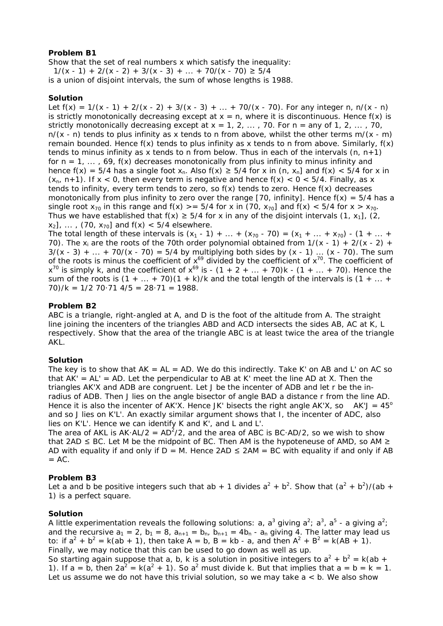# **Problem B1**

Show that the set of real numbers x which satisfy the inequality:  $1/(x - 1) + 2/(x - 2) + 3/(x - 3) + ... + 70/(x - 70) \ge 5/4$ 

is a union of disjoint intervals, the sum of whose lengths is 1988.

# **Solution**

Let  $f(x) = 1/(x - 1) + 2/(x - 2) + 3/(x - 3) + ... + 70/(x - 70)$ . For any integer n, n/(x - n) is strictly monotonically decreasing except at  $x = n$ , where it is discontinuous. Hence  $f(x)$  is strictly monotonically decreasing except at  $x = 1, 2, ..., 70$ . For  $n =$  any of 1, 2, ..., 70,  $n/(x - n)$  tends to plus infinity as x tends to n from above, whilst the other terms  $m/(x - m)$ remain bounded. Hence  $f(x)$  tends to plus infinity as x tends to n from above. Similarly,  $f(x)$ tends to minus infinity as x tends to n from below. Thus in each of the intervals  $(n, n+1)$ for  $n = 1, ..., 69$ ,  $f(x)$  decreases monotonically from plus infinity to minus infinity and hence  $f(x) = 5/4$  has a single foot  $x_n$ . Also  $f(x) \ge 5/4$  for x in  $(n, x_n]$  and  $f(x) < 5/4$  for x in  $(x_n, n+1)$ . If  $x < 0$ , then every term is negative and hence  $f(x) < 0 < 5/4$ . Finally, as x tends to infinity, every term tends to zero, so  $f(x)$  tends to zero. Hence  $f(x)$  decreases monotonically from plus infinity to zero over the range [70, infinity]. Hence  $f(x) = 5/4$  has a single root  $x_{70}$  in this range and  $f(x)$  > = 5/4 for x in (70,  $x_{70}$ ] and  $f(x)$  < 5/4 for  $x > x_{70}$ . Thus we have established that  $f(x) \ge 5/4$  for x in any of the disjoint intervals  $(1, x_1)$ ,  $(2, x_2)$  $x_2$ ], ..., (70,  $x_{70}$ ] and  $f(x)$  < 5/4 elsewhere.

The total length of these intervals is  $(x_1 - 1) + ... + (x_{70} - 70) = (x_1 + ... + x_{70}) - (1 + ... +$ 70). The  $x_i$  are the roots of the 70th order polynomial obtained from  $1/(x - 1) + 2/(x - 2)$  +  $3/(x - 3) + ... + 70/(x - 70) = 5/4$  by multiplying both sides by  $(x - 1) ... (x - 70)$ . The sum of the roots is minus the coefficient of  $x^{69}$  divided by the coefficient of  $x^{70}$ . The coefficient of  $x^{70}$  is simply k, and the coefficient of  $x^{69}$  is -  $(1 + 2 + ... + 70)k - (1 + ... + 70)$ . Hence the sum of the roots is  $(1 + ... + 70)(1 + k)$ /k and the total length of the intervals is  $(1 + ... +$  $70$ /k = 1/2 70 $\cdot$  71 4/5 = 28 $\cdot$  71 = 1988.

# **Problem B2**

ABC is a triangle, right-angled at A, and D is the foot of the altitude from A. The straight line joining the incenters of the triangles ABD and ACD intersects the sides AB, AC at K, L respectively. Show that the area of the triangle ABC is at least twice the area of the triangle AKL.

# **Solution**

The key is to show that  $AK = AL = AD$ . We do this indirectly. Take K' on AB and L' on AC so that  $AK' = AL' = AD$ . Let the perpendicular to AB at K' meet the line AD at X. Then the triangles AK'X and ADB are congruent. Let J be the incenter of ADB and let r be the inradius of ADB. Then J lies on the angle bisector of angle BAD a distance r from the line AD. Hence it is also the incenter of AK'X. Hence JK' bisects the right angle AK'X, so  $AK'J = 45^\circ$ and so J lies on K'L'. An exactly similar argument shows that I, the incenter of ADC, also lies on K'L'. Hence we can identify K and K', and L and L'.

The area of AKL is AK $\cdot$ AL/2 = AD $^{2}$ /2, and the area of ABC is BC $\cdot$ AD/2, so we wish to show that 2AD  $\leq$  BC. Let M be the midpoint of BC. Then AM is the hypoteneuse of AMD, so AM  $\geq$ AD with equality if and only if  $D = M$ . Hence 2AD  $\leq$  2AM = BC with equality if and only if AB  $= AC$ .

# **Problem B3**

Let a and b be positive integers such that ab + 1 divides  $a^2 + b^2$ . Show that  $(a^2 + b^2)/(ab + b^2)$ 1) is a perfect square.

# **Solution**

A little experimentation reveals the following solutions: a, a<sup>3</sup> giving a<sup>2</sup>; a<sup>3</sup>, a<sup>5</sup> - a giving a<sup>2</sup>; and the recursive  $a_1 = 2$ ,  $b_1 = 8$ ,  $a_{n+1} = b_n$ ,  $b_{n+1} = 4b_n - a_n$  giving 4. The latter may lead us to: if  $a^2 + b^2 = k(ab + 1)$ , then take A = b, B = kb - a, and then  $A^2 + B^2 = k(AB + 1)$ . Finally, we may notice that this can be used to go down as well as up. So starting again suppose that a, b, k is a solution in positive integers to  $a^2 + b^2 = k(ab + b^2 - b^2)$ 

1). If a = b, then  $2a^2 = k(a^2 + 1)$ . So a<sup>2</sup> must divide k. But that implies that a = b = k = 1. Let us assume we do not have this trivial solution, so we may take  $a < b$ . We also show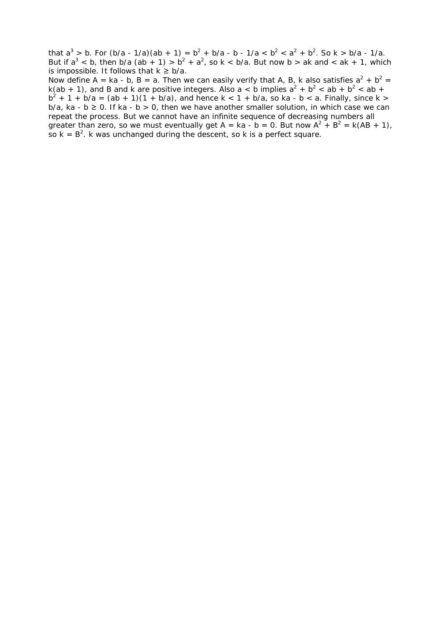that  $a^3 > b$ . For  $(b/a - 1/a)(ab + 1) = b^2 + b/a - b - 1/a < b^2 < a^2 + b^2$ . So k > b/a - 1/a. But if  $a^3$  < b, then b/a (ab + 1) >  $b^2 + a^2$ , so k < b/a. But now b > ak and < ak + 1, which is impossible. It follows that  $k \geq b/a$ .

Now define A = ka - b, B = a. Then we can easily verify that A, B, k also satisfies  $a^2 + b^2 =$ k(ab + 1), and B and k are positive integers. Also a < b implies  $a^2 + b^2 < ab + b^2 < ab +$  $b^2 + 1 + b/a = (ab + 1)(1 + b/a)$ , and hence k < 1 + b/a, so ka - b < a. Finally, since k >  $b/a$ , ka -  $b \ge 0$ . If ka -  $b > 0$ , then we have another smaller solution, in which case we can repeat the process. But we cannot have an infinite sequence of decreasing numbers all greater than zero, so we must eventually get A = ka - b = 0. But now  $A^2 + B^2 = k(AB + 1)$ , so  $k = B^2$ . k was unchanged during the descent, so k is a perfect square.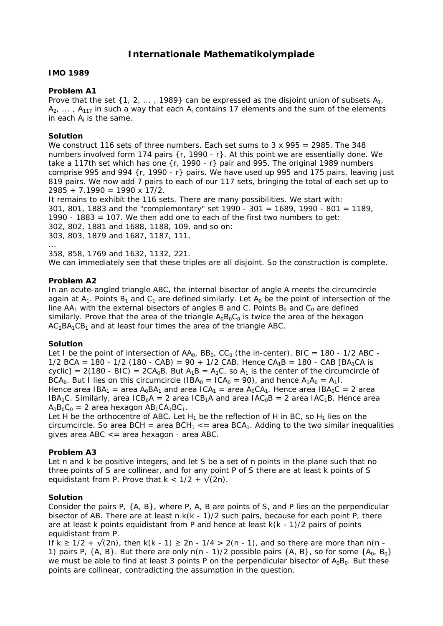# **Internationale Mathematikolympiade**

# **IMO 1989**

## **Problem A1**

Prove that the set  $\{1, 2, \ldots, 1989\}$  can be expressed as the disjoint union of subsets  $A_1$ ,  $A_2$ , ...,  $A_{117}$  in such a way that each  $A_i$  contains 17 elements and the sum of the elements in each  $A_i$  is the same.

## **Solution**

We construct 116 sets of three numbers. Each set sums to  $3 \times 995 = 2985$ . The 348 numbers involved form 174 pairs {r, 1990 - r}. At this point we are essentially done. We take a 117th set which has one  $\{r, 1990 - r\}$  pair and 995. The original 1989 numbers comprise 995 and 994 {r, 1990 - r} pairs. We have used up 995 and 175 pairs, leaving just 819 pairs. We now add 7 pairs to each of our 117 sets, bringing the total of each set up to  $2985 + 7.1990 = 1990 \times 17/2$ .

It remains to exhibit the 116 sets. There are many possibilities. We start with: 301, 801, 1883 and the "complementary" set 1990 - 301 = 1689, 1990 - 801 = 1189, 1990 - 1883 = 107. We then add one to each of the first two numbers to get: 302, 802, 1881 and 1688, 1188, 109, and so on: 303, 803, 1879 and 1687, 1187, 111, ...

358, 858, 1769 and 1632, 1132, 221. We can immediately see that these triples are all disjoint. So the construction is complete.

## **Problem A2**

In an acute-angled triangle ABC, the internal bisector of angle A meets the circumcircle again at  $A_1$ . Points  $B_1$  and  $C_1$  are defined similarly. Let  $A_0$  be the point of intersection of the line  $AA_1$  with the external bisectors of angles B and C. Points  $B_0$  and  $C_0$  are defined similarly. Prove that the area of the triangle  $A_0B_0C_0$  is twice the area of the hexagon  $AC<sub>1</sub>BA<sub>1</sub>CB<sub>1</sub>$  and at least four times the area of the triangle ABC.

# **Solution**

Let I be the point of intersection of  $AA_0$ ,  $BB_0$ ,  $CC_0$  (the in-center). BIC = 180 - 1/2 ABC - $1/2$  BCA = 180 - 1/2 (180 - CAB) = 90 + 1/2 CAB. Hence CA<sub>1</sub>B = 180 - CAB [BA<sub>1</sub>CA is cyclic] = 2(180 - BIC) = 2CA<sub>0</sub>B. But A<sub>1</sub>B = A<sub>1</sub>C, so A<sub>1</sub> is the center of the circumcircle of BCA<sub>0</sub>. But I lies on this circumcircle (IBA<sub>0</sub> = ICA<sub>0</sub> = 90), and hence  $A_1A_0 = A_1I$ . Hence area IBA<sub>1</sub> = area A<sub>0</sub>BA<sub>1</sub> and area ICA<sub>1</sub> = area A<sub>0</sub>CA<sub>1</sub>. Hence area IBA<sub>0</sub>C = 2 area  $IBA_1C$ . Similarly, area  $ICB_0A = 2$  area  $ICB_1A$  and area  $IAC_0B = 2$  area  $IAC_1B$ . Hence area  $A_0B_0C_0 = 2$  area hexagon  $AB_1CA_1BC_1$ .

Let H be the orthocentre of ABC. Let  $H_1$  be the reflection of H in BC, so  $H_1$  lies on the circumcircle. So area BCH = area  $BCH_1 \le$  = area BCA<sub>1</sub>. Adding to the two similar inequalities gives area ABC <= area hexagon - area ABC.

# **Problem A3**

Let n and k be positive integers, and let S be a set of n points in the plane such that no three points of S are collinear, and for any point P of S there are at least k points of S equidistant from P. Prove that  $k < 1/2 + \sqrt{2n}$ .

# **Solution**

Consider the pairs P, {A, B}, where P, A, B are points of S, and P lies on the perpendicular bisector of AB. There are at least  $n k(k - 1)/2$  such pairs, because for each point P, there are at least k points equidistant from P and hence at least k(k - 1)/2 pairs of points equidistant from P.

If k  $\geq$  1/2 +  $\sqrt{(2n)}$ , then k(k - 1)  $\geq$  2n - 1/4 > 2(n - 1), and so there are more than n(n -1) pairs P,  $\{A, B\}$ . But there are only  $n(n - 1)/2$  possible pairs  $\{A, B\}$ , so for some  $\{A_0, B_0\}$ we must be able to find at least 3 points P on the perpendicular bisector of  $A_0B_0$ . But these points are collinear, contradicting the assumption in the question.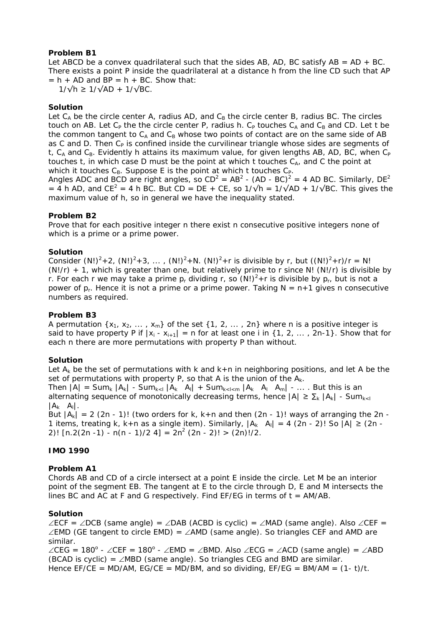# **Problem B1**

Let ABCD be a convex quadrilateral such that the sides AB, AD, BC satisfy AB =  $AD + BC$ . There exists a point P inside the quadrilateral at a distance h from the line CD such that AP  $= h + AD$  and  $BP = h + BC$ . Show that:

 $1/\sqrt{h}$  ≥  $1/\sqrt{AD}$  +  $1/\sqrt{BC}$ .

## **Solution**

Let  $C_A$  be the circle center A, radius AD, and  $C_B$  the circle center B, radius BC. The circles touch on AB. Let  $C_P$  the the circle center P, radius h.  $C_P$  touches  $C_A$  and  $C_B$  and CD. Let t be the common tangent to  $C_A$  and  $C_B$  whose two points of contact are on the same side of AB as C and D. Then  $C_P$  is confined inside the curvilinear triangle whose sides are segments of t,  $C_A$  and  $C_B$ . Evidently h attains its maximum value, for given lengths AB, AD, BC, when  $C_P$ touches t, in which case D must be the point at which t touches  $C_{A}$ , and C the point at which it touches  $C_B$ . Suppose E is the point at which t touches  $C_P$ .

Angles ADC and BCD are right angles, so  $CD^2 = AB^2$  - (AD - BC)<sup>2</sup> = 4 AD BC. Similarly, DE<sup>2</sup> = 4 h AD, and CE<sup>2</sup> = 4 h BC. But CD = DE + CE, so  $1/\sqrt{h} = 1/\sqrt{AD} + 1/\sqrt{BC}$ . This gives the maximum value of h, so in general we have the inequality stated.

## **Problem B2**

Prove that for each positive integer n there exist n consecutive positive integers none of which is a prime or a prime power.

## **Solution**

Consider (N!)<sup>2</sup>+2, (N!)<sup>2</sup>+3, ..., (N!)<sup>2</sup>+N. (N!)<sup>2</sup>+r is divisible by r, but  $((N!)^2+r)/r = N!$  $(N!/r)$  + 1, which is greater than one, but relatively prime to r since N!  $(N!/r)$  is divisible by r. For each r we may take a prime  $p_r$  dividing r, so  $(N!)^2 + r$  is divisible by  $p_r$ , but is not a power of  $p_r$ . Hence it is not a prime or a prime power. Taking  $N = n+1$  gives n consecutive numbers as required.

## **Problem B3**

A permutation  $\{x_1, x_2, ..., x_m\}$  of the set  $\{1, 2, ..., 2n\}$  where n is a positive integer is said to have property P if  $|x_i - x_{i+1}| = n$  for at least one i in {1, 2, ..., 2n-1}. Show that for each n there are more permutations with property P than without.

# **Solution**

Let  $A_k$  be the set of permutations with k and  $k+n$  in neighboring positions, and let A be the set of permutations with property P, so that A is the union of the  $A_k$ .

Then  $|A|$  = Sum<sub>k</sub>  $|A_k|$  - Sum<sub>ksl</sub>  $|A_k|$  A<sub>l</sub>| + Sum<sub>kslsm</sub>  $|A_k|$  A<sub>l</sub>| A<sub>m</sub>| - ... . But this is an alternating sequence of monotonically decreasing terms, hence  $|A| \ge \sum_{k} |A_k|$  - Sum $_{k \leq l}$  $|A_k \ A_l|$ .

But  $|A_k| = 2$  (2n - 1)! (two orders for k, k+n and then (2n - 1)! ways of arranging the 2n -1 items, treating k, k+n as a single item). Similarly,  $|A_k A_l| = 4 (2n - 2)!$  So  $|A| \ge (2n - 1)!$ 2)!  $[n.2(2n -1) - n(n - 1)/2 4] = 2n^2 (2n - 2)! > (2n)!/2$ .

# **IMO 1990**

#### **Problem A1**

Chords AB and CD of a circle intersect at a point E inside the circle. Let M be an interior point of the segment EB. The tangent at E to the circle through D, E and M intersects the lines BC and AC at F and G respectively. Find  $EF/EG$  in terms of  $t = AM/AB$ .

#### **Solution**

∠ECF = ∠DCB (same angle) = ∠DAB (ACBD is cyclic) = ∠MAD (same angle). Also ∠CEF = ∠EMD (GE tangent to circle EMD) = ∠AMD (same angle). So triangles CEF and AMD are similar.

∠CEG = 180<sup>°</sup> - ∠CEF = 180<sup>°</sup> - ∠EMD = ∠BMD. Also ∠ECG = ∠ACD (same angle) = ∠ABD (BCAD is cyclic) =  $\angle$ MBD (same angle). So triangles CEG and BMD are similar. Hence  $EF/CE = MD/AM$ ,  $EG/CE = MD/BM$ , and so dividing,  $EF/EG = BM/AM = (1-t)/t$ .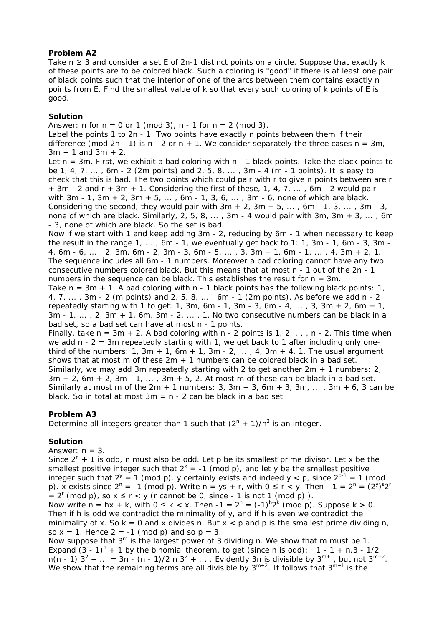# **Problem A2**

Take  $n \geq 3$  and consider a set E of 2n-1 distinct points on a circle. Suppose that exactly k of these points are to be colored black. Such a coloring is "good" if there is at least one pair of black points such that the interior of one of the arcs between them contains exactly n points from E. Find the smallest value of k so that every such coloring of k points of E is good.

# **Solution**

Answer:  $n \text{ for } n = 0 \text{ or } 1 \text{ (mod 3)}$ ,  $n - 1 \text{ for } n = 2 \text{ (mod 3)}$ .

Label the points 1 to 2n - 1. Two points have exactly n points between them if their difference (mod 2n - 1) is n - 2 or n + 1. We consider separately the three cases  $n = 3m$ ,  $3m + 1$  and  $3m + 2$ .

Let  $n = 3m$ . First, we exhibit a bad coloring with  $n - 1$  black points. Take the black points to be 1, 4, 7, ... , 6m - 2 (2m points) and 2, 5, 8, ... , 3m - 4 (m - 1 points). It is easy to check that this is bad. The two points which could pair with r to give n points between are r + 3m - 2 and r + 3m + 1. Considering the first of these, 1, 4, 7, ... , 6m - 2 would pair with 3m - 1, 3m + 2, 3m + 5, ..., 6m - 1, 3, 6, ..., 3m - 6, none of which are black. Considering the second, they would pair with  $3m + 2$ ,  $3m + 5$ , ..., 6m - 1, 3, ...,  $3m - 3$ , none of which are black. Similarly, 2, 5, 8,  $\dots$ , 3m - 4 would pair with 3m, 3m + 3,  $\dots$ , 6m - 3, none of which are black. So the set is bad.

Now if we start with 1 and keep adding 3m - 2, reducing by 6m - 1 when necessary to keep the result in the range  $1, \ldots, 6m - 1$ , we eventually get back to  $1: 1, 3m - 1, 6m - 3, 3m - 1$ 4, 6m - 6, ..., 2, 3m, 6m - 2, 3m - 3, 6m - 5, ..., 3, 3m + 1, 6m - 1, ..., 4, 3m + 2, 1. The sequence includes all 6m - 1 numbers. Moreover a bad coloring cannot have any two consecutive numbers colored black. But this means that at most n - 1 out of the 2n - 1 numbers in the sequence can be black. This establishes the result for  $n = 3m$ .

Take  $n = 3m + 1$ . A bad coloring with  $n - 1$  black points has the following black points: 1, 4, 7, ... , 3m - 2 (m points) and 2, 5, 8, ... , 6m - 1 (2m points). As before we add n - 2 repeatedly starting with 1 to get: 1, 3m, 6m - 1, 3m - 3, 6m - 4, ..., 3, 3m + 2, 6m + 1,  $3m - 1, \ldots, 2, 3m + 1, 6m, 3m - 2, \ldots, 1$ . No two consecutive numbers can be black in a bad set, so a bad set can have at most n - 1 points.

Finally, take  $n = 3m + 2$ . A bad coloring with  $n - 2$  points is 1, 2, ...,  $n - 2$ . This time when we add  $n - 2 = 3m$  repeatedly starting with 1, we get back to 1 after including only onethird of the numbers: 1, 3m + 1, 6m + 1, 3m - 2, ..., 4, 3m + 4, 1. The usual argument shows that at most m of these  $2m + 1$  numbers can be colored black in a bad set. Similarly, we may add 3m repeatedly starting with 2 to get another  $2m + 1$  numbers: 2,  $3m + 2$ ,  $6m + 2$ ,  $3m - 1$ , ...,  $3m + 5$ , 2. At most m of these can be black in a bad set. Similarly at most m of the  $2m + 1$  numbers: 3,  $3m + 3$ ,  $6m + 3$ ,  $3m$ , ...,  $3m + 6$ , 3 can be black. So in total at most  $3m = n - 2$  can be black in a bad set.

# **Problem A3**

Determine all integers greater than 1 such that  $(2^{n} + 1)/n^{2}$  is an integer.

# **Solution**

Answer:  $n = 3$ .

Since  $2^{n}$  + 1 is odd, n must also be odd. Let p be its smallest prime divisor. Let x be the smallest positive integer such that  $2^x = -1$  (mod p), and let y be the smallest positive integer such that  $2^y = 1$  (mod p). y certainly exists and indeed  $y < p$ , since  $2^{p-1} = 1$  (mod p). x exists since  $2^{n} = -1$  (mod p). Write n = ys + r, with  $0 \le r < y$ . Then - 1 =  $2^{n} = (2^{y})^{s} 2^{r}$  $= 2^{r} \pmod{p}$ , so  $x \le r < y$  (r cannot be 0, since - 1 is not 1 (mod p)). Now write  $n = hx + k$ , with  $0 \le k < x$ . Then  $-1 = 2^n = (-1)^n 2^k \pmod{p}$ . Suppose  $k > 0$ . Then if h is odd we contradict the minimality of y, and if h is even we contradict the minimality of x. So  $k = 0$  and x divides n. But  $x < p$  and p is the smallest prime dividing n,

so  $x = 1$ . Hence  $2 = -1$  (mod p) and so  $p = 3$ .

Now suppose that  $3<sup>m</sup>$  is the largest power of 3 dividing n. We show that m must be 1. Expand  $(3 - 1)^n + 1$  by the binomial theorem, to get (since n is odd):  $1 - 1 + n \cdot 3 - 1/2$  $n(n - 1)$   $3^2 + ... = 3n - (n - 1)/2 n$   $3^2 + ...$  Evidently 3n is divisible by  $3^{m+1}$ , but not  $3^{m+2}$ . We show that the remaining terms are all divisible by  $3^{m+2}$ . It follows that  $3^{m+1}$  is the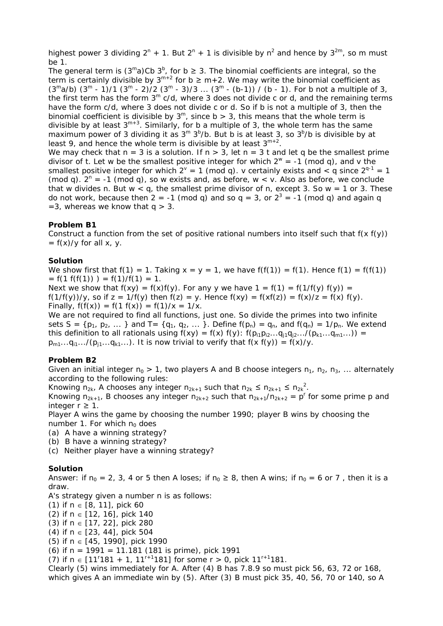highest power 3 dividing  $2^{n}$  + 1. But  $2^{n}$  + 1 is divisible by n<sup>2</sup> and hence by  $3^{2m}$ , so m must be 1.

The general term is  $(3<sup>m</sup>a)$ Cb  $3<sup>b</sup>$ , for b  $\geq$  3. The binomial coefficients are integral, so the term is certainly divisible by  $3^{m+2}$  for b  $\geq m+2$ . We may write the binomial coefficient as  $(3^{\text{m}}a/b)$   $(3^{\text{m}}-1)/1$   $(3^{\text{m}}-2)/2$   $(3^{\text{m}}-3)/3$  ...  $(3^{\text{m}}-(b-1))$  / (b - 1). For b not a multiple of 3, the first term has the form  $3<sup>m</sup>$  c/d, where 3 does not divide c or d, and the remaining terms have the form c/d, where 3 does not divide c or d. So if b is not a multiple of 3, then the binomial coefficient is divisible by  $3^m$ , since b > 3, this means that the whole term is divisible by at least  $3^{m+3}$ . Similarly, for b a multiple of 3, the whole term has the same maximum power of 3 dividing it as  $3^m 3^b$ /b. But b is at least 3, so  $3^b$ /b is divisible by at least 9, and hence the whole term is divisible by at least  $3^{m+2}$ . We may check that  $n = 3$  is a solution. If  $n > 3$ , let  $n = 3$  t and let q be the smallest prime divisor of t. Let w be the smallest positive integer for which  $2^w = -1$  (mod q), and v the smallest positive integer for which  $2^y = 1$  (mod q). v certainly exists and  $\lt q$  since  $2^{q-1} = 1$ (mod q).  $2^{n} = -1$  (mod q), so w exists and, as before, w < v. Also as before, we conclude

that w divides n. But  $w < q$ , the smallest prime divisor of n, except 3. So  $w = 1$  or 3. These do not work, because then 2 = -1 (mod q) and so  $q = 3$ , or  $2^3 = -1$  (mod q) and again q  $=$  3, whereas we know that q  $>$  3.

## **Problem B1**

Construct a function from the set of positive rational numbers into itself such that  $f(x f(y))$  $= f(x)/y$  for all x, y.

## **Solution**

We show first that  $f(1) = 1$ . Taking  $x = y = 1$ , we have  $f(f(1)) = f(1)$ . Hence  $f(1) = f(f(1))$  $= f(1 f(f(1))) = f(1)/f(1) = 1.$ 

Next we show that  $f(xy) = f(x)f(y)$ . For any y we have  $1 = f(1) = f(1/f(y) f(y)) =$  $f(1/f(y))/y$ , so if  $z = 1/f(y)$  then  $f(z) = y$ . Hence  $f(xy) = f(x)(z) = f(x)/z = f(x) f(y)$ . Finally,  $f(f(x)) = f(1 f(x)) = f(1)/x = 1/x$ .

We are not required to find *all* functions, just one. So divide the primes into two infinite sets S = { $p_1, p_2, ...$ } and T = { $q_1, q_2, ...$ }. Define  $f(p_n) = q_n$ , and  $f(q_n) = 1/p_n$ . We extend this definition to all rationals using  $f(xy) = f(x) f(y)$ :  $f(p_{i1}p_{i2}...q_{i1}q_{i2}.../(p_{k1}...q_{m1}...))$  =  $p_{m1}...q_{i1}.../(p_{j1}...q_{k1}...)$ . It is now trivial to verify that  $f(x f(y)) = f(x)/y$ .

# **Problem B2**

Given an initial integer  $n_0 > 1$ , two players A and B choose integers  $n_1$ ,  $n_2$ ,  $n_3$ , ... alternately according to the following rules:

Knowing  $n_{2k}$ , A chooses any integer  $n_{2k+1}$  such that  $n_{2k} \le n_{2k+1} \le n_{2k}^2$ .

Knowing  $n_{2k+1}$ , B chooses any integer  $n_{2k+2}$  such that  $n_{2k+1}/n_{2k+2} = p^r$  for some prime p and integer  $r ≥ 1$ .

Player A wins the game by choosing the number 1990; player B wins by choosing the number 1. For which  $n_0$  does

- (a) A have a winning strategy?
- (b) B have a winning strategy?
- (c) Neither player have a winning strategy?

# **Solution**

Answer: if  $n_0 = 2$ , 3, 4 or 5 then A loses; if  $n_0 \ge 8$ , then A wins; if  $n_0 = 6$  or 7, then it is a draw.

A's strategy given a number n is as follows:

(1) if  $n \in [8, 11]$ , pick 60

(2) if n ∈ [12, 16], pick 140

(3) if n ∈ [17, 22], pick 280

(4) if n ∈ [23, 44], pick 504

(5) if n ∈ [45, 1990], pick 1990

(6) if n = 1991 = 11.181 (181 is prime), pick 1991

(7) if  $n \in [11^{r}181 + 1, 11^{r+1}181]$  for some  $r > 0$ , pick  $11^{r+1}181$ .

Clearly (5) wins immediately for A. After (4) B has 7.8.9 so must pick 56, 63, 72 or 168, which gives A an immediate win by (5). After (3) B must pick 35, 40, 56, 70 or 140, so A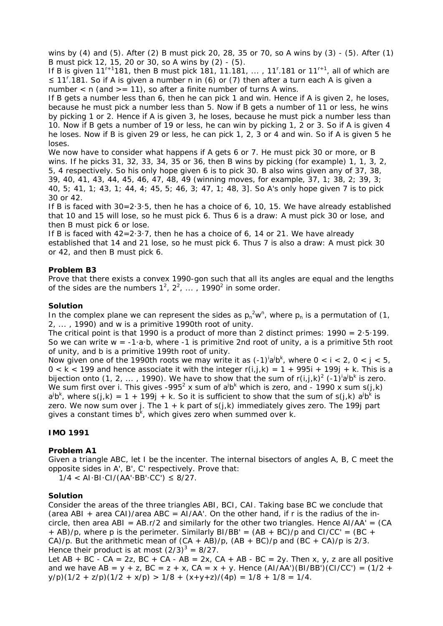wins by (4) and (5). After (2) B must pick 20, 28, 35 or 70, so A wins by (3) - (5). After (1) B must pick 12, 15, 20 or 30, so A wins by (2) - (5).

If B is given  $11^{r+1}$ 181, then B must pick 181, 11.181, ..., 11<sup>r</sup>.181 or  $11^{r+1}$ , all of which are ≤ 11'.181. So if A is given a number n in (6) or (7) then after a turn each A is given a number  $\langle$  n (and  $\rangle$  = 11), so after a finite number of turns A wins.

If B gets a number less than 6, then he can pick 1 and win. Hence if A is given 2, he loses, because he must pick a number less than 5. Now if B gets a number of 11 or less, he wins by picking 1 or 2. Hence if A is given 3, he loses, because he must pick a number less than 10. Now if B gets a number of 19 or less, he can win by picking 1, 2 or 3. So if A is given 4 he loses. Now if B is given 29 or less, he can pick 1, 2, 3 or 4 and win. So if A is given 5 he loses.

We now have to consider what happens if A gets 6 or 7. He must pick 30 or more, or B wins. If he picks 31, 32, 33, 34, 35 or 36, then B wins by picking (for example) 1, 1, 3, 2, 5, 4 respectively. So his only hope given 6 is to pick 30. B also wins given any of 37, 38, 39, 40, 41, 43, 44, 45, 46, 47, 48, 49 (winning moves, for example, 37, 1; 38, 2; 39, 3; 40, 5; 41, 1; 43, 1; 44, 4; 45, 5; 46, 3; 47, 1; 48, 3]. So A's only hope given 7 is to pick 30 or 42.

If B is faced with 30=2·3·5, then he has a choice of 6, 10, 15. We have already established that 10 and 15 will lose, so he must pick 6. Thus 6 is a draw: A must pick 30 or lose, and then B must pick 6 or lose.

If B is faced with  $42=2.3.7$ , then he has a choice of 6, 14 or 21. We have already established that 14 and 21 lose, so he must pick 6. Thus 7 is also a draw: A must pick 30 or 42, and then B must pick 6.

## **Problem B3**

Prove that there exists a convex 1990-gon such that all its angles are equal and the lengths of the sides are the numbers  $1^2$ ,  $2^2$ , ..., 1990<sup>2</sup> in some order.

## **Solution**

In the complex plane we can represent the sides as  $p_n^2 w^n$ , where  $p_n$  is a permutation of (1, 2, ... , 1990) and w is a primitive 1990th root of unity.

The critical point is that 1990 is a product of more than 2 distinct primes:  $1990 = 2.5.199$ . So we can write  $w = -1 \cdot a \cdot b$ , where  $-1$  is primitive 2nd root of unity, a is a primitive 5th root of unity, and b is a primitive 199th root of unity.

Now given one of the 1990th roots we may write it as  $(-1)^{i}a^{j}b^{k}$ , where  $0 < i < 2$ ,  $0 < j < 5$ ,  $0 < k < 199$  and hence associate it with the integer  $r(i,j,k) = 1 + 995i + 199j + k$ . This is a bijection onto (1, 2, ..., 1990). We have to show that the sum of  $r(i,j,k)^2$  (-1)<sup>i</sup>a<sup>j</sup>b<sup>k</sup> is zero. We sum first over i. This gives -995<sup>2</sup> x sum of a<sup>j</sup>b<sup>k</sup> which is zero, and - 1990 x sum s(j,k)  $a^jb^k$ , where s(j,k) = 1 + 199j + k. So it is sufficient to show that the sum of s(j,k)  $a^jb^k$  is zero. We now sum over j. The  $1 + k$  part of  $s(j,k)$  immediately gives zero. The 199j part gives a constant times  $b^k$ , which gives zero when summed over k.

#### **IMO 1991**

# **Problem A1**

Given a triangle ABC, let I be the incenter. The internal bisectors of angles A, B, C meet the opposite sides in A', B', C' respectively. Prove that:

 $1/4$  < AI·BI·CI/(AA'·BB'·CC')  $\leq$  8/27.

#### **Solution**

Consider the areas of the three triangles ABI, BCI, CAI. Taking base BC we conclude that (area ABI + area CAI)/area ABC = AI/AA'. On the other hand, if r is the radius of the incircle, then area ABI =  $AB.r/2$  and similarly for the other two triangles. Hence  $AI/AA' = (CA$  $+$  AB)/p, where p is the perimeter. Similarly BI/BB' = (AB  $+$  BC)/p and CI/CC' = (BC  $+$ CA)/p. But the arithmetic mean of  $(CA + AB)/p$ ,  $(AB + BC)/p$  and  $(BC + CA)/p$  is 2/3. Hence their product is at most  $(2/3)^3 = 8/27$ .

Let  $AB + BC - CA = 2z$ ,  $BC + CA - AB = 2x$ ,  $CA + AB - BC = 2y$ . Then x, y, z are all positive and we have AB = y + z, BC = z + x, CA = x + y. Hence  $(AI/AA')(BI/BB')(CI/CC') = (1/2 +$  $y/p((1/2 + z/p)(1/2 + x/p) > 1/8 + (x+y+z)/(4p) = 1/8 + 1/8 = 1/4$ .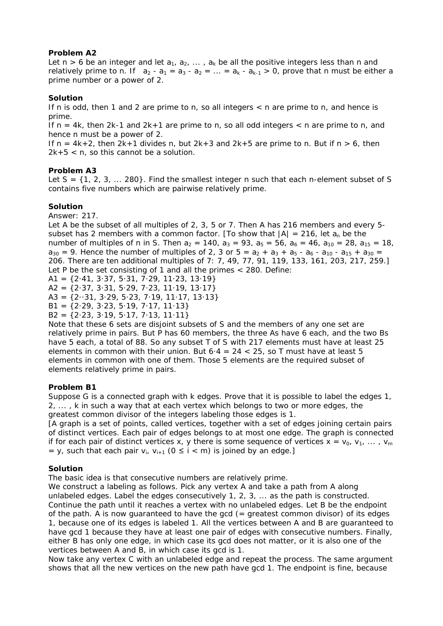# **Problem A2**

Let  $n > 6$  be an integer and let  $a_1, a_2, \ldots, a_k$  be all the positive integers less than n and relatively prime to n. If  $a_2 - a_1 = a_3 - a_2 = ... = a_k - a_{k-1} > 0$ , prove that n must be either a prime number or a power of 2.

# **Solution**

If n is odd, then 1 and 2 are prime to n, so all integers < n are prime to n, and hence is prime.

If  $n = 4k$ , then 2k-1 and  $2k+1$  are prime to n, so all odd integers  $\lt$  n are prime to n, and hence n must be a power of 2.

If  $n = 4k+2$ , then  $2k+1$  divides n, but  $2k+3$  and  $2k+5$  are prime to n. But if  $n > 6$ , then 2k+5 < n, so this cannot be a solution.

# **Problem A3**

Let  $S = \{1, 2, 3, \ldots 280\}$ . Find the smallest integer n such that each n-element subset of S contains five numbers which are pairwise relatively prime.

# **Solution**

Answer: 217.

Let A be the subset of all multiples of 2, 3, 5 or 7. Then A has 216 members and every 5 subset has 2 members with a common factor. [To show that  $|A| = 216$ , let  $a_n$  be the number of multiples of n in S. Then  $a_2 = 140$ ,  $a_3 = 93$ ,  $a_5 = 56$ ,  $a_6 = 46$ ,  $a_{10} = 28$ ,  $a_{15} = 18$ ,  $a_{30} = 9$ . Hence the number of multiples of 2, 3 or 5 =  $a_2 + a_3 + a_5 - a_6 - a_{10} - a_{15} + a_{30} =$ 206. There are ten additional multiples of 7: 7, 49, 77, 91, 119, 133, 161, 203, 217, 259.] Let P be the set consisting of 1 and all the primes < 280. Define:

 $A1 = \{2.41, 3.37, 5.31, 7.29, 11.23, 13.19\}$ 

A2 = {2·37, 3·31, 5·29, 7·23, 11·19, 13·17}

A3 =  $\{2 \cdot 31, 3 \cdot 29, 5 \cdot 23, 7 \cdot 19, 11 \cdot 17, 13 \cdot 13\}$ 

 $B1 = \{2.29, 3.23, 5.19, 7.17, 11.13\}$ 

 $B2 = \{2.23, 3.19, 5.17, 7.13, 11.11\}$ 

Note that these 6 sets are disjoint subsets of S and the members of any one set are relatively prime in pairs. But P has 60 members, the three As have 6 each, and the two Bs have 5 each, a total of 88. So any subset T of S with 217 elements must have at least 25 elements in common with their union. But  $6.4 = 24 < 25$ , so T must have at least 5 elements in common with one of them. Those 5 elements are the required subset of elements relatively prime in pairs.

# **Problem B1**

Suppose G is a connected graph with k edges. Prove that it is possible to label the edges 1, 2, ... , k in such a way that at each vertex which belongs to two or more edges, the greatest common divisor of the integers labeling those edges is 1.

[A graph is a set of points, called vertices, together with a set of edges joining certain pairs of distinct vertices. Each pair of edges belongs to at most one edge. The graph is connected if for each pair of distinct vertices x, y there is some sequence of vertices  $x = v_0, v_1, \ldots, v_m$ = y, such that each pair  $v_i$ ,  $v_{i+1}$  (0  $\leq$  i < m) is joined by an edge.]

# **Solution**

The basic idea is that consecutive numbers are relatively prime.

We construct a labeling as follows. Pick any vertex A and take a path from A along unlabeled edges. Label the edges consecutively 1, 2, 3, ... as the path is constructed. Continue the path until it reaches a vertex with no unlabeled edges. Let B be the endpoint of the path. A is now guaranteed to have the gcd  $($  = greatest common divisor) of its edges 1, because one of its edges is labeled 1. All the vertices between A and B are guaranteed to have gcd 1 because they have at least one pair of edges with consecutive numbers. Finally, either B has only one edge, in which case its gcd does not matter, or it is also one of the vertices between A and B, in which case its gcd is 1.

Now take any vertex C with an unlabeled edge and repeat the process. The same argument shows that all the new vertices on the new path have gcd 1. The endpoint is fine, because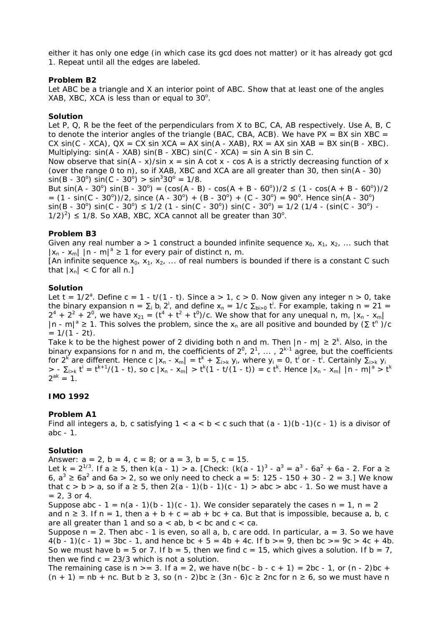either it has only one edge (in which case its gcd does not matter) or it has already got gcd 1. Repeat until all the edges are labeled.

### **Problem B2**

Let ABC be a triangle and X an interior point of ABC. Show that at least one of the angles XAB, XBC, XCA is less than or equal to  $30^\circ$ .

## **Solution**

Let P, Q, R be the feet of the perpendiculars from X to BC, CA, AB respectively. Use A, B, C to denote the interior angles of the triangle (BAC, CBA, ACB). We have  $PX = BX \sin XBC =$ CX  $sin(C - XCA)$ ,  $QX = CX sin XCA = AX sin(A - XAB)$ ,  $RX = AX sin XAB = BX sin(B - XBC)$ . Multiplying:  $sin(A - XAB) sin(B - XBC) sin(C - XCA) = sin A sin B sin C$ .

Now observe that  $sin(A - x)/sin x = sin A cot x - cos A$  is a strictly decreasing function of x (over the range 0 to π), so if XAB, XBC and XCA are all greater than 30, then sin(A - 30)  $sin(B - 30^{\circ}) sin(C - 30^{\circ}) > sin^{3}30^{\circ} = 1/8.$ 

But  $\sin(A - 30^{\circ}) \sin(B - 30^{\circ}) = (\cos(A - B) - \cos(A + B - 60^{\circ}))/2 \le (1 - \cos(A + B - 60^{\circ}))/2$  $= (1 - \sin(C - 30^{\circ}))/2$ , since  $(A - 30^{\circ}) + (B - 30^{\circ}) + (C - 30^{\circ}) = 90^{\circ}$ . Hence  $\sin(A - 30^{\circ})$  $\sin(B - 30^{\circ}) \sin(C - 30^{\circ}) \le 1/2 (1 - \sin(C - 30^{\circ})) \sin(C - 30^{\circ}) = 1/2 (1/4 - (\sin(C - 30^{\circ}) 1/2$ <sup>2</sup>)  $\leq$  1/8. So XAB, XBC, XCA cannot all be greater than 30<sup>o</sup>.

# **Problem B3**

Given any real number a > 1 construct a bounded infinite sequence  $x_0$ ,  $x_1$ ,  $x_2$ , ... such that  $|x_n - x_m|$  |n - m|<sup>a</sup>  $\geq 1$  for every pair of distinct n, m.

[An infinite sequence  $x_0$ ,  $x_1$ ,  $x_2$ , ... of real numbers is bounded if there is a constant C such that  $|x_n| < C$  for all n.]

#### **Solution**

Let  $t = 1/2^a$ . Define  $c = 1 - t/(1 - t)$ . Since  $a > 1$ ,  $c > 0$ . Now given any integer  $n > 0$ , take the binary expansion  $n = \sum_i b_i 2^i$ , and define  $x_n = 1/c \sum_{b \ge 0} t^i$ . For example, taking  $n = 21 =$  $2^4 + 2^2 + 2^0$ , we have  $x_{21} = (t^4 + t^2 + t^0)/c$ . We show that for any unequal n, m,  $|x_n - x_m|$ |n - m|<sup>a</sup> ≥ 1. This solves the problem, since the x<sub>n</sub> are all positive and bounded by  $(\Sigma t^n)$ /c  $= 1/(1 - 2t)$ .

Take k to be the highest power of 2 dividing both n and m. Then  $|n - m| \geq 2^k$ . Also, in the binary expansions for n and m, the coefficients of  $2^0$ ,  $2^1$ , ...,  $2^{k-1}$  agree, but the coefficients for 2<sup>k</sup> are different. Hence c  $|x_n - x_m| = t^k + \Sigma_{i > k}$   $y_i$ , where  $y_i = 0$ ,  $t^i$  or -  $t^i$ . Certainly  $\Sigma_{i > k}$   $y_i$  $>$  -  $\Sigma_{i>k}$  t<sup>i</sup> = t<sup>k+1</sup>/(1 - t), so c |x<sub>n</sub> - x<sub>m</sub>| > t<sup>k</sup>(1 - t/(1 - t)) = c t<sup>k</sup>. Hence |x<sub>n</sub> - x<sub>m</sub>| |n - m|<sup>a</sup> > t<sup>k</sup>  $2^{ak} = 1$ .

#### **IMO 1992**

# **Problem A1**

Find all integers a, b, c satisfying  $1 < a < b < c$  such that  $(a - 1)(b - 1)(c - 1)$  is a divisor of abc - 1.

#### **Solution**

Answer:  $a = 2$ ,  $b = 4$ ,  $c = 8$ ; or  $a = 3$ ,  $b = 5$ ,  $c = 15$ .

Let k = 2<sup>1/3</sup>. If a  $\geq 5$ , then k(a - 1) > a. [Check: (k(a - 1)<sup>3</sup> - a<sup>3</sup> = a<sup>3</sup> - 6a<sup>2</sup> + 6a - 2. For a  $\geq$ 6,  $a^3$  ≥ 6 $a^2$  and 6a > 2, so we only need to check a = 5: 125 - 150 + 30 - 2 = 3.] We know that  $c > b > a$ , so if  $a \ge 5$ , then  $2(a - 1)(b - 1)(c - 1) > abc > abc - 1$ . So we must have a  $= 2.3$  or 4.

Suppose abc - 1 =  $n(a - 1)(b - 1)(c - 1)$ . We consider separately the cases  $n = 1$ ,  $n = 2$ and  $n \ge 3$ . If  $n = 1$ , then  $a + b + c = ab + bc + ca$ . But that is impossible, because a, b, c are all greater than 1 and so  $a < ab$ ,  $b < bc$  and  $c < ca$ .

Suppose  $n = 2$ . Then abc - 1 is even, so all a, b, c are odd. In particular,  $a = 3$ . So we have  $4(b - 1)(c - 1) = 3bc - 1$ , and hence  $bc + 5 = 4b + 4c$ . If  $b > = 9$ , then  $bc > = 9c > 4c + 4b$ . So we must have  $b = 5$  or 7. If  $b = 5$ , then we find  $c = 15$ , which gives a solution. If  $b = 7$ , then we find  $c = 23/3$  which is not a solution.

The remaining case is n  $>= 3$ . If a = 2, we have n(bc - b - c + 1) = 2bc - 1, or (n - 2)bc +  $(n + 1)$  = nb + nc. But b  $\geq 3$ , so  $(n - 2)$ bc  $\geq (3n - 6)$ c  $\geq 2n$ c for n  $\geq 6$ , so we must have n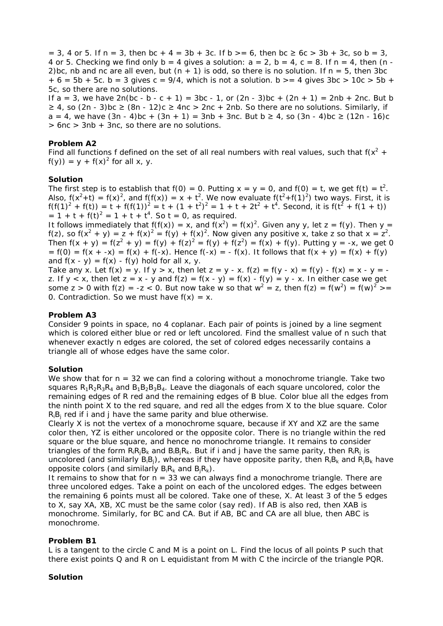$= 3$ , 4 or 5. If n = 3, then bc + 4 = 3b + 3c. If b > = 6, then bc  $\geq 6c$  > 3b + 3c, so b = 3, 4 or 5. Checking we find only b = 4 gives a solution:  $a = 2$ , b = 4, c = 8. If  $n = 4$ , then (n -2)bc, nb and nc are all even, but  $(n + 1)$  is odd, so there is no solution. If  $n = 5$ , then 3bc  $+ 6 = 5b + 5c$ .  $b = 3$  gives  $c = 9/4$ , which is not a solution.  $b > 4$  gives  $3bc > 10c > 5b +$ 5c, so there are no solutions.

If  $a = 3$ , we have  $2n(bc - b - c + 1) = 3bc - 1$ , or  $(2n - 3)bc + (2n + 1) = 2nb + 2nc$ . But b  $≥$  4, so (2n - 3)bc  $≥$  (8n - 12)c  $≥$  4nc > 2nc + 2nb. So there are no solutions. Similarly, if a = 4, we have  $(3n - 4)bc + (3n + 1) = 3nb + 3nc$ . But b ≥ 4, so  $(3n - 4)bc$  ≥  $(12n - 16)c$ > 6nc > 3nb + 3nc, so there are no solutions.

# **Problem A2**

Find all functions f defined on the set of all real numbers with real values, such that  $f(x^2 +$  $f(y)$ ) = y +  $f(x)^2$  for all x, y.

## **Solution**

The first step is to establish that  $f(0) = 0$ . Putting  $x = y = 0$ , and  $f(0) = t$ , we get  $f(t) = t^2$ . Also,  $f(x^2+t) = f(x)^2$ , and  $f(f(x)) = x + t^2$ . We now evaluate  $f(t^2+f(1)^2)$  two ways. First, it is  $f(f(1)^{2} + f(t)) = t + f(f(1))^{2} = t + (1 + t^{2})^{2} = 1 + t + 2t^{2} + t^{4}$ . Second, it is  $f(t^{2} + f(1 + t))$  $= 1 + t + f(t)^2 = 1 + t + t^4$ . So  $t = 0$ , as required.

It follows immediately that  $f(f(x)) = x$ , and  $f(x^2) = f(x)^2$ . Given any y, let  $z = f(y)$ . Then  $y =$ f(z), so f(x<sup>2</sup> + y) = z + f(x)<sup>2</sup> = f(y) + f(x)<sup>2</sup>. Now given any positive x, take z so that x = z<sup>2</sup>. Then  $f(x + y) = f(z^2 + y) = f(y) + f(z)^2 = f(y) + f(z^2) = f(x) + f(y)$ . Putting  $y = -x$ , we get 0  $= f(0) = f(x + -x) = f(x) + f(-x)$ . Hence  $f(-x) = - f(x)$ . It follows that  $f(x + y) = f(x) + f(y)$ and  $f(x - y) = f(x) - f(y)$  hold for all x, y.

Take any x. Let  $f(x) = y$ . If  $y > x$ , then let  $z = y - x$ .  $f(z) = f(y - x) = f(y) - f(x) = x - y =$ z. If  $y < x$ , then let  $z = x - y$  and  $f(z) = f(x - y) = f(x) - f(y) = y - x$ . In either case we get some z > 0 with  $f(z) = -z < 0$ . But now take w so that  $w^2 = z$ , then  $f(z) = f(w^2) = f(w)^2 > z$ 0. Contradiction. So we must have  $f(x) = x$ .

### **Problem A3**

Consider 9 points in space, no 4 coplanar. Each pair of points is joined by a line segment which is colored either blue or red or left uncolored. Find the smallest value of n such that whenever exactly n edges are colored, the set of colored edges necessarily contains a triangle all of whose edges have the same color.

#### **Solution**

We show that for  $n = 32$  we can find a coloring without a monochrome triangle. Take two squares  $R_1R_2R_3R_4$  and  $B_1B_2B_3B_4$ . Leave the diagonals of each square uncolored, color the remaining edges of R red and the remaining edges of B blue. Color blue all the edges from the ninth point X to the red square, and red all the edges from X to the blue square. Color  $R_iB_i$  red if i and j have the same parity and blue otherwise.

Clearly X is not the vertex of a monochrome square, because if XY and XZ are the same color then, YZ is either uncolored or the opposite color. There is no triangle within the red square or the blue square, and hence no monochrome triangle. It remains to consider triangles of the form  $R_iR_iB_k$  and  $B_iR_k$ . But if i and j have the same parity, then  $R_iR_i$  is uncolored (and similarly  $B_iB_j$ ), whereas if they have opposite parity, then  $R_iB_k$  and  $R_iB_k$  have opposite colors (and similarly  $B_iR_k$  and  $B_iR_k$ ).

It remains to show that for  $n = 33$  we can always find a monochrome triangle. There are three uncolored edges. Take a point on each of the uncolored edges. The edges between the remaining 6 points must all be colored. Take one of these, X. At least 3 of the 5 edges to X, say XA, XB, XC must be the same color (say red). If AB is also red, then XAB is monochrome. Similarly, for BC and CA. But if AB, BC and CA are all blue, then ABC is monochrome.

### **Problem B1**

L is a tangent to the circle C and M is a point on L. Find the locus of all points P such that there exist points Q and R on L equidistant from M with C the incircle of the triangle PQR.

#### **Solution**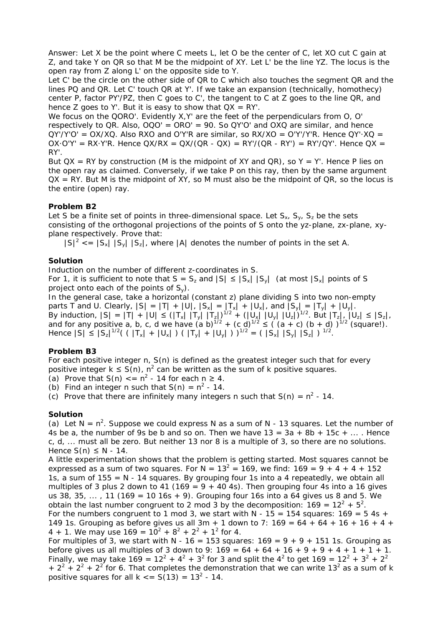Answer: Let X be the point where C meets L, let O be the center of C, let XO cut C gain at Z, and take Y on QR so that M be the midpoint of XY. Let L' be the line YZ. The locus is the open ray from Z along L' on the opposite side to Y.

Let C' be the circle on the other side of QR to C which also touches the segment QR and the lines PQ and QR. Let C' touch QR at Y'. If we take an expansion (technically, homothecy) center P, factor PY'/PZ, then C goes to C', the tangent to C at Z goes to the line QR, and hence Z goes to Y'. But it is easy to show that  $QX = RY'$ .

We focus on the QORO'. Evidently X, Y' are the feet of the perpendiculars from O, O' respectively to QR. Also,  $OQO' = ORO' = 90$ . So QY'O' and OXQ are similar, and hence  $QY/Y'Q' = OX/XQ$ . Also RXO and O'Y'R are similar, so RX/XO = O'Y'/Y'R. Hence  $QY'XQ =$ OX·O'Y' = RX·Y'R. Hence  $QX/RX = QX/(QR - QX) = RY'/(QR - RY') = RY'/QY'$ . Hence  $QX =$ RY'.

But  $QX = RY$  by construction (M is the midpoint of XY and  $QR$ ), so  $Y = Y'$ . Hence P lies on the open ray as claimed. Conversely, if we take P on this ray, then by the same argument  $QX = RY$ . But M is the midpoint of XY, so M must also be the midpoint of  $QR$ , so the locus is the entire (open) ray.

# **Problem B2**

Let S be a finite set of points in three-dimensional space. Let  $S_x$ ,  $S_y$ ,  $S_z$  be the sets consisting of the orthogonal projections of the points of S onto the yz-plane, zx-plane, xyplane respectively. Prove that:

 $|S|^2 \leq |S_x| |S_y| |S_z|$ , where |A| denotes the number of points in the set A.

# **Solution**

Induction on the number of different z-coordinates in S.

For 1, it is sufficient to note that  $S = S_z$  and  $|S| \leq |S_x| |S_y|$  (at most  $|S_x|$  points of S project onto each of the points of  $S_y$ ).

In the general case, take a horizontal (constant z) plane dividing S into two non-empty parts T and U. Clearly,  $|S| = |T| + |U|$ ,  $|S_x| = |T_x| + |U_x|$ , and  $|S_y| = |T_y| + |U_y|$ . By induction,  $|S| = |T| + |U| \leq (|T_x| |T_y| |T_z|)^{1/2} + (|U_x| |U_y| |U_z|)^{1/2}$ . But  $|T_z|$ ,  $|U_z| \leq |S_z|$ , and for any positive a, b, c, d we have  $(a b)^{1/2} + (c d)^{1/2} \leq ((a + c) (b + d))^{1/2}$  (square!). Hence  $|S| \le |S_z|^{1/2} ( (||T_x| + ||U_x||) (||T_y|| + ||U_y||) )^{1/2} = (||S_x|| ||S_y|| ||S_z||)^{1/2}$ .

# **Problem B3**

For each positive integer n, S(n) is defined as the greatest integer such that for every positive integer  $k \leq S(n)$ ,  $n^2$  can be written as the sum of k positive squares.

(a) Prove that  $S(n) \leq n^2 - 14$  for each  $n \geq 4$ .

(b) Find an integer n such that  $S(n) = n^2 - 14$ .

(c) Prove that there are infinitely many integers n such that  $S(n) = n^2 - 14$ .

# **Solution**

(a) Let  $N = n^2$ . Suppose we could express N as a sum of N - 13 squares. Let the number of 4s be a, the number of 9s be b and so on. Then we have  $13 = 3a + 8b + 15c + ...$ . Hence c, d, ... must all be zero. But neither 13 nor 8 is a multiple of 3, so there are no solutions. Hence  $S(n) \leq N - 14$ .

A little experimentation shows that the problem is getting started. Most squares cannot be expressed as a sum of two squares. For  $N = 13^2 = 169$ , we find:  $169 = 9 + 4 + 4 + 152$ 1s, a sum of  $155 = N - 14$  squares. By grouping four 1s into a 4 repeatedly, we obtain all multiples of 3 plus 2 down to 41 (169 =  $9 + 40$  4s). Then grouping four 4s into a 16 gives us 38, 35, ..., 11 (169 = 10 16s + 9). Grouping four 16s into a 64 gives us 8 and 5. We obtain the last number congruent to 2 mod 3 by the decomposition:  $169 = 12^2 + 5^2$ . For the numbers congruent to 1 mod 3, we start with N -  $15 = 154$  squares:  $169 = 5$  4s + 149 1s. Grouping as before gives us all  $3m + 1$  down to 7:  $169 = 64 + 64 + 16 + 16 + 4 +$ 4 + 1. We may use  $169 = 10^2 + 8^2 + 2^2 + 1^2$  for 4.

For multiples of 3, we start with N - 16 = 153 squares:  $169 = 9 + 9 + 151$  1s. Grouping as before gives us all multiples of 3 down to 9:  $169 = 64 + 64 + 16 + 9 + 9 + 4 + 1 + 1 + 1$ . Finally, we may take 169 =  $12^2 + 4^2 + 3^2$  for 3 and split the  $4^2$  to get 169 =  $12^2 + 3^2 + 2^2$ +  $2^2$  +  $2^2$  +  $2^2$  for 6. That completes the demonstration that we can write 13<sup>2</sup> as a sum of k positive squares for all  $k \leq S(13) = 13^2 - 14$ .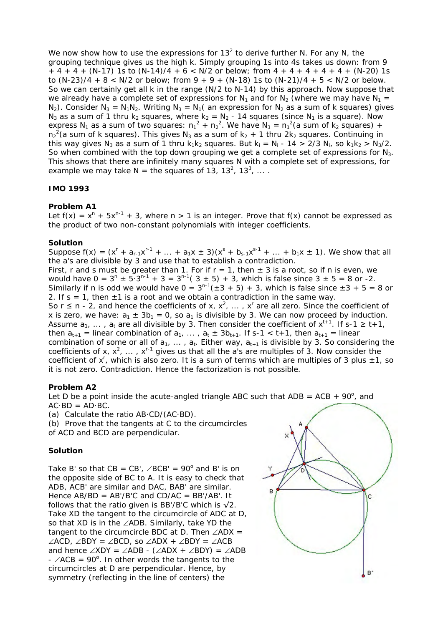We now show how to use the expressions for 13<sup>2</sup> to derive further N. For any N, the grouping technique gives us the high k. Simply grouping 1s into 4s takes us down: from 9  $+ 4 + 4 + (N-17)$  1s to  $(N-14)/4 + 6 < N/2$  or below; from  $4 + 4 + 4 + 4 + (N-20)$  1s to  $(N-23)/4 + 8 < N/2$  or below; from  $9 + 9 + (N-18)$  1s to  $(N-21)/4 + 5 < N/2$  or below. So we can certainly get all k in the range (N/2 to N-14) by this approach. Now suppose that we already have a complete set of expressions for  $N_1$  and for  $N_2$  (where we may have  $N_1 =$  $N_2$ ). Consider  $N_3 = N_1N_2$ . Writing  $N_3 = N_1$  (an expression for  $N_2$  as a sum of k squares) gives  $N_3$  as a sum of 1 thru k<sub>2</sub> squares, where k<sub>2</sub> = N<sub>2</sub> - 14 squares (since N<sub>1</sub> is a square). Now express N<sub>1</sub> as a sum of two squares:  $n_1^2 + n_2^2$ . We have N<sub>3</sub> =  $n_1^2$  (a sum of k<sub>2</sub> squares) +  $n_2^2$ (a sum of k squares). This gives N<sub>3</sub> as a sum of  $k_2 + 1$  thru 2 $k_2$  squares. Continuing in this way gives N<sub>3</sub> as a sum of 1 thru k<sub>1</sub>k<sub>2</sub> squares. But k<sub>i</sub> = N<sub>i</sub> - 14 > 2/3 N<sub>i</sub>, so k<sub>1</sub>k<sub>2</sub> > N<sub>3</sub>/2. So when combined with the top down grouping we get a complete set of expressions for  $N_3$ . This shows that there are infinitely many squares N with a complete set of expressions, for example we may take  $N =$  the squares of 13, 13<sup>2</sup>, 13<sup>3</sup>, ....

# **IMO 1993**

## **Problem A1**

Let  $f(x) = x^n + 5x^{n-1} + 3$ , where  $n > 1$  is an integer. Prove that  $f(x)$  cannot be expressed as the product of two non-constant polynomials with integer coefficients.

## **Solution**

Suppose  $f(x) = (x^r + a_{r-1}x^{r-1} + ... + a_1x \pm 3)(x^s + b_{s-1}x^{s-1} + ... + b_1x \pm 1)$ . We show that all the a's are divisible by 3 and use that to establish a contradiction. First, r and s must be greater than 1. For if  $r = 1$ , then  $\pm 3$  is a root, so if n is even, we would have  $0 = 3^{n} \pm 5 \cdot 3^{n-1} + 3 = 3^{n-1}(3 \pm 5) + 3$ , which is false since  $3 \pm 5 = 8$  or -2. Similarly if n is odd we would have  $0 = 3^{n-1}(\pm 3 + 5) + 3$ , which is false since  $\pm 3 + 5 = 8$  or 2. If s = 1, then  $\pm$ 1 is a root and we obtain a contradiction in the same way. So r  $\leq$  n - 2, and hence the coefficients of x,  $x^2$ , ...,  $x^r$  are all zero. Since the coefficient of x is zero, we have:  $a_1 \pm 3b_1 = 0$ , so  $a_1$  is divisible by 3. We can now proceed by induction. Assume  $a_1, \ldots, a_t$  are all divisible by 3. Then consider the coefficient of  $x^{t+1}$ . If s-1  $\geq t+1$ , then  $a_{t+1}$  = linear combination of  $a_1$ , ...,  $a_t \pm 3b_{t+1}$ . If s-1 < t+1, then  $a_{t+1}$  = linear combination of some or all of  $a_1$ , ...,  $a_t$ . Either way,  $a_{t+1}$  is divisible by 3. So considering the coefficients of x,  $x^2$ , ...,  $x^{r-1}$  gives us that all the a's are multiples of 3. Now consider the coefficient of  $x^r$ , which is also zero. It is a sum of terms which are multiples of 3 plus  $\pm 1$ , so it is not zero. Contradiction. Hence the factorization is not possible.

# **Problem A2**

Let D be a point inside the acute-angled triangle ABC such that  $ADB = ACB + 90^{\circ}$ , and  $AC \cdot BD = AD \cdot BC$ .

(a) Calculate the ratio AB·CD/(AC·BD).

(b) Prove that the tangents at C to the circumcircles of ACD and BCD are perpendicular.

#### **Solution**

Take B' so that  $CB = CB'$ ,  $\angle BCB' = 90^\circ$  and B' is on the opposite side of BC to A. It is easy to check that ADB, ACB' are similar and DAC, BAB' are similar. Hence  $AB/BD = AB'/B'C$  and  $CD/AC = BB'/AB'$ . It follows that the ratio given is BB'/B'C which is  $\sqrt{2}$ . Take XD the tangent to the circumcircle of ADC at D, so that XD is in the ∠ADB. Similarly, take YD the tangent to the circumcircle BDC at D. Then ∠ADX = ∠ACD, ∠BDY = ∠BCD, so ∠ADX + ∠BDY = ∠ACB and hence  $\angle$ XDY =  $\angle$ ADB - ( $\angle$ ADX +  $\angle$ BDY) =  $\angle$ ADB  $-$  ∠ACB = 90<sup>o</sup>. In other words the tangents to the circumcircles at D are perpendicular. Hence, by symmetry (reflecting in the line of centers) the

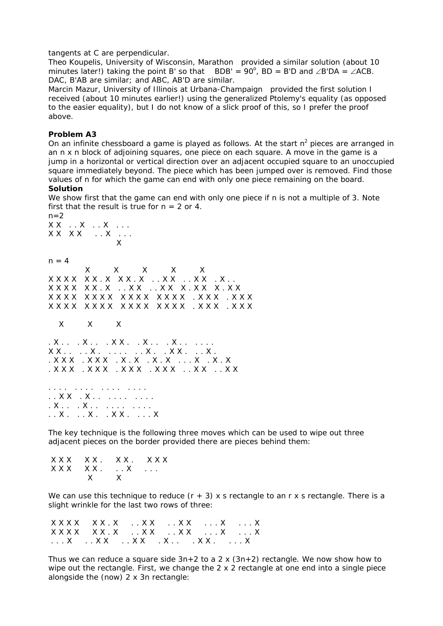#### tangents at C are perpendicular.

*Theo Koupelis, University of Wisconsin, Marathon* provided a similar solution (about 10 minutes later!) taking the point B' so that BDB' =  $90^{\circ}$ , BD = B'D and ∠B'DA = ∠ACB. DAC, B'AB are similar; and ABC, AB'D are similar.

*Marcin Mazur, University of Illinois at Urbana-Champaign* provided the first solution I received (about 10 minutes earlier!) using the generalized Ptolemy's equality (as opposed to the easier equality), but I do not know of a slick proof of this, so I prefer the proof above.

## **Problem A3**

On an infinite chessboard a game is played as follows. At the start  $n^2$  pieces are arranged in an n x n block of adjoining squares, one piece on each square. A move in the game is a jump in a horizontal or vertical direction over an adjacent occupied square to an unoccupied square immediately beyond. The piece which has been jumped over is removed. Find those values of n for which the game can end with only one piece remaining on the board.

## **Solution**

 $n=2$ 

We show first that the game can end with only one piece if n is not a multiple of 3. Note first that the result is true for  $n = 2$  or 4.

X X  $\ldots$  X  $\ldots$  X  $\ldots$  . X X X X . . X . . . **X**  $n = 4$  X X X X X X X X X X X . X X X . X . . X X . . X X . X . . X X X X X X . X . . X X . . X X X . X X X . X X X X X X X X X X X X X X X X X X . X X X . X X X X X X X X X X X X X X X X X X X . X X X . X X X X X X . X . . . X . . . X X . . X . . . X . . . . . . . X X . . . . X . . . . . . . X . . X X . . . X . . X X X . X X X . X . X . X . . . . X . X . X . X X X . X X X . X X X . X X X . . X X . . X X . . . . . . . . . . . . . . . . . . X X . . X . . . . . . . . . . . . . X . . . . X . . . . . . . . . . . . . . X . . . X . . X X . . . . X

The key technique is the following three moves which can be used to wipe out three adjacent pieces on the border provided there are pieces behind them:

 $XXX$  X X . X X . X X X X X X X X . . . X . . . X X

We can use this technique to reduce  $(r + 3)$  x s rectangle to an r x s rectangle. There is a slight wrinkle for the last two rows of three:

| XXXX XX.X XX XX X X |  |  |
|---------------------|--|--|
|                     |  |  |
|                     |  |  |

Thus we can reduce a square side  $3n+2$  to a 2 x  $(3n+2)$  rectangle. We now show how to wipe out the rectangle. First, we change the 2 x 2 rectangle at one end into a single piece alongside the (now) 2 x 3n rectangle: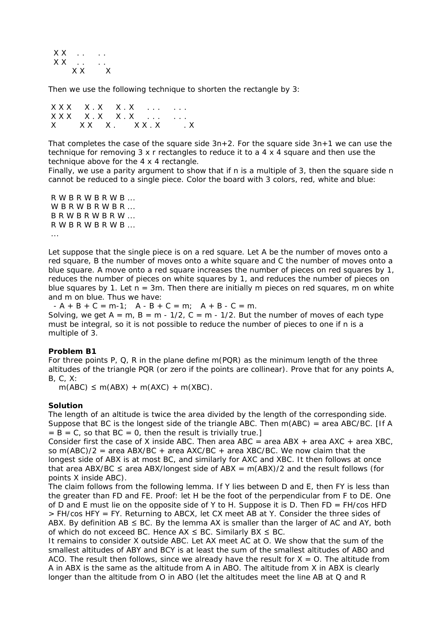X X . . . . . .  $XX \ldots$  $X$   $X$   $X$ 

Then we use the following technique to shorten the rectangle by 3:

|  | $\begin{array}{ccccccccc}\nXX & X & X & X & X & X & \dots & \dots\n\end{array}$ |  |
|--|---------------------------------------------------------------------------------|--|
|  | $\begin{array}{ccccccccc}\nXX & X & X & X & X & X & \dots & \dots\n\end{array}$ |  |
|  | X XXX. XXXX.                                                                    |  |

That completes the case of the square side  $3n+2$ . For the square side  $3n+1$  we can use the technique for removing 3 x r rectangles to reduce it to a 4 x 4 square and then use the technique above for the 4 x 4 rectangle.

Finally, we use a parity argument to show that if n is a multiple of 3, then the square side n cannot be reduced to a single piece. Color the board with 3 colors, red, white and blue:

 R W B R W B R W B ... W B R W B R W B R ...  $B R W B R W B R W ...$  R W B R W B R W B ... ...

Let suppose that the single piece is on a red square. Let A be the number of moves onto a red square, B the number of moves onto a white square and C the number of moves onto a blue square. A move onto a red square increases the number of pieces on red squares by 1, reduces the number of pieces on white squares by 1, and reduces the number of pieces on blue squares by 1. Let  $n = 3m$ . Then there are initially m pieces on red squares, m on white and m on blue. Thus we have:

 $-A + B + C = m-1$ ;  $A - B + C = m$ ;  $A + B - C = m$ . Solving, we get  $A = m$ ,  $B = m - 1/2$ ,  $C = m - 1/2$ . But the number of moves of each type must be integral, so it is not possible to reduce the number of pieces to one if n is a multiple of 3.

#### **Problem B1**

For three points P, Q, R in the plane define  $m(PQR)$  as the minimum length of the three altitudes of the triangle PQR (or zero if the points are collinear). Prove that for any points A, B, C, X:

 $m(ABC) \le m(ABX) + m(AXC) + m(XBC)$ .

#### **Solution**

The length of an altitude is twice the area divided by the length of the corresponding side. Suppose that BC is the longest side of the triangle ABC. Then  $m(ABC) = area ABC/BC$ . [If A  $= B = C$ , so that  $BC = 0$ , then the result is trivially true.]

Consider first the case of X inside ABC. Then area ABC = area ABX + area AXC + area XBC, so m(ABC)/2 = area ABX/BC + area AXC/BC + area XBC/BC. We now claim that the longest side of ABX is at most BC, and similarly for AXC and XBC. It then follows at once that area ABX/BC  $\leq$  area ABX/longest side of ABX = m(ABX)/2 and the result follows (for points X inside ABC).

The claim follows from the following lemma. If Y lies between D and E, then FY is less than the greater than FD and FE. Proof: let H be the foot of the perpendicular from F to DE. One of D and E must lie on the opposite side of Y to H. Suppose it is D. Then  $FD = FH/cos HFD$ > FH/cos HFY = FY. Returning to ABCX, let CX meet AB at Y. Consider the three sides of ABX. By definition AB  $\leq$  BC. By the lemma AX is smaller than the larger of AC and AY, both of which do not exceed BC. Hence  $AX \le BC$ . Similarly BX  $\le BC$ .

It remains to consider X outside ABC. Let AX meet AC at O. We show that the sum of the smallest altitudes of ABY and BCY is at least the sum of the smallest altitudes of ABO and ACO. The result then follows, since we already have the result for  $X = 0$ . The altitude from A in ABX is the same as the altitude from A in ABO. The altitude from X in ABX is clearly longer than the altitude from O in ABO (let the altitudes meet the line AB at Q and R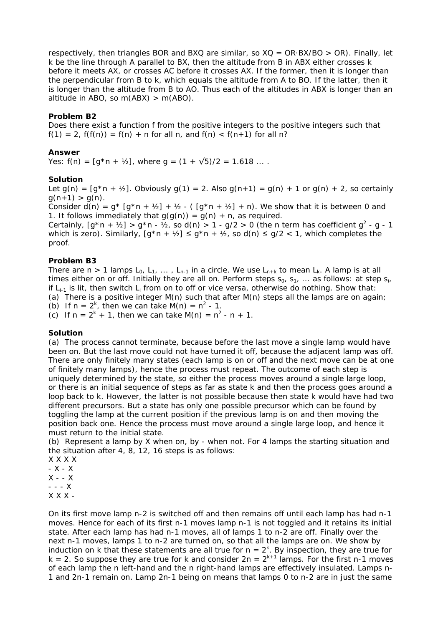respectively, then triangles BOR and BXQ are similar, so  $XQ = OR$ ·BX/BO > OR). Finally, let k be the line through A parallel to BX, then the altitude from B in ABX either crosses k before it meets AX, or crosses AC before it crosses AX. If the former, then it is longer than the perpendicular from B to k, which equals the altitude from A to BO. If the latter, then it is longer than the altitude from B to AO. Thus each of the altitudes in ABX is longer than an altitude in ABO, so  $m(ABX) > m(ABO)$ .

## **Problem B2**

Does there exist a function f from the positive integers to the positive integers such that  $f(1) = 2$ ,  $f(f(n)) = f(n) + n$  for all n, and  $f(n) < f(n+1)$  for all n?

### **Answer**

Yes:  $f(n) = [g*n + \frac{1}{2}]$ , where  $g = (1 + \sqrt{5})/2 = 1.618$  ....

## **Solution**

Let  $g(n) = [g*n + 1/2]$ . Obviously  $g(1) = 2$ . Also  $g(n+1) = g(n) + 1$  or  $g(n) + 2$ , so certainly  $g(n+1) > g(n)$ .

Consider  $d(n) = g^* [g^*n + \frac{1}{2}] + \frac{1}{2} - (g^*n + \frac{1}{2}] + n$ . We show that it is between 0 and 1. It follows immediately that  $g(g(n)) = g(n) + n$ , as required.

Certainly,  $[g^*n + \frac{1}{2}] > g^*n - \frac{1}{2}$ , so d(n)  $> 1 - g/2 > 0$  (the n term has coefficient  $g^2 - g - 1$ which is zero). Similarly,  $[g^*n + \frac{1}{2}] \leq g^*n + \frac{1}{2}$ , so  $d(n) \leq g/2 < 1$ , which completes the proof.

## **Problem B3**

There are  $n > 1$  lamps  $L_0, L_1, \ldots, L_{n-1}$  in a circle. We use  $L_{n+k}$  to mean  $L_k$ . A lamp is at all times either on or off. Initially they are all on. Perform steps  $s_0$ ,  $s_1$ , ... as follows: at step  $s_i$ , if  $L_{i-1}$  is lit, then switch  $L_i$  from on to off or vice versa, otherwise do nothing. Show that: (a) There is a positive integer  $M(n)$  such that after  $M(n)$  steps all the lamps are on again; (b) If  $n = 2^k$ , then we can take M(n) =  $n^2$  - 1. (c) If  $n = 2^k + 1$ , then we can take M(n) =  $n^2 - n + 1$ .

#### **Solution**

(a) The process cannot terminate, because before the last move a single lamp would have been on. But the last move could not have turned it off, because the adjacent lamp was off. There are only finitely many states (each lamp is on or off and the next move can be at one of finitely many lamps), hence the process must repeat. The outcome of each step is uniquely determined by the state, so either the process moves around a single large loop, or there is an initial sequence of steps as far as state k and then the process goes around a loop back to k. However, the latter is not possible because then state k would have had two different precursors. But a state has only one possible precursor which can be found by toggling the lamp at the current position if the previous lamp is on and then moving the position back one. Hence the process must move around a single large loop, and hence it must return to the initial state.

(b) Represent a lamp by X when on, by - when not. For 4 lamps the starting situation and the situation after 4, 8, 12, 16 steps is as follows:

X X X X

- X - X  $X - - X$  $- - X$ 

 $X$   $X$   $X$  -

On its first move lamp n-2 is switched off and then remains off until each lamp has had n-1 moves. Hence for each of its first n-1 moves lamp n-1 is not toggled and it retains its initial state. After each lamp has had n-1 moves, all of lamps 1 to n-2 are off. Finally over the next n-1 moves, lamps 1 to n-2 are turned on, so that all the lamps are on. We show by induction on k that these statements are all true for  $n = 2<sup>k</sup>$ . By inspection, they are true for  $k = 2$ . So suppose they are true for k and consider  $2n = 2^{k+1}$  lamps. For the first n-1 moves of each lamp the n left-hand and the n right-hand lamps are effectively insulated. Lamps n-1 and 2n-1 remain on. Lamp 2n-1 being on means that lamps 0 to n-2 are in just the same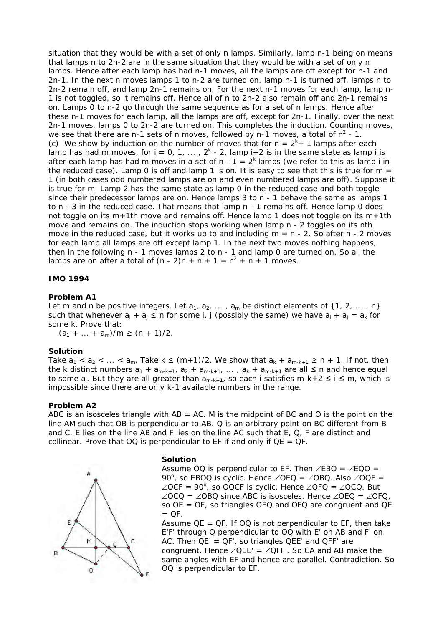situation that they would be with a set of only n lamps. Similarly, lamp n-1 being on means that lamps n to 2n-2 are in the same situation that they would be with a set of only n lamps. Hence after each lamp has had n-1 moves, all the lamps are off except for n-1 and 2n-1. In the next n moves lamps 1 to n-2 are turned on, lamp n-1 is turned off, lamps n to 2n-2 remain off, and lamp 2n-1 remains on. For the next n-1 moves for each lamp, lamp n-1 is not toggled, so it remains off. Hence all of n to 2n-2 also remain off and 2n-1 remains on. Lamps 0 to n-2 go through the same sequence as for a set of n lamps. Hence after these n-1 moves for each lamp, all the lamps are off, except for 2n-1. Finally, over the next 2n-1 moves, lamps 0 to 2n-2 are turned on. This completes the induction. Counting moves, we see that there are n-1 sets of n moves, followed by n-1 moves, a total of  $n^2$  - 1. (c) We show by induction on the number of moves that for  $n = 2<sup>k</sup> + 1$  lamps after each lamp has had m moves, for  $i = 0, 1, ..., 2<sup>k</sup> - 2$ , lamp  $i + 2$  is in the same state as lamp i is after each lamp has had m moves in a set of  $n - 1 = 2<sup>k</sup>$  lamps (we refer to this as lamp i in the *reduced* case). Lamp 0 is off and lamp 1 is on. It is easy to see that this is true for  $m =$ 1 (in both cases odd numbered lamps are on and even numbered lamps are off). Suppose it is true for m. Lamp 2 has the same state as lamp 0 in the reduced case and both toggle since their predecessor lamps are on. Hence lamps 3 to n - 1 behave the same as lamps 1 to n - 3 in the reduced case. That means that lamp n - 1 remains off. Hence lamp 0 does not toggle on its m+1th move and remains off. Hence lamp 1 does not toggle on its m+1th move and remains on. The induction stops working when lamp n - 2 toggles on its nth move in the reduced case, but it works up to and including  $m = n - 2$ . So after n - 2 moves for each lamp all lamps are off except lamp 1. In the next two moves nothing happens, then in the following n - 1 moves lamps 2 to n - 1 and lamp 0 are turned on. So all the lamps are on after a total of  $(n - 2)n + n + 1 = n^2 + n + 1$  moves.

## **IMO 1994**

## **Problem A1**

Let m and n be positive integers. Let  $a_1, a_2, \ldots, a_m$  be distinct elements of {1, 2, ..., n} such that whenever  $a_i + a_j \le n$  for some i, j (possibly the same) we have  $a_i + a_j = a_k$  for some k. Prove that:

 $(a_1 + ... + a_m)/m \ge (n + 1)/2$ .

#### **Solution**

Take  $a_1 < a_2 < ... < a_m$ . Take  $k \le (m+1)/2$ . We show that  $a_k + a_{m-k+1} \ge n + 1$ . If not, then the k distinct numbers  $a_1 + a_{m-k+1}$ ,  $a_2 + a_{m-k+1}$ , ...,  $a_k + a_{m-k+1}$  are all  $\leq n$  and hence equal to some  $a_i$ . But they are all greater than  $a_{m-k+1}$ , so each i satisfies m-k+2  $\leq i \leq m$ , which is impossible since there are only k-1 available numbers in the range.

## **Problem A2**

ABC is an isosceles triangle with  $AB = AC$ . M is the midpoint of BC and O is the point on the line AM such that OB is perpendicular to AB. Q is an arbitrary point on BC different from B and C. E lies on the line AB and F lies on the line AC such that E, Q, F are distinct and collinear. Prove that  $OQ$  is perpendicular to EF if and only if  $QE = QF$ .



#### **Solution**

Assume OQ is perpendicular to EF. Then  $\angle$ EBO =  $\angle$ EQO = 90°, so EBOQ is cyclic. Hence ∠OEQ = ∠OBQ. Also ∠OQF =  $\angle$ OCF = 90°, so OQCF is cyclic. Hence  $\angle$ OFQ =  $\angle$ OCQ. But ∠OCQ = ∠OBQ since ABC is isosceles. Hence ∠OEQ = ∠OFQ, so OE = OF, so triangles OEQ and OFQ are congruent and QE  $=$  QF.

Assume  $QE = QF$ . If  $OQ$  is not perpendicular to  $EF$ , then take E'F' through Q perpendicular to OQ with E' on AB and F' on AC. Then  $QE' = QF'$ , so triangles  $QEE'$  and  $QFF'$  are congruent. Hence ∠QEE' = ∠QFF'. So CA and AB make the same angles with EF and hence are parallel. Contradiction. So OQ is perpendicular to EF.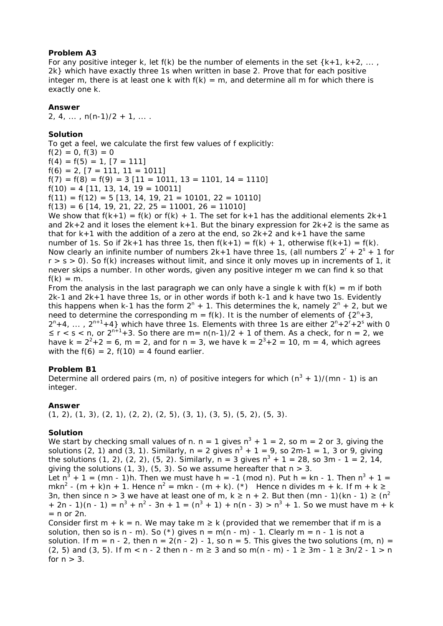## **Problem A3**

For any positive integer k, let  $f(k)$  be the number of elements in the set  $\{k+1, k+2, \ldots, k\}$ 2k} which have exactly three 1s when written in base 2. Prove that for each positive integer m, there is at least one k with  $f(k) = m$ , and determine all m for which there is exactly one k.

#### **Answer**

 $2, 4, \ldots, n(n-1)/2 + 1, \ldots$ 

# **Solution**

To get a feel, we calculate the first few values of f explicitly:  $f(2) = 0, f(3) = 0$  $f(4) = f(5) = 1$ ,  $[7 = 111]$  $f(6) = 2$ ,  $[7 = 111, 11 = 1011]$  $f(7) = f(8) = f(9) = 3 [11 = 1011, 13 = 1101, 14 = 1110]$  $f(10) = 4$  [11, 13, 14, 19 = 10011]  $f(11) = f(12) = 5$  [13, 14, 19, 21 = 10101, 22 = 10110]  $f(13) = 6$  [14, 19, 21, 22, 25 = 11001, 26 = 11010]

We show that  $f(k+1) = f(k)$  or  $f(k) + 1$ . The set for  $k+1$  has the additional elements  $2k+1$ and  $2k+2$  and it loses the element  $k+1$ . But the binary expression for  $2k+2$  is the same as that for  $k+1$  with the addition of a zero at the end, so  $2k+2$  and  $k+1$  have the same number of 1s. So if  $2k+1$  has three 1s, then  $f(k+1) = f(k) + 1$ , otherwise  $f(k+1) = f(k)$ . Now clearly an infinite number of numbers  $2k+1$  have three 1s, (all numbers  $2^r + 2^s + 1$  for  $r > s > 0$ ). So f(k) increases without limit, and since it only moves up in increments of 1, it never skips a number. In other words, given any positive integer m we can find k so that  $f(k) = m$ .

From the analysis in the last paragraph we can only have a single k with  $f(k) = m$  if both 2k-1 and 2k+1 have three 1s, or in other words if both k-1 and k have two 1s. Evidently this happens when k-1 has the form  $2^{n}$  + 1. This determines the k, namely  $2^{n}$  + 2, but we need to determine the corresponding  $m = f(k)$ . It is the number of elements of  $\{2^n + 3,$  $2^{n}+4$ , ...,  $2^{n+1}+4$ } which have three 1s. Elements with three 1s are either  $2^{n}+2^{r}+2^{s}$  with 0  $\leq r < s < n$ , or  $2^{n+1}+3$ . So there are m = n(n-1)/2 + 1 of them. As a check, for n = 2, we have  $k = 2^2 + 2 = 6$ , m = 2, and for n = 3, we have  $k = 2^3 + 2 = 10$ , m = 4, which agrees with the  $f(6) = 2$ ,  $f(10) = 4$  found earlier.

# **Problem B1**

Determine all ordered pairs (m, n) of positive integers for which  $(n^3 + 1)/(mn - 1)$  is an integer.

#### **Answer**

 $(1, 2), (1, 3), (2, 1), (2, 2), (2, 5), (3, 1), (3, 5), (5, 2), (5, 3).$ 

#### **Solution**

We start by checking small values of n. n = 1 gives  $n^3 + 1 = 2$ , so m = 2 or 3, giving the solutions (2, 1) and (3, 1). Similarly,  $n = 2$  gives  $n^3 + 1 = 9$ , so  $2m-1 = 1$ , 3 or 9, giving the solutions  $(1, 2)$ ,  $(2, 2)$ ,  $(5, 2)$ . Similarly, n = 3 gives  $n^3 + 1 = 28$ , so 3m - 1 = 2, 14, giving the solutions  $(1, 3)$ ,  $(5, 3)$ . So we assume hereafter that  $n > 3$ .

Let  $n^3 + 1 = (mn - 1)h$ . Then we must have h = -1 (mod n). Put h = kn - 1. Then  $n^3 + 1 =$ mkn<sup>2</sup> - (m + k)n + 1. Hence n<sup>2</sup> = mkn - (m + k). (\*) Hence n divides m + k. If m + k  $\ge$ 3n, then since n > 3 we have at least one of m,  $k \ge n + 2$ . But then (mn - 1)(kn - 1)  $\ge (n^2)$ + 2n - 1)(n - 1) =  $n^3 + n^2$  - 3n + 1 =  $(n^3 + 1) + n(n - 3) > n^3 + 1$ . So we must have m + k  $= n$  or 2n.

Consider first  $m + k = n$ . We may take  $m \ge k$  (provided that we remember that if m is a solution, then so is n - m). So (\*) gives  $n = m(n - m)$  - 1. Clearly  $m = n - 1$  is not a solution. If m = n - 2, then n =  $2(n - 2) - 1$ , so n = 5. This gives the two solutions (m, n) =  $(2, 5)$  and  $(3, 5)$ . If m < n - 2 then n - m ≥ 3 and so m(n - m) - 1 ≥ 3m - 1 ≥ 3n/2 - 1 > n for  $n > 3$ .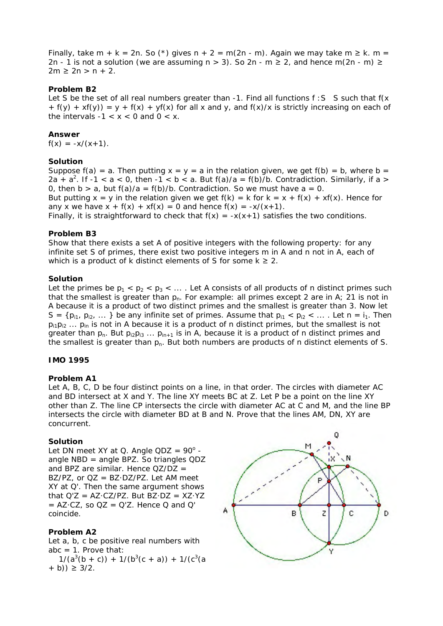Finally, take m + k = 2n. So (\*) gives n + 2 = m(2n - m). Again we may take m  $\geq$  k. m = 2n - 1 is not a solution (we are assuming  $n > 3$ ). So 2n - m  $\geq 2$ , and hence m(2n - m)  $\geq$  $2m \ge 2n > n + 2$ .

## **Problem B2**

Let S be the set of all real numbers greater than  $-1$ . Find all functions  $f : S$  S such that  $f(x)$  $+ f(y) + xf(y) = y + f(x) + yf(x)$  for all x and y, and  $f(x)/x$  is strictly increasing on each of the intervals  $-1 < x < 0$  and  $0 < x$ .

#### **Answer**

 $f(x) = -x/(x+1)$ .

## **Solution**

Suppose  $f(a) = a$ . Then putting  $x = y = a$  in the relation given, we get  $f(b) = b$ , where  $b = a$ 2a + a<sup>2</sup>. If -1 < a < 0, then -1 < b < a. But  $f(a)/a = f(b)/b$ . Contradiction. Similarly, if a > 0, then  $b > a$ , but  $f(a)/a = f(b)/b$ . Contradiction. So we must have  $a = 0$ . But putting  $x = y$  in the relation given we get  $f(k) = k$  for  $k = x + f(x) + xf(x)$ . Hence for any x we have  $x + f(x) + xf(x) = 0$  and hence  $f(x) = -x/(x+1)$ .

Finally, it is straightforward to check that  $f(x) = -x(x+1)$  satisfies the two conditions.

## **Problem B3**

Show that there exists a set A of positive integers with the following property: for any infinite set S of primes, there exist two positive integers m in A and n not in A, each of which is a product of k distinct elements of S for some  $k \geq 2$ .

## **Solution**

Let the primes be  $p_1 < p_2 < p_3 < ...$ . Let A consists of all products of n distinct primes such that the smallest is greater than  $p_n$ . For example: all primes except 2 are in A; 21 is not in A because it is a product of two distinct primes and the smallest is greater than 3. Now let  $S = \{p_{i1}, p_{i2}, \dots\}$  be any infinite set of primes. Assume that  $p_{i1} < p_{i2} < \dots$ . Let  $n = i_1$ . Then  $p_{i1}p_{i2} \ldots p_{in}$  is not in A because it is a product of n distinct primes, but the smallest is not greater than  $p_n$ . But  $p_{i2}p_{i3} \ldots p_{in+1}$  is in A, because it is a product of n distinct primes and the smallest is greater than  $p_n$ . But both numbers are products of n distinct elements of S.

#### **IMO 1995**

# **Problem A1**

Let A, B, C, D be four distinct points on a line, in that order. The circles with diameter AC and BD intersect at X and Y. The line XY meets BC at Z. Let P be a point on the line XY other than Z. The line CP intersects the circle with diameter AC at C and M, and the line BP intersects the circle with diameter BD at B and N. Prove that the lines AM, DN, XY are concurrent.

#### **Solution**

Let DN meet XY at Q. Angle  $QDZ = 90^\circ$  angle NBD = angle BPZ. So triangles QDZ and BPZ are similar. Hence  $QZ/DZ =$  $BZ/PZ$ , or  $OZ = BZ \cdot DZ/PZ$ . Let AM meet XY at Q'. Then the same argument shows that  $Q'Z = AZ \cdot CZ/PZ$ . But  $BZ \cdot DZ = XZ \cdot YZ$  $=$  AZ·CZ, so QZ = Q'Z. Hence Q and Q' coincide.

# **Problem A2**

Let a, b, c be positive real numbers with abc  $= 1$ . Prove that:

 $1/(a^3(b + c)) + 1/(b^3(c + a)) + 1/(c^3(a))$  $+$  b))  $\geq$  3/2.

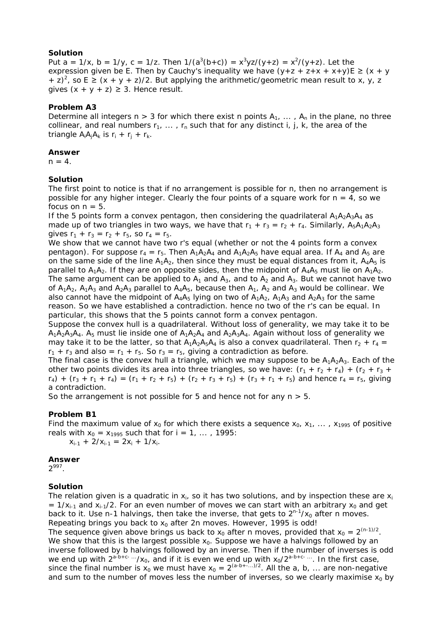# **Solution**

Put a =  $1/x$ , b =  $1/y$ , c =  $1/z$ . Then  $1/(a^3(b+c)) = x^3yz/(y+z) = x^2/(y+z)$ . Let the expression given be E. Then by Cauchy's inequality we have  $(y+z + z+x + x+y)E \ge (x + y)$ + z)<sup>2</sup>, so E  $\geq$  (x + y + z)/2. But applying the arithmetic/geometric mean result to x, y, z gives  $(x + y + z) \ge 3$ . Hence result.

# **Problem A3**

Determine all integers  $n > 3$  for which there exist n points  $A_1, \ldots, A_n$  in the plane, no three collinear, and real numbers  $r_1$ , ...,  $r_n$  such that for any distinct i, j, k, the area of the triangle  $A_iA_jA_k$  is  $r_i + r_j + r_k$ .

#### **Answer**

 $n = 4$ .

#### **Solution**

The first point to notice is that if no arrangement is possible for n, then no arrangement is possible for any higher integer. Clearly the four points of a square work for  $n = 4$ , so we focus on  $n = 5$ .

If the 5 points form a convex pentagon, then considering the quadrilateral  $A_1A_2A_3A_4$  as made up of two triangles in two ways, we have that  $r_1 + r_3 = r_2 + r_4$ . Similarly,  $A_5A_1A_2A_3$ gives  $r_1 + r_3 = r_2 + r_5$ , so  $r_4 = r_5$ .

We show that we cannot have two r's equal (whether or not the 4 points form a convex pentagon). For suppose  $r_4 = r_5$ . Then  $A_1A_2A_4$  and  $A_1A_2A_5$  have equal area. If  $A_4$  and  $A_5$  are on the same side of the line  $A_1A_2$ , then since they must be equal distances from it,  $A_4A_5$  is parallel to  $A_1A_2$ . If they are on opposite sides, then the midpoint of  $A_4A_5$  must lie on  $A_1A_2$ . The same argument can be applied to  $A_1$  and  $A_3$ , and to  $A_2$  and  $A_3$ . But we cannot have two of  $A_1A_2$ ,  $A_1A_3$  and  $A_2A_3$  parallel to  $A_4A_5$ , because then  $A_1$ ,  $A_2$  and  $A_3$  would be collinear. We also cannot have the midpoint of  $A_4A_5$  lying on two of  $A_1A_2$ ,  $A_1A_3$  and  $A_2A_3$  for the same reason. So we have established a contradiction. hence no two of the r's can be equal. In particular, this shows that the 5 points cannot form a convex pentagon.

Suppose the convex hull is a quadrilateral. Without loss of generality, we may take it to be  $A_1A_2A_3A_4$ .  $A_5$  must lie inside one of  $A_1A_2A_4$  and  $A_2A_3A_4$ . Again without loss of generality we may take it to be the latter, so that  $A_1A_2A_5A_4$  is also a convex quadrilateral. Then  $r_2 + r_4 =$  $r_1$  +  $r_3$  and also =  $r_1$  +  $r_5$ . So  $r_3$  =  $r_5$ , giving a contradiction as before.

The final case is the convex hull a triangle, which we may suppose to be  $A_1A_2A_3$ . Each of the other two points divides its area into three triangles, so we have:  $(r_1 + r_2 + r_4) + (r_2 + r_3 + r_4)$  $r_4$ ) +  $(r_3 + r_1 + r_4) = (r_1 + r_2 + r_5) + (r_2 + r_3 + r_5) + (r_3 + r_1 + r_5)$  and hence  $r_4 = r_5$ , giving a contradiction.

So the arrangement is not possible for 5 and hence not for any  $n > 5$ .

# **Problem B1**

Find the maximum value of  $x_0$  for which there exists a sequence  $x_0$ ,  $x_1$ , ...,  $x_{1995}$  of positive reals with  $x_0 = x_{1995}$  such that for  $i = 1, ..., 1995$ :

 $x_{i-1} + 2/x_{i-1} = 2x_i + 1/x_i$ .

#### **Answer**

 $2^{997}$ .

### **Solution**

The relation given is a quadratic in  $x_i$ , so it has two solutions, and by inspection these are  $x_i$ =  $1/x_{i-1}$  and  $x_{i-1}/2$ . For an even number of moves we can start with an arbitrary  $x_0$  and get back to it. Use n-1 halvings, then take the inverse, that gets to  $2^{n-1}/x_0$  after n moves. Repeating brings you back to  $x_0$  after 2n moves. However, 1995 is odd! The sequence given above brings us back to  $x_0$  after n moves, provided that  $x_0 = 2^{(n-1)/2}$ . We show that this is the largest possible  $x_0$ . Suppose we have a halvings followed by an inverse followed by b halvings followed by an inverse. Then if the number of inverses is odd we end up with  $2^{a-b+c-\cdots}/x_0$ , and if it is even we end up with  $x_0/2^{a-b+c-\cdots}$ . In the first case, since the final number is  $x_0$  we must have  $x_0 = 2^{(a-b+...)/2}$ . All the a, b, ... are non-negative and sum to the number of moves less the number of inverses, so we clearly maximise  $x_0$  by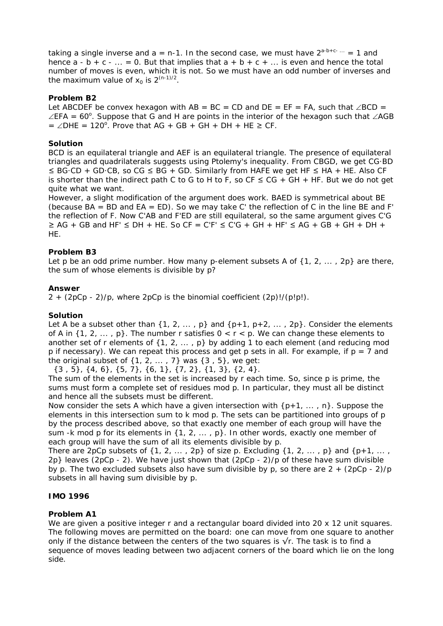taking a single inverse and  $a = n-1$ . In the second case, we must have  $2^{a-b+c-m} = 1$  and hence  $a - b + c - ... = 0$ . But that implies that  $a + b + c + ...$  is even and hence the total number of moves is even, which it is not. So we must have an odd number of inverses and the maximum value of  $x_0$  is  $2^{(n-1)/2}$ .

# **Problem B2**

Let ABCDEF be convex hexagon with AB = BC = CD and DE = EF = FA, such that  $\angle$ BCD =  $\angle$ EFA = 60°. Suppose that G and H are points in the interior of the hexagon such that  $\angle$ AGB  $= \angle$ DHE = 120°. Prove that AG + GB + GH + DH + HE  $\geq$  CF.

# **Solution**

BCD is an equilateral triangle and AEF is an equilateral triangle. The presence of equilateral triangles and quadrilaterals suggests using Ptolemy's inequality. From CBGD, we get CG·BD ≤ BG·CD + GD·CB, so CG ≤ BG + GD. Similarly from HAFE we get HF ≤ HA + HE. Also CF is shorter than the indirect path C to G to H to F, so  $CF \leq CG + GH + HF$ . But we do not get quite what we want.

However, a slight modification of the argument does work. BAED is symmetrical about BE (because  $BA = BD$  and  $EA = ED$ ). So we may take C' the reflection of C in the line BE and F' the reflection of F. Now C'AB and F'ED are still equilateral, so the same argument gives C'G  $\geq$  AG + GB and HF'  $\leq$  DH + HE. So CF = C'F'  $\leq$  C'G + GH + HF'  $\leq$  AG + GB + GH + DH + HE.

# **Problem B3**

Let p be an odd prime number. How many p-element subsets A of  $\{1, 2, \ldots, 2p\}$  are there, the sum of whose elements is divisible by p?

# **Answer**

 $2 + (2pCp - 2)/p$ , where 2pCp is the binomial coefficient  $(2p)!/(p!p!)$ .

# **Solution**

Let A be a subset other than  $\{1, 2, ..., p\}$  and  $\{p+1, p+2, ..., 2p\}$ . Consider the elements of A in  $\{1, 2, \ldots, p\}$ . The number r satisfies  $0 < r < p$ . We can change these elements to another set of r elements of  $\{1, 2, \ldots, p\}$  by adding 1 to each element (and reducing mod p if necessary). We can repeat this process and get p sets in all. For example, if  $p = 7$  and the original subset of  $\{1, 2, \ldots, 7\}$  was  $\{3, 5\}$ , we get:

{3 , 5}, {4, 6}, {5, 7}, {6, 1}, {7, 2}, {1, 3}, {2, 4}.

The sum of the elements in the set is increased by r each time. So, since p is prime, the sums must form a complete set of residues mod p. In particular, they must all be distinct and hence all the subsets must be different.

Now consider the sets A which have a given intersection with  $\{p+1, \ldots, n\}$ . Suppose the elements in this intersection sum to k mod p. The sets can be partitioned into groups of p by the process described above, so that exactly one member of each group will have the sum -k mod p for its elements in  $\{1, 2, \ldots, p\}$ . In other words, exactly one member of each group will have the sum of all its elements divisible by p.

There are 2pCp subsets of  $\{1, 2, \ldots, 2p\}$  of size p. Excluding  $\{1, 2, \ldots, p\}$  and  $\{p+1, \ldots, p\}$ 2p} leaves (2pCp - 2). We have just shown that (2pCp - 2)/p of these have sum divisible by p. The two excluded subsets also have sum divisible by p, so there are  $2 + (2pCp - 2)/p$ subsets in all having sum divisible by p.

# **IMO 1996**

# **Problem A1**

We are given a positive integer r and a rectangular board divided into 20 x 12 unit squares. The following moves are permitted on the board: one can move from one square to another only if the distance between the centers of the two squares is  $\sqrt{r}$ . The task is to find a sequence of moves leading between two adjacent corners of the board which lie on the long side.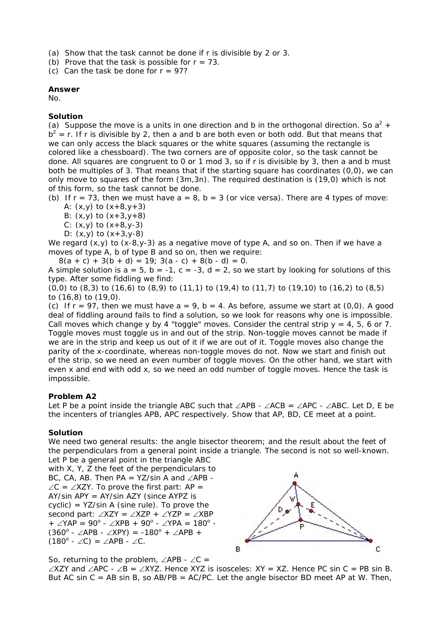(a) Show that the task cannot be done if r is divisible by 2 or 3.

(b) Prove that the task is possible for  $r = 73$ .

(c) Can the task be done for  $r = 97$ ?

#### **Answer**

No.

# **Solution**

(a) Suppose the move is a units in one direction and b in the orthogonal direction. So  $a^2$  +  $b^2$  = r. If r is divisible by 2, then a and b are both even or both odd. But that means that we can only access the black squares or the white squares (assuming the rectangle is colored like a chessboard). The two corners are of opposite color, so the task cannot be done. All squares are congruent to 0 or 1 mod 3, so if r is divisible by 3, then a and b must both be multiples of 3. That means that if the starting square has coordinates (0,0), we can only move to squares of the form (3m,3n). The required destination is (19,0) which is not of this form, so the task cannot be done.

(b) If  $r = 73$ , then we must have  $a = 8$ ,  $b = 3$  (or vice versa). There are 4 types of move: A:  $(x,y)$  to  $(x+8,y+3)$ 

- B:  $(x,y)$  to  $(x+3,y+8)$
- C:  $(x,y)$  to  $(x+8,y-3)$
- D:  $(x,y)$  to  $(x+3,y-8)$

We regard  $(x,y)$  to  $(x-8,y-3)$  as a negative move of type A, and so on. Then if we have a moves of type A, b of type B and so on, then we require:

 $8(a + c) + 3(b + d) = 19$ ;  $3(a - c) + 8(b - d) = 0$ . A simple solution is  $a = 5$ ,  $b = -1$ ,  $c = -3$ ,  $d = 2$ , so we start by looking for solutions of this

type. After some fiddling we find: (0,0) to (8,3) to (16,6) to (8,9) to (11,1) to (19,4) to (11,7) to (19,10) to (16,2) to (8,5) to (16,8) to (19,0).

(c) If  $r = 97$ , then we must have  $a = 9$ ,  $b = 4$ . As before, assume we start at  $(0,0)$ . A good deal of fiddling around fails to find a solution, so we look for reasons why one is impossible. Call moves which change y by 4 "toggle" moves. Consider the central strip  $y = 4$ , 5, 6 or 7. Toggle moves must toggle us in and out of the strip. Non-toggle moves cannot be made if we are in the strip and keep us out of it if we are out of it. Toggle moves also change the parity of the x-coordinate, whereas non-toggle moves do not. Now we start and finish out of the strip, so we need an even number of toggle moves. On the other hand, we start with even x and end with odd x, so we need an odd number of toggle moves. Hence the task is impossible.

# **Problem A2**

Let P be a point inside the triangle ABC such that ∠APB - ∠ACB = ∠APC - ∠ABC. Let D, E be the incenters of triangles APB, APC respectively. Show that AP, BD, CE meet at a point.

# **Solution**

We need two general results: the angle bisector theorem; and the result about the feet of the perpendiculars from a general point inside a triangle. The second is not so well-known. Let P be a general point in the triangle ABC

with X, Y, Z the feet of the perpendiculars to BC, CA, AB. Then PA = YZ/sin A and ∠APB - ∠C = ∠XZY. To prove the first part: AP = AY/sin APY = AY/sin AZY (since AYPZ is  $cyclic$ ) = YZ/sin A (sine rule). To prove the second part: ∠XZY = ∠XZP + ∠YZP = ∠XBP + ∠YAP = 90<sup>°</sup> - ∠XPB + 90<sup>°</sup> - ∠YPA = 180<sup>°</sup> - $(360^{\circ} - \angle APB - \angle XPY) = -180^{\circ} + \angle APB +$  $(180^{\circ} \cdot \angle C) = \angle APB \cdot \angle C$ .



So, returning to the problem,  $\angle$ APB -  $\angle$ C =

∠XZY and ∠APC - ∠B = ∠XYZ. Hence XYZ is isosceles: XY = XZ. Hence PC sin C = PB sin B. But AC sin  $C = AB \sin B$ , so AB/PB = AC/PC. Let the angle bisector BD meet AP at W. Then,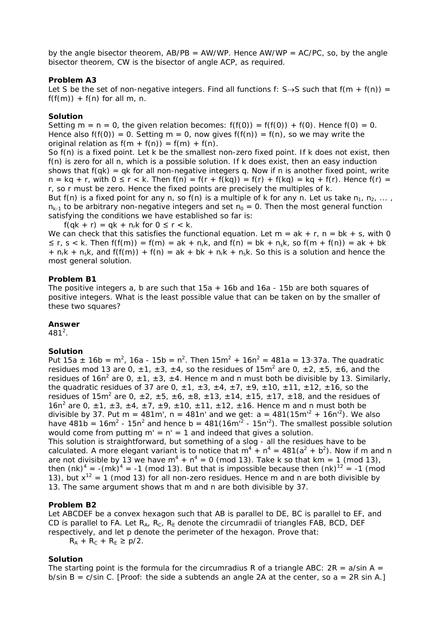by the angle bisector theorem,  $AB/PB = AW/WP$ . Hence  $AW/WP = AC/PC$ , so, by the angle bisector theorem, CW is the bisector of angle ACP, as required.

#### **Problem A3**

Let S be the set of non-negative integers. Find all functions f: S $\rightarrow$ S such that f(m + f(n)) =  $f(f(m)) + f(n)$  for all m, n.

#### **Solution**

Setting  $m = n = 0$ , the given relation becomes:  $f(f(0)) = f(f(0)) + f(0)$ . Hence  $f(0) = 0$ . Hence also  $f(f(0)) = 0$ . Setting  $m = 0$ , now gives  $f(f(n)) = f(n)$ , so we may write the original relation as  $f(m + f(n)) = f(m) + f(n)$ .

So f(n) is a fixed point. Let k be the smallest non-zero fixed point. If k does not exist, then f(n) is zero for all n, which is a possible solution. If k does exist, then an easy induction shows that  $f(qk) = qk$  for all non-negative integers q. Now if n is another fixed point, write  $n = kq + r$ , with  $0 \le r < k$ . Then  $f(n) = f(r + f(kq)) = f(r) + f(kq) = kq + f(r)$ . Hence  $f(r) =$ r, so r must be zero. Hence the fixed points are precisely the multiples of k.

But f(n) is a fixed point for any n, so f(n) is a multiple of k for any n. Let us take  $n_1, n_2, ...,$  $n_{k-1}$  to be arbitrary non-negative integers and set  $n_0 = 0$ . Then the most general function satisfying the conditions we have established so far is:

 $f(qk + r) = qk + n_rk$  for  $0 \le r < k$ .

We can check that this satisfies the functional equation. Let  $m = ak + r$ ,  $n = bk + s$ , with 0  $\leq$  r, s < k. Then f(f(m)) = f(m) = ak + n<sub>r</sub>k, and f(n) = bk + n<sub>s</sub>k, so f(m + f(n)) = ak + bk  $+ n_r k + n_s k$ , and f(f(m))  $+ f(n) = ak + bk + n_r k + n_s k$ . So this is a solution and hence the most general solution.

#### **Problem B1**

The positive integers a, b are such that 15a + 16b and 16a - 15b are both squares of positive integers. What is the least possible value that can be taken on by the smaller of these two squares?

#### **Answer**

 $481^2$ .

# **Solution**

Put 15a  $\pm$  16b = m<sup>2</sup>, 16a - 15b = n<sup>2</sup>. Then 15m<sup>2</sup> + 16n<sup>2</sup> = 481a = 13·37a. The quadratic residues mod 13 are 0,  $\pm 1$ ,  $\pm 3$ ,  $\pm 4$ , so the residues of 15m<sup>2</sup> are 0,  $\pm 2$ ,  $\pm 5$ ,  $\pm 6$ , and the residues of 16n<sup>2</sup> are 0,  $\pm$ 1,  $\pm$ 3,  $\pm$ 4. Hence m and n must both be divisible by 13. Similarly, the quadratic residues of 37 are 0,  $\pm 1$ ,  $\pm 3$ ,  $\pm 4$ ,  $\pm 7$ ,  $\pm 9$ ,  $\pm 10$ ,  $\pm 11$ ,  $\pm 12$ ,  $\pm 16$ , so the residues of 15m<sup>2</sup> are 0,  $\pm 2$ ,  $\pm 5$ ,  $\pm 6$ ,  $\pm 8$ ,  $\pm 13$ ,  $\pm 14$ ,  $\pm 15$ ,  $\pm 17$ ,  $\pm 18$ , and the residues of 16n<sup>2</sup> are 0,  $\pm$ 1,  $\pm$ 3,  $\pm$ 4,  $\pm$ 7,  $\pm$ 9,  $\pm$ 10,  $\pm$ 11,  $\pm$ 12,  $\pm$ 16. Hence m and n must both be divisible by 37. Put m = 481m', n = 481n' and we get:  $a = 481(15m^2 + 16n^2)$ . We also have  $481b = 16m^2 - 15n^2$  and hence  $b = 481(16m^2 - 15n^2)$ . The smallest possible solution would come from putting  $m' = n' = 1$  and indeed that gives a solution.

This solution is straightforward, but something of a slog - all the residues have to be calculated. A more elegant variant is to notice that  $m^4 + n^4 = 481(a^2 + b^2)$ . Now if m and n are not divisible by 13 we have  $m^4 + n^4 = 0$  (mod 13). Take k so that km = 1 (mod 13), then  $(nk)^4$  =  $-(mk)^4$  = -1 (mod 13). But that is impossible because then  $(nk)^{12}$  = -1 (mod 13), but  $x^{12} = 1$  (mod 13) for all non-zero residues. Hence m and n are both divisible by 13. The same argument shows that m and n are both divisible by 37.

# **Problem B2**

Let ABCDEF be a convex hexagon such that AB is parallel to DE, BC is parallel to EF, and CD is parallel to FA. Let  $R_{A}$ ,  $R_{C}$ ,  $R_{F}$  denote the circumradii of triangles FAB, BCD, DEF respectively, and let p denote the perimeter of the hexagon. Prove that:

 $R_A + R_C + R_F \geq p/2$ .

# **Solution**

The starting point is the formula for the circumradius R of a triangle ABC:  $2R = a/sin A$ b/sin  $B = c/s$  in C. [Proof: the side a subtends an angle 2A at the center, so  $a = 2R \sin A$ .]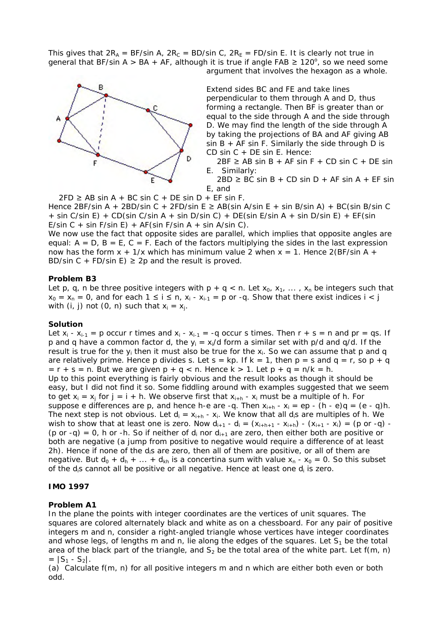This gives that  $2R_A = BF/sin A$ ,  $2R_C = BD/sin C$ ,  $2R_E = FD/sin E$ . It is clearly not true in general that BF/sin A > BA + AF, although it is true if angle FAB  $\geq 120^{\circ}$ , so we need some argument that involves the hexagon as a whole.



Extend sides BC and FE and take lines perpendicular to them through A and D, thus forming a rectangle. Then BF is greater than or equal to the side through A and the side through D. We may find the length of the side through A by taking the projections of BA and AF giving AB  $sin B + AF sin F$ . Similarly the side through D is CD sin C + DE sin E. Hence:

 $2BF \geq AB \sin B + AF \sin F + CD \sin C + DE \sin$ E. Similarly:

 $2BD \ge BC \sin B + CD \sin D + AF \sin A + EF \sin A$ E, and

 $2FD \ge AB \sin A + BC \sin C + DE \sin D + EF \sin F$ .

Hence 2BF/sin A + 2BD/sin C + 2FD/sin E  $\geq$  AB(sin A/sin E + sin B/sin A) + BC(sin B/sin C  $+$  sin C/sin E) + CD(sin C/sin A + sin D/sin C) + DE(sin E/sin A + sin D/sin E) + EF(sin E/sin C + sin F/sin E) + AF(sin F/sin A + sin A/sin C).

We now use the fact that opposite sides are parallel, which implies that opposite angles are equal:  $A = D$ ,  $B = E$ ,  $C = F$ . Each of the factors multiplying the sides in the last expression now has the form  $x + 1/x$  which has minimum value 2 when  $x = 1$ . Hence 2(BF/sin A + BD/sin C + FD/sin E)  $\geq$  2p and the result is proved.

#### **Problem B3**

Let p, q, n be three positive integers with  $p + q < n$ . Let  $x_0, x_1, \ldots, x_n$  be integers such that  $x_0 = x_n = 0$ , and for each  $1 \le i \le n$ ,  $x_i - x_{i-1} = p$  or -q. Show that there exist indices  $i < j$ with (i, j) not (0, n) such that  $x_i = x_i$ .

#### **Solution**

Let  $x_i - x_{i-1} = p$  occur r times and  $x_i - x_{i-1} = -q$  occur s times. Then  $r + s = n$  and  $pr = qs$ . If p and q have a common factor d, the  $y_i = x_i/d$  form a similar set with p/d and q/d. If the result is true for the  $y_i$  then it must also be true for the  $x_i$ . So we can assume that p and q are relatively prime. Hence p divides s. Let  $s = kp$ . If  $k = 1$ , then  $p = s$  and  $q = r$ , so  $p + q$  $= r + s = n$ . But we are given  $p + q < n$ . Hence  $k > 1$ . Let  $p + q = n/k = h$ . Up to this point everything is fairly obvious and the result looks as though it should be easy, but I did not find it so. Some fiddling around with examples suggested that we seem to get  $x_i = x_i$  for  $j = i + h$ . We observe first that  $x_{i+h}$  -  $x_i$  must be a multiple of h. For suppose e differences are p, and hence h-e are -q. Then  $x_{i+h}$  -  $x_i = ep - (h - e)q = (e - q)h$ . The next step is not obvious. Let  $d_i = x_{i+h} - x_i$ . We know that all  $d_i s$  are multiples of h. We wish to show that at least one is zero. Now  $d_{i+1} - d_i = (x_{i+h+1} - x_{i+h}) - (x_{i+1} - x_i) = (p \text{ or } -q)$  -(p or -q) = 0, h or -h. So if neither of  $d_i$  nor  $d_{i+1}$  are zero, then either both are positive or both are negative (a jump from positive to negative would require a difference of at least 2h). Hence if none of the d<sub>i</sub>s are zero, then all of them are positive, or all of them are negative. But  $d_0 + d_h + ... + d_{kh}$  is a concertina sum with value  $x_n - x_0 = 0$ . So this subset of the d<sub>i</sub>s cannot all be positive or all negative. Hence at least one d<sub>i</sub> is zero.

# **IMO 1997**

# **Problem A1**

In the plane the points with integer coordinates are the vertices of unit squares. The squares are colored alternately black and white as on a chessboard. For any pair of positive integers m and n, consider a right-angled triangle whose vertices have integer coordinates and whose legs, of lengths m and n, lie along the edges of the squares. Let  $S_1$  be the total area of the black part of the triangle, and  $S_2$  be the total area of the white part. Let f(m, n)  $= |S_1 - S_2|$ .

(a) Calculate f(m, n) for all positive integers m and n which are either both even or both odd.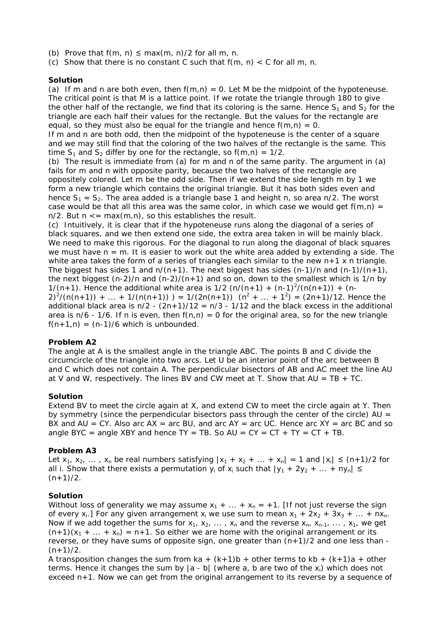- (b) Prove that  $f(m, n) \leq max(m, n)/2$  for all m, n.
- (c) Show that there is no constant C such that  $f(m, n) < C$  for all m, n.

#### **Solution**

(a) If m and n are both even, then  $f(m,n) = 0$ . Let M be the midpoint of the hypoteneuse. The critical point is that M is a lattice point. If we rotate the triangle through 180 to give the other half of the rectangle, we find that its coloring is the same. Hence  $S_1$  and  $S_2$  for the triangle are each half their values for the rectangle. But the values for the rectangle are equal, so they must also be equal for the triangle and hence  $f(m,n) = 0$ .

If m and n are both odd, then the midpoint of the hypoteneuse is the center of a square and we may still find that the coloring of the two halves of the rectangle is the same. This time  $S_1$  and  $S_2$  differ by one for the rectangle, so  $f(m,n) = 1/2$ .

(b) The result is immediate from (a) for m and n of the same parity. The argument in (a) fails for m and n with opposite parity, because the two halves of the rectangle are oppositely colored. Let m be the odd side. Then if we extend the side length m by 1 we form a new triangle which contains the original triangle. But it has both sides even and hence  $S_1 = S_2$ . The area added is a triangle base 1 and height n, so area n/2. The worst case would be that all this area was the same color, in which case we would get  $f(m,n) =$  $n/2$ . But  $n \leq m$  max $(m, n)$ , so this establishes the result.

(c) Intuitively, it is clear that if the hypoteneuse runs along the diagonal of a series of black squares, and we then extend one side, the extra area taken in will be mainly black. We need to make this rigorous. For the diagonal to run along the diagonal of black squares we must have  $n = m$ . It is easier to work out the white area added by extending a side. The white area takes the form of a series of triangles each similar to the new  $n+1 \times n$  triangle. The biggest has sides 1 and  $n/(n+1)$ . The next biggest has sides  $(n-1)/n$  and  $(n-1)/(n+1)$ , the next biggest  $(n-2)/n$  and  $(n-2)/(n+1)$  and so on, down to the smallest which is 1/n by 1/(n+1). Hence the additional white area is 1/2 (n/(n+1) + (n-1)<sup>2</sup>/(n(n+1)) + (n- $2)^{2}/(n(n+1)) + ... + 1/(n(n+1)) = 1/(2n(n+1)) (n^{2} + ... + 1^{2}) = (2n+1)/12$ . Hence the additional black area is  $n/2 - (2n+1)/12 = n/3 - 1/12$  and the black excess in the additional area is  $n/6$  - 1/6. If n is even, then  $f(n,n) = 0$  for the original area, so for the new triangle  $f(n+1,n) = (n-1)/6$  which is unbounded.

#### **Problem A2**

The angle at A is the smallest angle in the triangle ABC. The points B and C divide the circumcircle of the triangle into two arcs. Let U be an interior point of the arc between B and C which does not contain A. The perpendicular bisectors of AB and AC meet the line AU at V and W, respectively. The lines BV and CW meet at T. Show that  $AU = TB + TC$ .

#### **Solution**

Extend BV to meet the circle again at X, and extend CW to meet the circle again at Y. Then by symmetry (since the perpendicular bisectors pass through the center of the circle)  $AU =$ BX and AU = CY. Also arc  $AX = arc$  BU, and arc  $AY = arc$  UC. Hence arc  $XY = arc$  BC and so angle BYC = angle XBY and hence  $TY = TB$ . So  $AU = CY = CT + TY = CT + TB$ .

# **Problem A3**

Let  $x_1, x_2, \ldots, x_n$  be real numbers satisfying  $|x_1 + x_2 + \ldots + x_n| = 1$  and  $|x_i| \leq (n+1)/2$  for all i. Show that there exists a permutation  $y_i$  of  $x_i$  such that  $|y_1 + 2y_2 + ... + ny_n| \le$  $(n+1)/2$ .

# **Solution**

Without loss of generality we may assume  $x_1 + ... + x_n = +1$ . [If not just reverse the sign of every  $x_i$ .] For any given arrangement  $x_i$  we use *sum* to mean  $x_1 + 2x_2 + 3x_3 + ... + nx_n$ . Now if we add together the sums for  $x_1, x_2, \ldots, x_n$  and the *reverse*  $x_n, x_{n-1}, \ldots, x_1$ , we get  $(n+1)(x_1 + ... + x_n) = n+1$ . So either we are home with the original arrangement or its reverse, or they have sums of opposite sign, one greater than  $(n+1)/2$  and one less than - $(n+1)/2$ .

A transposition changes the sum from ka +  $(k+1)b$  + other terms to kb +  $(k+1)a$  + other terms. Hence it changes the sum by  $|a - b|$  (where a, b are two of the x<sub>i</sub>) which does not exceed n+1. Now we can get from the original arrangement to its reverse by a sequence of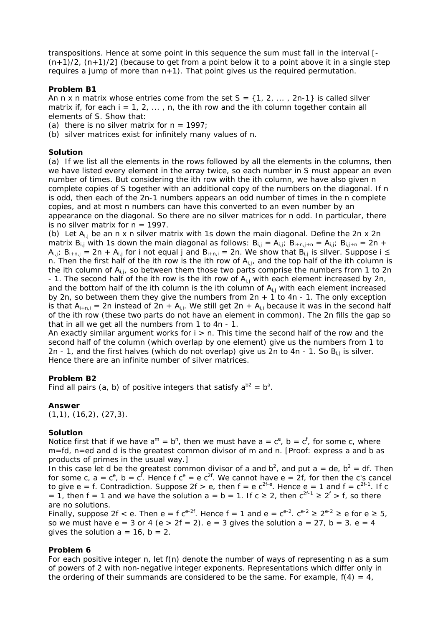transpositions. Hence at some point in this sequence the sum must fall in the interval [-  $(n+1)/2$ ,  $(n+1)/2$ ] (because to get from a point below it to a point above it in a single step requires a jump of more than  $n+1$ ). That point gives us the required permutation.

# **Problem B1**

An n x n matrix whose entries come from the set  $S = \{1, 2, \ldots, 2n-1\}$  is called silver matrix if, for each  $i = 1, 2, \ldots$ , n, the ith row and the ith column together contain all elements of S. Show that:

(a) there is no silver matrix for  $n = 1997$ ;

(b) silver matrices exist for infinitely many values of n.

# **Solution**

(a) If we list all the elements in the rows followed by all the elements in the columns, then we have listed every element in the array twice, so each number in S must appear an even number of times. But considering the ith row with the ith column, we have also given n complete copies of S together with an additional copy of the numbers on the diagonal. If n is odd, then each of the 2n-1 numbers appears an odd number of times in the n complete copies, and at most n numbers can have this converted to an even number by an appearance on the diagonal. So there are no silver matrices for n odd. In particular, there is no silver matrix for  $n = 1997$ .

(b) Let  $A_{i,j}$  be an n x n silver matrix with 1s down the main diagonal. Define the 2n x 2n matrix  $B_{i,j}$  with 1s down the main diagonal as follows:  $B_{i,j} = A_{i,j}$ ;  $B_{i+n,j+n} = A_{i,j}$ ;  $B_{i,j+n} = 2n +$  $A_{i,j}$ ;  $B_{i+n,j} = 2n + A_{i,j}$  for i not equal j and  $B_{i+n,i} = 2n$ . We show that  $B_{i,j}$  is silver. Suppose i  $\leq$ n. Then the first half of the ith row is the ith row of  $A_{i,j}$ , and the top half of the ith column is the ith column of  $A_{i,j}$ , so between them those two parts comprise the numbers from 1 to 2n - 1. The second half of the ith row is the ith row of  $A_{i,j}$  with each element increased by 2n, and the bottom half of the ith column is the ith column of  $A_{i,j}$  with each element increased by 2n, so between them they give the numbers from  $2n + 1$  to  $4n - 1$ . The only exception is that  $A_{i+n,i} = 2n$  instead of  $2n + A_{i,i}$ . We still get  $2n + A_{i,i}$  because it was in the second half of the ith row (these two parts do not have an element in common). The 2n fills the gap so that in all we get all the numbers from 1 to 4n - 1.

An exactly similar argument works for  $i > n$ . This time the second half of the row and the second half of the column (which overlap by one element) give us the numbers from 1 to 2n - 1, and the first halves (which do not overlap) give us 2n to 4n - 1. So  $B_{i,j}$  is silver. Hence there are an infinite number of silver matrices.

# **Problem B2**

Find all pairs (a, b) of positive integers that satisfy  $a^{b2} = b^a$ .

# **Answer**

 $(1,1)$ ,  $(16,2)$ ,  $(27,3)$ .

# **Solution**

Notice first that if we have  $a^m = b^n$ , then we must have  $a = c^e$ ,  $b = c^f$ , for some c, where m=fd, n=ed and d is the greatest common divisor of m and n. [Proof: express a and b as products of primes in the usual way.]

In this case let d be the greatest common divisor of a and  $b^2$ , and put a = de,  $b^2$  = df. Then for some c,  $a = c^e$ ,  $b = c^f$ . Hence f  $c^e = e^{2f}$ . We cannot have  $e = 2f$ , for then the c's cancel to give e = f. Contradiction. Suppose 2f > e, then  $f = e^{2f-e}$ . Hence e = 1 and  $f = c^{2f-1}$ . If c = 1, then f = 1 and we have the solution  $a = b = 1$ . If  $c \ge 2$ , then  $c^{2f-1} \ge 2^f > f$ , so there are no solutions.

Finally, suppose 2f < e. Then e = f c<sup>e-2f</sup>. Hence f = 1 and e = c<sup>e-2</sup>.  $c^{e-2} \ge 2^{e-2} \ge e$  for e  $\ge 5$ , so we must have  $e = 3$  or 4 ( $e > 2f = 2$ ).  $e = 3$  gives the solution  $a = 27$ ,  $b = 3$ .  $e = 4$ gives the solution  $a = 16$ ,  $b = 2$ .

# **Problem 6**

For each positive integer n, let f(n) denote the number of ways of representing n as a sum of powers of 2 with non-negative integer exponents. Representations which differ only in the ordering of their summands are considered to be the same. For example,  $f(4) = 4$ ,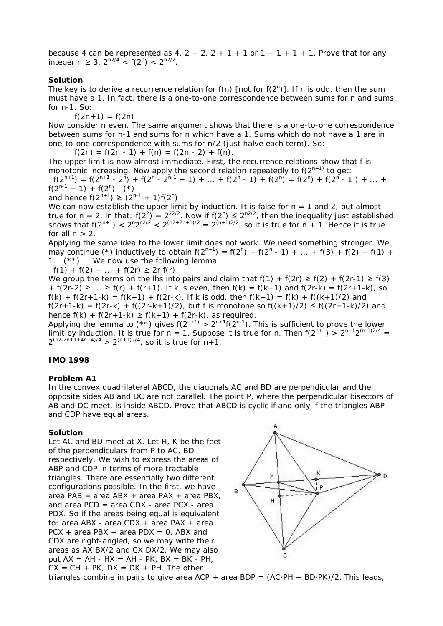because 4 can be represented as 4,  $2 + 2$ ,  $2 + 1 + 1$  or  $1 + 1 + 1 + 1$ . Prove that for any integer n ≥ 3,  $2^{n2/4}$  < f( $2^n$ ) <  $2^{n2/2}$ .

#### **Solution**

The key is to derive a recurrence relation for  $f(n)$  [not for  $f(2^n)$ ]. If n is odd, then the sum must have a 1. In fact, there is a one-to-one correspondence between sums for n and sums for n-1. So:

 $f(2n+1) = f(2n)$ 

Now consider n even. The same argument shows that there is a one-to-one correspondence between sums for n-1 and sums for n which have a 1. Sums which do not have a 1 are in one-to-one correspondence with sums for n/2 (just halve each term). So:

 $f(2n) = f(2n - 1) + f(n) = f(2n - 2) + f(n)$ .

The upper limit is now almost immediate. First, the recurrence relations show that f is monotonic increasing. Now apply the second relation repeatedly to  $f(2^{n+1})$  to get:

 $f(2^{n+1}) = f(2^{n+1} - 2^{n}) + f(2^{n} - 2^{n+1} + 1) + \dots + f(2^{n} - 1) + f(2^{n}) = f(2^{n}) + f(2^{n} - 1) + \dots +$  $f(2^{n-1} + 1) + f(2^n)$  (\*)

and hence  $f(2^{n+1}) \geq (2^{n-1} + 1)f(2^n)$ 

We can now establish the upper limit by induction. It is false for  $n = 1$  and 2, but almost true for n = 2, in that:  $f(2^2) = 2^{22/2}$ . Now if  $f(2^n) \le 2^{n2/2}$ , then the inequality just established shows that  $f(2^{n+1}) < 2^{n}2^{n^{2/2}} < 2^{(n^2+2n+1)/2} = 2^{(n+1)^{2/2}}$ , so it is true for n + 1. Hence it is true for all  $n > 2$ .

Applying the same idea to the lower limit does not work. We need something stronger. We may continue (\*) inductively to obtain  $f(2^{n+1}) = f(2^n) + f(2^n - 1) + ... + f(3) + f(2) + f(1) +$ 1. (\*\*) We now use the following lemma:

f(1) + f(2) + ... + f(2r)  $\ge$  2r f(r)

We group the terms on the lhs into pairs and claim that  $f(1) + f(2r) \ge f(2) + f(2r-1) \ge f(3)$ +  $f(2r-2) \ge ... \ge f(r) + f(r+1)$ . If k is even, then  $f(k) = f(k+1)$  and  $f(2r-k) = f(2r+1-k)$ , so  $f(k) + f(2r+1-k) = f(k+1) + f(2r-k)$ . If k is odd, then  $f(k+1) = f(k) + f((k+1)/2)$  and  $f(2r+1-k) = f(2r-k) + f((2r-k+1)/2)$ , but f is monotone so  $f((k+1)/2) \le f((2r+1-k)/2)$  and hence  $f(k) + f(2r+1-k) \ge f(k+1) + f(2r-k)$ , as required.

Applying the lemma to  $(**)$  gives  $f(2^{n+1}) > 2^{n+1}f(2^{n-1})$ . This is sufficient to prove the lower limit by induction. It is true for  $n = 1$ . Suppose it is true for n. Then  $f(2^{n+1}) > 2^{n+1}2^{(n-1)2/4}$  $2^{(n2-2n+1+4n+4)/4}$  >  $2^{(n+1)/2/4}$ , so it is true for  $n+1$ .

# **IMO 1998**

#### **Problem A1**

In the convex quadrilateral ABCD, the diagonals AC and BD are perpendicular and the opposite sides AB and DC are not parallel. The point P, where the perpendicular bisectors of AB and DC meet, is inside ABCD. Prove that ABCD is cyclic if and only if the triangles ABP and CDP have equal areas.

#### **Solution**

Let AC and BD meet at X. Let H, K be the feet of the perpendiculars from P to AC, BD respectively. We wish to express the areas of ABP and CDP in terms of more tractable triangles. There are essentially two different configurations possible. In the first, we have area PAB = area ABX + area PAX + area PBX, and area PCD = area CDX - area PCX - area PDX. So if the areas being equal is equivalent to: area ABX - area CDX + area PAX + area  $PCX + area PBX + area PDX = 0$ . ABX and CDX are right-angled, so we may write their areas as AX·BX/2 and CX·DX/2. We may also put  $AX = AH - HX = AH - PK$ ,  $BX = BK - PH$ ,  $CX = CH + PK$ ,  $DX = DK + PH$ . The other



triangles combine in pairs to give area  $ACP + area BDP = (AC-PH + BD-PK)/2$ . This leads,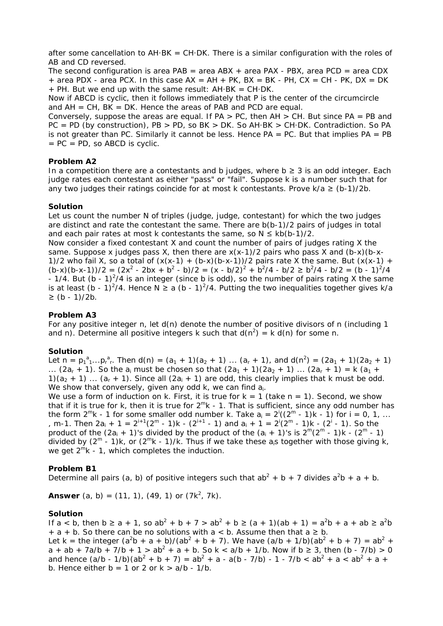after some cancellation to  $AH-BK = CH-DK$ . There is a similar configuration with the roles of AB and CD reversed.

The second configuration is area  $PAB = area ABX + area PAX - PBX$ , area  $PCD = area CDX$  $+$  area PDX - area PCX. In this case  $AX = AH + PK$ ,  $BX = BK - PH$ ,  $CX = CH - PK$ ,  $DX = DK$  $+$  PH. But we end up with the same result: AH $\cdot$ BK = CH $\cdot$ DK.

Now if ABCD is cyclic, then it follows immediately that P is the center of the circumcircle and  $AH = CH$ ,  $BK = DK$ . Hence the areas of PAB and PCD are equal.

Conversely, suppose the areas are equal. If  $PA > PC$ , then  $AH > CH$ . But since  $PA = PB$  and PC = PD (by construction), PB > PD, so BK > DK. So AH·BK > CH·DK. Contradiction. So PA is not greater than PC. Similarly it cannot be less. Hence  $PA = PC$ . But that implies  $PA = PB$  $= PC = PD$ , so ABCD is cyclic.

#### **Problem A2**

In a competition there are a contestants and b judges, where  $b \geq 3$  is an odd integer. Each judge rates each contestant as either "pass" or "fail". Suppose k is a number such that for any two judges their ratings coincide for at most k contestants. Prove  $k/a \ge (b-1)/2b$ .

#### **Solution**

Let us count the number N of triples (judge, judge, contestant) for which the two judges are distinct and rate the contestant the same. There are b(b-1)/2 pairs of judges in total and each pair rates at most k contestants the same, so  $N \leq k b(b-1)/2$ .

Now consider a fixed contestant X and count the number of pairs of judges rating X the same. Suppose x judges pass X, then there are  $x(x-1)/2$  pairs who pass X and  $(b-x)(b-x-1)/2$ 1)/2 who fail X, so a total of  $(x(x-1) + (b-x)(b-x-1))/2$  pairs rate X the same. But  $(x(x-1) +$  $(b-x)(b-x-1)/2 = (2x^2 - 2bx + b^2 - b)/2 = (x - b/2)^2 + b^2/4 - b/2 \ge b^2/4 - b/2 = (b - 1)^2/4$ - 1/4. But (b - 1)<sup>2</sup>/4 is an integer (since b is odd), so the number of pairs rating X the same is at least (b - 1)<sup>2</sup>/4. Hence N  $\ge a$  (b - 1)<sup>2</sup>/4. Putting the two inequalities together gives k/a ≥ (b - 1)/2b.

#### **Problem A3**

For any positive integer n, let  $d(n)$  denote the number of positive divisors of n (including 1 and n). Determine all positive integers k such that  $d(n^2) = k d(n)$  for some n.

#### **Solution**

Let  $n = p_1^a_1...p_r^a_r$ . Then  $d(n) = (a_1 + 1)(a_2 + 1)...(a_r + 1)$ , and  $d(n^2) = (2a_1 + 1)(2a_2 + 1)$ ... (2a<sub>r</sub> + 1). So the a<sub>i</sub> must be chosen so that  $(2a_1 + 1)(2a_2 + 1)$  ...  $(2a_r + 1) = k(a_1 +$ 1)( $a_2$  + 1) ... ( $a_r$  + 1). Since all ( $2a_i$  + 1) are odd, this clearly implies that k must be odd. We show that conversely, given any odd  $k$ , we can find  $a_i$ .

We use a form of induction on k. First, it is true for  $k = 1$  (take  $n = 1$ ). Second, we show that if it is true for k, then it is true for  $2^m k - 1$ . That is sufficient, since any odd number has the form  $2^m$ k - 1 for some smaller odd number k. Take  $a_i = 2^i((2^m - 1)k - 1)$  for  $i = 0, 1, ...$ , m-1. Then  $2a_i + 1 = 2^{i+1}(2^m - 1)k - (2^{i+1} - 1)$  and  $a_i + 1 = 2^i(2^m - 1)k - (2^i - 1)$ . So the product of the  $(2a_i + 1)$ 's divided by the product of the  $(a_i + 1)$ 's is  $2^m(2^m - 1)k - (2^m - 1)$ divided by  $(2^m - 1)k$ , or  $(2^m k - 1)/k$ . Thus if we take these a<sub>i</sub>s together with those giving k, we get  $2^{m}k - 1$ , which completes the induction.

#### **Problem B1**

Determine all pairs (a, b) of positive integers such that  $ab^2 + b + 7$  divides  $a^2b + a + b$ .

**Answer** (a, b) = (11, 1), (49, 1) or (7 $k^2$ , 7 $k$ ).

#### **Solution**

If  $a < b$ , then  $b \ge a + 1$ , so  $ab^2 + b + 7 > ab^2 + b \ge (a + 1)(ab + 1) = a^2b + a + ab \ge a^2b$ + a + b. So there can be no solutions with a < b. Assume then that  $a \ge b$ . Let k = the integer  $(a^2b + a + b)/(ab^2 + b + 7)$ . We have  $(a/b + 1/b)(ab^2 + b + 7) = ab^2 +$  $a + ab + 7a/b + 7/b + 1 > ab^2 + a + b$ . So k < a/b + 1/b. Now if b  $\geq 3$ , then (b - 7/b) > 0 and hence  $(a/b - 1/b)(ab^2 + b + 7) = ab^2 + a - a(b - 7/b) - 1 - 7/b < ab^2 + a < ab^2 + a + b$ b. Hence either  $b = 1$  or 2 or  $k > a/b - 1/b$ .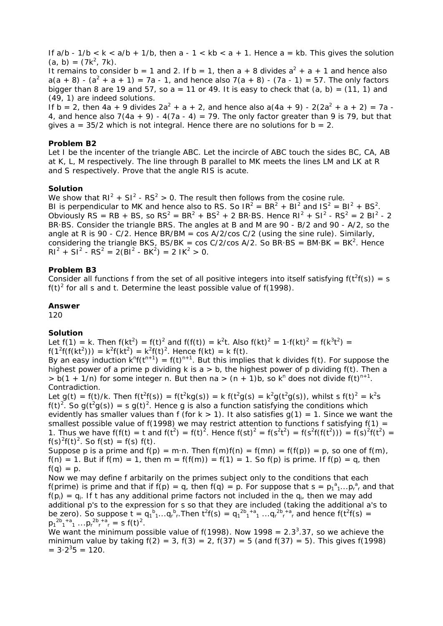If  $a/b - 1/b < k < a/b + 1/b$ , then  $a - 1 < kb < a + 1$ . Hence  $a = kb$ . This gives the solution  $(a, b) = (7k^2, 7k).$ 

It remains to consider b = 1 and 2. If b = 1, then a + 8 divides  $a^2 + a + 1$  and hence also  $a(a + 8) - (a<sup>2</sup> + a + 1) = 7a - 1$ , and hence also 7(a + 8) - (7a - 1) = 57. The only factors bigger than 8 are 19 and 57, so  $a = 11$  or 49. It is easy to check that  $(a, b) = (11, 1)$  and (49, 1) are indeed solutions.

If  $b = 2$ , then  $4a + 9$  divides  $2a^2 + a + 2$ , and hence also  $a(4a + 9) - 2(2a^2 + a + 2) = 7a - 16$ 4, and hence also 7(4a + 9) -  $4(7a - 4) = 79$ . The only factor greater than 9 is 79, but that gives  $a = 35/2$  which is not integral. Hence there are no solutions for  $b = 2$ .

#### **Problem B2**

Let I be the incenter of the triangle ABC. Let the incircle of ABC touch the sides BC, CA, AB at K, L, M respectively. The line through B parallel to MK meets the lines LM and LK at R and S respectively. Prove that the angle RIS is acute.

#### **Solution**

We show that  $RI^2 + SI^2 - RS^2 > 0$ . The result then follows from the cosine rule. BI is perpendicular to MK and hence also to RS. So  $IR^2 = BR^2 + BI^2$  and  $IS^2 = Bl^2 + BS^2$ . Obviously RS = RB + BS, so  $RS^2 = BR^2 + BS^2 + 2 BR \cdot BS$ . Hence  $RI^2 + SI^2 - RS^2 = 2 BI^2 - 2$ BR·BS. Consider the triangle BRS. The angles at B and M are 90 - B/2 and 90 - A/2, so the angle at R is 90 -  $C/2$ . Hence BR/BM = cos A/2/cos  $C/2$  (using the sine rule). Similarly. considering the triangle BKS, BS/BK = cos C/2/cos A/2. So BR·BS = BM·BK = BK<sup>2</sup>. Hence  $RI^{2} + SI^{2} - RS^{2} = 2(BI^{2} - BK^{2}) = 2IK^{2} > 0.$ 

#### **Problem B3**

Consider all functions f from the set of all positive integers into itself satisfying  $f(t^2f(s)) = s$  $f(t)^2$  for all s and t. Determine the least possible value of  $f(1998)$ .

#### **Answer**

120

# **Solution**

Let f(1) = k. Then f(kt<sup>2</sup>) = f(t)<sup>2</sup> and f(f(t)) = k<sup>2</sup>t. Also f(kt)<sup>2</sup> = 1·f(kt)<sup>2</sup> = f(k<sup>3</sup>t<sup>2</sup>) =  $f(1^2f(f(kt^2))) = k^2f(kt^2) = k^2f(t)^2$ . Hence  $f(kt) = k f(t)$ .

By an easy induction  $k^n f(t^{n+1}) = f(t)^{n+1}$ . But this implies that k divides  $f(t)$ . For suppose the highest power of a prime p dividing k is  $a > b$ , the highest power of p dividing  $f(t)$ . Then a  $> b(1 + 1/n)$  for some integer n. But then na  $> (n + 1)b$ , so k<sup>n</sup> does not divide f(t)<sup>n+1</sup>. Contradiction.

Let g(t) = f(t)/k. Then f(t<sup>2</sup>f(s)) = f(t<sup>2</sup>kg(s)) = k f(t<sup>2</sup>g(s) = k<sup>2</sup>g(t<sup>2</sup>g(s)), whilst s f(t)<sup>2</sup> = k<sup>2</sup>s f(t)<sup>2</sup>. So g(t<sup>2</sup>g(s)) = s g(t)<sup>2</sup>. Hence g is also a function satisfying the conditions which evidently has smaller values than f (for  $k > 1$ ). It also satisfies  $q(1) = 1$ . Since we want the smallest possible value of  $f(1998)$  we may restrict attention to functions f satisfying  $f(1) =$ 1. Thus we have  $f(f(t)) = t$  and  $f(t^2) = f(t)^2$ . Hence  $f(st)^2 = f(s^2t^2) = f(s^2f(f(t^2))) = f(s)^2f(t^2) =$  $f(s)^{2}f(t)^{2}$ . So  $f(st) = f(s) f(t)$ .

Suppose p is a prime and  $f(p) = m \cdot n$ . Then  $f(m)f(n) = f(mn) = f(f(p)) = p$ , so one of  $f(m)$ ,  $f(n) = 1$ . But if  $f(m) = 1$ , then  $m = f(f(m)) = f(1) = 1$ . So  $f(p)$  is prime. If  $f(p) = q$ , then  $f(q) = p$ .

Now we may define f arbitarily on the primes subject only to the conditions that each f(prime) is prime and that if  $f(p) = q$ , then  $f(q) = p$ . For suppose that  $s = p_1^a_1...p_r^a_r$  and that  $f(p_i) = q_i$ . If t has any additional prime factors not included in the  $q_i$ , then we may add additional p's to the expression for s so that they are included (taking the additional a's to be zero). So suppose  $t = q_1^b{}_1...q_r^b{}_r$ . Then  $t^2f(s) = q_1^{2b_1 + a_1}...q_r^{2b_r + a_r}$  and hence  $f(t^2f(s) =$  $p_1^{2b}p_1^{a}$  ...  $p_r^{2b}p_r^{a}$  = s f(t)<sup>2</sup>.

We want the minimum possible value of  $f(1998)$ . Now  $1998 = 2.3<sup>3</sup>$ .37, so we achieve the minimum value by taking  $f(2) = 3$ ,  $f(3) = 2$ ,  $f(37) = 5$  (and  $f(37) = 5$ ). This gives  $f(1998)$  $= 3.2^{3}5 = 120.$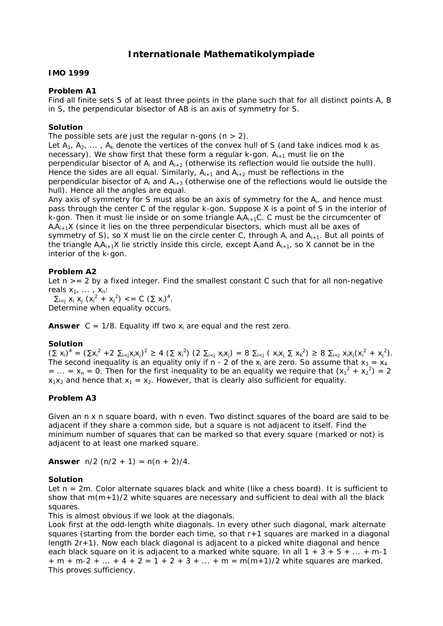# **Internationale Mathematikolympiade**

### **IMO 1999**

### **Problem A1**

Find all finite sets S of at least three points in the plane such that for all distinct points A, B in S, the perpendicular bisector of AB is an axis of symmetry for S.

### **Solution**

The possible sets are just the regular n-gons  $(n > 2)$ .

Let  $A_1, A_2, \ldots, A_k$  denote the vertices of the convex hull of S (and take indices mod k as necessary). We show first that these form a regular  $k$ -gon.  $A_{i+1}$  must lie on the perpendicular bisector of  $A_i$  and  $A_{i+2}$  (otherwise its reflection would lie outside the hull). Hence the sides are all equal. Similarly,  $A_{i+1}$  and  $A_{i+2}$  must be reflections in the perpendicular bisector of  $A_i$  and  $A_{i+3}$  (otherwise one of the reflections would lie outside the hull). Hence all the angles are equal.

Any axis of symmetry for S must also be an axis of symmetry for the A<sub>i</sub>, and hence must pass through the center C of the regular k-gon. Suppose X is a point of S in the interior of k-gon. Then it must lie inside or on some triangle  $A_iA_{i+1}C_i$ . C must be the circumcenter of  $A_1A_{i+1}X$  (since it lies on the three perpendicular bisectors, which must all be axes of symmetry of S), so X must lie on the circle center C, through  $A_i$  and  $A_{i+1}$ . But all points of the triangle  $A_iA_{i+1}X$  lie strictly inside this circle, except  $A_i$  and  $A_{i+1}$ , so X cannot be in the interior of the k-gon.

# **Problem A2**

Let  $n \geq 2$  by a fixed integer. Find the smallest constant C such that for all non-negative reals  $x_1, \ldots, x_n$ :

 $\sum_{i < j} x_i x_j (x_i^2 + x_j^2) \leq C (\sum x_i)^4$ . Determine when equality occurs.

**Answer**  $C = 1/8$ . Equality iff two  $x_i$  are equal and the rest zero.

# **Solution**

 $(\sum x_i)^4 = (\sum x_i^2 + 2 \sum_{i \le j} x_i x_j)^2 \ge 4 (\sum x_i^2) (2 \sum_{i \le j} x_i x_j) = 8 \sum_{i \le j} (x_i x_j \sum x_k^2) \ge 8 \sum_{i \le j} x_i x_j (x_i^2 + x_j^2).$ The second inequality is an equality only if n - 2 of the  $x_i$  are zero. So assume that  $x_3 = x_4$ = ... =  $x_n$  = 0. Then for the first inequality to be an equality we require that  $(x_1^2 + x_2^2) = 2$  $x_1x_2$  and hence that  $x_1 = x_2$ . However, that is clearly also sufficient for equality.

# **Problem A3**

Given an n x n square board, with n even. Two distinct squares of the board are said to be adjacent if they share a common side, but a square is not adjacent to itself. Find the minimum number of squares that can be marked so that every square (marked or not) is adjacent to at least one marked square.

**Answer**  $n/2$  ( $n/2 + 1$ ) =  $n(n + 2)/4$ .

#### **Solution**

Let n = 2m. Color alternate squares black and white (like a chess board). It is sufficient to show that  $m(m+1)/2$  white squares are necessary and sufficient to deal with all the black squares.

This is almost obvious if we look at the diagonals.

Look first at the odd-length white diagonals. In every other such diagonal, mark alternate squares (starting from the border each time, so that r+1 squares are marked in a diagonal length 2r+1). Now each black diagonal is adjacent to a picked white diagonal and hence each black square on it is adjacent to a marked white square. In all  $1 + 3 + 5 + ... + m-1$  $+m + m-2 + ... + 4 + 2 = 1 + 2 + 3 + ... + m = m(m+1)/2$  white squares are marked. This proves sufficiency.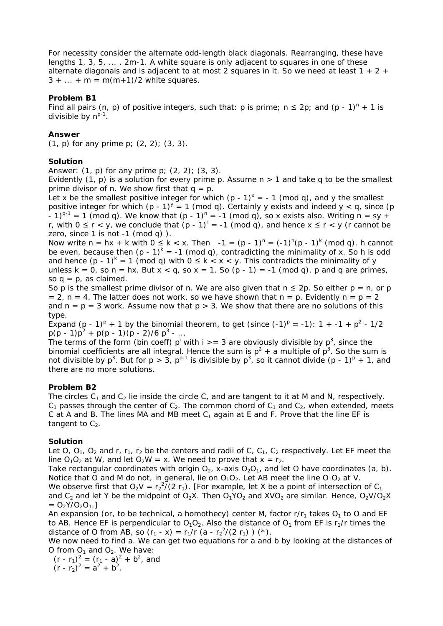For necessity consider the alternate odd-length black diagonals. Rearranging, these have lengths 1, 3, 5,  $\dots$ , 2m-1. A white square is only adjacent to squares in one of these alternate diagonals and is adjacent to at most 2 squares in it. So we need at least  $1 + 2 +$  $3 + ... + m = m(m+1)/2$  white squares.

# **Problem B1**

Find all pairs (n, p) of positive integers, such that: p is prime;  $n \leq 2p$ ; and (p - 1)<sup>n</sup> + 1 is divisible by  $n^{p-1}$ .

### **Answer**

(1, p) for any prime  $p$ ; (2, 2); (3, 3).

#### **Solution**

Answer:  $(1, p)$  for any prime  $p$ ;  $(2, 2)$ ;  $(3, 3)$ .

Evidently  $(1, p)$  is a solution for every prime p. Assume  $n > 1$  and take q to be the smallest prime divisor of n. We show first that  $q = p$ .

Let x be the smallest positive integer for which  $(p - 1)^x = -1$  (mod q), and y the smallest positive integer for which (p - 1)<sup>y</sup> = 1 (mod q). Certainly y exists and indeed y < q, since (p - 1)<sup>q-1</sup> = 1 (mod q). We know that  $(p - 1)^n = -1$  (mod q), so x exists also. Writing n = sy + r, with  $0 \le r < y$ , we conclude that  $(p - 1)^r = -1$  (mod q), and hence  $x \le r < y$  (r cannot be zero, since  $1$  is not  $-1$  (mod q)  $)$ .

Now write  $n = hx + k$  with  $0 \le k < x$ . Then  $-1 = (p - 1)^n = (-1)^k (p - 1)^k$  (mod q). h cannot be even, because then  $(p - 1)^k = -1$  (mod q), contradicting the minimality of x. So h is odd and hence  $(p - 1)^k = 1 \pmod{q}$  with  $0 \le k < x < y$ . This contradicts the minimality of y unless  $k = 0$ , so  $n = hx$ . But  $x < q$ , so  $x = 1$ . So  $(p - 1) = -1$  (mod q). p and q are primes, so  $q = p$ , as claimed.

So p is the smallest prime divisor of n. We are also given that  $n \leq 2p$ . So either  $p = n$ , or p = 2, n = 4. The latter does not work, so we have shown that  $n = p$ . Evidently  $n = p = 2$ and  $n = p = 3$  work. Assume now that  $p > 3$ . We show that there are no solutions of this type.

Expand (p - 1)<sup>p</sup> + 1 by the binomial theorem, to get (since  $(-1)^p = -1$ ): 1 + -1 + p<sup>2</sup> - 1/2  $p(p-1)p^{2} + p(p-1)(p-2)/6 p^{3} - ...$ 

The terms of the form (bin coeff)  $p^{i}$  with i > = 3 are obviously divisible by  $p^{3}$ , since the binomial coefficients are all integral. Hence the sum is  $p^2 + a$  multiple of  $p^3$ . So the sum is not divisible by  $p^3$ . But for  $p > 3$ ,  $p^{p-1}$  is divisible by  $p^3$ , so it cannot divide  $(p - 1)^p + 1$ , and there are no more solutions.

# **Problem B2**

The circles  $C_1$  and  $C_2$  lie inside the circle C, and are tangent to it at M and N, respectively.  $C_1$  passes through the center of  $C_2$ . The common chord of  $C_1$  and  $C_2$ , when extended, meets C at A and B. The lines MA and MB meet  $C_1$  again at E and F. Prove that the line EF is tangent to  $C_2$ .

#### **Solution**

Let O, O<sub>1</sub>, O<sub>2</sub> and r,  $r_1$ ,  $r_2$  be the centers and radii of C, C<sub>1</sub>, C<sub>2</sub> respectively. Let EF meet the line  $O_1O_2$  at W, and let  $O_2W = x$ . We need to prove that  $x = r_2$ .

Take rectangular coordinates with origin  $O_{21}$ , x-axis  $O_{2}O_{11}$ , and let O have coordinates (a, b). Notice that O and M do not, in general, lie on  $O_1O_2$ . Let AB meet the line  $O_1O_2$  at V.

We observe first that  $O_2V = r_2^2/(2 r_1)$ . [For example, let X be a point of intersection of  $C_1$ and  $C_2$  and let Y be the midpoint of O<sub>2</sub>X. Then O<sub>1</sub>YO<sub>2</sub> and XVO<sub>2</sub> are similar. Hence, O<sub>2</sub>V/O<sub>2</sub>X  $= O_2Y/O_2O_1.$ 

An expansion (or, to be technical, a *homothecy*) center M, factor  $r/r_1$  takes  $O_1$  to O and EF to AB. Hence EF is perpendicular to  $O_1O_2$ . Also the distance of  $O_1$  from EF is r<sub>1</sub>/r times the distance of O from AB, so  $(r_1 - x) = r_1/r$  (a -  $r_2^2/(2 r_1)$ ) (\*).

We now need to find a. We can get two equations for a and b by looking at the distances of O from  $O_1$  and  $O_2$ . We have:

 $(r - r_1)^2 = (r_1 - a)^2 + b^2$ , and  $(r - r_2)^2 = a^2 + b^2$ .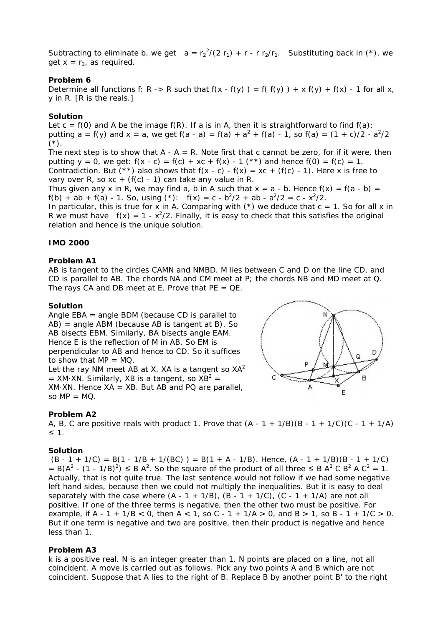Subtracting to eliminate b, we get  $a = r_2^2/(2 r_1) + r - r_2/r_1$ . Substituting back in (\*), we get  $x = r_2$ , as required.

### **Problem 6**

Determine all functions f: R -> R such that  $f(x - f(y)) = f(f(y)) + x f(y) + f(x) - 1$  for all x, y in R. [R is the reals.]

#### **Solution**

Let  $c = f(0)$  and A be the image  $f(R)$ . If a is in A, then it is straightforward to find  $f(a)$ : putting a = f(y) and x = a, we get f(a - a) = f(a) +  $a^2 + f(a) - 1$ , so f(a) =  $(1 + c)/2 - a^2/2$  $(*)$ .

The next step is to show that  $A - A = R$ . Note first that c cannot be zero, for if it were, then putting  $y = 0$ , we get:  $f(x - c) = f(c) + xc + f(x) - 1$  (\*\*) and hence  $f(0) = f(c) = 1$ . Contradiction. But (\*\*) also shows that  $f(x - c) - f(x) = xc + (f(c) - 1)$ . Here x is free to vary over R, so  $xc + (f(c) - 1)$  can take any value in R.

Thus given any x in R, we may find a, b in A such that  $x = a - b$ . Hence  $f(x) = f(a - b) = f(a - b)$  $f(b) + ab + f(a) - 1$ . So, using (\*):  $f(x) = c - b^2/2 + ab - a^2/2 = c - x^2/2$ .

In particular, this is true for x in A. Comparing with  $(*)$  we deduce that  $c = 1$ . So for all x in R we must have  $f(x) = 1 - x^2/2$ . Finally, it is easy to check that this satisfies the original relation and hence is the unique solution.

# **IMO 2000**

#### **Problem A1**

AB is tangent to the circles CAMN and NMBD. M lies between C and D on the line CD, and CD is parallel to AB. The chords NA and CM meet at P; the chords NB and MD meet at Q. The rays CA and DB meet at E. Prove that  $PE = QE$ .

# **Solution**

Angle EBA = angle BDM (because CD is parallel to AB) = angle ABM (because AB is tangent at B). So AB bisects EBM. Similarly, BA bisects angle EAM. Hence E is the reflection of M in AB. So EM is perpendicular to AB and hence to CD. So it suffices to show that  $MP = MO$ .

Let the ray NM meet AB at X. XA is a tangent so  $XA<sup>2</sup>$ = XM·XN. Similarly, XB is a tangent, so  $XB^2 =$  $XM.$  XN. Hence  $XA = XB.$  But AB and PQ are parallel, so  $MP = MO$ .



A, B, C are positive reals with product 1. Prove that  $(A - 1 + 1/B)(B - 1 + 1/C)(C - 1 + 1/A)$ ≤ 1.

#### **Solution**

 $(B - 1 + 1/C) = B(1 - 1/B + 1/(BC)) = B(1 + A - 1/B)$ . Hence,  $(A - 1 + 1/B)(B - 1 + 1/C)$ = B( $A^2$  - (1 - 1/B)<sup>2</sup>)  $\leq$  B  $A^2$ . So the square of the product of all three  $\leq$  B  $A^2$  C B<sup>2</sup> A C<sup>2</sup> = 1. Actually, that is not quite true. The last sentence would not follow if we had some negative left hand sides, because then we could not multiply the inequalities. But it is easy to deal separately with the case where  $(A - 1 + 1/B)$ ,  $(B - 1 + 1/C)$ ,  $(C - 1 + 1/A)$  are not all positive. If one of the three terms is negative, then the other two must be positive. For example, if A - 1 + 1/B < 0, then A < 1, so C - 1 +  $1/A > 0$ , and B > 1, so B - 1 +  $1/C > 0$ . But if one term is negative and two are positive, then their product is negative and hence less than 1.

#### **Problem A3**

k is a positive real. N is an integer greater than 1. N points are placed on a line, not all coincident. A *move* is carried out as follows. Pick any two points A and B which are not coincident. Suppose that A lies to the right of B. Replace B by another point B' to the right

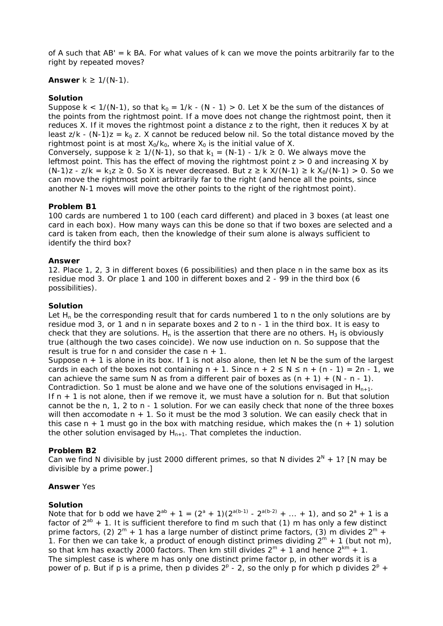of A such that  $AB' = k BA$ . For what values of k can we move the points arbitrarily far to the right by repeated moves?

# **Answer**  $k \ge 1/(N-1)$ .

### **Solution**

Suppose k <  $1/(N-1)$ , so that  $k_0 = 1/k - (N-1) > 0$ . Let X be the sum of the distances of the points from the rightmost point. If a move does not change the rightmost point, then it reduces X. If it moves the rightmost point a distance z to the right, then it reduces X by at least  $z/k - (N-1)z = k_0 z$ . X cannot be reduced below nil. So the total distance moved by the rightmost point is at most  $X_0/K_0$ , where  $X_0$  is the initial value of X. Conversely, suppose  $k \ge 1/(N-1)$ , so that  $k_1 = (N-1) - 1/k \ge 0$ . We always move the leftmost point. This has the effect of moving the rightmost point  $z > 0$  and increasing X by

 $(N-1)z - z/k = k_1z \ge 0$ . So X is never decreased. But  $z \ge k$  X/(N-1)  $\ge k$  X<sub>0</sub>/(N-1)  $> 0$ . So we can move the rightmost point arbitrarily far to the right (and hence all the points, since another N-1 moves will move the other points to the right of the rightmost point).

#### **Problem B1**

100 cards are numbered 1 to 100 (each card different) and placed in 3 boxes (at least one card in each box). How many ways can this be done so that if two boxes are selected and a card is taken from each, then the knowledge of their sum alone is always sufficient to identify the third box?

#### **Answer**

12. Place 1, 2, 3 in different boxes (6 possibilities) and then place n in the same box as its residue mod 3. Or place 1 and 100 in different boxes and 2 - 99 in the third box (6 possibilities).

#### **Solution**

Let  $H<sub>n</sub>$  be the corresponding result that for cards numbered 1 to n the only solutions are by residue mod 3, or 1 and n in separate boxes and 2 to n - 1 in the third box. It is easy to check that they *are* solutions. H<sub>n</sub> is the assertion that there are no others. H<sub>3</sub> is obviously true (although the two cases coincide). We now use induction on n. So suppose that the result is true for n and consider the case  $n + 1$ .

Suppose  $n + 1$  is alone in its box. If 1 is not also alone, then let N be the sum of the largest cards in each of the boxes not containing  $n + 1$ . Since  $n + 2 \le N \le n + (n - 1) = 2n - 1$ , we can achieve the same sum N as from a different pair of boxes as  $(n + 1) + (N - n - 1)$ . Contradiction. So 1 must be alone and we have one of the solutions envisaged in  $H_{n+1}$ . If  $n + 1$  is not alone, then if we remove it, we must have a solution for n. But that solution cannot be the n, 1, 2 to n - 1 solution. For we can easily check that none of the three boxes will then accomodate  $n + 1$ . So it must be the mod 3 solution. We can easily check that in this case  $n + 1$  must go in the box with matching residue, which makes the  $(n + 1)$  solution the other solution envisaged by  $H_{n+1}$ . That completes the induction.

# **Problem B2**

Can we find N divisible by just 2000 different primes, so that N divides  $2^N + 1$ ? [N may be divisible by a prime power.]

#### **Answer** Yes

#### **Solution**

Note that for b odd we have  $2^{ab} + 1 = (2^a + 1)(2^{a(b-1)} - 2^{a(b-2)} + ... + 1)$ , and so  $2^a + 1$  is a factor of  $2^{ab}$  + 1. It is sufficient therefore to find m such that (1) m has only a few distinct prime factors, (2)  $2^m$  + 1 has a large number of distinct prime factors, (3) m divides  $2^m$  + 1. For then we can take k, a product of enough distinct primes dividing  $2^m + 1$  (but not m), so that km has exactly 2000 factors. Then km still divides  $2^m + 1$  and hence  $2^{km} + 1$ . The simplest case is where m has only one distinct prime factor p, in other words it is a power of p. But if p is a prime, then p divides  $2^p$  - 2, so the only p for which p divides  $2^p$  +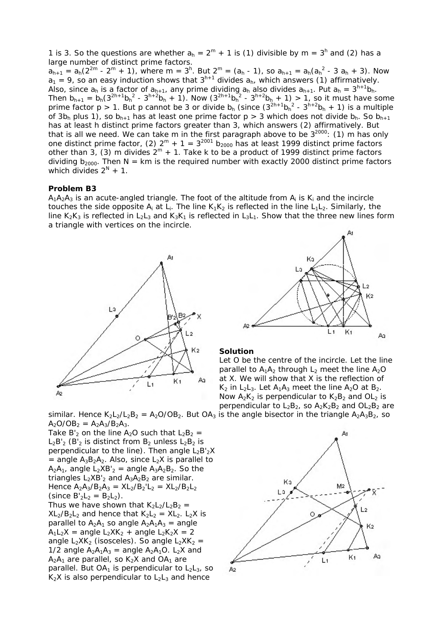1 is 3. So the questions are whether  $a_h = 2^m + 1$  is (1) divisible by  $m = 3^h$  and (2) has a large number of distinct prime factors.  $a_{h+1} = a_h(2^{2m} - 2^m + 1)$ , where m = 3<sup>h</sup>. But  $2^m = (a_h - 1)$ , so  $a_{h+1} = a_h(a_h^2 - 3 a_h + 3)$ . Now  $a_1 = 9$ , so an easy induction shows that  $3^{h+1}$  divides  $a_h$ , which answers (1) affirmatively. Also, since  $a_h$  is a factor of  $a_{h+1}$ , any prime dividing  $a_h$  also divides  $a_{h+1}$ . Put  $a_h = 3^{h+1}b_h$ . Then  $b_{h+1} = b_h(3^{2h+1}b_h^2 - 3^{h+2}b_h + 1)$ . Now  $(3^{2h+1}b_h^2 - 3^{h+2}b_h + 1) > 1$ , so it must have some prime factor  $p > 1$ . But p cannot be 3 or divide  $b_h$  (since  $(3^{2h+1}b_h^2 - 3^{h+2}b_h + 1)$  is a multiple of  $3b_h$  plus 1), so  $b_{h+1}$  has at least one prime factor  $p > 3$  which does not divide  $b_h$ . So  $b_{h+1}$ has at least h distinct prime factors greater than 3, which answers (2) affirmatively. But that is all we need. We can take m in the first paragraph above to be  $3^{2000}$ : (1) m has only one distinct prime factor, (2)  $2^m + 1 = 3^{2001} b_{2000}$  has at least 1999 distinct prime factors other than 3, (3) m divides  $2^m + 1$ . Take k to be a product of 1999 distinct prime factors dividing  $b_{2000}$ . Then N = km is the required number with exactly 2000 distinct prime factors which divides  $2^N + 1$ .

#### **Problem B3**

 $A_1A_2A_3$  is an acute-angled triangle. The foot of the altitude from  $A_i$  is K<sub>i</sub> and the incircle touches the side opposite  $A_i$  at  $L_i$ . The line  $K_1K_2$  is reflected in the line  $L_1L_2$ . Similarly, the line  $K_2K_3$  is reflected in  $L_2L_3$  and  $K_3K_1$  is reflected in  $L_3L_1$ . Show that the three new lines form a triangle with vertices on the incircle.





Take B'<sub>2</sub> on the line A<sub>2</sub>O such that  $L_2B_2 =$  $L_2B'_2$  (B'<sub>2</sub> is distinct from B<sub>2</sub> unless  $L_2B_2$  is perpendicular to the line). Then angle  $L_2B'_2X$ = angle  $A_3B_2A_2$ . Also, since  $L_2X$  is parallel to  $A_2A_1$ , angle  $L_2XB'_2$  = angle  $A_3A_2B_2$ . So the triangles  $L_2XB'_2$  and  $A_3A_2B_2$  are similar. Hence  $A_2A_3/B_2A_3 = XL_2/B_2'L_2 = XL_2/B_2L_2$ (since  $B'_2L_2 = B_2L_2$ ). Thus we have shown that  $K_2L_2/L_2B_2 =$ 

 $XL_2/B_2L_2$  and hence that  $K_2L_2 = XL_2$ .  $L_2X$  is parallel to  $A_2A_1$  so angle  $A_2A_1A_3$  = angle  $A_1L_2X$  = angle  $L_2XK_2$  + angle  $L_2K_2X = 2$ angle  $L_2XK_2$  (isosceles). So angle  $L_2XK_2 =$ 1/2 angle  $A_2A_1A_3$  = angle  $A_2A_1O$ . L<sub>2</sub>X and  $A_2A_1$  are parallel, so  $K_2X$  and OA<sub>1</sub> are parallel. But  $OA_1$  is perpendicular to  $L_2L_3$ , so  $K_2X$  is also perpendicular to  $L_2L_3$  and hence



#### **Solution**

Let O be the centre of the incircle. Let the line parallel to  $A_1A_2$  through  $L_2$  meet the line  $A_2O$ at X. We will show that X is the reflection of  $K_2$  in L<sub>2</sub>L<sub>3</sub>. Let  $A_1A_3$  meet the line  $A_2O$  at  $B_2$ . Now  $A_2K_2$  is perpendicular to  $K_2B_2$  and OL<sub>2</sub> is perpendicular to  $L_2B_2$ , so  $A_2K_2B_2$  and  $OL_2B_2$  are

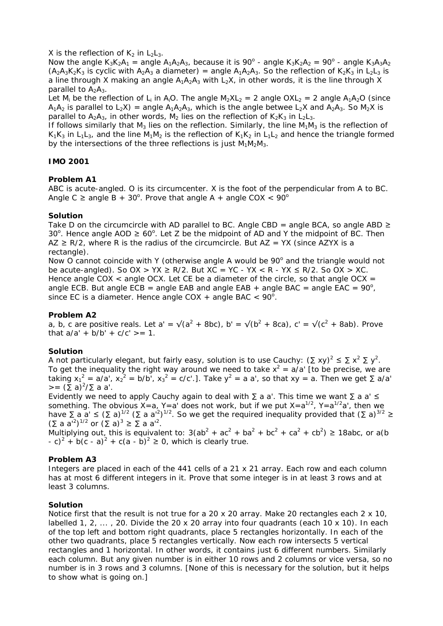X is the reflection of  $K_2$  in  $L_2L_3$ .

Now the angle  $K_3K_2A_1 =$  angle  $A_1A_2A_3$ , because it is 90<sup>o</sup> - angle  $K_3K_2A_2 = 90^\circ$  - angle  $K_3A_3A_2$  $(A_2A_3K_2K_3$  is cyclic with  $A_2A_3$  a diameter) = angle  $A_1A_2A_3$ . So the reflection of  $K_2K_3$  in L<sub>2</sub>L<sub>3</sub> is a line through X making an angle  $A_1A_2A_3$  with  $L_2X$ , in other words, it is the line through X parallel to  $A_2A_3$ .

Let  $M_i$  be the reflection of L<sub>i</sub> in A<sub>i</sub>O. The angle  $M_2XL_2 = 2$  angle OXL<sub>2</sub> = 2 angle A<sub>1</sub>A<sub>2</sub>O (since  $A_1A_2$  is parallel to  $L_2X$ ) = angle  $A_1A_2A_3$ , which is the angle betwee  $L_2X$  and  $A_2A_3$ . So  $M_2X$  is parallel to  $A_2A_3$ , in other words, M<sub>2</sub> lies on the reflection of K<sub>2</sub>K<sub>3</sub> in L<sub>2</sub>L<sub>3</sub>.

If follows similarly that  $M_3$  lies on the reflection. Similarly, the line  $M_1M_3$  is the reflection of  $K_1K_2$  in L<sub>1</sub>L<sub>3</sub>, and the line M<sub>1</sub>M<sub>2</sub> is the reflection of  $K_1K_2$  in L<sub>1</sub>L<sub>2</sub> and hence the triangle formed by the intersections of the three reflections is just  $M_1M_2M_3$ .

# **IMO 2001**

# **Problem A1**

ABC is acute-angled. O is its circumcenter. X is the foot of the perpendicular from A to BC. Angle C  $\geq$  angle B + 30°. Prove that angle A + angle COX < 90°

# **Solution**

Take D on the circumcircle with AD parallel to BC. Angle CBD = angle BCA, so angle ABD  $\geq$ 30<sup>o</sup>. Hence angle AOD ≥ 60<sup>o</sup>. Let Z be the midpoint of AD and Y the midpoint of BC. Then  $AZ \ge R/2$ , where R is the radius of the circumcircle. But  $AZ = YX$  (since AZYX is a rectangle).

Now O cannot coincide with Y (otherwise angle A would be  $90^\circ$  and the triangle would not be acute-angled). So  $OX > YX \ge R/2$ . But  $XC = YC - YX < R - YX \le R/2$ . So  $OX > XC$ . Hence angle COX  $\lt$  angle OCX. Let CE be a diameter of the circle, so that angle OCX = angle ECB. But angle ECB = angle EAB and angle EAB + angle BAC = angle EAC =  $90^{\circ}$ , since EC is a diameter. Hence angle COX + angle BAC  $< 90^\circ$ .

# **Problem A2**

a, b, c are positive reals. Let a' =  $\sqrt{(a^2 + 8bc)}$ , b' =  $\sqrt{(b^2 + 8ca)}$ , c' =  $\sqrt{(c^2 + 8ab)}$ . Prove that  $a/a' + b/b' + c/c' > = 1$ .

# **Solution**

A not particularly elegant, but fairly easy, solution is to use Cauchy:  $(\Sigma xy)^2 \leq \Sigma x^2 \Sigma y^2$ . To get the inequality the right way around we need to take  $x^2 = a/a'$  [to be precise, we are taking  $x_1^2 = a/a'$ ,  $x_2^2 = b/b'$ ,  $x_3^2 = c/c'$ .]. Take  $y^2 = a a'$ , so that  $xy = a$ . Then we get  $\sum a/a'$  $>= (\Sigma a)^2 / \Sigma a a'.$ 

Evidently we need to apply Cauchy again to deal with  $\Sigma$  a a'. This time we want  $\Sigma$  a a'  $\leq$ something. The obvious  $X=a$ ,  $Y=a'$  does not work, but if we put  $X=a^{1/2}$ ,  $Y=a^{1/2}a'$ , then we have  $\Sigma$  a a'  $\leq (\Sigma a)^{1/2}$  ( $\Sigma a$  a'<sup>2</sup>)<sup>1/2</sup>. So we get the required inequality provided that ( $\Sigma a$ )<sup>3/2</sup>  $\geq$  $(\Sigma a a'^2)^{1/2}$  or  $(\Sigma a)^3 \ge \Sigma a a'^2$ .

Multiplying out, this is equivalent to:  $3(ab^2 + ac^2 + ba^2 + bc^2 + ca^2 + cb^2) \ge 18abc$ , or a(b)  $-c)^{2} + b(c - a)^{2} + c(a - b)^{2} \ge 0$ , which is clearly true.

# **Problem A3**

Integers are placed in each of the 441 cells of a 21 x 21 array. Each row and each column has at most 6 different integers in it. Prove that some integer is in at least 3 rows and at least 3 columns.

# **Solution**

Notice first that the result is not true for a 20 x 20 array. Make 20 rectangles each 2 x 10, labelled 1, 2,  $\dots$ , 20. Divide the 20 x 20 array into four quadrants (each 10 x 10). In each of the top left and bottom right quadrants, place 5 rectangles horizontally. In each of the other two quadrants, place 5 rectangles vertically. Now each row intersects 5 vertical rectangles and 1 horizontal. In other words, it contains just 6 different numbers. Similarly each column. But any given number is in either 10 rows and 2 columns or vice versa, so no number is in 3 rows and 3 columns. [None of this is necessary for the solution, but it helps to show what is going on.]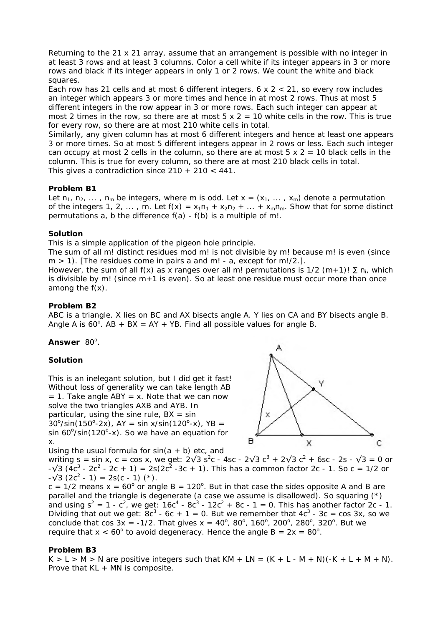Returning to the 21 x 21 array, assume that an arrangement is possible with no integer in at least 3 rows and at least 3 columns. Color a cell white if its integer appears in 3 or more rows and black if its integer appears in only 1 or 2 rows. We count the white and black squares.

Each row has 21 cells and at most 6 different integers.  $6 \times 2 < 21$ , so every row includes an integer which appears 3 or more times and hence in at most 2 rows. Thus at most 5 different integers in the row appear in 3 or more rows. Each such integer can appear at most 2 times in the row, so there are at most  $5 \times 2 = 10$  white cells in the row. This is true for every row, so there are at most 210 white cells in total.

Similarly, any given column has at most 6 different integers and hence at least one appears 3 or more times. So at most 5 different integers appear in 2 rows or less. Each such integer can occupy at most 2 cells in the column, so there are at most  $5 \times 2 = 10$  black cells in the column. This is true for every column, so there are at most 210 black cells in total. This gives a contradiction since  $210 + 210 < 441$ .

# **Problem B1**

Let  $n_1, n_2, \ldots, n_m$  be integers, where m is odd. Let  $x = (x_1, \ldots, x_m)$  denote a permutation of the integers 1, 2, ..., m. Let  $f(x) = x_1n_1 + x_2n_2 + ... + x_mn_m$ . Show that for some distinct permutations a, b the difference f(a) - f(b) is a multiple of m!.

#### **Solution**

This is a simple application of the pigeon hole principle.

The sum of all m! distinct residues mod m! is not divisible by m! because m! is even (since  $m > 1$ ). [The residues come in pairs a and m! - a, except for m!/2.].

However, the sum of all f(x) as x ranges over all m! permutations is 1/2 (m+1)!  $\Sigma$  n<sub>i</sub>, which is divisible by m! (since  $m+1$  is even). So at least one residue must occur more than once among the  $f(x)$ .

# **Problem B2**

ABC is a triangle. X lies on BC and AX bisects angle A. Y lies on CA and BY bisects angle B. Angle A is  $60^\circ$ . AB + BX = AY + YB. Find all possible values for angle B.

### Answer 80°.

# **Solution**

This is an inelegant solution, but I did get it fast! Without loss of generality we can take length AB  $= 1$ . Take angle ABY  $= x$ . Note that we can now solve the two triangles AXB and AYB. In particular, using the sine rule,  $BX = \sin$  $30^{\circ}/\sin(150^{\circ}-2x)$ , AY = sin x/sin(120°-x), YB = sin  $60^{\circ}/sin(120^{\circ}-x)$ . So we have an equation for x.

Using the usual formula for  $sin(a + b)$  etc, and



writing s = sin x, c = cos x, we get:  $2\sqrt{3} s^2c - 4sc - 2\sqrt{3} c^3 + 2\sqrt{3} c^2 + 6sc - 2s - \sqrt{3} = 0$  or  $-\sqrt{3}$  (4c<sup>3</sup> - 2c<sup>2</sup> - 2c + 1) = 2s(2c<sup>2</sup> -3c + 1). This has a common factor 2c - 1. So c = 1/2 or  $-\sqrt{3} (2c^2 - 1) = 2s(c - 1)$  (\*).

 $c = 1/2$  means  $x = 60^{\circ}$  or angle B = 120°. But in that case the sides opposite A and B are parallel and the triangle is degenerate (a case we assume is disallowed). So squaring (\*) and using  $s^2 = 1 - c^2$ , we get:  $16c^4 - 8c^3 - 12c^2 + 8c - 1 = 0$ . This has another factor 2c - 1. Dividing that out we get:  $8c^3$  - 6c + 1 = 0. But we remember that  $4c^3$  - 3c = cos 3x, so we conclude that cos  $3x = -1/2$ . That gives  $x = 40^{\circ}$ ,  $80^{\circ}$ ,  $160^{\circ}$ ,  $200^{\circ}$ ,  $280^{\circ}$ ,  $320^{\circ}$ . But we require that  $x < 60^{\circ}$  to avoid degeneracy. Hence the angle B =  $2x = 80^{\circ}$ .

#### **Problem B3**

 $K > L > M > N$  are positive integers such that  $KM + LN = (K + L - M + N)(-K + L + M + N)$ . Prove that KL + MN is composite.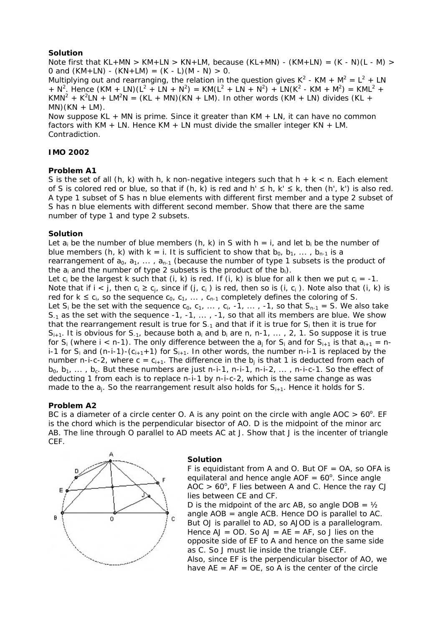# **Solution**

Note first that KL+MN > KM+LN > KN+LM, because (KL+MN) - (KM+LN) = (K - N)(L - M) > 0 and  $(KM+LN) - (KN+LM) = (K - L)(M - N) > 0$ .

Multiplying out and rearranging, the relation in the question gives  $K^2$  - KM +  $M^2 = L^2 + LN$ + N<sup>2</sup>. Hence  $(KM + LN)(L^2 + LN + N^2)$  =  $KM(L^2 + LN + N^2)$  +  $LN(K^2 - KM + M^2)$  =  $KML^2$  +  $KMN^2 + K^2LN + LM^2N = (KL + MN)(KN + LM)$ . In other words  $(KM + LN)$  divides  $(KL + N)$  $MN)(KN + LM)$ .

Now suppose  $KL + MN$  is prime. Since it greater than  $KM + LN$ , it can have no common factors with  $KM + LN$ . Hence  $KM + LN$  must divide the smaller integer  $KN + LM$ . Contradiction.

# **IMO 2002**

#### **Problem A1**

S is the set of all  $(h, k)$  with h, k non-negative integers such that  $h + k < n$ . Each element of S is colored red or blue, so that if (h, k) is red and  $h' \le h$ ,  $k' \le k$ , then (h', k') is also red. A type 1 subset of S has n blue elements with different first member and a type 2 subset of S has n blue elements with different second member. Show that there are the same number of type 1 and type 2 subsets.

#### **Solution**

Let  $a_i$  be the number of blue members (h, k) in S with  $h = i$ , and let  $b_i$  be the number of blue members (h, k) with  $k = i$ . It is sufficient to show that  $b_0, b_1, \ldots, b_{n-1}$  is a rearrangement of  $a_0$ ,  $a_1$ , ...,  $a_{n-1}$  (because the number of type 1 subsets is the product of the  $a_i$  and the number of type 2 subsets is the product of the  $b_i$ ).

Let c<sub>i</sub> be the largest k such that (i, k) is red. If (i, k) is blue for all k then we put  $c_i = -1$ . Note that if  $i < j$ , then  $c_i \ge c_j$ , since if  $(j, c_i)$  is red, then so is  $(i, c_i)$ . Note also that  $(i, k)$  is red for  $k \leq c_i$ , so the sequence  $c_0$ ,  $c_1$ , ...,  $c_{n-1}$  completely defines the coloring of S. Let  $S_i$  be the set with the sequence  $c_0$ ,  $c_1$ , ...,  $c_i$ ,  $-1$ , ...,  $-1$ , so that  $S_{n-1} = S$ . We also take  $S_{-1}$  as the set with the sequence -1, -1, ..., -1, so that all its members are blue. We show that the rearrangement result is true for  $S_{-1}$  and that if it is true for  $S_i$  then it is true for  $S_{i+1}$ . It is obvious for  $S_{-1}$ , because both  $a_i$  and  $b_i$  are n, n-1, ..., 2, 1. So suppose it is true for S<sub>i</sub> (where i < n-1). The only difference between the  $a_j$  for S<sub>i</sub> and for S<sub>i+1</sub> is that  $a_{i+1} = n-1$ i-1 for  $S_i$  and  $(n-i-1)-(C_{i+1}+1)$  for  $S_{i+1}$ . In other words, the number n-i-1 is replaced by the number n-i-c-2, where c =  $c_{i+1}$ . The difference in the  $b_i$  is that 1 is deducted from each of  $b_0$ ,  $b_1$ , ...,  $b_c$ . But these numbers are just n-i-1, n-i-1, n-i-2, ..., n-i-c-1. So the effect of deducting 1 from each is to replace n-i-1 by n-i-c-2, which is the same change as was made to the  $a_i$ . So the rearrangement result also holds for  $S_{i+1}$ . Hence it holds for S.

# **Problem A2**

BC is a diameter of a circle center O. A is any point on the circle with angle AOC  $> 60^\circ$ . EF is the chord which is the perpendicular bisector of AO. D is the midpoint of the minor arc AB. The line through O parallel to AD meets AC at J. Show that J is the incenter of triangle CEF.



#### **Solution**

F is equidistant from A and O. But OF =  $OA$ , so OFA is equilateral and hence angle  $AOF = 60^\circ$ . Since angle  $AOC > 60^\circ$ , F lies between A and C. Hence the ray CJ lies between CE and CF.

D is the midpoint of the arc AB, so angle DOB =  $\frac{1}{2}$ angle AOB = angle ACB. Hence DO is parallel to AC. But OJ is parallel to AD, so AJOD is a parallelogram. Hence  $AJ = OD$ . So  $AJ = AE = AF$ , so J lies on the opposite side of EF to A and hence on the same side as C. So J must lie inside the triangle CEF. Also, since EF is the perpendicular bisector of AO, we have  $AE = AF = OE$ , so A is the center of the circle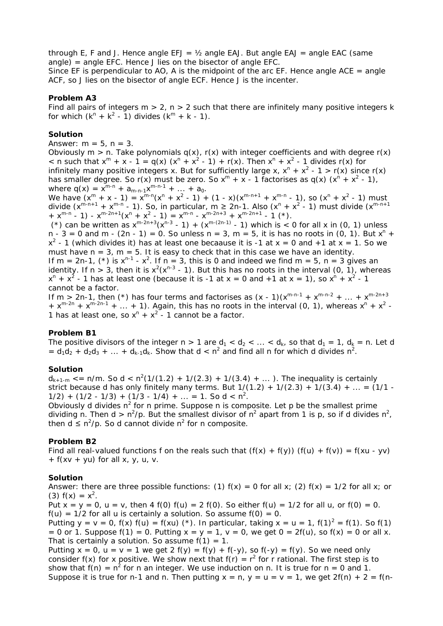through E, F and J. Hence angle  $EFJ = \frac{1}{2}$  angle  $EAJ$ . But angle  $EAJ =$  angle  $EAC$  (same angle) = angle EFC. Hence J lies on the bisector of angle EFC.

Since EF is perpendicular to AO, A is the midpoint of the arc EF. Hence angle ACE = angle ACF, so J lies on the bisector of angle ECF. Hence J is the incenter.

#### **Problem A3**

Find all pairs of integers  $m > 2$ ,  $n > 2$  such that there are infinitely many positive integers k for which  $(k^{n} + k^{2} - 1)$  divides  $(k^{m} + k - 1)$ .

#### **Solution**

Answer:  $m = 5$ ,  $n = 3$ .

Obviously  $m > n$ . Take polynomials  $q(x)$ ,  $r(x)$  with integer coefficients and with degree  $r(x)$  $\langle x, y \rangle$  = n such that  $x^m + x - 1 = q(x) (x^n + x^2 - 1) + r(x)$ . Then  $x^n + x^2 - 1$  divides  $r(x)$  for infinitely many positive integers x. But for sufficiently large x,  $x^n + x^2 - 1 > r(x)$  since r(x) has smaller degree. So r(x) must be zero. So  $x^m + x - 1$  factorises as q(x)  $(x^n + x^2 - 1)$ , where  $q(x) = x^{m-n} + a_{m-n-1}x^{m-n-1} + ... + a_0$ .

We have  $(x^m + x - 1) = x^{m-n}(x^n + x^2 - 1) + (1 - x)(x^{m-n+1} + x^{m-n} - 1)$ , so  $(x^n + x^2 - 1)$  must divide  $(x^{m-n+1} + x^{m-n} - 1)$ . So, in particular, m  $\geq 2n-1$ . Also  $(x^n + x^2 - 1)$  must divide  $(x^{m-n+1} - 1)$  $+ x^{m-n} - 1$ ) -  $x^{m-2n+1}(x^n + x^2 - 1) = x^{m-n} - x^{m-2n+3} + x^{m-2n+1} - 1$  (\*).

(\*) can be written as  $x^{m-2n+3}(x^{n-3} - 1) + (x^{m-(2n-1)} - 1)$  which is  $\lt 0$  for all x in (0, 1) unless  $n - 3 = 0$  and m  $- (2n - 1) = 0$ . So unless  $n = 3$ ,  $m = 5$ , it is has no roots in (0, 1). But  $x^n +$  $x^2$  - 1 (which divides it) has at least one becaause it is -1 at  $x = 0$  and +1 at  $x = 1$ . So we must have  $n = 3$ ,  $m = 5$ . It is easy to check that in this case we have an identity. If m = 2n-1, (\*) is  $x^{n-1}$  -  $x^2$ . If n = 3, this is 0 and indeed we find m = 5, n = 3 gives an identity. If n > 3, then it is  $x^2(x^{n-3} - 1)$ . But this has no roots in the interval (0, 1), whereas  $x^{n} + x^{2}$  - 1 has at least one (because it is -1 at x = 0 and +1 at x = 1), so  $x^{n} + x^{2}$  - 1 cannot be a factor.

If m > 2n-1, then (\*) has four terms and factorises as  $(x - 1)(x^{m-n-1} + x^{m-n-2} + ... + x^{m-2n+3})$ +  $x^{m-2n}$  +  $x^{m-2n-1}$  + ... + 1). Again, this has no roots in the interval (0, 1), whereas  $x^n$  +  $x^2$  -1 has at least one, so  $x^n + x^2 - 1$  cannot be a factor.

#### **Problem B1**

The positive divisors of the integer  $n > 1$  are  $d_1 < d_2 < ... < d_k$ , so that  $d_1 = 1$ ,  $d_k = n$ . Let d =  $d_1d_2 + d_2d_3 + ... + d_{k-1}d_k$ . Show that  $d < n^2$  and find all n for which d divides  $n^2$ .

#### **Solution**

 $d_{k+1-m}$  <= n/m. So d < n<sup>2</sup>(1/(1.2) + 1/(2.3) + 1/(3.4) + ...). The inequality is certainly strict because d has only finitely many terms. But  $1/(1.2) + 1/(2.3) + 1/(3.4) + ... = (1/1 1/2$ ) +  $(1/2 - 1/3)$  +  $(1/3 - 1/4)$  + ... = 1. So d < n<sup>2</sup>.

Obviously d divides  $n^2$  for n prime. Suppose n is composite. Let p be the smallest prime dividing n. Then d > n<sup>2</sup>/p. But the smallest divisor of n<sup>2</sup> apart from 1 is p, so if d divides n<sup>2</sup>, then  $d \leq n^2/p$ . So d cannot divide  $n^2$  for n composite.

#### **Problem B2**

Find all real-valued functions f on the reals such that  $(f(x) + f(y)) (f(u) + f(v)) = f(xu - yv)$  $+ f(xv + yu)$  for all x, y, u, v.

#### **Solution**

Answer: there are three possible functions: (1)  $f(x) = 0$  for all x; (2)  $f(x) = 1/2$  for all x; or (3)  $f(x) = x^2$ .

Put  $x = y = 0$ ,  $u = v$ , then 4 f(0) f(u) = 2 f(0). So either f(u) = 1/2 for all u, or f(0) = 0.  $f(u) = 1/2$  for all u is certainly a solution. So assume  $f(0) = 0$ .

Putting  $y = v = 0$ ,  $f(x) f(u) = f(xu)$  (\*). In particular, taking  $x = u = 1$ ,  $f(1)^2 = f(1)$ . So  $f(1)$ = 0 or 1. Suppose f(1) = 0. Putting  $x = y = 1$ ,  $v = 0$ , we get  $0 = 2f(u)$ , so  $f(x) = 0$  or all x. That is certainly a solution. So assume  $f(1) = 1$ .

Putting  $x = 0$ ,  $u = v = 1$  we get  $2 f(y) = f(y) + f(-y)$ , so  $f(-y) = f(y)$ . So we need only consider f(x) for x positive. We show next that  $f(r) = r^2$  for r rational. The first step is to show that  $f(n) = n^2$  for n an integer. We use induction on n. It is true for n = 0 and 1. Suppose it is true for n-1 and n. Then putting  $x = n$ ,  $y = u = v = 1$ , we get  $2f(n) + 2 = f(n-1)$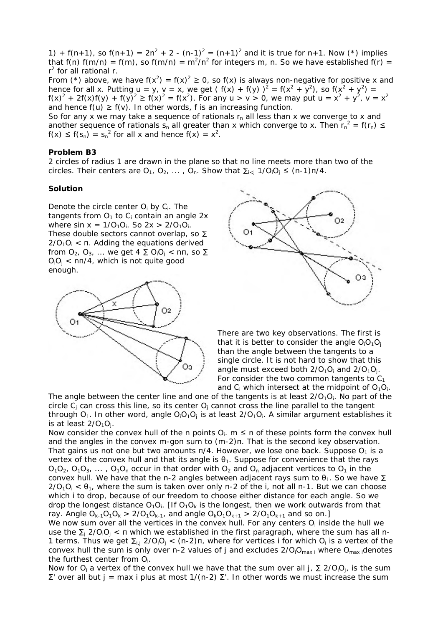1) + f(n+1), so f(n+1) =  $2n^2 + 2 - (n-1)^2 = (n+1)^2$  and it is true for n+1. Now (\*) implies that f(n)  $f(m/n) = f(m)$ , so  $f(m/n) = m^2/n^2$  for integers m, n. So we have established  $f(r) =$ r<sup>2</sup> for all rational r.

From (\*) above, we have  $f(x^2) = f(x)^2 \ge 0$ , so  $f(x)$  is always non-negative for positive x and hence for all x. Putting  $u = y$ ,  $v = x$ , we get (f(x) + f(y))<sup>2</sup> = f(x<sup>2</sup> + y<sup>2</sup>), so f(x<sup>2</sup> + y<sup>2</sup>) =  $f(x)^2 + 2f(x)f(y) + f(y)^2 \ge f(x)^2 = f(x^2)$ . For any  $u > v > 0$ , we may put  $u = x^2 + y^2$ ,  $v = x^2$ and hence  $f(u) \ge f(v)$ . In other words, f is an increasing function.

So for any x we may take a sequence of rationals  $r_n$  all less than x we converge to x and another sequence of rationals s<sub>n</sub> all greater than x which converge to x. Then  $r_n^2 = f(r_n) \leq$  $f(x) \le f(s_n) = s_n^2$  for all x and hence  $f(x) = x^2$ .

#### **Problem B3**

2 circles of radius 1 are drawn in the plane so that no line meets more than two of the circles. Their centers are  $O_1$ ,  $O_2$ , ...,  $O_n$ . Show that  $\sum_{i \leq j} 1/O_iO_j \leq (n-1)n/4$ .

#### **Solution**

Denote the circle center  $O_i$  by  $C_i$ . The tangents from  $O_1$  to  $C_i$  contain an angle 2x where sin  $x = 1/O_1O_i$ . So  $2x > 2/O_1O_i$ . These double sectors cannot overlap, so ∑  $2/O_1O_i < \pi$ . Adding the equations derived from  $O_2$ ,  $O_3$ , ... we get  $4 \sum O_i O_i < n\pi$ , so  $\Sigma$  $O_iO_i$  < nn/4, which is not quite good enough.





There are two key observations. The first is that it is better to consider the angle  $O_1O_1O_j$ than the angle between the tangents to a single circle. It is not hard to show that this angle must exceed both  $2/O_1O_i$  and  $2/O_1O_i$ . For consider the two common tangents to  $C_1$ and  $C_i$  which intersect at the midpoint of  $O_1O_i$ .

The angle between the center line and one of the tangents is at least  $2/O_1O_i$ . No part of the circle  $C_i$  can cross this line, so its center  $O_i$  cannot cross the line parallel to the tangent through  $O_1$ . In other word, angle  $O_1O_1O_i$  is at least  $2/O_1O_i$ . A similar argument establishes it is at least  $2/O_1O_i$ .

Now consider the convex hull of the n points  $O_i$ .  $m \le n$  of these points form the convex hull and the angles in the convex m-gon sum to (m-2)π. That is the second key observation. That gains us not one but two amounts  $\pi/4$ . However, we lose one back. Suppose O<sub>1</sub> is a vertex of the convex hull and that its angle is  $\theta_1$ . Suppose for convenience that the rays  $O_1O_2$ ,  $O_1O_3$ , ...,  $O_1O_n$  occur in that order with  $O_2$  and  $O_n$  adjacent vertices to  $O_1$  in the convex hull. We have that the n-2 angles between adjacent rays sum to  $\theta_1$ . So we have  $\Sigma$  $2/O_1O_i < \theta_1$ , where the sum is taken over only n-2 of the i, not all n-1. But we can choose which i to drop, because of our freedom to choose either distance for each angle. So we drop the longest distance  $O_1O_i$ . [If  $O_1O_k$  is the longest, then we work outwards from that ray. Angle  $O_{k-1}O_1O_k$  > 2/O<sub>1</sub>O<sub>k-1</sub>, and angle  $O_kO_1O_{k+1}$  > 2/O<sub>1</sub>O<sub>k+1</sub> and so on.]

We now sum over all the vertices in the convex hull. For any centers  $O_i$  inside the hull we use the  $\Sigma_i$  2/O<sub>i</sub>O<sub>i</sub> <  $\pi$  which we established in the first paragraph, where the sum has all n-1 terms. Thus we get  $\Sigma_{i,j}$  2/O<sub>i</sub>O<sub>i</sub> < (n-2)n, where for vertices i for which O<sub>i</sub> is a vertex of the convex hull the sum is only over n-2 values of j and excludes  $2/O_iO_{max}$  where  $O_{max}$  denotes the furthest center from  $O_i$ .

Now for O<sub>i</sub> a vertex of the convex hull we have that the sum over all  $j$ ,  $\Sigma$  2/O<sub>i</sub>O<sub>i</sub>, is the sum Σ' over all but j = max i plus at most 1/(n-2) Σ'. In other words we must increase the sum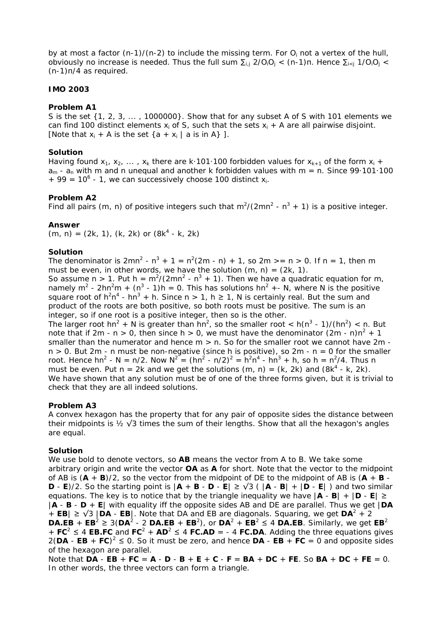by at most a factor  $(n-1)/(n-2)$  to include the missing term. For  $O_i$  not a vertex of the hull, obviously no increase is needed. Thus the full sum  $\Sigma_{i,j}$  2/O<sub>i</sub>O<sub>i</sub> < (n-1)π. Hence  $\Sigma_{i\leq j}$  1/O<sub>i</sub>O<sub>i</sub> < (n-1)π/4 as required.

### **IMO 2003**

#### **Problem A1**

S is the set {1, 2, 3, ... , 1000000}. Show that for any subset A of S with 101 elements we can find 100 distinct elements  $x_i$  of S, such that the sets  $x_i + A$  are all pairwise disjoint. [Note that  $x_i + A$  is the set  $\{a + x_i \mid a \text{ is in } A\}$ ].

#### **Solution**

Having found  $x_1, x_2, ..., x_k$  there are k·101·100 forbidden values for  $x_{k+1}$  of the form  $x_i$  +  $a_m$  -  $a_n$  with m and n unequal and another k forbidden values with  $m = n$ . Since 99 101 100  $+$  99 = 10<sup>6</sup> - 1, we can successively choose 100 distinct  $x_i$ .

#### **Problem A2**

Find all pairs (m, n) of positive integers such that  $m^2/(2mn^2 - n^3 + 1)$  is a positive integer.

#### **Answer**

 $(m, n) = (2k, 1), (k, 2k)$  or  $(8k<sup>4</sup> - k, 2k)$ 

#### **Solution**

The denominator is  $2mn^2 - n^3 + 1 = n^2(2m - n) + 1$ , so  $2m \ge n \ge 0$ . If  $n = 1$ , then m must be even, in other words, we have the solution  $(m, n) = (2k, 1)$ . So assume n > 1. Put h =  $m^2/(2mn^2 - n^3 + 1)$ . Then we have a quadratic equation for m, namely m<sup>2</sup> - 2hn<sup>2</sup>m + (n<sup>3</sup> - 1)h = 0. This has solutions hn<sup>2</sup> + - N, where N is the positive

square root of  $h^2n^4$  - hn<sup>3</sup> + h. Since n > 1, h  $\geq$  1, N is certainly real. But the sum and product of the roots are both positive, so both roots must be positive. The sum is an integer, so if one root is a positive integer, then so is the other.

The larger root hn<sup>2</sup> + N is greater than hn<sup>2</sup>, so the smaller root < h(n<sup>3</sup> - 1)/(hn<sup>2</sup>) < n. But note that if 2m - n > 0, then since h > 0, we must have the denominator  $(2m - n)n^2 + 1$ smaller than the numerator and hence  $m > n$ . So for the smaller root we cannot have  $2m$  $n > 0$ . But 2m - n must be non-negative (since h is positive), so 2m - n = 0 for the smaller root. Hence hn<sup>2</sup> - N = n/2. Now  $N^2 = (hn^2 - n/2)^2 = h^2n^4 - hn^3 + h$ , so h = n<sup>2</sup>/4. Thus n must be even. Put  $n = 2k$  and we get the solutions  $(m, n) = (k, 2k)$  and  $(8k^4 - k, 2k)$ . We have shown that any solution must be of one of the three forms given, but it is trivial to check that they are all indeed solutions.

#### **Problem A3**

A convex hexagon has the property that for any pair of opposite sides the distance between their midpoints is  $\frac{1}{2}$   $\sqrt{3}$  times the sum of their lengths. Show that all the hexagon's angles are equal.

#### **Solution**

We use bold to denote vectors, so **AB** means the vector from A to B. We take some arbitrary origin and write the vector **OA** as **A** for short. Note that the vector to the midpoint of AB is  $(A + B)/2$ , so the vector from the midpoint of DE to the midpoint of AB is  $(A + B -$ **D** - **E**)/2. So the starting point is  $|\mathbf{A} + \mathbf{B} - \mathbf{D} - \mathbf{E}| \ge \sqrt{3}$  ( $|\mathbf{A} - \mathbf{B}| + |\mathbf{D} - \mathbf{E}|$ ) and two similar equations. The key is to notice that by the triangle inequality we have  $|\mathbf{A} \cdot \mathbf{B}| + |\mathbf{D} \cdot \mathbf{E}| \ge$ |**A** - **B** - **D** + **E**| with equality iff the opposite sides AB and DE are parallel. Thus we get |**DA** + **EB** $\geq \sqrt{3}$  |**DA** - **EB** $\mid$ . Note that DA and EB are diagonals. Squaring, we get **DA**<sup>2</sup> + 2 **DA.EB** + **EB**<sup>2</sup> ≥ 3(**DA**<sup>2</sup> - 2 **DA.EB** + **EB**<sup>2</sup>), or **DA**<sup>2</sup> + **EB**<sup>2</sup> ≤ 4 **DA.EB**. Similarly, we get **EB**<sup>2</sup> +  $FC^2 \leq 4$  **EB.FC** and  $FC^2$  +  $AD^2 \leq 4$  **FC.AD** = - 4 **FC.DA**. Adding the three equations gives  $2(DA - EB + FC)^2 \le 0$ . So it must be zero, and hence  $DA - EB + FC = 0$  and opposite sides of the hexagon are parallel.

Note that **DA** - **EB** + **FC** = **A** - **D** - **B** + **E** + **C** - **F** = **BA** + **DC** + **FE**. So **BA** + **DC** + **FE** = 0. In other words, the three vectors can form a triangle.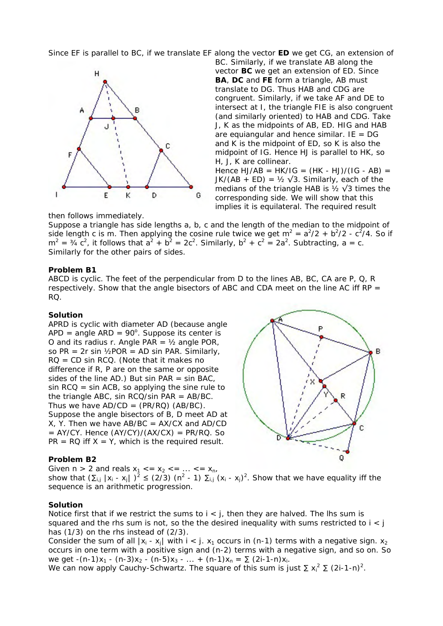Since EF is parallel to BC, if we translate EF along the vector **ED** we get CG, an extension of



BC. Similarly, if we translate AB along the vector **BC** we get an extension of ED. Since **BA**, **DC** and **FE** form a triangle, AB must translate to DG. Thus HAB and CDG are congruent. Similarly, if we take AF and DE to intersect at I, the triangle FIE is also congruent (and similarly oriented) to HAB and CDG. Take J, K as the midpoints of AB, ED. HIG and HAB are equiangular and hence similar. IE =  $DG$ and K is the midpoint of ED, so K is also the midpoint of IG. Hence HJ is parallel to HK, so H, J, K are collinear.

Hence  $HJ/AB = HK/IG = (HK - HJ)/(IG - AB) =$ JK/(AB + ED) =  $\frac{1}{2}$   $\sqrt{3}$ . Similarly, each of the medians of the triangle HAB is  $\frac{1}{2}$   $\sqrt{3}$  times the corresponding side. We will show that this implies it is equilateral. The required result

then follows immediately.

Suppose a triangle has side lengths a, b, c and the length of the median to the midpoint of side length c is m. Then applying the cosine rule twice we get  $m^2 = a^2/2 + b^2/2 - c^2/4$ . So if  $m^2 = 34 \text{ c}^2$ , it follows that  $a^2 + b^2 = 2c^2$ . Similarly,  $b^2 + c^2 = 2a^2$ . Subtracting, a = c. Similarly for the other pairs of sides.

#### **Problem B1**

ABCD is cyclic. The feet of the perpendicular from D to the lines AB, BC, CA are P, Q, R respectively. Show that the angle bisectors of ABC and CDA meet on the line AC iff  $RP =$ RQ.

#### **Solution**

APRD is cyclic with diameter AD (because angle  $APD = angle ARD = 90^\circ$ . Suppose its center is O and its radius r. Angle PAR =  $\frac{1}{2}$  angle POR, so PR =  $2r \sin \frac{1}{2}POR = AD \sin PAR$ . Similarly,  $RQ = CD \sin RCO$ . (Note that it makes no difference if R, P are on the same or opposite sides of the line AD.) But sin PAR  $=$  sin BAC,  $sin RCQ = sin ACB$ , so applying the sine rule to the triangle ABC, sin  $RCQ/sin$  PAR = AB/BC. Thus we have  $AD/CD = (PR/RO)$  (AB/BC). Suppose the angle bisectors of B, D meet AD at  $X$ , Y. Then we have AB/BC = AX/CX and AD/CD  $=$  AY/CY. Hence  $(AY/CY)/(AX/CX) = PR/RQ$ . So  $PR = RQ$  iff  $X = Y$ , which is the required result.

# B R Ċ ō

# **Problem B2**

Given  $n > 2$  and reals  $x_1 < = x_2 < = ... < = x_n$ ,

show that  $(\sum_{i,j} |x_i - x_j|)^2 \le (2/3)$  (n<sup>2</sup> - 1)  $\sum_{i,j} (x_i - x_j)^2$ . Show that we have equality iff the sequence is an arithmetic progression.

#### **Solution**

Notice first that if we restrict the sums to  $i < j$ , then they are halved. The lhs sum is squared and the rhs sum is not, so the the desired inequality with sums restricted to  $i < j$ has (1/3) on the rhs instead of (2/3).

Consider the sum of all  $|x_i - x_i|$  with  $i < j$ .  $x_1$  occurs in (n-1) terms with a negative sign.  $x_2$ occurs in one term with a positive sign and (n-2) terms with a negative sign, and so on. So we get  $-(n-1)x_1 - (n-3)x_2 - (n-5)x_3 - ... + (n-1)x_n = \sum_{i=1}^{n} (2i-1-n)x_i$ .

We can now apply Cauchy-Schwartz. The square of this sum is just  $\sum x_i^2 \sum (2i-1-n)^2$ .